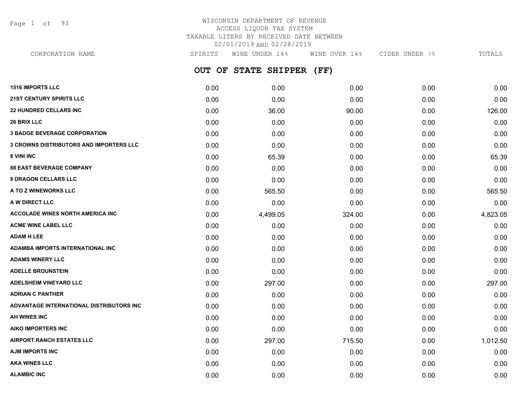Page 1 of 93

## WISCONSIN DEPARTMENT OF REVENUE ACCESS LIQUOR TAX SYSTEM TAXABLE LITERS BY RECEIVED DATE BETWEEN 02/01/2019 AND 02/28/2019

**OUT OF STATE SHIPPER (FF) 1516 IMPORTS LLC** 0.00 0.00 0.00 0.00 0.00 **21ST CENTURY SPIRITS LLC** 0.00 0.00 0.00 0.00 0.00 **22 HUNDRED CELLARS INC** 8 **126.00** 0.00 36.00 36.00 90.00 0.00 0.00 0.00 126.00 **26 BRIX LLC** 0.00 0.00 0.00 0.00 0.00 **3 BADGE BEVERAGE CORPORATION** 0.00 0.00 0.00 0.00 0.00 **3 CROWNS DISTRIBUTORS AND IMPORTERS LLC** 0.00 0.00 0.00 0.00 0.00 **8 VINI INC** 0.00 65.39 0.00 0.00 65.39 **88 EAST BEVERAGE COMPANY** 0.00 0.00 0.00 0.00 0.00 **9 DRAGON CELLARS LLC** 0.00 0.00 0.00 0.00 0.00 **A TO Z WINEWORKS LLC** 0.00 565.50 0.00 0.00 565.50 **A W DIRECT LLC** 0.00 0.00 0.00 0.00 0.00 **ACCOLADE WINES NORTH AMERICA INC**  $0.00$   $4.499.05$   $324.00$   $0.00$   $4.823.05$ **ACME WINE LABEL LLC** 0.00 0.00 0.00 0.00 0.00 **ADAM H LEE** 0.00 0.00 0.00 0.00 0.00 **ADAMBA IMPORTS INTERNATIONAL INC** 0.00 0.00 0.00 0.00 0.00 **ADAMS WINERY LLC** 0.00 0.00 0.00 0.00 0.00 **ADELLE BROUNSTEIN** 0.00 0.00 0.00 0.00 0.00 **ADELSHEIM VINEYARD LLC** 0.00 297.00 0.00 0.00 297.00 **ADRIAN C PANTHER** 0.00 0.00 0.00 0.00 0.00 **ADVANTAGE INTERNATIONAL DISTRIBUTORS INC** 0.00 0.00 0.00 0.00 0.00 **AH WINES INC** 0.00 0.00 0.00 0.00 0.00 **AIKO IMPORTERS INC** 0.00 0.00 0.00 0.00 0.00 **AIRPORT RANCH ESTATES LLC** 0.00 297.00 715.50 0.00 1,012.50 **AJM IMPORTS INC** 0.00 0.00 0.00 0.00 0.00 CORPORATION NAME SPIRITS WINE UNDER 14% WINE OVER 14% CIDER UNDER 7% TOTALS

**AKA WINES LLC** 0.00 0.00 0.00 0.00 0.00 **ALAMBIC INC** 0.00 0.00 0.00 0.00 0.00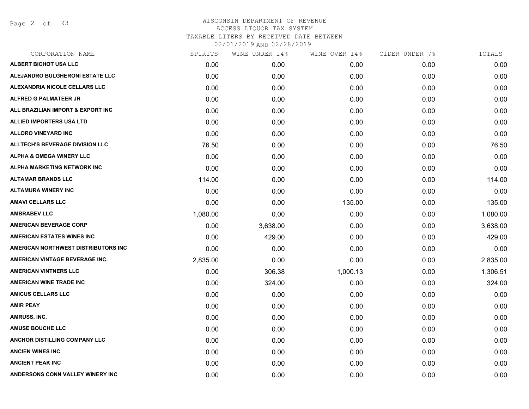Page 2 of 93

| CORPORATION NAME                       | SPIRITS  | WINE UNDER 14% | WINE OVER 14% | CIDER UNDER 7% | TOTALS   |
|----------------------------------------|----------|----------------|---------------|----------------|----------|
| ALBERT BICHOT USA LLC                  | 0.00     | 0.00           | 0.00          | 0.00           | 0.00     |
| ALEJANDRO BULGHERONI ESTATE LLC        | 0.00     | 0.00           | 0.00          | 0.00           | 0.00     |
| ALEXANDRIA NICOLE CELLARS LLC          | 0.00     | 0.00           | 0.00          | 0.00           | 0.00     |
| ALFRED G PALMATEER JR                  | 0.00     | 0.00           | 0.00          | 0.00           | 0.00     |
| ALL BRAZILIAN IMPORT & EXPORT INC      | 0.00     | 0.00           | 0.00          | 0.00           | 0.00     |
| <b>ALLIED IMPORTERS USA LTD</b>        | 0.00     | 0.00           | 0.00          | 0.00           | 0.00     |
| <b>ALLORO VINEYARD INC</b>             | 0.00     | 0.00           | 0.00          | 0.00           | 0.00     |
| <b>ALLTECH'S BEVERAGE DIVISION LLC</b> | 76.50    | 0.00           | 0.00          | 0.00           | 76.50    |
| <b>ALPHA &amp; OMEGA WINERY LLC</b>    | 0.00     | 0.00           | 0.00          | 0.00           | 0.00     |
| ALPHA MARKETING NETWORK INC            | 0.00     | 0.00           | 0.00          | 0.00           | 0.00     |
| <b>ALTAMAR BRANDS LLC</b>              | 114.00   | 0.00           | 0.00          | 0.00           | 114.00   |
| <b>ALTAMURA WINERY INC</b>             | 0.00     | 0.00           | 0.00          | 0.00           | 0.00     |
| <b>AMAVI CELLARS LLC</b>               | 0.00     | 0.00           | 135.00        | 0.00           | 135.00   |
| <b>AMBRABEV LLC</b>                    | 1,080.00 | 0.00           | 0.00          | 0.00           | 1,080.00 |
| <b>AMERICAN BEVERAGE CORP</b>          | 0.00     | 3,638.00       | 0.00          | 0.00           | 3,638.00 |
| <b>AMERICAN ESTATES WINES INC</b>      | 0.00     | 429.00         | 0.00          | 0.00           | 429.00   |
| AMERICAN NORTHWEST DISTRIBUTORS INC    | 0.00     | 0.00           | 0.00          | 0.00           | 0.00     |
| AMERICAN VINTAGE BEVERAGE INC.         | 2,835.00 | 0.00           | 0.00          | 0.00           | 2,835.00 |
| <b>AMERICAN VINTNERS LLC</b>           | 0.00     | 306.38         | 1,000.13      | 0.00           | 1,306.51 |
| <b>AMERICAN WINE TRADE INC</b>         | 0.00     | 324.00         | 0.00          | 0.00           | 324.00   |
| <b>AMICUS CELLARS LLC</b>              | 0.00     | 0.00           | 0.00          | 0.00           | 0.00     |
| <b>AMIR PEAY</b>                       | 0.00     | 0.00           | 0.00          | 0.00           | 0.00     |
| AMRUSS, INC.                           | 0.00     | 0.00           | 0.00          | 0.00           | 0.00     |
| <b>AMUSE BOUCHE LLC</b>                | 0.00     | 0.00           | 0.00          | 0.00           | 0.00     |
| ANCHOR DISTILLING COMPANY LLC          | 0.00     | 0.00           | 0.00          | 0.00           | 0.00     |
| <b>ANCIEN WINES INC</b>                | 0.00     | 0.00           | 0.00          | 0.00           | 0.00     |
| <b>ANCIENT PEAK INC</b>                | 0.00     | 0.00           | 0.00          | 0.00           | 0.00     |
| ANDERSONS CONN VALLEY WINERY INC       | 0.00     | 0.00           | 0.00          | 0.00           | 0.00     |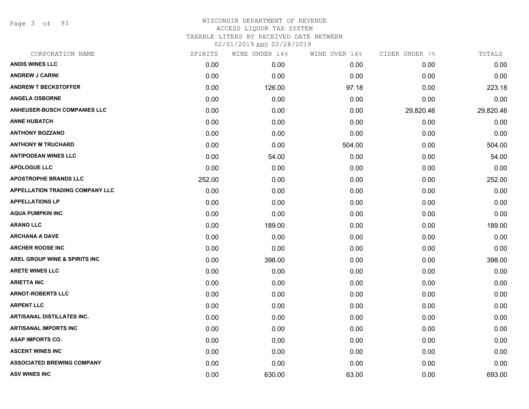Page 3 of 93

| CORPORATION NAME                         | SPIRITS | WINE UNDER 14% | WINE OVER 14% | CIDER UNDER 7% | TOTALS    |
|------------------------------------------|---------|----------------|---------------|----------------|-----------|
| <b>ANDIS WINES LLC</b>                   | 0.00    | 0.00           | 0.00          | 0.00           | 0.00      |
| <b>ANDREW J CARINI</b>                   | 0.00    | 0.00           | 0.00          | 0.00           | 0.00      |
| <b>ANDREW T BECKSTOFFER</b>              | 0.00    | 126.00         | 97.18         | 0.00           | 223.18    |
| <b>ANGELA OSBORNE</b>                    | 0.00    | 0.00           | 0.00          | 0.00           | 0.00      |
| <b>ANHEUSER-BUSCH COMPANIES LLC</b>      | 0.00    | 0.00           | 0.00          | 29,820.46      | 29,820.46 |
| <b>ANNE HUBATCH</b>                      | 0.00    | 0.00           | 0.00          | 0.00           | 0.00      |
| <b>ANTHONY BOZZANO</b>                   | 0.00    | 0.00           | 0.00          | 0.00           | 0.00      |
| <b>ANTHONY M TRUCHARD</b>                | 0.00    | 0.00           | 504.00        | 0.00           | 504.00    |
| <b>ANTIPODEAN WINES LLC</b>              | 0.00    | 54.00          | 0.00          | 0.00           | 54.00     |
| <b>APOLOGUE LLC</b>                      | 0.00    | 0.00           | 0.00          | 0.00           | 0.00      |
| <b>APOSTROPHE BRANDS LLC</b>             | 252.00  | 0.00           | 0.00          | 0.00           | 252.00    |
| <b>APPELLATION TRADING COMPANY LLC</b>   | 0.00    | 0.00           | 0.00          | 0.00           | 0.00      |
| <b>APPELLATIONS LP</b>                   | 0.00    | 0.00           | 0.00          | 0.00           | 0.00      |
| <b>AQUA PUMPKIN INC</b>                  | 0.00    | 0.00           | 0.00          | 0.00           | 0.00      |
| <b>ARANO LLC</b>                         | 0.00    | 189.00         | 0.00          | 0.00           | 189.00    |
| <b>ARCHANA A DAVE</b>                    | 0.00    | 0.00           | 0.00          | 0.00           | 0.00      |
| <b>ARCHER ROOSE INC</b>                  | 0.00    | 0.00           | 0.00          | 0.00           | 0.00      |
| <b>AREL GROUP WINE &amp; SPIRITS INC</b> | 0.00    | 398.00         | 0.00          | 0.00           | 398.00    |
| <b>ARETE WINES LLC</b>                   | 0.00    | 0.00           | 0.00          | 0.00           | 0.00      |
| <b>ARIETTA INC</b>                       | 0.00    | 0.00           | 0.00          | 0.00           | 0.00      |
| <b>ARNOT-ROBERTS LLC</b>                 | 0.00    | 0.00           | 0.00          | 0.00           | 0.00      |
| <b>ARPENT LLC</b>                        | 0.00    | 0.00           | 0.00          | 0.00           | 0.00      |
| <b>ARTISANAL DISTILLATES INC.</b>        | 0.00    | 0.00           | 0.00          | 0.00           | 0.00      |
| <b>ARTISANAL IMPORTS INC</b>             | 0.00    | 0.00           | 0.00          | 0.00           | 0.00      |
| <b>ASAP IMPORTS CO.</b>                  | 0.00    | 0.00           | 0.00          | 0.00           | 0.00      |
| <b>ASCENT WINES INC</b>                  | 0.00    | 0.00           | 0.00          | 0.00           | 0.00      |
| <b>ASSOCIATED BREWING COMPANY</b>        | 0.00    | 0.00           | 0.00          | 0.00           | 0.00      |
| <b>ASV WINES INC</b>                     | 0.00    | 630.00         | 63.00         | 0.00           | 693.00    |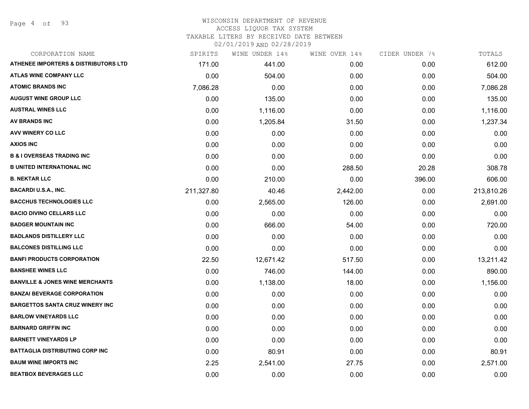Page 4 of 93

#### WISCONSIN DEPARTMENT OF REVENUE ACCESS LIQUOR TAX SYSTEM

TAXABLE LITERS BY RECEIVED DATE BETWEEN

| CORPORATION NAME                                | SPIRITS    | WINE UNDER 14% | WINE OVER 14% | CIDER UNDER 7% | TOTALS     |
|-------------------------------------------------|------------|----------------|---------------|----------------|------------|
| <b>ATHENEE IMPORTERS &amp; DISTRIBUTORS LTD</b> | 171.00     | 441.00         | 0.00          | 0.00           | 612.00     |
| <b>ATLAS WINE COMPANY LLC</b>                   | 0.00       | 504.00         | 0.00          | 0.00           | 504.00     |
| <b>ATOMIC BRANDS INC</b>                        | 7,086.28   | 0.00           | 0.00          | 0.00           | 7,086.28   |
| <b>AUGUST WINE GROUP LLC</b>                    | 0.00       | 135.00         | 0.00          | 0.00           | 135.00     |
| <b>AUSTRAL WINES LLC</b>                        | 0.00       | 1,116.00       | 0.00          | 0.00           | 1,116.00   |
| <b>AV BRANDS INC</b>                            | 0.00       | 1,205.84       | 31.50         | 0.00           | 1,237.34   |
| AVV WINERY CO LLC                               | 0.00       | 0.00           | 0.00          | 0.00           | 0.00       |
| <b>AXIOS INC</b>                                | 0.00       | 0.00           | 0.00          | 0.00           | 0.00       |
| <b>B &amp; I OVERSEAS TRADING INC</b>           | 0.00       | 0.00           | 0.00          | 0.00           | 0.00       |
| <b>B UNITED INTERNATIONAL INC</b>               | 0.00       | 0.00           | 288.50        | 20.28          | 308.78     |
| <b>B. NEKTAR LLC</b>                            | 0.00       | 210.00         | 0.00          | 396.00         | 606.00     |
| <b>BACARDI U.S.A., INC.</b>                     | 211,327.80 | 40.46          | 2,442.00      | 0.00           | 213,810.26 |
| <b>BACCHUS TECHNOLOGIES LLC</b>                 | 0.00       | 2,565.00       | 126.00        | 0.00           | 2,691.00   |
| <b>BACIO DIVINO CELLARS LLC</b>                 | 0.00       | 0.00           | 0.00          | 0.00           | 0.00       |
| <b>BADGER MOUNTAIN INC</b>                      | 0.00       | 666.00         | 54.00         | 0.00           | 720.00     |
| <b>BADLANDS DISTILLERY LLC</b>                  | 0.00       | 0.00           | 0.00          | 0.00           | 0.00       |
| <b>BALCONES DISTILLING LLC</b>                  | 0.00       | 0.00           | 0.00          | 0.00           | 0.00       |
| <b>BANFI PRODUCTS CORPORATION</b>               | 22.50      | 12,671.42      | 517.50        | 0.00           | 13,211.42  |
| <b>BANSHEE WINES LLC</b>                        | 0.00       | 746.00         | 144.00        | 0.00           | 890.00     |
| <b>BANVILLE &amp; JONES WINE MERCHANTS</b>      | 0.00       | 1,138.00       | 18.00         | 0.00           | 1,156.00   |
| <b>BANZAI BEVERAGE CORPORATION</b>              | 0.00       | 0.00           | 0.00          | 0.00           | 0.00       |
| <b>BARGETTOS SANTA CRUZ WINERY INC</b>          | 0.00       | 0.00           | 0.00          | 0.00           | 0.00       |
| <b>BARLOW VINEYARDS LLC</b>                     | 0.00       | 0.00           | 0.00          | 0.00           | 0.00       |
| <b>BARNARD GRIFFIN INC</b>                      | 0.00       | 0.00           | 0.00          | 0.00           | 0.00       |
| <b>BARNETT VINEYARDS LP</b>                     | 0.00       | 0.00           | 0.00          | 0.00           | 0.00       |
| <b>BATTAGLIA DISTRIBUTING CORP INC</b>          | 0.00       | 80.91          | 0.00          | 0.00           | 80.91      |
| <b>BAUM WINE IMPORTS INC</b>                    | 2.25       | 2,541.00       | 27.75         | 0.00           | 2,571.00   |
| <b>BEATBOX BEVERAGES LLC</b>                    | 0.00       | 0.00           | 0.00          | 0.00           | 0.00       |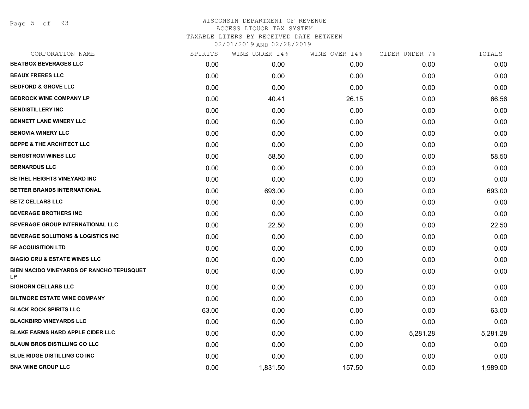Page 5 of 93

| CORPORATION NAME                                       | SPIRITS | WINE UNDER 14% | WINE OVER 14% | CIDER UNDER 7% | TOTALS   |
|--------------------------------------------------------|---------|----------------|---------------|----------------|----------|
| <b>BEATBOX BEVERAGES LLC</b>                           | 0.00    | 0.00           | 0.00          | 0.00           | 0.00     |
| <b>BEAUX FRERES LLC</b>                                | 0.00    | 0.00           | 0.00          | 0.00           | 0.00     |
| <b>BEDFORD &amp; GROVE LLC</b>                         | 0.00    | 0.00           | 0.00          | 0.00           | 0.00     |
| <b>BEDROCK WINE COMPANY LP</b>                         | 0.00    | 40.41          | 26.15         | 0.00           | 66.56    |
| <b>BENDISTILLERY INC</b>                               | 0.00    | 0.00           | 0.00          | 0.00           | 0.00     |
| <b>BENNETT LANE WINERY LLC</b>                         | 0.00    | 0.00           | 0.00          | 0.00           | 0.00     |
| <b>BENOVIA WINERY LLC</b>                              | 0.00    | 0.00           | 0.00          | 0.00           | 0.00     |
| <b>BEPPE &amp; THE ARCHITECT LLC</b>                   | 0.00    | 0.00           | 0.00          | 0.00           | 0.00     |
| <b>BERGSTROM WINES LLC</b>                             | 0.00    | 58.50          | 0.00          | 0.00           | 58.50    |
| <b>BERNARDUS LLC</b>                                   | 0.00    | 0.00           | 0.00          | 0.00           | 0.00     |
| BETHEL HEIGHTS VINEYARD INC                            | 0.00    | 0.00           | 0.00          | 0.00           | 0.00     |
| BETTER BRANDS INTERNATIONAL                            | 0.00    | 693.00         | 0.00          | 0.00           | 693.00   |
| <b>BETZ CELLARS LLC</b>                                | 0.00    | 0.00           | 0.00          | 0.00           | 0.00     |
| <b>BEVERAGE BROTHERS INC</b>                           | 0.00    | 0.00           | 0.00          | 0.00           | 0.00     |
| BEVERAGE GROUP INTERNATIONAL LLC                       | 0.00    | 22.50          | 0.00          | 0.00           | 22.50    |
| <b>BEVERAGE SOLUTIONS &amp; LOGISTICS INC</b>          | 0.00    | 0.00           | 0.00          | 0.00           | 0.00     |
| <b>BF ACQUISITION LTD</b>                              | 0.00    | 0.00           | 0.00          | 0.00           | 0.00     |
| <b>BIAGIO CRU &amp; ESTATE WINES LLC</b>               | 0.00    | 0.00           | 0.00          | 0.00           | 0.00     |
| BIEN NACIDO VINEYARDS OF RANCHO TEPUSQUET<br><b>LP</b> | 0.00    | 0.00           | 0.00          | 0.00           | 0.00     |
| <b>BIGHORN CELLARS LLC</b>                             | 0.00    | 0.00           | 0.00          | 0.00           | 0.00     |
| <b>BILTMORE ESTATE WINE COMPANY</b>                    | 0.00    | 0.00           | 0.00          | 0.00           | 0.00     |
| <b>BLACK ROCK SPIRITS LLC</b>                          | 63.00   | 0.00           | 0.00          | 0.00           | 63.00    |
| <b>BLACKBIRD VINEYARDS LLC</b>                         | 0.00    | 0.00           | 0.00          | 0.00           | 0.00     |
| <b>BLAKE FARMS HARD APPLE CIDER LLC</b>                | 0.00    | 0.00           | 0.00          | 5,281.28       | 5,281.28 |
| <b>BLAUM BROS DISTILLING CO LLC</b>                    | 0.00    | 0.00           | 0.00          | 0.00           | 0.00     |
| <b>BLUE RIDGE DISTILLING CO INC.</b>                   | 0.00    | 0.00           | 0.00          | 0.00           | 0.00     |
| <b>BNA WINE GROUP LLC</b>                              | 0.00    | 1,831.50       | 157.50        | 0.00           | 1,989.00 |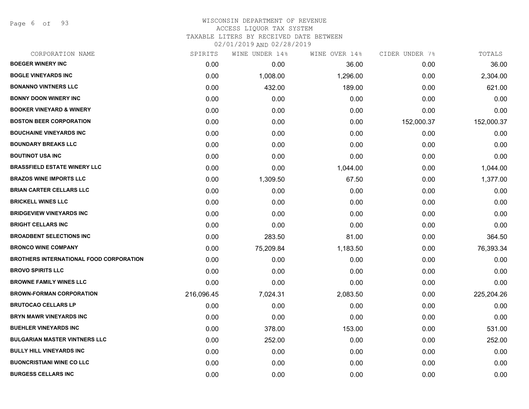Page 6 of 93

| CORPORATION NAME                               | SPIRITS    | WINE UNDER 14% | WINE OVER 14% | CIDER UNDER 7% | TOTALS     |
|------------------------------------------------|------------|----------------|---------------|----------------|------------|
| <b>BOEGER WINERY INC</b>                       | 0.00       | 0.00           | 36.00         | 0.00           | 36.00      |
| <b>BOGLE VINEYARDS INC</b>                     | 0.00       | 1,008.00       | 1,296.00      | 0.00           | 2,304.00   |
| <b>BONANNO VINTNERS LLC</b>                    | 0.00       | 432.00         | 189.00        | 0.00           | 621.00     |
| <b>BONNY DOON WINERY INC</b>                   | 0.00       | 0.00           | 0.00          | 0.00           | 0.00       |
| <b>BOOKER VINEYARD &amp; WINERY</b>            | 0.00       | 0.00           | 0.00          | 0.00           | 0.00       |
| <b>BOSTON BEER CORPORATION</b>                 | 0.00       | 0.00           | 0.00          | 152,000.37     | 152,000.37 |
| <b>BOUCHAINE VINEYARDS INC</b>                 | 0.00       | 0.00           | 0.00          | 0.00           | 0.00       |
| <b>BOUNDARY BREAKS LLC</b>                     | 0.00       | 0.00           | 0.00          | 0.00           | 0.00       |
| <b>BOUTINOT USA INC</b>                        | 0.00       | 0.00           | 0.00          | 0.00           | 0.00       |
| <b>BRASSFIELD ESTATE WINERY LLC</b>            | 0.00       | 0.00           | 1,044.00      | 0.00           | 1,044.00   |
| <b>BRAZOS WINE IMPORTS LLC</b>                 | 0.00       | 1,309.50       | 67.50         | 0.00           | 1,377.00   |
| <b>BRIAN CARTER CELLARS LLC</b>                | 0.00       | 0.00           | 0.00          | 0.00           | 0.00       |
| <b>BRICKELL WINES LLC</b>                      | 0.00       | 0.00           | 0.00          | 0.00           | 0.00       |
| <b>BRIDGEVIEW VINEYARDS INC</b>                | 0.00       | 0.00           | 0.00          | 0.00           | 0.00       |
| <b>BRIGHT CELLARS INC</b>                      | 0.00       | 0.00           | 0.00          | 0.00           | 0.00       |
| <b>BROADBENT SELECTIONS INC</b>                | 0.00       | 283.50         | 81.00         | 0.00           | 364.50     |
| <b>BRONCO WINE COMPANY</b>                     | 0.00       | 75,209.84      | 1,183.50      | 0.00           | 76,393.34  |
| <b>BROTHERS INTERNATIONAL FOOD CORPORATION</b> | 0.00       | 0.00           | 0.00          | 0.00           | 0.00       |
| <b>BROVO SPIRITS LLC</b>                       | 0.00       | 0.00           | 0.00          | 0.00           | 0.00       |
| <b>BROWNE FAMILY WINES LLC</b>                 | 0.00       | 0.00           | 0.00          | 0.00           | 0.00       |
| <b>BROWN-FORMAN CORPORATION</b>                | 216,096.45 | 7,024.31       | 2,083.50      | 0.00           | 225,204.26 |
| <b>BRUTOCAO CELLARS LP</b>                     | 0.00       | 0.00           | 0.00          | 0.00           | 0.00       |
| <b>BRYN MAWR VINEYARDS INC</b>                 | 0.00       | 0.00           | 0.00          | 0.00           | 0.00       |
| <b>BUEHLER VINEYARDS INC</b>                   | 0.00       | 378.00         | 153.00        | 0.00           | 531.00     |
| <b>BULGARIAN MASTER VINTNERS LLC</b>           | 0.00       | 252.00         | 0.00          | 0.00           | 252.00     |
| <b>BULLY HILL VINEYARDS INC</b>                | 0.00       | 0.00           | 0.00          | 0.00           | 0.00       |
| <b>BUONCRISTIANI WINE CO LLC</b>               | 0.00       | 0.00           | 0.00          | 0.00           | 0.00       |
| <b>BURGESS CELLARS INC</b>                     | 0.00       | 0.00           | 0.00          | 0.00           | 0.00       |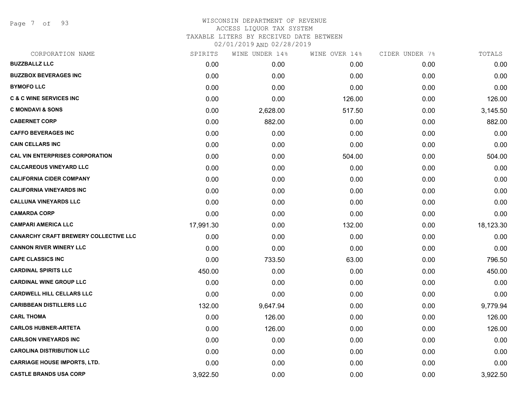Page 7 of 93

#### WISCONSIN DEPARTMENT OF REVENUE ACCESS LIQUOR TAX SYSTEM TAXABLE LITERS BY RECEIVED DATE BETWEEN

| CORPORATION NAME                       | SPIRITS   | WINE UNDER 14% | WINE OVER 14% | CIDER UNDER 7% | TOTALS    |
|----------------------------------------|-----------|----------------|---------------|----------------|-----------|
| <b>BUZZBALLZ LLC</b>                   | 0.00      | 0.00           | 0.00          | 0.00           | 0.00      |
| <b>BUZZBOX BEVERAGES INC</b>           | 0.00      | 0.00           | 0.00          | 0.00           | 0.00      |
| <b>BYMOFO LLC</b>                      | 0.00      | 0.00           | 0.00          | 0.00           | 0.00      |
| <b>C &amp; C WINE SERVICES INC</b>     | 0.00      | 0.00           | 126.00        | 0.00           | 126.00    |
| <b>C MONDAVI &amp; SONS</b>            | 0.00      | 2,628.00       | 517.50        | 0.00           | 3,145.50  |
| <b>CABERNET CORP</b>                   | 0.00      | 882.00         | 0.00          | 0.00           | 882.00    |
| <b>CAFFO BEVERAGES INC</b>             | 0.00      | 0.00           | 0.00          | 0.00           | 0.00      |
| <b>CAIN CELLARS INC</b>                | 0.00      | 0.00           | 0.00          | 0.00           | 0.00      |
| <b>CAL VIN ENTERPRISES CORPORATION</b> | 0.00      | 0.00           | 504.00        | 0.00           | 504.00    |
| <b>CALCAREOUS VINEYARD LLC</b>         | 0.00      | 0.00           | 0.00          | 0.00           | 0.00      |
| <b>CALIFORNIA CIDER COMPANY</b>        | 0.00      | 0.00           | 0.00          | 0.00           | 0.00      |
| <b>CALIFORNIA VINEYARDS INC</b>        | 0.00      | 0.00           | 0.00          | 0.00           | 0.00      |
| <b>CALLUNA VINEYARDS LLC</b>           | 0.00      | 0.00           | 0.00          | 0.00           | 0.00      |
| <b>CAMARDA CORP</b>                    | 0.00      | 0.00           | 0.00          | 0.00           | 0.00      |
| <b>CAMPARI AMERICA LLC</b>             | 17,991.30 | 0.00           | 132.00        | 0.00           | 18,123.30 |
| CANARCHY CRAFT BREWERY COLLECTIVE LLC  | 0.00      | 0.00           | 0.00          | 0.00           | 0.00      |
| <b>CANNON RIVER WINERY LLC</b>         | 0.00      | 0.00           | 0.00          | 0.00           | 0.00      |
| <b>CAPE CLASSICS INC</b>               | 0.00      | 733.50         | 63.00         | 0.00           | 796.50    |
| <b>CARDINAL SPIRITS LLC</b>            | 450.00    | 0.00           | 0.00          | 0.00           | 450.00    |
| <b>CARDINAL WINE GROUP LLC</b>         | 0.00      | 0.00           | 0.00          | 0.00           | 0.00      |
| <b>CARDWELL HILL CELLARS LLC</b>       | 0.00      | 0.00           | 0.00          | 0.00           | 0.00      |
| <b>CARIBBEAN DISTILLERS LLC</b>        | 132.00    | 9,647.94       | 0.00          | 0.00           | 9,779.94  |
| <b>CARL THOMA</b>                      | 0.00      | 126.00         | 0.00          | 0.00           | 126.00    |
| <b>CARLOS HUBNER-ARTETA</b>            | 0.00      | 126.00         | 0.00          | 0.00           | 126.00    |
| <b>CARLSON VINEYARDS INC</b>           | 0.00      | 0.00           | 0.00          | 0.00           | 0.00      |
| <b>CAROLINA DISTRIBUTION LLC</b>       | 0.00      | 0.00           | 0.00          | 0.00           | 0.00      |
| <b>CARRIAGE HOUSE IMPORTS, LTD.</b>    | 0.00      | 0.00           | 0.00          | 0.00           | 0.00      |
| <b>CASTLE BRANDS USA CORP</b>          | 3,922.50  | 0.00           | 0.00          | 0.00           | 3,922.50  |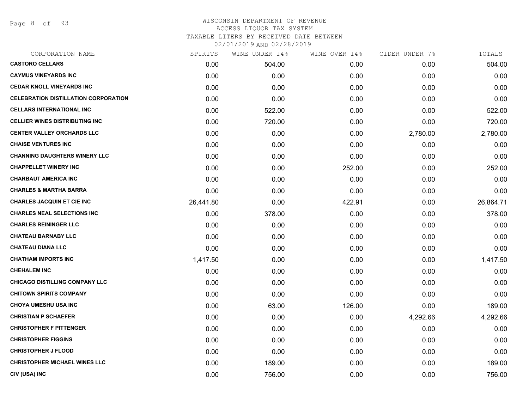Page 8 of 93

| SPIRITS   | WINE UNDER 14% | WINE OVER 14% | CIDER UNDER 7% | TOTALS    |
|-----------|----------------|---------------|----------------|-----------|
| 0.00      | 504.00         | 0.00          | 0.00           | 504.00    |
| 0.00      | 0.00           | 0.00          | 0.00           | 0.00      |
| 0.00      | 0.00           | 0.00          | 0.00           | 0.00      |
| 0.00      | 0.00           | 0.00          | 0.00           | 0.00      |
| 0.00      | 522.00         | 0.00          | 0.00           | 522.00    |
| 0.00      | 720.00         | 0.00          | 0.00           | 720.00    |
| 0.00      | 0.00           | 0.00          | 2,780.00       | 2,780.00  |
| 0.00      | 0.00           | 0.00          | 0.00           | 0.00      |
| 0.00      | 0.00           | 0.00          | 0.00           | 0.00      |
| 0.00      | 0.00           | 252.00        | 0.00           | 252.00    |
| 0.00      | 0.00           | 0.00          | 0.00           | 0.00      |
| 0.00      | 0.00           | 0.00          | 0.00           | 0.00      |
| 26,441.80 | 0.00           | 422.91        | 0.00           | 26,864.71 |
| 0.00      | 378.00         | 0.00          | 0.00           | 378.00    |
| 0.00      | 0.00           | 0.00          | 0.00           | 0.00      |
| 0.00      | 0.00           | 0.00          | 0.00           | 0.00      |
| 0.00      | 0.00           | 0.00          | 0.00           | 0.00      |
| 1,417.50  | 0.00           | 0.00          | 0.00           | 1,417.50  |
| 0.00      | 0.00           | 0.00          | 0.00           | 0.00      |
| 0.00      | 0.00           | 0.00          | 0.00           | 0.00      |
| 0.00      | 0.00           | 0.00          | 0.00           | 0.00      |
| 0.00      | 63.00          | 126.00        | 0.00           | 189.00    |
| 0.00      | 0.00           | 0.00          | 4,292.66       | 4,292.66  |
| 0.00      | 0.00           | 0.00          | 0.00           | 0.00      |
| 0.00      | 0.00           | 0.00          | 0.00           | 0.00      |
| 0.00      | 0.00           | 0.00          | 0.00           | 0.00      |
| 0.00      | 189.00         | 0.00          | 0.00           | 189.00    |
| 0.00      | 756.00         | 0.00          | 0.00           | 756.00    |
|           |                |               |                |           |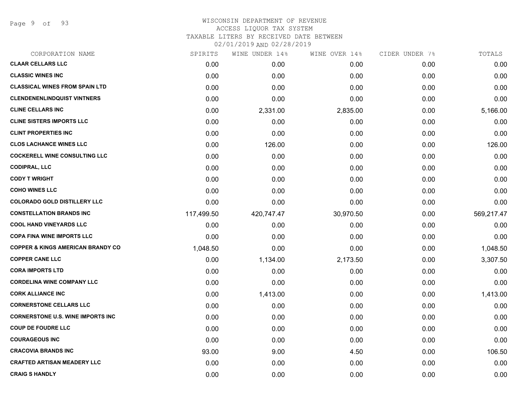Page 9 of 93

# WISCONSIN DEPARTMENT OF REVENUE ACCESS LIQUOR TAX SYSTEM TAXABLE LITERS BY RECEIVED DATE BETWEEN

| CORPORATION NAME                             | SPIRITS    | WINE UNDER 14% | WINE OVER 14% | CIDER UNDER 7% | TOTALS     |
|----------------------------------------------|------------|----------------|---------------|----------------|------------|
| <b>CLAAR CELLARS LLC</b>                     | 0.00       | 0.00           | 0.00          | 0.00           | 0.00       |
| <b>CLASSIC WINES INC</b>                     | 0.00       | 0.00           | 0.00          | 0.00           | 0.00       |
| <b>CLASSICAL WINES FROM SPAIN LTD</b>        | 0.00       | 0.00           | 0.00          | 0.00           | 0.00       |
| <b>CLENDENENLINDQUIST VINTNERS</b>           | 0.00       | 0.00           | 0.00          | 0.00           | 0.00       |
| <b>CLINE CELLARS INC</b>                     | 0.00       | 2,331.00       | 2,835.00      | 0.00           | 5,166.00   |
| <b>CLINE SISTERS IMPORTS LLC</b>             | 0.00       | 0.00           | 0.00          | 0.00           | 0.00       |
| <b>CLINT PROPERTIES INC</b>                  | 0.00       | 0.00           | 0.00          | 0.00           | 0.00       |
| <b>CLOS LACHANCE WINES LLC</b>               | 0.00       | 126.00         | 0.00          | 0.00           | 126.00     |
| <b>COCKERELL WINE CONSULTING LLC</b>         | 0.00       | 0.00           | 0.00          | 0.00           | 0.00       |
| <b>CODIPRAL, LLC</b>                         | 0.00       | 0.00           | 0.00          | 0.00           | 0.00       |
| <b>CODY T WRIGHT</b>                         | 0.00       | 0.00           | 0.00          | 0.00           | 0.00       |
| <b>COHO WINES LLC</b>                        | 0.00       | 0.00           | 0.00          | 0.00           | 0.00       |
| <b>COLORADO GOLD DISTILLERY LLC</b>          | 0.00       | 0.00           | 0.00          | 0.00           | 0.00       |
| <b>CONSTELLATION BRANDS INC</b>              | 117,499.50 | 420,747.47     | 30,970.50     | 0.00           | 569,217.47 |
| <b>COOL HAND VINEYARDS LLC</b>               | 0.00       | 0.00           | 0.00          | 0.00           | 0.00       |
| <b>COPA FINA WINE IMPORTS LLC</b>            | 0.00       | 0.00           | 0.00          | 0.00           | 0.00       |
| <b>COPPER &amp; KINGS AMERICAN BRANDY CO</b> | 1,048.50   | 0.00           | 0.00          | 0.00           | 1,048.50   |
| <b>COPPER CANE LLC</b>                       | 0.00       | 1,134.00       | 2,173.50      | 0.00           | 3,307.50   |
| <b>CORA IMPORTS LTD</b>                      | 0.00       | 0.00           | 0.00          | 0.00           | 0.00       |
| <b>CORDELINA WINE COMPANY LLC</b>            | 0.00       | 0.00           | 0.00          | 0.00           | 0.00       |
| <b>CORK ALLIANCE INC</b>                     | 0.00       | 1,413.00       | 0.00          | 0.00           | 1,413.00   |
| <b>CORNERSTONE CELLARS LLC</b>               | 0.00       | 0.00           | 0.00          | 0.00           | 0.00       |
| <b>CORNERSTONE U.S. WINE IMPORTS INC</b>     | 0.00       | 0.00           | 0.00          | 0.00           | 0.00       |
| <b>COUP DE FOUDRE LLC</b>                    | 0.00       | 0.00           | 0.00          | 0.00           | 0.00       |
| <b>COURAGEOUS INC</b>                        | 0.00       | 0.00           | 0.00          | 0.00           | 0.00       |
| <b>CRACOVIA BRANDS INC</b>                   | 93.00      | 9.00           | 4.50          | 0.00           | 106.50     |
| <b>CRAFTED ARTISAN MEADERY LLC</b>           | 0.00       | 0.00           | 0.00          | 0.00           | 0.00       |
| <b>CRAIG S HANDLY</b>                        | 0.00       | 0.00           | 0.00          | 0.00           | 0.00       |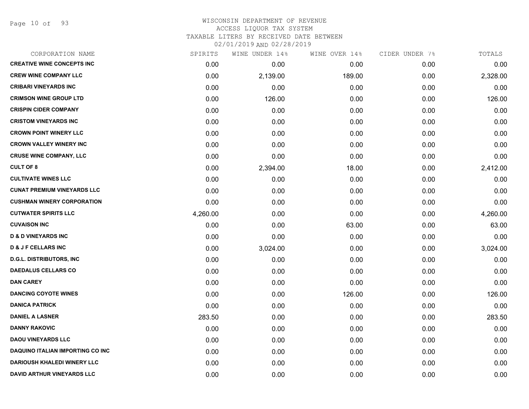Page 10 of 93

## WISCONSIN DEPARTMENT OF REVENUE ACCESS LIQUOR TAX SYSTEM TAXABLE LITERS BY RECEIVED DATE BETWEEN

| CORPORATION NAME                        | SPIRITS  | WINE UNDER 14% | WINE OVER 14% | CIDER UNDER 7% | TOTALS   |
|-----------------------------------------|----------|----------------|---------------|----------------|----------|
| <b>CREATIVE WINE CONCEPTS INC</b>       | 0.00     | 0.00           | 0.00          | 0.00           | 0.00     |
| <b>CREW WINE COMPANY LLC</b>            | 0.00     | 2,139.00       | 189.00        | 0.00           | 2,328.00 |
| <b>CRIBARI VINEYARDS INC</b>            | 0.00     | 0.00           | 0.00          | 0.00           | 0.00     |
| <b>CRIMSON WINE GROUP LTD</b>           | 0.00     | 126.00         | 0.00          | 0.00           | 126.00   |
| <b>CRISPIN CIDER COMPANY</b>            | 0.00     | 0.00           | 0.00          | 0.00           | 0.00     |
| <b>CRISTOM VINEYARDS INC</b>            | 0.00     | 0.00           | 0.00          | 0.00           | 0.00     |
| <b>CROWN POINT WINERY LLC</b>           | 0.00     | 0.00           | 0.00          | 0.00           | 0.00     |
| <b>CROWN VALLEY WINERY INC</b>          | 0.00     | 0.00           | 0.00          | 0.00           | 0.00     |
| <b>CRUSE WINE COMPANY, LLC</b>          | 0.00     | 0.00           | 0.00          | 0.00           | 0.00     |
| <b>CULT OF 8</b>                        | 0.00     | 2,394.00       | 18.00         | 0.00           | 2,412.00 |
| <b>CULTIVATE WINES LLC</b>              | 0.00     | 0.00           | 0.00          | 0.00           | 0.00     |
| <b>CUNAT PREMIUM VINEYARDS LLC</b>      | 0.00     | 0.00           | 0.00          | 0.00           | 0.00     |
| <b>CUSHMAN WINERY CORPORATION</b>       | 0.00     | 0.00           | 0.00          | 0.00           | 0.00     |
| <b>CUTWATER SPIRITS LLC</b>             | 4,260.00 | 0.00           | 0.00          | 0.00           | 4,260.00 |
| <b>CUVAISON INC</b>                     | 0.00     | 0.00           | 63.00         | 0.00           | 63.00    |
| <b>D &amp; D VINEYARDS INC</b>          | 0.00     | 0.00           | 0.00          | 0.00           | 0.00     |
| <b>D &amp; J F CELLARS INC</b>          | 0.00     | 3,024.00       | 0.00          | 0.00           | 3,024.00 |
| <b>D.G.L. DISTRIBUTORS, INC</b>         | 0.00     | 0.00           | 0.00          | 0.00           | 0.00     |
| <b>DAEDALUS CELLARS CO</b>              | 0.00     | 0.00           | 0.00          | 0.00           | 0.00     |
| <b>DAN CAREY</b>                        | 0.00     | 0.00           | 0.00          | 0.00           | 0.00     |
| <b>DANCING COYOTE WINES</b>             | 0.00     | 0.00           | 126.00        | 0.00           | 126.00   |
| <b>DANICA PATRICK</b>                   | 0.00     | 0.00           | 0.00          | 0.00           | 0.00     |
| <b>DANIEL A LASNER</b>                  | 283.50   | 0.00           | 0.00          | 0.00           | 283.50   |
| <b>DANNY RAKOVIC</b>                    | 0.00     | 0.00           | 0.00          | 0.00           | 0.00     |
| <b>DAOU VINEYARDS LLC</b>               | 0.00     | 0.00           | 0.00          | 0.00           | 0.00     |
| <b>DAQUINO ITALIAN IMPORTING CO INC</b> | 0.00     | 0.00           | 0.00          | 0.00           | 0.00     |
| <b>DARIOUSH KHALEDI WINERY LLC</b>      | 0.00     | 0.00           | 0.00          | 0.00           | 0.00     |
| DAVID ARTHUR VINEYARDS LLC              | 0.00     | 0.00           | 0.00          | 0.00           | 0.00     |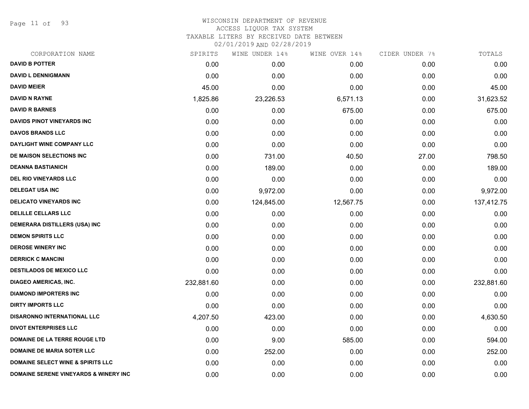Page 11 of 93

#### WISCONSIN DEPARTMENT OF REVENUE ACCESS LIQUOR TAX SYSTEM TAXABLE LITERS BY RECEIVED DATE BETWEEN

| CORPORATION NAME                                 | SPIRITS    | WINE UNDER 14% | WINE OVER 14% | CIDER UNDER 7% | TOTALS     |
|--------------------------------------------------|------------|----------------|---------------|----------------|------------|
| <b>DAVID B POTTER</b>                            | 0.00       | 0.00           | 0.00          | 0.00           | 0.00       |
| <b>DAVID L DENNIGMANN</b>                        | 0.00       | 0.00           | 0.00          | 0.00           | 0.00       |
| <b>DAVID MEIER</b>                               | 45.00      | 0.00           | 0.00          | 0.00           | 45.00      |
| <b>DAVID N RAYNE</b>                             | 1,825.86   | 23,226.53      | 6,571.13      | 0.00           | 31,623.52  |
| <b>DAVID R BARNES</b>                            | 0.00       | 0.00           | 675.00        | 0.00           | 675.00     |
| <b>DAVIDS PINOT VINEYARDS INC</b>                | 0.00       | 0.00           | 0.00          | 0.00           | 0.00       |
| <b>DAVOS BRANDS LLC</b>                          | 0.00       | 0.00           | 0.00          | 0.00           | 0.00       |
| DAYLIGHT WINE COMPANY LLC                        | 0.00       | 0.00           | 0.00          | 0.00           | 0.00       |
| DE MAISON SELECTIONS INC                         | 0.00       | 731.00         | 40.50         | 27.00          | 798.50     |
| <b>DEANNA BASTIANICH</b>                         | 0.00       | 189.00         | 0.00          | 0.00           | 189.00     |
| DEL RIO VINEYARDS LLC                            | 0.00       | 0.00           | 0.00          | 0.00           | 0.00       |
| <b>DELEGAT USA INC</b>                           | 0.00       | 9,972.00       | 0.00          | 0.00           | 9,972.00   |
| <b>DELICATO VINEYARDS INC</b>                    | 0.00       | 124,845.00     | 12,567.75     | 0.00           | 137,412.75 |
| <b>DELILLE CELLARS LLC</b>                       | 0.00       | 0.00           | 0.00          | 0.00           | 0.00       |
| DEMERARA DISTILLERS (USA) INC                    | 0.00       | 0.00           | 0.00          | 0.00           | 0.00       |
| <b>DEMON SPIRITS LLC</b>                         | 0.00       | 0.00           | 0.00          | 0.00           | 0.00       |
| <b>DEROSE WINERY INC</b>                         | 0.00       | 0.00           | 0.00          | 0.00           | 0.00       |
| <b>DERRICK C MANCINI</b>                         | 0.00       | 0.00           | 0.00          | 0.00           | 0.00       |
| <b>DESTILADOS DE MEXICO LLC</b>                  | 0.00       | 0.00           | 0.00          | 0.00           | 0.00       |
| <b>DIAGEO AMERICAS, INC.</b>                     | 232,881.60 | 0.00           | 0.00          | 0.00           | 232,881.60 |
| <b>DIAMOND IMPORTERS INC</b>                     | 0.00       | 0.00           | 0.00          | 0.00           | 0.00       |
| <b>DIRTY IMPORTS LLC</b>                         | 0.00       | 0.00           | 0.00          | 0.00           | 0.00       |
| DISARONNO INTERNATIONAL LLC                      | 4,207.50   | 423.00         | 0.00          | 0.00           | 4,630.50   |
| <b>DIVOT ENTERPRISES LLC</b>                     | 0.00       | 0.00           | 0.00          | 0.00           | 0.00       |
| DOMAINE DE LA TERRE ROUGE LTD                    | 0.00       | 9.00           | 585.00        | 0.00           | 594.00     |
| <b>DOMAINE DE MARIA SOTER LLC</b>                | 0.00       | 252.00         | 0.00          | 0.00           | 252.00     |
| <b>DOMAINE SELECT WINE &amp; SPIRITS LLC</b>     | 0.00       | 0.00           | 0.00          | 0.00           | 0.00       |
| <b>DOMAINE SERENE VINEYARDS &amp; WINERY INC</b> | 0.00       | 0.00           | 0.00          | 0.00           | 0.00       |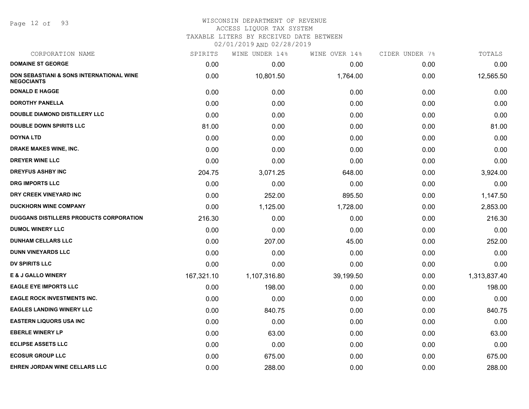Page 12 of 93

## WISCONSIN DEPARTMENT OF REVENUE ACCESS LIQUOR TAX SYSTEM TAXABLE LITERS BY RECEIVED DATE BETWEEN

| CORPORATION NAME                                                         | SPIRITS    | WINE UNDER 14% | WINE OVER 14% | CIDER UNDER 7% | TOTALS       |
|--------------------------------------------------------------------------|------------|----------------|---------------|----------------|--------------|
| <b>DOMAINE ST GEORGE</b>                                                 | 0.00       | 0.00           | 0.00          | 0.00           | 0.00         |
| <b>DON SEBASTIANI &amp; SONS INTERNATIONAL WINE</b><br><b>NEGOCIANTS</b> | 0.00       | 10,801.50      | 1,764.00      | 0.00           | 12,565.50    |
| <b>DONALD E HAGGE</b>                                                    | 0.00       | 0.00           | 0.00          | 0.00           | 0.00         |
| <b>DOROTHY PANELLA</b>                                                   | 0.00       | 0.00           | 0.00          | 0.00           | 0.00         |
| <b>DOUBLE DIAMOND DISTILLERY LLC</b>                                     | 0.00       | 0.00           | 0.00          | 0.00           | 0.00         |
| <b>DOUBLE DOWN SPIRITS LLC</b>                                           | 81.00      | 0.00           | 0.00          | 0.00           | 81.00        |
| <b>DOYNA LTD</b>                                                         | 0.00       | 0.00           | 0.00          | 0.00           | 0.00         |
| DRAKE MAKES WINE, INC.                                                   | 0.00       | 0.00           | 0.00          | 0.00           | 0.00         |
| <b>DREYER WINE LLC</b>                                                   | 0.00       | 0.00           | 0.00          | 0.00           | 0.00         |
| <b>DREYFUS ASHBY INC</b>                                                 | 204.75     | 3,071.25       | 648.00        | 0.00           | 3,924.00     |
| <b>DRG IMPORTS LLC</b>                                                   | 0.00       | 0.00           | 0.00          | 0.00           | 0.00         |
| DRY CREEK VINEYARD INC                                                   | 0.00       | 252.00         | 895.50        | 0.00           | 1,147.50     |
| <b>DUCKHORN WINE COMPANY</b>                                             | 0.00       | 1,125.00       | 1,728.00      | 0.00           | 2,853.00     |
| DUGGANS DISTILLERS PRODUCTS CORPORATION                                  | 216.30     | 0.00           | 0.00          | 0.00           | 216.30       |
| <b>DUMOL WINERY LLC</b>                                                  | 0.00       | 0.00           | 0.00          | 0.00           | 0.00         |
| <b>DUNHAM CELLARS LLC</b>                                                | 0.00       | 207.00         | 45.00         | 0.00           | 252.00       |
| <b>DUNN VINEYARDS LLC</b>                                                | 0.00       | 0.00           | 0.00          | 0.00           | 0.00         |
| <b>DV SPIRITS LLC</b>                                                    | 0.00       | 0.00           | 0.00          | 0.00           | 0.00         |
| <b>E &amp; J GALLO WINERY</b>                                            | 167,321.10 | 1,107,316.80   | 39,199.50     | 0.00           | 1,313,837.40 |
| <b>EAGLE EYE IMPORTS LLC</b>                                             | 0.00       | 198.00         | 0.00          | 0.00           | 198.00       |
| <b>EAGLE ROCK INVESTMENTS INC.</b>                                       | 0.00       | 0.00           | 0.00          | 0.00           | 0.00         |
| <b>EAGLES LANDING WINERY LLC</b>                                         | 0.00       | 840.75         | 0.00          | 0.00           | 840.75       |
| <b>EASTERN LIQUORS USA INC</b>                                           | 0.00       | 0.00           | 0.00          | 0.00           | 0.00         |
| <b>EBERLE WINERY LP</b>                                                  | 0.00       | 63.00          | 0.00          | 0.00           | 63.00        |
| <b>ECLIPSE ASSETS LLC</b>                                                | 0.00       | 0.00           | 0.00          | 0.00           | 0.00         |
| <b>ECOSUR GROUP LLC</b>                                                  | 0.00       | 675.00         | 0.00          | 0.00           | 675.00       |
| EHREN JORDAN WINE CELLARS LLC                                            | 0.00       | 288.00         | 0.00          | 0.00           | 288.00       |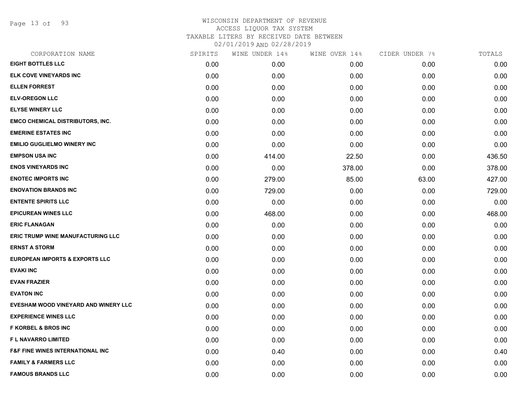Page 13 of 93

| CORPORATION NAME                            | SPIRITS | WINE UNDER 14% | WINE OVER 14% | CIDER UNDER 7% | TOTALS |
|---------------------------------------------|---------|----------------|---------------|----------------|--------|
| <b>EIGHT BOTTLES LLC</b>                    | 0.00    | 0.00           | 0.00          | 0.00           | 0.00   |
| ELK COVE VINEYARDS INC                      | 0.00    | 0.00           | 0.00          | 0.00           | 0.00   |
| <b>ELLEN FORREST</b>                        | 0.00    | 0.00           | 0.00          | 0.00           | 0.00   |
| <b>ELV-OREGON LLC</b>                       | 0.00    | 0.00           | 0.00          | 0.00           | 0.00   |
| <b>ELYSE WINERY LLC</b>                     | 0.00    | 0.00           | 0.00          | 0.00           | 0.00   |
| <b>EMCO CHEMICAL DISTRIBUTORS, INC.</b>     | 0.00    | 0.00           | 0.00          | 0.00           | 0.00   |
| <b>EMERINE ESTATES INC</b>                  | 0.00    | 0.00           | 0.00          | 0.00           | 0.00   |
| <b>EMILIO GUGLIELMO WINERY INC</b>          | 0.00    | 0.00           | 0.00          | 0.00           | 0.00   |
| <b>EMPSON USA INC</b>                       | 0.00    | 414.00         | 22.50         | 0.00           | 436.50 |
| <b>ENOS VINEYARDS INC</b>                   | 0.00    | 0.00           | 378.00        | 0.00           | 378.00 |
| <b>ENOTEC IMPORTS INC</b>                   | 0.00    | 279.00         | 85.00         | 63.00          | 427.00 |
| <b>ENOVATION BRANDS INC</b>                 | 0.00    | 729.00         | 0.00          | 0.00           | 729.00 |
| <b>ENTENTE SPIRITS LLC</b>                  | 0.00    | 0.00           | 0.00          | 0.00           | 0.00   |
| <b>EPICUREAN WINES LLC</b>                  | 0.00    | 468.00         | 0.00          | 0.00           | 468.00 |
| <b>ERIC FLANAGAN</b>                        | 0.00    | 0.00           | 0.00          | 0.00           | 0.00   |
| ERIC TRUMP WINE MANUFACTURING LLC           | 0.00    | 0.00           | 0.00          | 0.00           | 0.00   |
| <b>ERNST A STORM</b>                        | 0.00    | 0.00           | 0.00          | 0.00           | 0.00   |
| <b>EUROPEAN IMPORTS &amp; EXPORTS LLC</b>   | 0.00    | 0.00           | 0.00          | 0.00           | 0.00   |
| <b>EVAKI INC</b>                            | 0.00    | 0.00           | 0.00          | 0.00           | 0.00   |
| <b>EVAN FRAZIER</b>                         | 0.00    | 0.00           | 0.00          | 0.00           | 0.00   |
| <b>EVATON INC</b>                           | 0.00    | 0.00           | 0.00          | 0.00           | 0.00   |
| EVESHAM WOOD VINEYARD AND WINERY LLC        | 0.00    | 0.00           | 0.00          | 0.00           | 0.00   |
| <b>EXPERIENCE WINES LLC</b>                 | 0.00    | 0.00           | 0.00          | 0.00           | 0.00   |
| <b>F KORBEL &amp; BROS INC</b>              | 0.00    | 0.00           | 0.00          | 0.00           | 0.00   |
| F L NAVARRO LIMITED                         | 0.00    | 0.00           | 0.00          | 0.00           | 0.00   |
| <b>F&amp;F FINE WINES INTERNATIONAL INC</b> | 0.00    | 0.40           | 0.00          | 0.00           | 0.40   |
| <b>FAMILY &amp; FARMERS LLC</b>             | 0.00    | 0.00           | 0.00          | 0.00           | 0.00   |
| <b>FAMOUS BRANDS LLC</b>                    | 0.00    | 0.00           | 0.00          | 0.00           | 0.00   |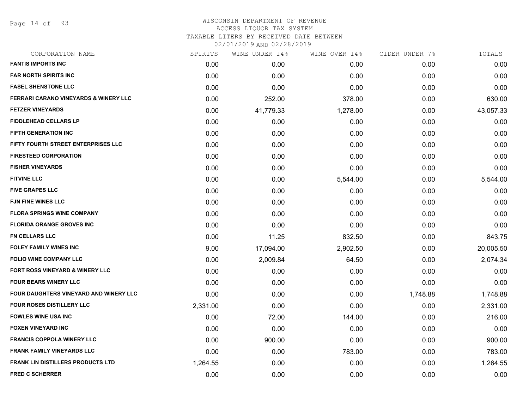Page 14 of 93

## WISCONSIN DEPARTMENT OF REVENUE ACCESS LIQUOR TAX SYSTEM

TAXABLE LITERS BY RECEIVED DATE BETWEEN

| CORPORATION NAME                              | SPIRITS  | WINE UNDER 14% | WINE OVER 14% | CIDER UNDER 7% | TOTALS    |
|-----------------------------------------------|----------|----------------|---------------|----------------|-----------|
| <b>FANTIS IMPORTS INC</b>                     | 0.00     | 0.00           | 0.00          | 0.00           | 0.00      |
| <b>FAR NORTH SPIRITS INC</b>                  | 0.00     | 0.00           | 0.00          | 0.00           | 0.00      |
| <b>FASEL SHENSTONE LLC</b>                    | 0.00     | 0.00           | 0.00          | 0.00           | 0.00      |
| FERRARI CARANO VINEYARDS & WINERY LLC         | 0.00     | 252.00         | 378.00        | 0.00           | 630.00    |
| <b>FETZER VINEYARDS</b>                       | 0.00     | 41,779.33      | 1,278.00      | 0.00           | 43,057.33 |
| <b>FIDDLEHEAD CELLARS LP</b>                  | 0.00     | 0.00           | 0.00          | 0.00           | 0.00      |
| <b>FIFTH GENERATION INC</b>                   | 0.00     | 0.00           | 0.00          | 0.00           | 0.00      |
| FIFTY FOURTH STREET ENTERPRISES LLC           | 0.00     | 0.00           | 0.00          | 0.00           | 0.00      |
| <b>FIRESTEED CORPORATION</b>                  | 0.00     | 0.00           | 0.00          | 0.00           | 0.00      |
| <b>FISHER VINEYARDS</b>                       | 0.00     | 0.00           | 0.00          | 0.00           | 0.00      |
| <b>FITVINE LLC</b>                            | 0.00     | 0.00           | 5,544.00      | 0.00           | 5,544.00  |
| <b>FIVE GRAPES LLC</b>                        | 0.00     | 0.00           | 0.00          | 0.00           | 0.00      |
| <b>FJN FINE WINES LLC</b>                     | 0.00     | 0.00           | 0.00          | 0.00           | 0.00      |
| <b>FLORA SPRINGS WINE COMPANY</b>             | 0.00     | 0.00           | 0.00          | 0.00           | 0.00      |
| <b>FLORIDA ORANGE GROVES INC</b>              | 0.00     | 0.00           | 0.00          | 0.00           | 0.00      |
| <b>FN CELLARS LLC</b>                         | 0.00     | 11.25          | 832.50        | 0.00           | 843.75    |
| <b>FOLEY FAMILY WINES INC</b>                 | 9.00     | 17,094.00      | 2,902.50      | 0.00           | 20,005.50 |
| <b>FOLIO WINE COMPANY LLC</b>                 | 0.00     | 2,009.84       | 64.50         | 0.00           | 2,074.34  |
| FORT ROSS VINEYARD & WINERY LLC               | 0.00     | 0.00           | 0.00          | 0.00           | 0.00      |
| <b>FOUR BEARS WINERY LLC</b>                  | 0.00     | 0.00           | 0.00          | 0.00           | 0.00      |
| <b>FOUR DAUGHTERS VINEYARD AND WINERY LLC</b> | 0.00     | 0.00           | 0.00          | 1,748.88       | 1,748.88  |
| <b>FOUR ROSES DISTILLERY LLC</b>              | 2,331.00 | 0.00           | 0.00          | 0.00           | 2,331.00  |
| <b>FOWLES WINE USA INC</b>                    | 0.00     | 72.00          | 144.00        | 0.00           | 216.00    |
| <b>FOXEN VINEYARD INC</b>                     | 0.00     | 0.00           | 0.00          | 0.00           | 0.00      |
| <b>FRANCIS COPPOLA WINERY LLC</b>             | 0.00     | 900.00         | 0.00          | 0.00           | 900.00    |
| <b>FRANK FAMILY VINEYARDS LLC</b>             | 0.00     | 0.00           | 783.00        | 0.00           | 783.00    |
| <b>FRANK LIN DISTILLERS PRODUCTS LTD</b>      | 1,264.55 | 0.00           | 0.00          | 0.00           | 1,264.55  |
| <b>FRED C SCHERRER</b>                        | 0.00     | 0.00           | 0.00          | 0.00           | 0.00      |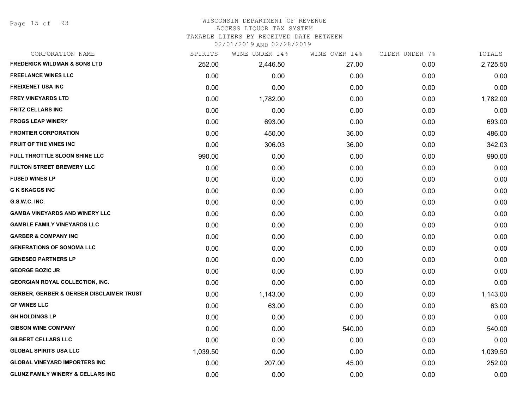Page 15 of 93

# WISCONSIN DEPARTMENT OF REVENUE

# ACCESS LIQUOR TAX SYSTEM

TAXABLE LITERS BY RECEIVED DATE BETWEEN

| CORPORATION NAME                                    | SPIRITS  | WINE UNDER 14% | WINE OVER 14% | CIDER UNDER 7% | TOTALS   |
|-----------------------------------------------------|----------|----------------|---------------|----------------|----------|
| <b>FREDERICK WILDMAN &amp; SONS LTD</b>             | 252.00   | 2,446.50       | 27.00         | 0.00           | 2,725.50 |
| <b>FREELANCE WINES LLC</b>                          | 0.00     | 0.00           | 0.00          | 0.00           | 0.00     |
| <b>FREIXENET USA INC</b>                            | 0.00     | 0.00           | 0.00          | 0.00           | 0.00     |
| <b>FREY VINEYARDS LTD</b>                           | 0.00     | 1,782.00       | 0.00          | 0.00           | 1,782.00 |
| <b>FRITZ CELLARS INC</b>                            | 0.00     | 0.00           | 0.00          | 0.00           | 0.00     |
| <b>FROGS LEAP WINERY</b>                            | 0.00     | 693.00         | 0.00          | 0.00           | 693.00   |
| <b>FRONTIER CORPORATION</b>                         | 0.00     | 450.00         | 36.00         | 0.00           | 486.00   |
| <b>FRUIT OF THE VINES INC</b>                       | 0.00     | 306.03         | 36.00         | 0.00           | 342.03   |
| FULL THROTTLE SLOON SHINE LLC                       | 990.00   | 0.00           | 0.00          | 0.00           | 990.00   |
| <b>FULTON STREET BREWERY LLC</b>                    | 0.00     | 0.00           | 0.00          | 0.00           | 0.00     |
| <b>FUSED WINES LP</b>                               | 0.00     | 0.00           | 0.00          | 0.00           | 0.00     |
| <b>G K SKAGGS INC</b>                               | 0.00     | 0.00           | 0.00          | 0.00           | 0.00     |
| G.S.W.C. INC.                                       | 0.00     | 0.00           | 0.00          | 0.00           | 0.00     |
| <b>GAMBA VINEYARDS AND WINERY LLC</b>               | 0.00     | 0.00           | 0.00          | 0.00           | 0.00     |
| <b>GAMBLE FAMILY VINEYARDS LLC</b>                  | 0.00     | 0.00           | 0.00          | 0.00           | 0.00     |
| <b>GARBER &amp; COMPANY INC</b>                     | 0.00     | 0.00           | 0.00          | 0.00           | 0.00     |
| <b>GENERATIONS OF SONOMA LLC</b>                    | 0.00     | 0.00           | 0.00          | 0.00           | 0.00     |
| <b>GENESEO PARTNERS LP</b>                          | 0.00     | 0.00           | 0.00          | 0.00           | 0.00     |
| <b>GEORGE BOZIC JR</b>                              | 0.00     | 0.00           | 0.00          | 0.00           | 0.00     |
| <b>GEORGIAN ROYAL COLLECTION, INC.</b>              | 0.00     | 0.00           | 0.00          | 0.00           | 0.00     |
| <b>GERBER, GERBER &amp; GERBER DISCLAIMER TRUST</b> | 0.00     | 1,143.00       | 0.00          | 0.00           | 1,143.00 |
| <b>GF WINES LLC</b>                                 | 0.00     | 63.00          | 0.00          | 0.00           | 63.00    |
| <b>GH HOLDINGS LP</b>                               | 0.00     | 0.00           | 0.00          | 0.00           | 0.00     |
| <b>GIBSON WINE COMPANY</b>                          | 0.00     | 0.00           | 540.00        | 0.00           | 540.00   |
| <b>GILBERT CELLARS LLC</b>                          | 0.00     | 0.00           | 0.00          | 0.00           | 0.00     |
| <b>GLOBAL SPIRITS USA LLC</b>                       | 1,039.50 | 0.00           | 0.00          | 0.00           | 1,039.50 |
| <b>GLOBAL VINEYARD IMPORTERS INC</b>                | 0.00     | 207.00         | 45.00         | 0.00           | 252.00   |
| <b>GLUNZ FAMILY WINERY &amp; CELLARS INC</b>        | 0.00     | 0.00           | 0.00          | 0.00           | 0.00     |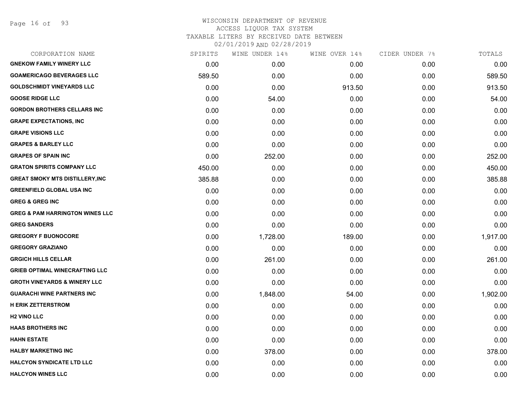Page 16 of 93

| CORPORATION NAME                           | SPIRITS | WINE UNDER 14% | WINE OVER 14% | CIDER UNDER 7% | TOTALS   |
|--------------------------------------------|---------|----------------|---------------|----------------|----------|
| <b>GNEKOW FAMILY WINERY LLC</b>            | 0.00    | 0.00           | 0.00          | 0.00           | 0.00     |
| <b>GOAMERICAGO BEVERAGES LLC</b>           | 589.50  | 0.00           | 0.00          | 0.00           | 589.50   |
| <b>GOLDSCHMIDT VINEYARDS LLC</b>           | 0.00    | 0.00           | 913.50        | 0.00           | 913.50   |
| <b>GOOSE RIDGE LLC</b>                     | 0.00    | 54.00          | 0.00          | 0.00           | 54.00    |
| <b>GORDON BROTHERS CELLARS INC</b>         | 0.00    | 0.00           | 0.00          | 0.00           | 0.00     |
| <b>GRAPE EXPECTATIONS, INC</b>             | 0.00    | 0.00           | 0.00          | 0.00           | 0.00     |
| <b>GRAPE VISIONS LLC</b>                   | 0.00    | 0.00           | 0.00          | 0.00           | 0.00     |
| <b>GRAPES &amp; BARLEY LLC</b>             | 0.00    | 0.00           | 0.00          | 0.00           | 0.00     |
| <b>GRAPES OF SPAIN INC</b>                 | 0.00    | 252.00         | 0.00          | 0.00           | 252.00   |
| <b>GRATON SPIRITS COMPANY LLC</b>          | 450.00  | 0.00           | 0.00          | 0.00           | 450.00   |
| <b>GREAT SMOKY MTS DISTILLERY, INC</b>     | 385.88  | 0.00           | 0.00          | 0.00           | 385.88   |
| <b>GREENFIELD GLOBAL USA INC</b>           | 0.00    | 0.00           | 0.00          | 0.00           | 0.00     |
| <b>GREG &amp; GREG INC</b>                 | 0.00    | 0.00           | 0.00          | 0.00           | 0.00     |
| <b>GREG &amp; PAM HARRINGTON WINES LLC</b> | 0.00    | 0.00           | 0.00          | 0.00           | 0.00     |
| <b>GREG SANDERS</b>                        | 0.00    | 0.00           | 0.00          | 0.00           | 0.00     |
| <b>GREGORY F BUONOCORE</b>                 | 0.00    | 1,728.00       | 189.00        | 0.00           | 1,917.00 |
| <b>GREGORY GRAZIANO</b>                    | 0.00    | 0.00           | 0.00          | 0.00           | 0.00     |
| <b>GRGICH HILLS CELLAR</b>                 | 0.00    | 261.00         | 0.00          | 0.00           | 261.00   |
| <b>GRIEB OPTIMAL WINECRAFTING LLC</b>      | 0.00    | 0.00           | 0.00          | 0.00           | 0.00     |
| <b>GROTH VINEYARDS &amp; WINERY LLC</b>    | 0.00    | 0.00           | 0.00          | 0.00           | 0.00     |
| <b>GUARACHI WINE PARTNERS INC</b>          | 0.00    | 1,848.00       | 54.00         | 0.00           | 1,902.00 |
| <b>H ERIK ZETTERSTROM</b>                  | 0.00    | 0.00           | 0.00          | 0.00           | 0.00     |
| <b>H2 VINO LLC</b>                         | 0.00    | 0.00           | 0.00          | 0.00           | 0.00     |
| <b>HAAS BROTHERS INC</b>                   | 0.00    | 0.00           | 0.00          | 0.00           | 0.00     |
| <b>HAHN ESTATE</b>                         | 0.00    | 0.00           | 0.00          | 0.00           | 0.00     |
| <b>HALBY MARKETING INC</b>                 | 0.00    | 378.00         | 0.00          | 0.00           | 378.00   |
| <b>HALCYON SYNDICATE LTD LLC</b>           | 0.00    | 0.00           | 0.00          | 0.00           | 0.00     |
| <b>HALCYON WINES LLC</b>                   | 0.00    | 0.00           | 0.00          | 0.00           | 0.00     |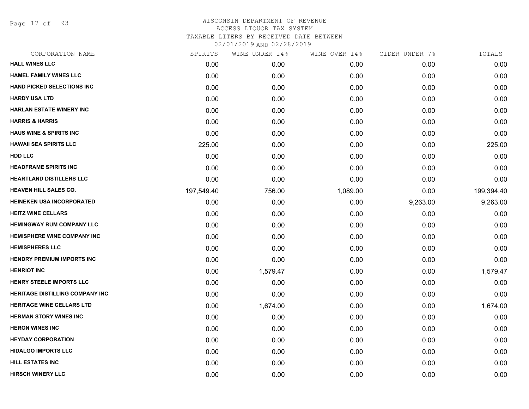Page 17 of 93

| CORPORATION NAME                       | SPIRITS    | WINE UNDER 14% | WINE OVER 14% | CIDER UNDER 7% | TOTALS     |
|----------------------------------------|------------|----------------|---------------|----------------|------------|
| <b>HALL WINES LLC</b>                  | 0.00       | 0.00           | 0.00          | 0.00           | 0.00       |
| <b>HAMEL FAMILY WINES LLC</b>          | 0.00       | 0.00           | 0.00          | 0.00           | 0.00       |
| <b>HAND PICKED SELECTIONS INC</b>      | 0.00       | 0.00           | 0.00          | 0.00           | 0.00       |
| <b>HARDY USA LTD</b>                   | 0.00       | 0.00           | 0.00          | 0.00           | 0.00       |
| <b>HARLAN ESTATE WINERY INC</b>        | 0.00       | 0.00           | 0.00          | 0.00           | 0.00       |
| <b>HARRIS &amp; HARRIS</b>             | 0.00       | 0.00           | 0.00          | 0.00           | 0.00       |
| <b>HAUS WINE &amp; SPIRITS INC</b>     | 0.00       | 0.00           | 0.00          | 0.00           | 0.00       |
| <b>HAWAII SEA SPIRITS LLC</b>          | 225.00     | 0.00           | 0.00          | 0.00           | 225.00     |
| <b>HDD LLC</b>                         | 0.00       | 0.00           | 0.00          | 0.00           | 0.00       |
| <b>HEADFRAME SPIRITS INC</b>           | 0.00       | 0.00           | 0.00          | 0.00           | 0.00       |
| <b>HEARTLAND DISTILLERS LLC</b>        | 0.00       | 0.00           | 0.00          | 0.00           | 0.00       |
| <b>HEAVEN HILL SALES CO.</b>           | 197,549.40 | 756.00         | 1,089.00      | 0.00           | 199,394.40 |
| <b>HEINEKEN USA INCORPORATED</b>       | 0.00       | 0.00           | 0.00          | 9,263.00       | 9,263.00   |
| <b>HEITZ WINE CELLARS</b>              | 0.00       | 0.00           | 0.00          | 0.00           | 0.00       |
| <b>HEMINGWAY RUM COMPANY LLC</b>       | 0.00       | 0.00           | 0.00          | 0.00           | 0.00       |
| <b>HEMISPHERE WINE COMPANY INC</b>     | 0.00       | 0.00           | 0.00          | 0.00           | 0.00       |
| <b>HEMISPHERES LLC</b>                 | 0.00       | 0.00           | 0.00          | 0.00           | 0.00       |
| <b>HENDRY PREMIUM IMPORTS INC</b>      | 0.00       | 0.00           | 0.00          | 0.00           | 0.00       |
| <b>HENRIOT INC</b>                     | 0.00       | 1,579.47       | 0.00          | 0.00           | 1,579.47   |
| <b>HENRY STEELE IMPORTS LLC</b>        | 0.00       | 0.00           | 0.00          | 0.00           | 0.00       |
| <b>HERITAGE DISTILLING COMPANY INC</b> | 0.00       | 0.00           | 0.00          | 0.00           | 0.00       |
| <b>HERITAGE WINE CELLARS LTD</b>       | 0.00       | 1,674.00       | 0.00          | 0.00           | 1,674.00   |
| <b>HERMAN STORY WINES INC</b>          | 0.00       | 0.00           | 0.00          | 0.00           | 0.00       |
| <b>HERON WINES INC</b>                 | 0.00       | 0.00           | 0.00          | 0.00           | 0.00       |
| <b>HEYDAY CORPORATION</b>              | 0.00       | 0.00           | 0.00          | 0.00           | 0.00       |
| <b>HIDALGO IMPORTS LLC</b>             | 0.00       | 0.00           | 0.00          | 0.00           | 0.00       |
| <b>HILL ESTATES INC</b>                | 0.00       | 0.00           | 0.00          | 0.00           | 0.00       |
| <b>HIRSCH WINERY LLC</b>               | 0.00       | 0.00           | 0.00          | 0.00           | 0.00       |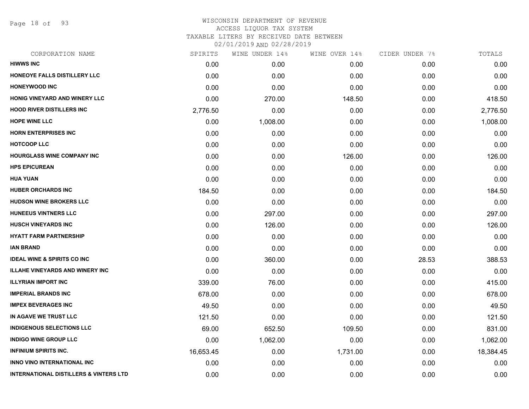Page 18 of 93

### WISCONSIN DEPARTMENT OF REVENUE ACCESS LIQUOR TAX SYSTEM TAXABLE LITERS BY RECEIVED DATE BETWEEN

| CORPORATION NAME                                  | SPIRITS   | WINE UNDER 14% | WINE OVER 14% | CIDER UNDER 7% | TOTALS    |
|---------------------------------------------------|-----------|----------------|---------------|----------------|-----------|
| <b>HIWWS INC</b>                                  | 0.00      | 0.00           | 0.00          | 0.00           | 0.00      |
| HONEOYE FALLS DISTILLERY LLC                      | 0.00      | 0.00           | 0.00          | 0.00           | 0.00      |
| <b>HONEYWOOD INC</b>                              | 0.00      | 0.00           | 0.00          | 0.00           | 0.00      |
| HONIG VINEYARD AND WINERY LLC                     | 0.00      | 270.00         | 148.50        | 0.00           | 418.50    |
| <b>HOOD RIVER DISTILLERS INC</b>                  | 2,776.50  | 0.00           | 0.00          | 0.00           | 2,776.50  |
| <b>HOPE WINE LLC</b>                              | 0.00      | 1,008.00       | 0.00          | 0.00           | 1,008.00  |
| <b>HORN ENTERPRISES INC.</b>                      | 0.00      | 0.00           | 0.00          | 0.00           | 0.00      |
| <b>HOTCOOP LLC</b>                                | 0.00      | 0.00           | 0.00          | 0.00           | 0.00      |
| <b>HOURGLASS WINE COMPANY INC</b>                 | 0.00      | 0.00           | 126.00        | 0.00           | 126.00    |
| <b>HPS EPICUREAN</b>                              | 0.00      | 0.00           | 0.00          | 0.00           | 0.00      |
| <b>HUA YUAN</b>                                   | 0.00      | 0.00           | 0.00          | 0.00           | 0.00      |
| <b>HUBER ORCHARDS INC</b>                         | 184.50    | 0.00           | 0.00          | 0.00           | 184.50    |
| <b>HUDSON WINE BROKERS LLC</b>                    | 0.00      | 0.00           | 0.00          | 0.00           | 0.00      |
| <b>HUNEEUS VINTNERS LLC</b>                       | 0.00      | 297.00         | 0.00          | 0.00           | 297.00    |
| <b>HUSCH VINEYARDS INC</b>                        | 0.00      | 126.00         | 0.00          | 0.00           | 126.00    |
| <b>HYATT FARM PARTNERSHIP</b>                     | 0.00      | 0.00           | 0.00          | 0.00           | 0.00      |
| <b>IAN BRAND</b>                                  | 0.00      | 0.00           | 0.00          | 0.00           | 0.00      |
| <b>IDEAL WINE &amp; SPIRITS CO INC.</b>           | 0.00      | 360.00         | 0.00          | 28.53          | 388.53    |
| <b>ILLAHE VINEYARDS AND WINERY INC</b>            | 0.00      | 0.00           | 0.00          | 0.00           | 0.00      |
| <b>ILLYRIAN IMPORT INC</b>                        | 339.00    | 76.00          | 0.00          | 0.00           | 415.00    |
| <b>IMPERIAL BRANDS INC</b>                        | 678.00    | 0.00           | 0.00          | 0.00           | 678.00    |
| <b>IMPEX BEVERAGES INC</b>                        | 49.50     | 0.00           | 0.00          | 0.00           | 49.50     |
| IN AGAVE WE TRUST LLC                             | 121.50    | 0.00           | 0.00          | 0.00           | 121.50    |
| <b>INDIGENOUS SELECTIONS LLC</b>                  | 69.00     | 652.50         | 109.50        | 0.00           | 831.00    |
| <b>INDIGO WINE GROUP LLC</b>                      | 0.00      | 1,062.00       | 0.00          | 0.00           | 1,062.00  |
| <b>INFINIUM SPIRITS INC.</b>                      | 16,653.45 | 0.00           | 1,731.00      | 0.00           | 18,384.45 |
| INNO VINO INTERNATIONAL INC                       | 0.00      | 0.00           | 0.00          | 0.00           | 0.00      |
| <b>INTERNATIONAL DISTILLERS &amp; VINTERS LTD</b> | 0.00      | 0.00           | 0.00          | 0.00           | 0.00      |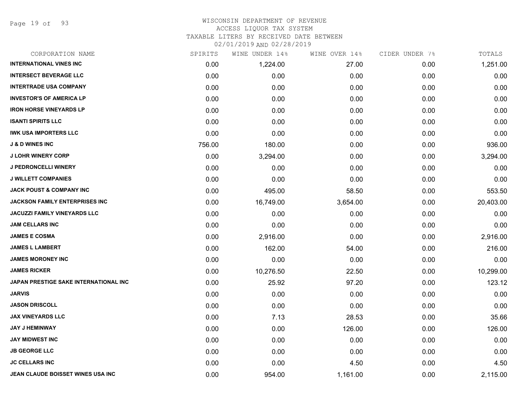Page 19 of 93

#### WISCONSIN DEPARTMENT OF REVENUE ACCESS LIQUOR TAX SYSTEM

TAXABLE LITERS BY RECEIVED DATE BETWEEN

| CORPORATION NAME                      | SPIRITS | WINE UNDER 14% | WINE OVER 14% | CIDER UNDER 7% | TOTALS    |
|---------------------------------------|---------|----------------|---------------|----------------|-----------|
| <b>INTERNATIONAL VINES INC</b>        | 0.00    | 1,224.00       | 27.00         | 0.00           | 1,251.00  |
| <b>INTERSECT BEVERAGE LLC</b>         | 0.00    | 0.00           | 0.00          | 0.00           | 0.00      |
| <b>INTERTRADE USA COMPANY</b>         | 0.00    | 0.00           | 0.00          | 0.00           | 0.00      |
| <b>INVESTOR'S OF AMERICA LP</b>       | 0.00    | 0.00           | 0.00          | 0.00           | 0.00      |
| <b>IRON HORSE VINEYARDS LP</b>        | 0.00    | 0.00           | 0.00          | 0.00           | 0.00      |
| <b>ISANTI SPIRITS LLC</b>             | 0.00    | 0.00           | 0.00          | 0.00           | 0.00      |
| <b>IWK USA IMPORTERS LLC</b>          | 0.00    | 0.00           | 0.00          | 0.00           | 0.00      |
| <b>J &amp; D WINES INC</b>            | 756.00  | 180.00         | 0.00          | 0.00           | 936.00    |
| <b>J LOHR WINERY CORP</b>             | 0.00    | 3,294.00       | 0.00          | 0.00           | 3,294.00  |
| <b>J PEDRONCELLI WINERY</b>           | 0.00    | 0.00           | 0.00          | 0.00           | 0.00      |
| <b>J WILLETT COMPANIES</b>            | 0.00    | 0.00           | 0.00          | 0.00           | 0.00      |
| <b>JACK POUST &amp; COMPANY INC</b>   | 0.00    | 495.00         | 58.50         | 0.00           | 553.50    |
| <b>JACKSON FAMILY ENTERPRISES INC</b> | 0.00    | 16,749.00      | 3,654.00      | 0.00           | 20,403.00 |
| JACUZZI FAMILY VINEYARDS LLC          | 0.00    | 0.00           | 0.00          | 0.00           | 0.00      |
| <b>JAM CELLARS INC</b>                | 0.00    | 0.00           | 0.00          | 0.00           | 0.00      |
| <b>JAMES E COSMA</b>                  | 0.00    | 2,916.00       | 0.00          | 0.00           | 2,916.00  |
| <b>JAMES L LAMBERT</b>                | 0.00    | 162.00         | 54.00         | 0.00           | 216.00    |
| <b>JAMES MORONEY INC</b>              | 0.00    | 0.00           | 0.00          | 0.00           | 0.00      |
| <b>JAMES RICKER</b>                   | 0.00    | 10,276.50      | 22.50         | 0.00           | 10,299.00 |
| JAPAN PRESTIGE SAKE INTERNATIONAL INC | 0.00    | 25.92          | 97.20         | 0.00           | 123.12    |
| JARVIS                                | 0.00    | 0.00           | 0.00          | 0.00           | 0.00      |
| <b>JASON DRISCOLL</b>                 | 0.00    | 0.00           | 0.00          | 0.00           | 0.00      |
| <b>JAX VINEYARDS LLC</b>              | 0.00    | 7.13           | 28.53         | 0.00           | 35.66     |
| <b>JAY J HEMINWAY</b>                 | 0.00    | 0.00           | 126.00        | 0.00           | 126.00    |
| <b>JAY MIDWEST INC</b>                | 0.00    | 0.00           | 0.00          | 0.00           | 0.00      |
| <b>JB GEORGE LLC</b>                  | 0.00    | 0.00           | 0.00          | 0.00           | 0.00      |
| <b>JC CELLARS INC</b>                 | 0.00    | 0.00           | 4.50          | 0.00           | 4.50      |
| JEAN CLAUDE BOISSET WINES USA INC     | 0.00    | 954.00         | 1,161.00      | 0.00           | 2,115.00  |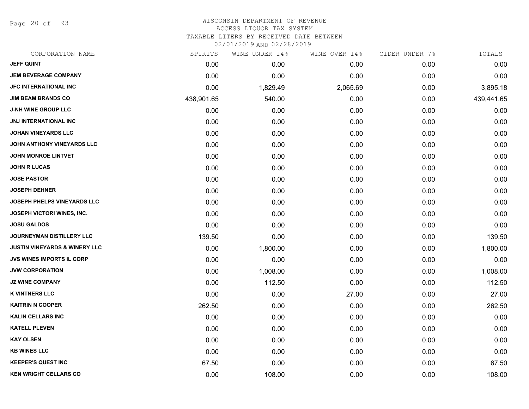Page 20 of 93

#### WISCONSIN DEPARTMENT OF REVENUE ACCESS LIQUOR TAX SYSTEM

TAXABLE LITERS BY RECEIVED DATE BETWEEN

| CORPORATION NAME                         | SPIRITS    | WINE UNDER 14% | WINE OVER 14% | CIDER UNDER 7% | TOTALS     |
|------------------------------------------|------------|----------------|---------------|----------------|------------|
| <b>JEFF QUINT</b>                        | 0.00       | 0.00           | 0.00          | 0.00           | 0.00       |
| <b>JEM BEVERAGE COMPANY</b>              | 0.00       | 0.00           | 0.00          | 0.00           | 0.00       |
| <b>JFC INTERNATIONAL INC</b>             | 0.00       | 1,829.49       | 2,065.69      | 0.00           | 3,895.18   |
| <b>JIM BEAM BRANDS CO</b>                | 438,901.65 | 540.00         | 0.00          | 0.00           | 439,441.65 |
| <b>J-NH WINE GROUP LLC</b>               | 0.00       | 0.00           | 0.00          | 0.00           | 0.00       |
| JNJ INTERNATIONAL INC                    | 0.00       | 0.00           | 0.00          | 0.00           | 0.00       |
| <b>JOHAN VINEYARDS LLC</b>               | 0.00       | 0.00           | 0.00          | 0.00           | 0.00       |
| JOHN ANTHONY VINEYARDS LLC               | 0.00       | 0.00           | 0.00          | 0.00           | 0.00       |
| <b>JOHN MONROE LINTVET</b>               | 0.00       | 0.00           | 0.00          | 0.00           | 0.00       |
| <b>JOHN R LUCAS</b>                      | 0.00       | 0.00           | 0.00          | 0.00           | 0.00       |
| <b>JOSE PASTOR</b>                       | 0.00       | 0.00           | 0.00          | 0.00           | 0.00       |
| <b>JOSEPH DEHNER</b>                     | 0.00       | 0.00           | 0.00          | 0.00           | 0.00       |
| <b>JOSEPH PHELPS VINEYARDS LLC</b>       | 0.00       | 0.00           | 0.00          | 0.00           | 0.00       |
| JOSEPH VICTORI WINES, INC.               | 0.00       | 0.00           | 0.00          | 0.00           | 0.00       |
| <b>JOSU GALDOS</b>                       | 0.00       | 0.00           | 0.00          | 0.00           | 0.00       |
| JOURNEYMAN DISTILLERY LLC                | 139.50     | 0.00           | 0.00          | 0.00           | 139.50     |
| <b>JUSTIN VINEYARDS &amp; WINERY LLC</b> | 0.00       | 1,800.00       | 0.00          | 0.00           | 1,800.00   |
| <b>JVS WINES IMPORTS IL CORP</b>         | 0.00       | 0.00           | 0.00          | 0.00           | 0.00       |
| <b>JVW CORPORATION</b>                   | 0.00       | 1,008.00       | 0.00          | 0.00           | 1,008.00   |
| <b>JZ WINE COMPANY</b>                   | 0.00       | 112.50         | 0.00          | 0.00           | 112.50     |
| <b>K VINTNERS LLC</b>                    | 0.00       | 0.00           | 27.00         | 0.00           | 27.00      |
| <b>KAITRIN N COOPER</b>                  | 262.50     | 0.00           | 0.00          | 0.00           | 262.50     |
| <b>KALIN CELLARS INC</b>                 | 0.00       | 0.00           | 0.00          | 0.00           | 0.00       |
| <b>KATELL PLEVEN</b>                     | 0.00       | 0.00           | 0.00          | 0.00           | 0.00       |
| <b>KAY OLSEN</b>                         | 0.00       | 0.00           | 0.00          | 0.00           | 0.00       |
| <b>KB WINES LLC</b>                      | 0.00       | 0.00           | 0.00          | 0.00           | 0.00       |
| <b>KEEPER'S QUEST INC</b>                | 67.50      | 0.00           | 0.00          | 0.00           | 67.50      |
| <b>KEN WRIGHT CELLARS CO</b>             | 0.00       | 108.00         | 0.00          | 0.00           | 108.00     |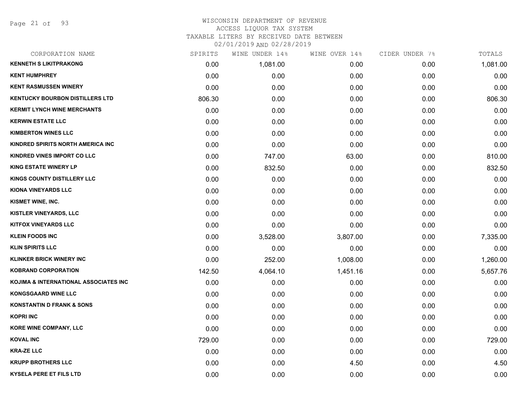Page 21 of 93

# WISCONSIN DEPARTMENT OF REVENUE ACCESS LIQUOR TAX SYSTEM TAXABLE LITERS BY RECEIVED DATE BETWEEN

| CORPORATION NAME                       | SPIRITS | WINE UNDER 14% | WINE OVER 14% | CIDER UNDER 7% | TOTALS   |
|----------------------------------------|---------|----------------|---------------|----------------|----------|
| <b>KENNETH S LIKITPRAKONG</b>          | 0.00    | 1,081.00       | 0.00          | 0.00           | 1,081.00 |
| <b>KENT HUMPHREY</b>                   | 0.00    | 0.00           | 0.00          | 0.00           | 0.00     |
| <b>KENT RASMUSSEN WINERY</b>           | 0.00    | 0.00           | 0.00          | 0.00           | 0.00     |
| <b>KENTUCKY BOURBON DISTILLERS LTD</b> | 806.30  | 0.00           | 0.00          | 0.00           | 806.30   |
| <b>KERMIT LYNCH WINE MERCHANTS</b>     | 0.00    | 0.00           | 0.00          | 0.00           | 0.00     |
| <b>KERWIN ESTATE LLC</b>               | 0.00    | 0.00           | 0.00          | 0.00           | 0.00     |
| <b>KIMBERTON WINES LLC</b>             | 0.00    | 0.00           | 0.00          | 0.00           | 0.00     |
| KINDRED SPIRITS NORTH AMERICA INC      | 0.00    | 0.00           | 0.00          | 0.00           | 0.00     |
| KINDRED VINES IMPORT CO LLC            | 0.00    | 747.00         | 63.00         | 0.00           | 810.00   |
| <b>KING ESTATE WINERY LP</b>           | 0.00    | 832.50         | 0.00          | 0.00           | 832.50   |
| KINGS COUNTY DISTILLERY LLC            | 0.00    | 0.00           | 0.00          | 0.00           | 0.00     |
| KIONA VINEYARDS LLC                    | 0.00    | 0.00           | 0.00          | 0.00           | 0.00     |
| KISMET WINE, INC.                      | 0.00    | 0.00           | 0.00          | 0.00           | 0.00     |
| <b>KISTLER VINEYARDS, LLC</b>          | 0.00    | 0.00           | 0.00          | 0.00           | 0.00     |
| <b>KITFOX VINEYARDS LLC</b>            | 0.00    | 0.00           | 0.00          | 0.00           | 0.00     |
| <b>KLEIN FOODS INC</b>                 | 0.00    | 3,528.00       | 3,807.00      | 0.00           | 7,335.00 |
| <b>KLIN SPIRITS LLC</b>                | 0.00    | 0.00           | 0.00          | 0.00           | 0.00     |
| <b>KLINKER BRICK WINERY INC</b>        | 0.00    | 252.00         | 1,008.00      | 0.00           | 1,260.00 |
| <b>KOBRAND CORPORATION</b>             | 142.50  | 4,064.10       | 1,451.16      | 0.00           | 5,657.76 |
| KOJIMA & INTERNATIONAL ASSOCIATES INC  | 0.00    | 0.00           | 0.00          | 0.00           | 0.00     |
| <b>KONGSGAARD WINE LLC</b>             | 0.00    | 0.00           | 0.00          | 0.00           | 0.00     |
| <b>KONSTANTIN D FRANK &amp; SONS</b>   | 0.00    | 0.00           | 0.00          | 0.00           | 0.00     |
| <b>KOPRI INC</b>                       | 0.00    | 0.00           | 0.00          | 0.00           | 0.00     |
| KORE WINE COMPANY, LLC                 | 0.00    | 0.00           | 0.00          | 0.00           | 0.00     |
| <b>KOVAL INC</b>                       | 729.00  | 0.00           | 0.00          | 0.00           | 729.00   |
| <b>KRA-ZE LLC</b>                      | 0.00    | 0.00           | 0.00          | 0.00           | 0.00     |
| <b>KRUPP BROTHERS LLC</b>              | 0.00    | 0.00           | 4.50          | 0.00           | 4.50     |
| <b>KYSELA PERE ET FILS LTD</b>         | 0.00    | 0.00           | 0.00          | 0.00           | 0.00     |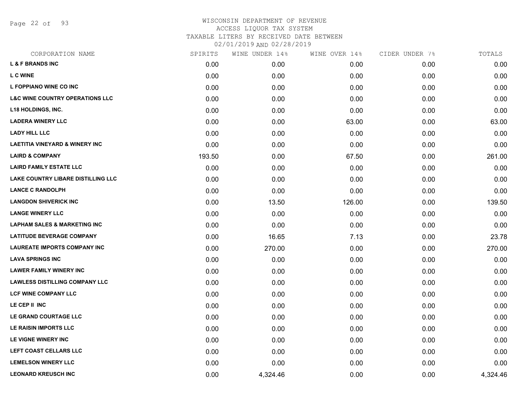Page 22 of 93

| CORPORATION NAME                           | SPIRITS | WINE UNDER 14% | WINE OVER 14% | CIDER UNDER 7% | TOTALS   |
|--------------------------------------------|---------|----------------|---------------|----------------|----------|
| <b>L &amp; F BRANDS INC</b>                | 0.00    | 0.00           | 0.00          | 0.00           | 0.00     |
| L C WINE                                   | 0.00    | 0.00           | 0.00          | 0.00           | 0.00     |
| L FOPPIANO WINE CO INC                     | 0.00    | 0.00           | 0.00          | 0.00           | 0.00     |
| <b>L&amp;C WINE COUNTRY OPERATIONS LLC</b> | 0.00    | 0.00           | 0.00          | 0.00           | 0.00     |
| <b>L18 HOLDINGS, INC.</b>                  | 0.00    | 0.00           | 0.00          | 0.00           | 0.00     |
| <b>LADERA WINERY LLC</b>                   | 0.00    | 0.00           | 63.00         | 0.00           | 63.00    |
| <b>LADY HILL LLC</b>                       | 0.00    | 0.00           | 0.00          | 0.00           | 0.00     |
| <b>LAETITIA VINEYARD &amp; WINERY INC</b>  | 0.00    | 0.00           | 0.00          | 0.00           | 0.00     |
| <b>LAIRD &amp; COMPANY</b>                 | 193.50  | 0.00           | 67.50         | 0.00           | 261.00   |
| <b>LAIRD FAMILY ESTATE LLC</b>             | 0.00    | 0.00           | 0.00          | 0.00           | 0.00     |
| LAKE COUNTRY LIBARE DISTILLING LLC         | 0.00    | 0.00           | 0.00          | 0.00           | 0.00     |
| <b>LANCE C RANDOLPH</b>                    | 0.00    | 0.00           | 0.00          | 0.00           | 0.00     |
| <b>LANGDON SHIVERICK INC</b>               | 0.00    | 13.50          | 126.00        | 0.00           | 139.50   |
| <b>LANGE WINERY LLC</b>                    | 0.00    | 0.00           | 0.00          | 0.00           | 0.00     |
| <b>LAPHAM SALES &amp; MARKETING INC</b>    | 0.00    | 0.00           | 0.00          | 0.00           | 0.00     |
| <b>LATITUDE BEVERAGE COMPANY</b>           | 0.00    | 16.65          | 7.13          | 0.00           | 23.78    |
| <b>LAUREATE IMPORTS COMPANY INC</b>        | 0.00    | 270.00         | 0.00          | 0.00           | 270.00   |
| <b>LAVA SPRINGS INC</b>                    | 0.00    | 0.00           | 0.00          | 0.00           | 0.00     |
| <b>LAWER FAMILY WINERY INC</b>             | 0.00    | 0.00           | 0.00          | 0.00           | 0.00     |
| <b>LAWLESS DISTILLING COMPANY LLC</b>      | 0.00    | 0.00           | 0.00          | 0.00           | 0.00     |
| <b>LCF WINE COMPANY LLC</b>                | 0.00    | 0.00           | 0.00          | 0.00           | 0.00     |
| LE CEP II INC                              | 0.00    | 0.00           | 0.00          | 0.00           | 0.00     |
| LE GRAND COURTAGE LLC                      | 0.00    | 0.00           | 0.00          | 0.00           | 0.00     |
| LE RAISIN IMPORTS LLC                      | 0.00    | 0.00           | 0.00          | 0.00           | 0.00     |
| LE VIGNE WINERY INC                        | 0.00    | 0.00           | 0.00          | 0.00           | 0.00     |
| LEFT COAST CELLARS LLC                     | 0.00    | 0.00           | 0.00          | 0.00           | 0.00     |
| <b>LEMELSON WINERY LLC</b>                 | 0.00    | 0.00           | 0.00          | 0.00           | 0.00     |
| <b>LEONARD KREUSCH INC</b>                 | 0.00    | 4,324.46       | 0.00          | 0.00           | 4,324.46 |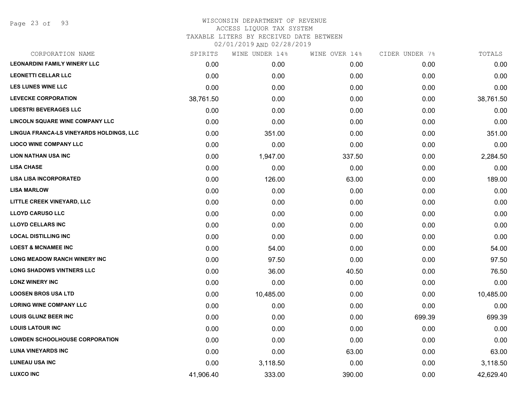Page 23 of 93

#### WISCONSIN DEPARTMENT OF REVENUE ACCESS LIQUOR TAX SYSTEM

TAXABLE LITERS BY RECEIVED DATE BETWEEN

| CORPORATION NAME                         | SPIRITS   | WINE UNDER 14% | WINE OVER 14% | CIDER UNDER 7% | TOTALS    |
|------------------------------------------|-----------|----------------|---------------|----------------|-----------|
| <b>LEONARDINI FAMILY WINERY LLC</b>      | 0.00      | 0.00           | 0.00          | 0.00           | 0.00      |
| <b>LEONETTI CELLAR LLC</b>               | 0.00      | 0.00           | 0.00          | 0.00           | 0.00      |
| <b>LES LUNES WINE LLC</b>                | 0.00      | 0.00           | 0.00          | 0.00           | 0.00      |
| <b>LEVECKE CORPORATION</b>               | 38,761.50 | 0.00           | 0.00          | 0.00           | 38,761.50 |
| <b>LIDESTRI BEVERAGES LLC</b>            | 0.00      | 0.00           | 0.00          | 0.00           | 0.00      |
| LINCOLN SQUARE WINE COMPANY LLC          | 0.00      | 0.00           | 0.00          | 0.00           | 0.00      |
| LINGUA FRANCA-LS VINEYARDS HOLDINGS, LLC | 0.00      | 351.00         | 0.00          | 0.00           | 351.00    |
| <b>LIOCO WINE COMPANY LLC</b>            | 0.00      | 0.00           | 0.00          | 0.00           | 0.00      |
| <b>LION NATHAN USA INC</b>               | 0.00      | 1,947.00       | 337.50        | 0.00           | 2,284.50  |
| <b>LISA CHASE</b>                        | 0.00      | 0.00           | 0.00          | 0.00           | 0.00      |
| <b>LISA LISA INCORPORATED</b>            | 0.00      | 126.00         | 63.00         | 0.00           | 189.00    |
| <b>LISA MARLOW</b>                       | 0.00      | 0.00           | 0.00          | 0.00           | 0.00      |
| LITTLE CREEK VINEYARD, LLC               | 0.00      | 0.00           | 0.00          | 0.00           | 0.00      |
| <b>LLOYD CARUSO LLC</b>                  | 0.00      | 0.00           | 0.00          | 0.00           | 0.00      |
| <b>LLOYD CELLARS INC</b>                 | 0.00      | 0.00           | 0.00          | 0.00           | 0.00      |
| <b>LOCAL DISTILLING INC</b>              | 0.00      | 0.00           | 0.00          | 0.00           | 0.00      |
| <b>LOEST &amp; MCNAMEE INC</b>           | 0.00      | 54.00          | 0.00          | 0.00           | 54.00     |
| <b>LONG MEADOW RANCH WINERY INC</b>      | 0.00      | 97.50          | 0.00          | 0.00           | 97.50     |
| <b>LONG SHADOWS VINTNERS LLC</b>         | 0.00      | 36.00          | 40.50         | 0.00           | 76.50     |
| <b>LONZ WINERY INC</b>                   | 0.00      | 0.00           | 0.00          | 0.00           | 0.00      |
| <b>LOOSEN BROS USA LTD</b>               | 0.00      | 10,485.00      | 0.00          | 0.00           | 10,485.00 |
| <b>LORING WINE COMPANY LLC</b>           | 0.00      | 0.00           | 0.00          | 0.00           | 0.00      |
| <b>LOUIS GLUNZ BEER INC</b>              | 0.00      | 0.00           | 0.00          | 699.39         | 699.39    |
| <b>LOUIS LATOUR INC</b>                  | 0.00      | 0.00           | 0.00          | 0.00           | 0.00      |
| <b>LOWDEN SCHOOLHOUSE CORPORATION</b>    | 0.00      | 0.00           | 0.00          | 0.00           | 0.00      |
| <b>LUNA VINEYARDS INC</b>                | 0.00      | 0.00           | 63.00         | 0.00           | 63.00     |
| <b>LUNEAU USA INC</b>                    | 0.00      | 3,118.50       | 0.00          | 0.00           | 3,118.50  |
| <b>LUXCO INC</b>                         | 41,906.40 | 333.00         | 390.00        | 0.00           | 42,629.40 |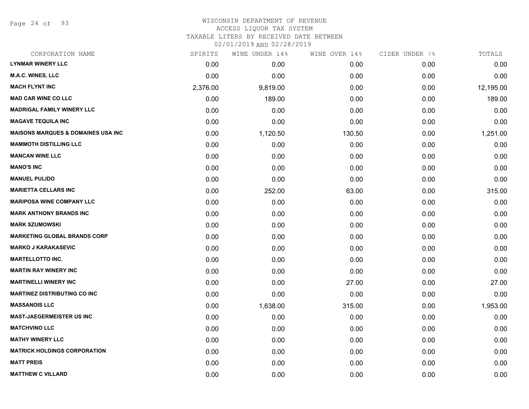Page 24 of 93

## WISCONSIN DEPARTMENT OF REVENUE ACCESS LIQUOR TAX SYSTEM

TAXABLE LITERS BY RECEIVED DATE BETWEEN

| CORPORATION NAME                              | SPIRITS  | WINE UNDER 14% | WINE OVER 14% | CIDER UNDER 7% | TOTALS    |
|-----------------------------------------------|----------|----------------|---------------|----------------|-----------|
| <b>LYNMAR WINERY LLC</b>                      | 0.00     | 0.00           | 0.00          | 0.00           | 0.00      |
| <b>M.A.C. WINES, LLC</b>                      | 0.00     | 0.00           | 0.00          | 0.00           | 0.00      |
| <b>MACH FLYNT INC</b>                         | 2,376.00 | 9,819.00       | 0.00          | 0.00           | 12,195.00 |
| <b>MAD CAR WINE CO LLC</b>                    | 0.00     | 189.00         | 0.00          | 0.00           | 189.00    |
| <b>MADRIGAL FAMILY WINERY LLC</b>             | 0.00     | 0.00           | 0.00          | 0.00           | 0.00      |
| <b>MAGAVE TEQUILA INC</b>                     | 0.00     | 0.00           | 0.00          | 0.00           | 0.00      |
| <b>MAISONS MARQUES &amp; DOMAINES USA INC</b> | 0.00     | 1,120.50       | 130.50        | 0.00           | 1,251.00  |
| <b>MAMMOTH DISTILLING LLC</b>                 | 0.00     | 0.00           | 0.00          | 0.00           | 0.00      |
| <b>MANCAN WINE LLC</b>                        | 0.00     | 0.00           | 0.00          | 0.00           | 0.00      |
| <b>MANO'S INC</b>                             | 0.00     | 0.00           | 0.00          | 0.00           | 0.00      |
| <b>MANUEL PULIDO</b>                          | 0.00     | 0.00           | 0.00          | 0.00           | 0.00      |
| <b>MARIETTA CELLARS INC</b>                   | 0.00     | 252.00         | 63.00         | 0.00           | 315.00    |
| <b>MARIPOSA WINE COMPANY LLC</b>              | 0.00     | 0.00           | 0.00          | 0.00           | 0.00      |
| <b>MARK ANTHONY BRANDS INC</b>                | 0.00     | 0.00           | 0.00          | 0.00           | 0.00      |
| <b>MARK SZUMOWSKI</b>                         | 0.00     | 0.00           | 0.00          | 0.00           | 0.00      |
| <b>MARKETING GLOBAL BRANDS CORP</b>           | 0.00     | 0.00           | 0.00          | 0.00           | 0.00      |
| <b>MARKO J KARAKASEVIC</b>                    | 0.00     | 0.00           | 0.00          | 0.00           | 0.00      |
| <b>MARTELLOTTO INC.</b>                       | 0.00     | 0.00           | 0.00          | 0.00           | 0.00      |
| <b>MARTIN RAY WINERY INC</b>                  | 0.00     | 0.00           | 0.00          | 0.00           | 0.00      |
| <b>MARTINELLI WINERY INC</b>                  | 0.00     | 0.00           | 27.00         | 0.00           | 27.00     |
| <b>MARTINEZ DISTRIBUTING CO INC</b>           | 0.00     | 0.00           | 0.00          | 0.00           | 0.00      |
| <b>MASSANOIS LLC</b>                          | 0.00     | 1,638.00       | 315.00        | 0.00           | 1,953.00  |
| <b>MAST-JAEGERMEISTER US INC</b>              | 0.00     | 0.00           | 0.00          | 0.00           | 0.00      |
| <b>MATCHVINO LLC</b>                          | 0.00     | 0.00           | 0.00          | 0.00           | 0.00      |
| <b>MATHY WINERY LLC</b>                       | 0.00     | 0.00           | 0.00          | 0.00           | 0.00      |
| <b>MATRICK HOLDINGS CORPORATION</b>           | 0.00     | 0.00           | 0.00          | 0.00           | 0.00      |
| <b>MATT PREIS</b>                             | 0.00     | 0.00           | 0.00          | 0.00           | 0.00      |
| <b>MATTHEW C VILLARD</b>                      | 0.00     | 0.00           | 0.00          | 0.00           | 0.00      |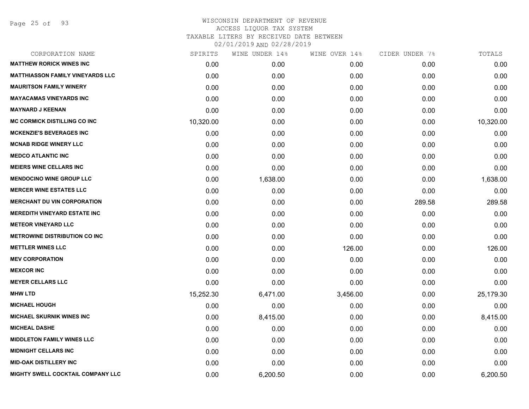Page 25 of 93

| SPIRITS   | WINE UNDER 14% |          | CIDER UNDER 7% | TOTALS    |
|-----------|----------------|----------|----------------|-----------|
| 0.00      | 0.00           | 0.00     | 0.00           | 0.00      |
| 0.00      | 0.00           | 0.00     | 0.00           | 0.00      |
| 0.00      | 0.00           | 0.00     | 0.00           | 0.00      |
| 0.00      | 0.00           | 0.00     | 0.00           | 0.00      |
| 0.00      | 0.00           | 0.00     | 0.00           | 0.00      |
| 10,320.00 | 0.00           | 0.00     | 0.00           | 10,320.00 |
| 0.00      | 0.00           | 0.00     | 0.00           | 0.00      |
| 0.00      | 0.00           | 0.00     | 0.00           | 0.00      |
| 0.00      | 0.00           | 0.00     | 0.00           | 0.00      |
| 0.00      | 0.00           | 0.00     | 0.00           | 0.00      |
| 0.00      | 1,638.00       | 0.00     | 0.00           | 1,638.00  |
| 0.00      | 0.00           | 0.00     | 0.00           | 0.00      |
| 0.00      | 0.00           | 0.00     | 289.58         | 289.58    |
| 0.00      | 0.00           | 0.00     | 0.00           | 0.00      |
| 0.00      | 0.00           | 0.00     | 0.00           | 0.00      |
| 0.00      | 0.00           | 0.00     | 0.00           | 0.00      |
| 0.00      | 0.00           | 126.00   | 0.00           | 126.00    |
| 0.00      | 0.00           | 0.00     | 0.00           | 0.00      |
| 0.00      | 0.00           | 0.00     | 0.00           | 0.00      |
| 0.00      | 0.00           | 0.00     | 0.00           | 0.00      |
| 15,252.30 | 6,471.00       | 3,456.00 | 0.00           | 25,179.30 |
| 0.00      | 0.00           | 0.00     | 0.00           | 0.00      |
| 0.00      | 8,415.00       | 0.00     | 0.00           | 8,415.00  |
| 0.00      | 0.00           | 0.00     | 0.00           | 0.00      |
| 0.00      | 0.00           | 0.00     | 0.00           | 0.00      |
| 0.00      | 0.00           | 0.00     | 0.00           | 0.00      |
| 0.00      | 0.00           | 0.00     | 0.00           | 0.00      |
| 0.00      | 6,200.50       | 0.00     | 0.00           | 6,200.50  |
|           |                |          | WINE OVER 14%  |           |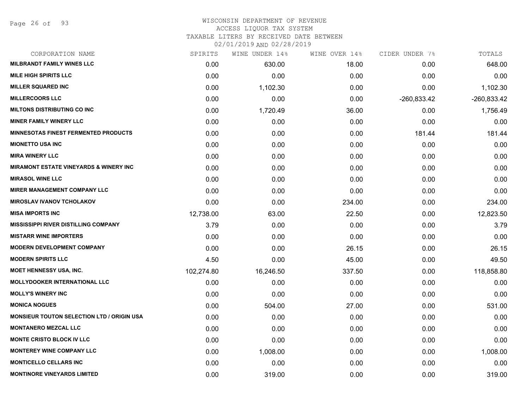#### WISCONSIN DEPARTMENT OF REVENUE ACCESS LIQUOR TAX SYSTEM

TAXABLE LITERS BY RECEIVED DATE BETWEEN

| CORPORATION NAME                                  | SPIRITS    | WINE UNDER 14% | WINE OVER 14% | CIDER UNDER 7% | TOTALS        |
|---------------------------------------------------|------------|----------------|---------------|----------------|---------------|
| <b>MILBRANDT FAMILY WINES LLC</b>                 | 0.00       | 630.00         | 18.00         | 0.00           | 648.00        |
| <b>MILE HIGH SPIRITS LLC</b>                      | 0.00       | 0.00           | 0.00          | 0.00           | 0.00          |
| <b>MILLER SQUARED INC</b>                         | 0.00       | 1,102.30       | 0.00          | 0.00           | 1,102.30      |
| <b>MILLERCOORS LLC</b>                            | 0.00       | 0.00           | 0.00          | $-260,833.42$  | $-260,833.42$ |
| <b>MILTONS DISTRIBUTING CO INC</b>                | 0.00       | 1,720.49       | 36.00         | 0.00           | 1,756.49      |
| <b>MINER FAMILY WINERY LLC</b>                    | 0.00       | 0.00           | 0.00          | 0.00           | 0.00          |
| <b>MINNESOTAS FINEST FERMENTED PRODUCTS</b>       | 0.00       | 0.00           | 0.00          | 181.44         | 181.44        |
| <b>MIONETTO USA INC</b>                           | 0.00       | 0.00           | 0.00          | 0.00           | 0.00          |
| <b>MIRA WINERY LLC</b>                            | 0.00       | 0.00           | 0.00          | 0.00           | 0.00          |
| <b>MIRAMONT ESTATE VINEYARDS &amp; WINERY INC</b> | 0.00       | 0.00           | 0.00          | 0.00           | 0.00          |
| <b>MIRASOL WINE LLC</b>                           | 0.00       | 0.00           | 0.00          | 0.00           | 0.00          |
| <b>MIRER MANAGEMENT COMPANY LLC</b>               | 0.00       | 0.00           | 0.00          | 0.00           | 0.00          |
| <b>MIROSLAV IVANOV TCHOLAKOV</b>                  | 0.00       | 0.00           | 234.00        | 0.00           | 234.00        |
| <b>MISA IMPORTS INC</b>                           | 12,738.00  | 63.00          | 22.50         | 0.00           | 12,823.50     |
| <b>MISSISSIPPI RIVER DISTILLING COMPANY</b>       | 3.79       | 0.00           | 0.00          | 0.00           | 3.79          |
| <b>MISTARR WINE IMPORTERS</b>                     | 0.00       | 0.00           | 0.00          | 0.00           | 0.00          |
| <b>MODERN DEVELOPMENT COMPANY</b>                 | 0.00       | 0.00           | 26.15         | 0.00           | 26.15         |
| <b>MODERN SPIRITS LLC</b>                         | 4.50       | 0.00           | 45.00         | 0.00           | 49.50         |
| <b>MOET HENNESSY USA, INC.</b>                    | 102,274.80 | 16,246.50      | 337.50        | 0.00           | 118,858.80    |
| <b>MOLLYDOOKER INTERNATIONAL LLC</b>              | 0.00       | 0.00           | 0.00          | 0.00           | 0.00          |
| <b>MOLLY'S WINERY INC</b>                         | 0.00       | 0.00           | 0.00          | 0.00           | 0.00          |
| <b>MONICA NOGUES</b>                              | 0.00       | 504.00         | 27.00         | 0.00           | 531.00        |
| <b>MONSIEUR TOUTON SELECTION LTD / ORIGIN USA</b> | 0.00       | 0.00           | 0.00          | 0.00           | 0.00          |
| <b>MONTANERO MEZCAL LLC</b>                       | 0.00       | 0.00           | 0.00          | 0.00           | 0.00          |
| <b>MONTE CRISTO BLOCK IV LLC</b>                  | 0.00       | 0.00           | 0.00          | 0.00           | 0.00          |
| <b>MONTEREY WINE COMPANY LLC</b>                  | 0.00       | 1,008.00       | 0.00          | 0.00           | 1,008.00      |
| <b>MONTICELLO CELLARS INC</b>                     | 0.00       | 0.00           | 0.00          | 0.00           | 0.00          |
| <b>MONTINORE VINEYARDS LIMITED</b>                | 0.00       | 319.00         | 0.00          | 0.00           | 319.00        |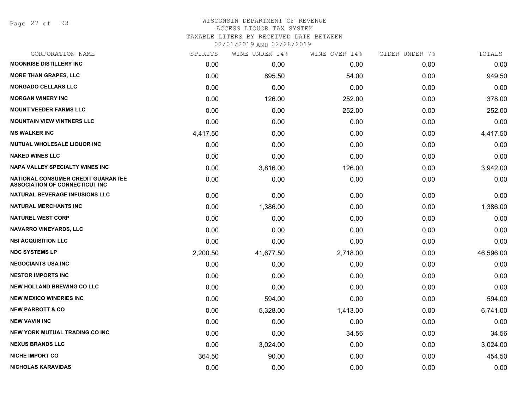Page 27 of 93

#### WISCONSIN DEPARTMENT OF REVENUE ACCESS LIQUOR TAX SYSTEM TAXABLE LITERS BY RECEIVED DATE BETWEEN

| CORPORATION NAME                                                                   | SPIRITS  | WINE UNDER 14% | WINE OVER 14% | CIDER UNDER 7% | TOTALS    |
|------------------------------------------------------------------------------------|----------|----------------|---------------|----------------|-----------|
| <b>MOONRISE DISTILLERY INC</b>                                                     | 0.00     | 0.00           | 0.00          | 0.00           | 0.00      |
| <b>MORE THAN GRAPES, LLC</b>                                                       | 0.00     | 895.50         | 54.00         | 0.00           | 949.50    |
| <b>MORGADO CELLARS LLC</b>                                                         | 0.00     | 0.00           | 0.00          | 0.00           | 0.00      |
| <b>MORGAN WINERY INC</b>                                                           | 0.00     | 126.00         | 252.00        | 0.00           | 378.00    |
| <b>MOUNT VEEDER FARMS LLC</b>                                                      | 0.00     | 0.00           | 252.00        | 0.00           | 252.00    |
| <b>MOUNTAIN VIEW VINTNERS LLC</b>                                                  | 0.00     | 0.00           | 0.00          | 0.00           | 0.00      |
| <b>MS WALKER INC</b>                                                               | 4,417.50 | 0.00           | 0.00          | 0.00           | 4,417.50  |
| <b>MUTUAL WHOLESALE LIQUOR INC</b>                                                 | 0.00     | 0.00           | 0.00          | 0.00           | 0.00      |
| <b>NAKED WINES LLC</b>                                                             | 0.00     | 0.00           | 0.00          | 0.00           | 0.00      |
| <b>NAPA VALLEY SPECIALTY WINES INC</b>                                             | 0.00     | 3,816.00       | 126.00        | 0.00           | 3,942.00  |
| <b>NATIONAL CONSUMER CREDIT GUARANTEE</b><br><b>ASSOCIATION OF CONNECTICUT INC</b> | 0.00     | 0.00           | 0.00          | 0.00           | 0.00      |
| <b>NATURAL BEVERAGE INFUSIONS LLC</b>                                              | 0.00     | 0.00           | 0.00          | 0.00           | 0.00      |
| <b>NATURAL MERCHANTS INC</b>                                                       | 0.00     | 1,386.00       | 0.00          | 0.00           | 1,386.00  |
| <b>NATUREL WEST CORP</b>                                                           | 0.00     | 0.00           | 0.00          | 0.00           | 0.00      |
| <b>NAVARRO VINEYARDS, LLC</b>                                                      | 0.00     | 0.00           | 0.00          | 0.00           | 0.00      |
| <b>NBI ACQUISITION LLC</b>                                                         | 0.00     | 0.00           | 0.00          | 0.00           | 0.00      |
| <b>NDC SYSTEMS LP</b>                                                              | 2,200.50 | 41,677.50      | 2,718.00      | 0.00           | 46,596.00 |
| <b>NEGOCIANTS USA INC</b>                                                          | 0.00     | 0.00           | 0.00          | 0.00           | 0.00      |
| <b>NESTOR IMPORTS INC</b>                                                          | 0.00     | 0.00           | 0.00          | 0.00           | 0.00      |
| <b>NEW HOLLAND BREWING CO LLC</b>                                                  | 0.00     | 0.00           | 0.00          | 0.00           | 0.00      |
| <b>NEW MEXICO WINERIES INC</b>                                                     | 0.00     | 594.00         | 0.00          | 0.00           | 594.00    |
| <b>NEW PARROTT &amp; CO</b>                                                        | 0.00     | 5,328.00       | 1,413.00      | 0.00           | 6,741.00  |
| <b>NEW VAVIN INC</b>                                                               | 0.00     | 0.00           | 0.00          | 0.00           | 0.00      |
| <b>NEW YORK MUTUAL TRADING CO INC</b>                                              | 0.00     | 0.00           | 34.56         | 0.00           | 34.56     |
| <b>NEXUS BRANDS LLC</b>                                                            | 0.00     | 3,024.00       | 0.00          | 0.00           | 3,024.00  |
| <b>NICHE IMPORT CO</b>                                                             | 364.50   | 90.00          | 0.00          | 0.00           | 454.50    |
| NICHOLAS KARAVIDAS                                                                 | 0.00     | 0.00           | 0.00          | 0.00           | 0.00      |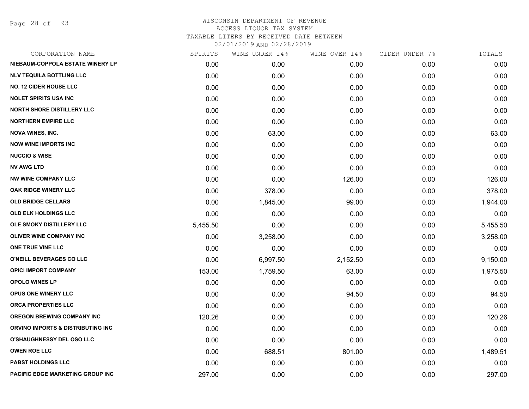Page 28 of 93

| SPIRITS  | WINE UNDER 14% |          |               | TOTALS         |
|----------|----------------|----------|---------------|----------------|
| 0.00     | 0.00           | 0.00     | 0.00          | 0.00           |
| 0.00     | 0.00           | 0.00     | 0.00          | 0.00           |
| 0.00     | 0.00           | 0.00     | 0.00          | 0.00           |
| 0.00     | 0.00           | 0.00     | 0.00          | 0.00           |
| 0.00     | 0.00           | 0.00     | 0.00          | 0.00           |
| 0.00     | 0.00           | 0.00     | 0.00          | 0.00           |
| 0.00     | 63.00          | 0.00     | 0.00          | 63.00          |
| 0.00     | 0.00           | 0.00     | 0.00          | 0.00           |
| 0.00     | 0.00           | 0.00     | 0.00          | 0.00           |
| 0.00     | 0.00           | 0.00     | 0.00          | 0.00           |
| 0.00     | 0.00           | 126.00   | 0.00          | 126.00         |
| 0.00     | 378.00         | 0.00     | 0.00          | 378.00         |
| 0.00     | 1,845.00       | 99.00    | 0.00          | 1,944.00       |
| 0.00     | 0.00           | 0.00     | 0.00          | 0.00           |
| 5,455.50 | 0.00           | 0.00     | 0.00          | 5,455.50       |
| 0.00     | 3,258.00       | 0.00     | 0.00          | 3,258.00       |
| 0.00     | 0.00           | 0.00     | 0.00          | 0.00           |
| 0.00     | 6,997.50       | 2,152.50 | 0.00          | 9,150.00       |
| 153.00   | 1,759.50       | 63.00    | 0.00          | 1,975.50       |
| 0.00     | 0.00           | 0.00     | 0.00          | 0.00           |
| 0.00     | 0.00           | 94.50    | 0.00          | 94.50          |
| 0.00     | 0.00           | 0.00     | 0.00          | 0.00           |
| 120.26   | 0.00           | 0.00     | 0.00          | 120.26         |
| 0.00     | 0.00           | 0.00     | 0.00          | 0.00           |
| 0.00     | 0.00           | 0.00     | 0.00          | 0.00           |
| 0.00     | 688.51         | 801.00   | 0.00          | 1,489.51       |
| 0.00     | 0.00           | 0.00     | 0.00          | 0.00           |
| 297.00   | 0.00           | 0.00     | 0.00          | 297.00         |
|          |                |          | WINE OVER 14% | CIDER UNDER 7% |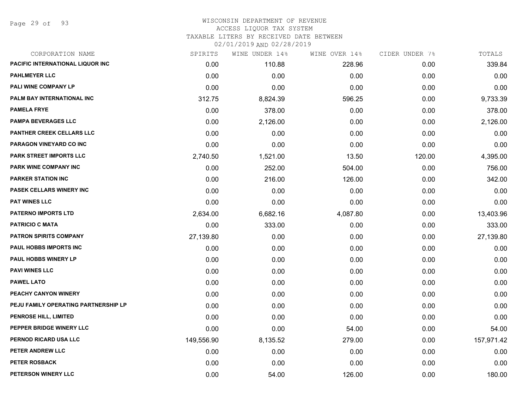Page 29 of 93

## WISCONSIN DEPARTMENT OF REVENUE ACCESS LIQUOR TAX SYSTEM

TAXABLE LITERS BY RECEIVED DATE BETWEEN

| CORPORATION NAME                        | SPIRITS    | WINE UNDER 14% | WINE OVER 14% | CIDER UNDER 7% | TOTALS     |
|-----------------------------------------|------------|----------------|---------------|----------------|------------|
| <b>PACIFIC INTERNATIONAL LIQUOR INC</b> | 0.00       | 110.88         | 228.96        | 0.00           | 339.84     |
| <b>PAHLMEYER LLC</b>                    | 0.00       | 0.00           | 0.00          | 0.00           | 0.00       |
| PALI WINE COMPANY LP                    | 0.00       | 0.00           | 0.00          | 0.00           | 0.00       |
| PALM BAY INTERNATIONAL INC              | 312.75     | 8,824.39       | 596.25        | 0.00           | 9,733.39   |
| <b>PAMELA FRYE</b>                      | 0.00       | 378.00         | 0.00          | 0.00           | 378.00     |
| <b>PAMPA BEVERAGES LLC</b>              | 0.00       | 2,126.00       | 0.00          | 0.00           | 2,126.00   |
| <b>PANTHER CREEK CELLARS LLC</b>        | 0.00       | 0.00           | 0.00          | 0.00           | 0.00       |
| <b>PARAGON VINEYARD CO INC</b>          | 0.00       | 0.00           | 0.00          | 0.00           | 0.00       |
| PARK STREET IMPORTS LLC                 | 2,740.50   | 1,521.00       | 13.50         | 120.00         | 4,395.00   |
| PARK WINE COMPANY INC                   | 0.00       | 252.00         | 504.00        | 0.00           | 756.00     |
| <b>PARKER STATION INC</b>               | 0.00       | 216.00         | 126.00        | 0.00           | 342.00     |
| PASEK CELLARS WINERY INC                | 0.00       | 0.00           | 0.00          | 0.00           | 0.00       |
| <b>PAT WINES LLC</b>                    | 0.00       | 0.00           | 0.00          | 0.00           | 0.00       |
| <b>PATERNO IMPORTS LTD</b>              | 2,634.00   | 6,682.16       | 4,087.80      | 0.00           | 13,403.96  |
| <b>PATRICIO C MATA</b>                  | 0.00       | 333.00         | 0.00          | 0.00           | 333.00     |
| <b>PATRON SPIRITS COMPANY</b>           | 27,139.80  | 0.00           | 0.00          | 0.00           | 27,139.80  |
| PAUL HOBBS IMPORTS INC                  | 0.00       | 0.00           | 0.00          | 0.00           | 0.00       |
| PAUL HOBBS WINERY LP                    | 0.00       | 0.00           | 0.00          | 0.00           | 0.00       |
| <b>PAVI WINES LLC</b>                   | 0.00       | 0.00           | 0.00          | 0.00           | 0.00       |
| <b>PAWEL LATO</b>                       | 0.00       | 0.00           | 0.00          | 0.00           | 0.00       |
| <b>PEACHY CANYON WINERY</b>             | 0.00       | 0.00           | 0.00          | 0.00           | 0.00       |
| PEJU FAMILY OPERATING PARTNERSHIP LP    | 0.00       | 0.00           | 0.00          | 0.00           | 0.00       |
| PENROSE HILL, LIMITED                   | 0.00       | 0.00           | 0.00          | 0.00           | 0.00       |
| PEPPER BRIDGE WINERY LLC                | 0.00       | 0.00           | 54.00         | 0.00           | 54.00      |
| PERNOD RICARD USA LLC                   | 149,556.90 | 8,135.52       | 279.00        | 0.00           | 157,971.42 |
| PETER ANDREW LLC                        | 0.00       | 0.00           | 0.00          | 0.00           | 0.00       |
| PETER ROSBACK                           | 0.00       | 0.00           | 0.00          | 0.00           | 0.00       |
| PETERSON WINERY LLC                     | 0.00       | 54.00          | 126.00        | 0.00           | 180.00     |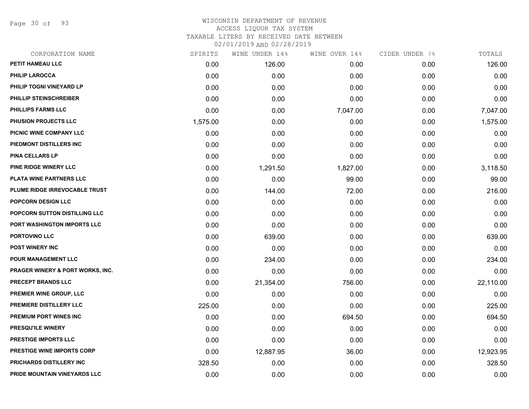Page 30 of 93

| CORPORATION NAME                  | SPIRITS  | WINE UNDER 14% | WINE OVER 14% | CIDER UNDER 7% | TOTALS    |
|-----------------------------------|----------|----------------|---------------|----------------|-----------|
| PETIT HAMEAU LLC                  | 0.00     | 126.00         | 0.00          | 0.00           | 126.00    |
| <b>PHILIP LAROCCA</b>             | 0.00     | 0.00           | 0.00          | 0.00           | 0.00      |
| PHILIP TOGNI VINEYARD LP          | 0.00     | 0.00           | 0.00          | 0.00           | 0.00      |
| PHILLIP STEINSCHREIBER            | 0.00     | 0.00           | 0.00          | 0.00           | 0.00      |
| <b>PHILLIPS FARMS LLC</b>         | 0.00     | 0.00           | 7,047.00      | 0.00           | 7,047.00  |
| PHUSION PROJECTS LLC              | 1,575.00 | 0.00           | 0.00          | 0.00           | 1,575.00  |
| PICNIC WINE COMPANY LLC           | 0.00     | 0.00           | 0.00          | 0.00           | 0.00      |
| PIEDMONT DISTILLERS INC           | 0.00     | 0.00           | 0.00          | 0.00           | 0.00      |
| <b>PINA CELLARS LP</b>            | 0.00     | 0.00           | 0.00          | 0.00           | 0.00      |
| PINE RIDGE WINERY LLC             | 0.00     | 1,291.50       | 1,827.00      | 0.00           | 3,118.50  |
| <b>PLATA WINE PARTNERS LLC</b>    | 0.00     | 0.00           | 99.00         | 0.00           | 99.00     |
| PLUME RIDGE IRREVOCABLE TRUST     | 0.00     | 144.00         | 72.00         | 0.00           | 216.00    |
| <b>POPCORN DESIGN LLC</b>         | 0.00     | 0.00           | 0.00          | 0.00           | 0.00      |
| POPCORN SUTTON DISTILLING LLC     | 0.00     | 0.00           | 0.00          | 0.00           | 0.00      |
| PORT WASHINGTON IMPORTS LLC       | 0.00     | 0.00           | 0.00          | 0.00           | 0.00      |
| PORTOVINO LLC                     | 0.00     | 639.00         | 0.00          | 0.00           | 639.00    |
| <b>POST WINERY INC</b>            | 0.00     | 0.00           | 0.00          | 0.00           | 0.00      |
| POUR MANAGEMENT LLC               | 0.00     | 234.00         | 0.00          | 0.00           | 234.00    |
| PRAGER WINERY & PORT WORKS, INC.  | 0.00     | 0.00           | 0.00          | 0.00           | 0.00      |
| PRECEPT BRANDS LLC                | 0.00     | 21,354.00      | 756.00        | 0.00           | 22,110.00 |
| PREMIER WINE GROUP, LLC           | 0.00     | 0.00           | 0.00          | 0.00           | 0.00      |
| PREMIERE DISTILLERY LLC           | 225.00   | 0.00           | 0.00          | 0.00           | 225.00    |
| PREMIUM PORT WINES INC            | 0.00     | 0.00           | 694.50        | 0.00           | 694.50    |
| PRESQU'ILE WINERY                 | 0.00     | 0.00           | 0.00          | 0.00           | 0.00      |
| PRESTIGE IMPORTS LLC              | 0.00     | 0.00           | 0.00          | 0.00           | 0.00      |
| <b>PRESTIGE WINE IMPORTS CORP</b> | 0.00     | 12,887.95      | 36.00         | 0.00           | 12,923.95 |
| PRICHARDS DISTILLERY INC          | 328.50   | 0.00           | 0.00          | 0.00           | 328.50    |
| PRIDE MOUNTAIN VINEYARDS LLC      | 0.00     | 0.00           | 0.00          | 0.00           | 0.00      |
|                                   |          |                |               |                |           |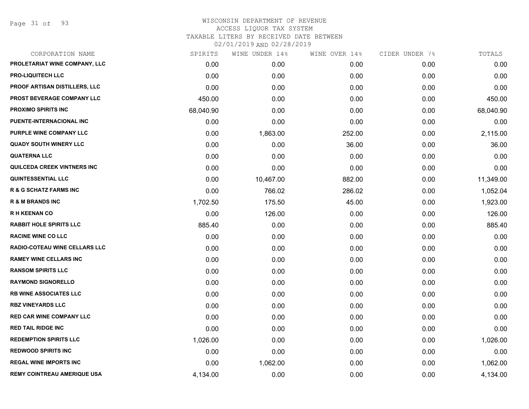Page 31 of 93

|           | WINE UNDER 14% | WINE OVER 14% | CIDER UNDER 7% | TOTALS    |
|-----------|----------------|---------------|----------------|-----------|
| 0.00      | 0.00           | 0.00          | 0.00           | 0.00      |
| 0.00      | 0.00           | 0.00          | 0.00           | 0.00      |
| 0.00      | 0.00           | 0.00          | 0.00           | 0.00      |
| 450.00    | 0.00           | 0.00          | 0.00           | 450.00    |
| 68,040.90 | 0.00           | 0.00          | 0.00           | 68,040.90 |
| 0.00      | 0.00           | 0.00          | 0.00           | 0.00      |
| 0.00      | 1,863.00       | 252.00        | 0.00           | 2,115.00  |
| 0.00      | 0.00           | 36.00         | 0.00           | 36.00     |
| 0.00      | 0.00           | 0.00          | 0.00           | 0.00      |
| 0.00      | 0.00           | 0.00          | 0.00           | 0.00      |
| 0.00      | 10,467.00      | 882.00        | 0.00           | 11,349.00 |
| 0.00      | 766.02         | 286.02        | 0.00           | 1,052.04  |
| 1,702.50  | 175.50         | 45.00         | 0.00           | 1,923.00  |
| 0.00      | 126.00         | 0.00          | 0.00           | 126.00    |
| 885.40    | 0.00           | 0.00          | 0.00           | 885.40    |
| 0.00      | 0.00           | 0.00          | 0.00           | 0.00      |
| 0.00      | 0.00           | 0.00          | 0.00           | 0.00      |
| 0.00      | 0.00           | 0.00          | 0.00           | 0.00      |
| 0.00      | 0.00           | 0.00          | 0.00           | 0.00      |
| 0.00      | 0.00           | 0.00          | 0.00           | 0.00      |
| 0.00      | 0.00           | 0.00          | 0.00           | 0.00      |
| 0.00      | 0.00           | 0.00          | 0.00           | 0.00      |
| 0.00      | 0.00           | 0.00          | 0.00           | 0.00      |
| 0.00      | 0.00           | 0.00          | 0.00           | 0.00      |
| 1,026.00  | 0.00           | 0.00          | 0.00           | 1,026.00  |
| 0.00      | 0.00           | 0.00          | 0.00           | 0.00      |
| 0.00      | 1,062.00       | 0.00          | 0.00           | 1,062.00  |
| 4,134.00  | 0.00           | 0.00          | 0.00           | 4,134.00  |
|           | SPIRITS        |               |                |           |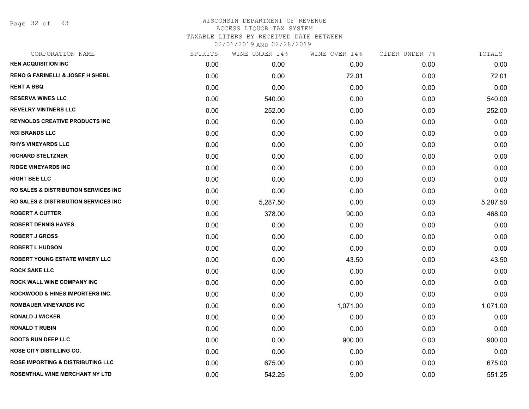Page 32 of 93

# WISCONSIN DEPARTMENT OF REVENUE ACCESS LIQUOR TAX SYSTEM TAXABLE LITERS BY RECEIVED DATE BETWEEN

| CORPORATION NAME                                 | SPIRITS | WINE UNDER 14% | WINE OVER 14% | CIDER UNDER 7% | TOTALS   |
|--------------------------------------------------|---------|----------------|---------------|----------------|----------|
| <b>REN ACQUISITION INC</b>                       | 0.00    | 0.00           | 0.00          | 0.00           | 0.00     |
| <b>RENO G FARINELLI &amp; JOSEF H SHEBL</b>      | 0.00    | 0.00           | 72.01         | 0.00           | 72.01    |
| <b>RENT A BBQ</b>                                | 0.00    | 0.00           | 0.00          | 0.00           | 0.00     |
| <b>RESERVA WINES LLC</b>                         | 0.00    | 540.00         | 0.00          | 0.00           | 540.00   |
| <b>REVELRY VINTNERS LLC</b>                      | 0.00    | 252.00         | 0.00          | 0.00           | 252.00   |
| <b>REYNOLDS CREATIVE PRODUCTS INC</b>            | 0.00    | 0.00           | 0.00          | 0.00           | 0.00     |
| <b>RGI BRANDS LLC</b>                            | 0.00    | 0.00           | 0.00          | 0.00           | 0.00     |
| <b>RHYS VINEYARDS LLC</b>                        | 0.00    | 0.00           | 0.00          | 0.00           | 0.00     |
| <b>RICHARD STELTZNER</b>                         | 0.00    | 0.00           | 0.00          | 0.00           | 0.00     |
| <b>RIDGE VINEYARDS INC</b>                       | 0.00    | 0.00           | 0.00          | 0.00           | 0.00     |
| <b>RIGHT BEE LLC</b>                             | 0.00    | 0.00           | 0.00          | 0.00           | 0.00     |
| <b>RO SALES &amp; DISTRIBUTION SERVICES INC.</b> | 0.00    | 0.00           | 0.00          | 0.00           | 0.00     |
| <b>RO SALES &amp; DISTRIBUTION SERVICES INC.</b> | 0.00    | 5,287.50       | 0.00          | 0.00           | 5,287.50 |
| <b>ROBERT A CUTTER</b>                           | 0.00    | 378.00         | 90.00         | 0.00           | 468.00   |
| <b>ROBERT DENNIS HAYES</b>                       | 0.00    | 0.00           | 0.00          | 0.00           | 0.00     |
| <b>ROBERT J GROSS</b>                            | 0.00    | 0.00           | 0.00          | 0.00           | 0.00     |
| <b>ROBERT L HUDSON</b>                           | 0.00    | 0.00           | 0.00          | 0.00           | 0.00     |
| <b>ROBERT YOUNG ESTATE WINERY LLC</b>            | 0.00    | 0.00           | 43.50         | 0.00           | 43.50    |
| <b>ROCK SAKE LLC</b>                             | 0.00    | 0.00           | 0.00          | 0.00           | 0.00     |
| <b>ROCK WALL WINE COMPANY INC</b>                | 0.00    | 0.00           | 0.00          | 0.00           | 0.00     |
| <b>ROCKWOOD &amp; HINES IMPORTERS INC.</b>       | 0.00    | 0.00           | 0.00          | 0.00           | 0.00     |
| <b>ROMBAUER VINEYARDS INC</b>                    | 0.00    | 0.00           | 1,071.00      | 0.00           | 1,071.00 |
| <b>RONALD J WICKER</b>                           | 0.00    | 0.00           | 0.00          | 0.00           | 0.00     |
| <b>RONALD T RUBIN</b>                            | 0.00    | 0.00           | 0.00          | 0.00           | 0.00     |
| <b>ROOTS RUN DEEP LLC</b>                        | 0.00    | 0.00           | 900.00        | 0.00           | 900.00   |
| <b>ROSE CITY DISTILLING CO.</b>                  | 0.00    | 0.00           | 0.00          | 0.00           | 0.00     |
| <b>ROSE IMPORTING &amp; DISTRIBUTING LLC</b>     | 0.00    | 675.00         | 0.00          | 0.00           | 675.00   |
| <b>ROSENTHAL WINE MERCHANT NY LTD</b>            | 0.00    | 542.25         | 9.00          | 0.00           | 551.25   |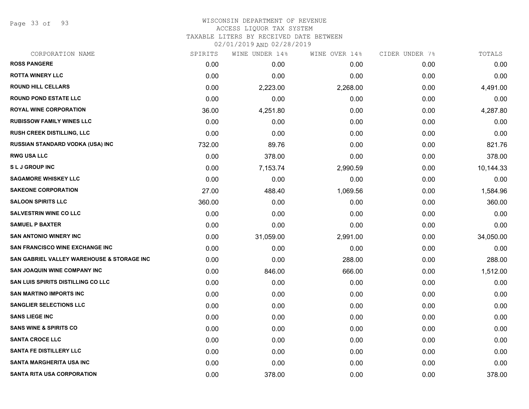Page 33 of 93

| CORPORATION NAME                           | SPIRITS | WINE UNDER 14% | WINE OVER 14% | CIDER UNDER 7% | TOTALS    |
|--------------------------------------------|---------|----------------|---------------|----------------|-----------|
| <b>ROSS PANGERE</b>                        | 0.00    | 0.00           | 0.00          | 0.00           | 0.00      |
| <b>ROTTA WINERY LLC</b>                    | 0.00    | 0.00           | 0.00          | 0.00           | 0.00      |
| <b>ROUND HILL CELLARS</b>                  | 0.00    | 2,223.00       | 2,268.00      | 0.00           | 4,491.00  |
| <b>ROUND POND ESTATE LLC</b>               | 0.00    | 0.00           | 0.00          | 0.00           | 0.00      |
| <b>ROYAL WINE CORPORATION</b>              | 36.00   | 4,251.80       | 0.00          | 0.00           | 4,287.80  |
| <b>RUBISSOW FAMILY WINES LLC</b>           | 0.00    | 0.00           | 0.00          | 0.00           | 0.00      |
| <b>RUSH CREEK DISTILLING, LLC</b>          | 0.00    | 0.00           | 0.00          | 0.00           | 0.00      |
| RUSSIAN STANDARD VODKA (USA) INC           | 732.00  | 89.76          | 0.00          | 0.00           | 821.76    |
| <b>RWG USA LLC</b>                         | 0.00    | 378.00         | 0.00          | 0.00           | 378.00    |
| <b>SLJ GROUP INC</b>                       | 0.00    | 7,153.74       | 2,990.59      | 0.00           | 10,144.33 |
| <b>SAGAMORE WHISKEY LLC</b>                | 0.00    | 0.00           | 0.00          | 0.00           | 0.00      |
| <b>SAKEONE CORPORATION</b>                 | 27.00   | 488.40         | 1,069.56      | 0.00           | 1,584.96  |
| <b>SALOON SPIRITS LLC</b>                  | 360.00  | 0.00           | 0.00          | 0.00           | 360.00    |
| <b>SALVESTRIN WINE CO LLC</b>              | 0.00    | 0.00           | 0.00          | 0.00           | 0.00      |
| <b>SAMUEL P BAXTER</b>                     | 0.00    | 0.00           | 0.00          | 0.00           | 0.00      |
| <b>SAN ANTONIO WINERY INC</b>              | 0.00    | 31,059.00      | 2,991.00      | 0.00           | 34,050.00 |
| SAN FRANCISCO WINE EXCHANGE INC            | 0.00    | 0.00           | 0.00          | 0.00           | 0.00      |
| SAN GABRIEL VALLEY WAREHOUSE & STORAGE INC | 0.00    | 0.00           | 288.00        | 0.00           | 288.00    |
| SAN JOAQUIN WINE COMPANY INC               | 0.00    | 846.00         | 666.00        | 0.00           | 1,512.00  |
| SAN LUIS SPIRITS DISTILLING CO LLC         | 0.00    | 0.00           | 0.00          | 0.00           | 0.00      |
| <b>SAN MARTINO IMPORTS INC</b>             | 0.00    | 0.00           | 0.00          | 0.00           | 0.00      |
| <b>SANGLIER SELECTIONS LLC</b>             | 0.00    | 0.00           | 0.00          | 0.00           | 0.00      |
| <b>SANS LIEGE INC</b>                      | 0.00    | 0.00           | 0.00          | 0.00           | 0.00      |
| <b>SANS WINE &amp; SPIRITS CO</b>          | 0.00    | 0.00           | 0.00          | 0.00           | 0.00      |
| <b>SANTA CROCE LLC</b>                     | 0.00    | 0.00           | 0.00          | 0.00           | 0.00      |
| <b>SANTA FE DISTILLERY LLC</b>             | 0.00    | 0.00           | 0.00          | 0.00           | 0.00      |
| <b>SANTA MARGHERITA USA INC</b>            | 0.00    | 0.00           | 0.00          | 0.00           | 0.00      |
| <b>SANTA RITA USA CORPORATION</b>          | 0.00    | 378.00         | 0.00          | 0.00           | 378.00    |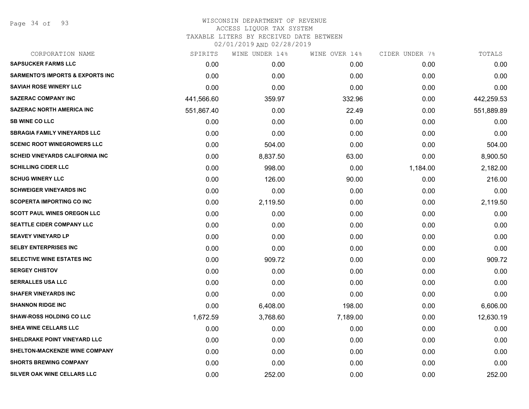Page 34 of 93

| CORPORATION NAME                            | SPIRITS    | WINE UNDER 14% | WINE OVER 14% | CIDER UNDER 7% | TOTALS     |
|---------------------------------------------|------------|----------------|---------------|----------------|------------|
| <b>SAPSUCKER FARMS LLC</b>                  | 0.00       | 0.00           | 0.00          | 0.00           | 0.00       |
| <b>SARMENTO'S IMPORTS &amp; EXPORTS INC</b> | 0.00       | 0.00           | 0.00          | 0.00           | 0.00       |
| <b>SAVIAH ROSE WINERY LLC</b>               | 0.00       | 0.00           | 0.00          | 0.00           | 0.00       |
| <b>SAZERAC COMPANY INC</b>                  | 441,566.60 | 359.97         | 332.96        | 0.00           | 442,259.53 |
| <b>SAZERAC NORTH AMERICA INC</b>            | 551,867.40 | 0.00           | 22.49         | 0.00           | 551,889.89 |
| <b>SB WINE CO LLC</b>                       | 0.00       | 0.00           | 0.00          | 0.00           | 0.00       |
| <b>SBRAGIA FAMILY VINEYARDS LLC</b>         | 0.00       | 0.00           | 0.00          | 0.00           | 0.00       |
| <b>SCENIC ROOT WINEGROWERS LLC</b>          | 0.00       | 504.00         | 0.00          | 0.00           | 504.00     |
| <b>SCHEID VINEYARDS CALIFORNIA INC</b>      | 0.00       | 8,837.50       | 63.00         | 0.00           | 8,900.50   |
| <b>SCHILLING CIDER LLC</b>                  | 0.00       | 998.00         | 0.00          | 1,184.00       | 2,182.00   |
| <b>SCHUG WINERY LLC</b>                     | 0.00       | 126.00         | 90.00         | 0.00           | 216.00     |
| <b>SCHWEIGER VINEYARDS INC</b>              | 0.00       | 0.00           | 0.00          | 0.00           | 0.00       |
| <b>SCOPERTA IMPORTING CO INC</b>            | 0.00       | 2,119.50       | 0.00          | 0.00           | 2,119.50   |
| <b>SCOTT PAUL WINES OREGON LLC</b>          | 0.00       | 0.00           | 0.00          | 0.00           | 0.00       |
| SEATTLE CIDER COMPANY LLC                   | 0.00       | 0.00           | 0.00          | 0.00           | 0.00       |
| <b>SEAVEY VINEYARD LP</b>                   | 0.00       | 0.00           | 0.00          | 0.00           | 0.00       |
| <b>SELBY ENTERPRISES INC</b>                | 0.00       | 0.00           | 0.00          | 0.00           | 0.00       |
| SELECTIVE WINE ESTATES INC                  | 0.00       | 909.72         | 0.00          | 0.00           | 909.72     |
| <b>SERGEY CHISTOV</b>                       | 0.00       | 0.00           | 0.00          | 0.00           | 0.00       |
| <b>SERRALLES USA LLC</b>                    | 0.00       | 0.00           | 0.00          | 0.00           | 0.00       |
| <b>SHAFER VINEYARDS INC</b>                 | 0.00       | 0.00           | 0.00          | 0.00           | 0.00       |
| <b>SHANNON RIDGE INC</b>                    | 0.00       | 6,408.00       | 198.00        | 0.00           | 6,606.00   |
| <b>SHAW-ROSS HOLDING CO LLC</b>             | 1,672.59   | 3,768.60       | 7,189.00      | 0.00           | 12,630.19  |
| SHEA WINE CELLARS LLC                       | 0.00       | 0.00           | 0.00          | 0.00           | 0.00       |
| SHELDRAKE POINT VINEYARD LLC                | 0.00       | 0.00           | 0.00          | 0.00           | 0.00       |
| SHELTON-MACKENZIE WINE COMPANY              | 0.00       | 0.00           | 0.00          | 0.00           | 0.00       |
| <b>SHORTS BREWING COMPANY</b>               | 0.00       | 0.00           | 0.00          | 0.00           | 0.00       |
| SILVER OAK WINE CELLARS LLC                 | 0.00       | 252.00         | 0.00          | 0.00           | 252.00     |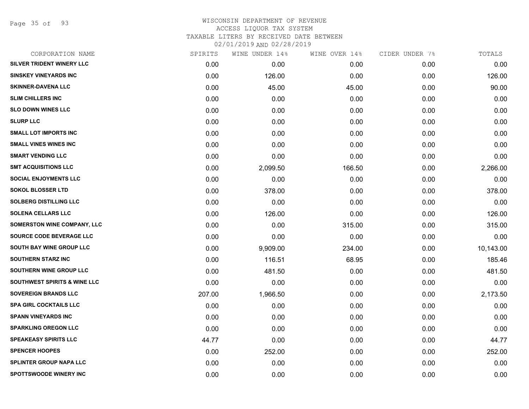Page 35 of 93

# WISCONSIN DEPARTMENT OF REVENUE ACCESS LIQUOR TAX SYSTEM TAXABLE LITERS BY RECEIVED DATE BETWEEN

| CORPORATION NAME                        | SPIRITS | WINE UNDER 14% | WINE OVER 14% | CIDER UNDER 7% | TOTALS    |
|-----------------------------------------|---------|----------------|---------------|----------------|-----------|
| SILVER TRIDENT WINERY LLC               | 0.00    | 0.00           | 0.00          | 0.00           | 0.00      |
| <b>SINSKEY VINEYARDS INC</b>            | 0.00    | 126.00         | 0.00          | 0.00           | 126.00    |
| <b>SKINNER-DAVENA LLC</b>               | 0.00    | 45.00          | 45.00         | 0.00           | 90.00     |
| <b>SLIM CHILLERS INC</b>                | 0.00    | 0.00           | 0.00          | 0.00           | 0.00      |
| <b>SLO DOWN WINES LLC</b>               | 0.00    | 0.00           | 0.00          | 0.00           | 0.00      |
| <b>SLURP LLC</b>                        | 0.00    | 0.00           | 0.00          | 0.00           | 0.00      |
| <b>SMALL LOT IMPORTS INC</b>            | 0.00    | 0.00           | 0.00          | 0.00           | 0.00      |
| <b>SMALL VINES WINES INC</b>            | 0.00    | 0.00           | 0.00          | 0.00           | 0.00      |
| <b>SMART VENDING LLC</b>                | 0.00    | 0.00           | 0.00          | 0.00           | 0.00      |
| <b>SMT ACQUISITIONS LLC</b>             | 0.00    | 2,099.50       | 166.50        | 0.00           | 2,266.00  |
| <b>SOCIAL ENJOYMENTS LLC</b>            | 0.00    | 0.00           | 0.00          | 0.00           | 0.00      |
| <b>SOKOL BLOSSER LTD</b>                | 0.00    | 378.00         | 0.00          | 0.00           | 378.00    |
| <b>SOLBERG DISTILLING LLC</b>           | 0.00    | 0.00           | 0.00          | 0.00           | 0.00      |
| <b>SOLENA CELLARS LLC</b>               | 0.00    | 126.00         | 0.00          | 0.00           | 126.00    |
| <b>SOMERSTON WINE COMPANY, LLC</b>      | 0.00    | 0.00           | 315.00        | 0.00           | 315.00    |
| SOURCE CODE BEVERAGE LLC                | 0.00    | 0.00           | 0.00          | 0.00           | 0.00      |
| SOUTH BAY WINE GROUP LLC                | 0.00    | 9,909.00       | 234.00        | 0.00           | 10,143.00 |
| <b>SOUTHERN STARZ INC</b>               | 0.00    | 116.51         | 68.95         | 0.00           | 185.46    |
| SOUTHERN WINE GROUP LLC                 | 0.00    | 481.50         | 0.00          | 0.00           | 481.50    |
| <b>SOUTHWEST SPIRITS &amp; WINE LLC</b> | 0.00    | 0.00           | 0.00          | 0.00           | 0.00      |
| <b>SOVEREIGN BRANDS LLC</b>             | 207.00  | 1,966.50       | 0.00          | 0.00           | 2,173.50  |
| <b>SPA GIRL COCKTAILS LLC</b>           | 0.00    | 0.00           | 0.00          | 0.00           | 0.00      |
| <b>SPANN VINEYARDS INC</b>              | 0.00    | 0.00           | 0.00          | 0.00           | 0.00      |
| <b>SPARKLING OREGON LLC</b>             | 0.00    | 0.00           | 0.00          | 0.00           | 0.00      |
| <b>SPEAKEASY SPIRITS LLC</b>            | 44.77   | 0.00           | 0.00          | 0.00           | 44.77     |
| <b>SPENCER HOOPES</b>                   | 0.00    | 252.00         | 0.00          | 0.00           | 252.00    |
| <b>SPLINTER GROUP NAPA LLC</b>          | 0.00    | 0.00           | 0.00          | 0.00           | 0.00      |
| <b>SPOTTSWOODE WINERY INC</b>           | 0.00    | 0.00           | 0.00          | 0.00           | 0.00      |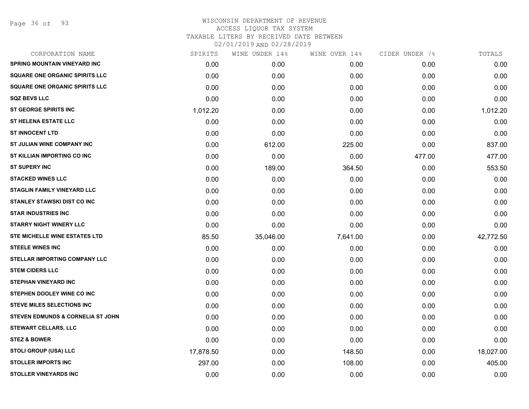Page 36 of 93

| CORPORATION NAME                             | SPIRITS   | WINE UNDER 14% | WINE OVER 14% | CIDER UNDER 7% | TOTALS    |
|----------------------------------------------|-----------|----------------|---------------|----------------|-----------|
| <b>SPRING MOUNTAIN VINEYARD INC</b>          | 0.00      | 0.00           | 0.00          | 0.00           | 0.00      |
| <b>SQUARE ONE ORGANIC SPIRITS LLC</b>        | 0.00      | 0.00           | 0.00          | 0.00           | 0.00      |
| <b>SQUARE ONE ORGANIC SPIRITS LLC</b>        | 0.00      | 0.00           | 0.00          | 0.00           | 0.00      |
| <b>SQZ BEVS LLC</b>                          | 0.00      | 0.00           | 0.00          | 0.00           | 0.00      |
| <b>ST GEORGE SPIRITS INC</b>                 | 1,012.20  | 0.00           | 0.00          | 0.00           | 1,012.20  |
| ST HELENA ESTATE LLC                         | 0.00      | 0.00           | 0.00          | 0.00           | 0.00      |
| <b>ST INNOCENT LTD</b>                       | 0.00      | 0.00           | 0.00          | 0.00           | 0.00      |
| ST JULIAN WINE COMPANY INC                   | 0.00      | 612.00         | 225.00        | 0.00           | 837.00    |
| ST KILLIAN IMPORTING CO INC                  | 0.00      | 0.00           | 0.00          | 477.00         | 477.00    |
| <b>ST SUPERY INC</b>                         | 0.00      | 189.00         | 364.50        | 0.00           | 553.50    |
| <b>STACKED WINES LLC</b>                     | 0.00      | 0.00           | 0.00          | 0.00           | 0.00      |
| <b>STAGLIN FAMILY VINEYARD LLC</b>           | 0.00      | 0.00           | 0.00          | 0.00           | 0.00      |
| <b>STANLEY STAWSKI DIST CO INC</b>           | 0.00      | 0.00           | 0.00          | 0.00           | 0.00      |
| <b>STAR INDUSTRIES INC</b>                   | 0.00      | 0.00           | 0.00          | 0.00           | 0.00      |
| <b>STARRY NIGHT WINERY LLC</b>               | 0.00      | 0.00           | 0.00          | 0.00           | 0.00      |
| STE MICHELLE WINE ESTATES LTD                | 85.50     | 35,046.00      | 7,641.00      | 0.00           | 42,772.50 |
| <b>STEELE WINES INC</b>                      | 0.00      | 0.00           | 0.00          | 0.00           | 0.00      |
| <b>STELLAR IMPORTING COMPANY LLC</b>         | 0.00      | 0.00           | 0.00          | 0.00           | 0.00      |
| <b>STEM CIDERS LLC</b>                       | 0.00      | 0.00           | 0.00          | 0.00           | 0.00      |
| <b>STEPHAN VINEYARD INC</b>                  | 0.00      | 0.00           | 0.00          | 0.00           | 0.00      |
| STEPHEN DOOLEY WINE CO INC                   | 0.00      | 0.00           | 0.00          | 0.00           | 0.00      |
| <b>STEVE MILES SELECTIONS INC</b>            | 0.00      | 0.00           | 0.00          | 0.00           | 0.00      |
| <b>STEVEN EDMUNDS &amp; CORNELIA ST JOHN</b> | 0.00      | 0.00           | 0.00          | 0.00           | 0.00      |
| <b>STEWART CELLARS, LLC</b>                  | 0.00      | 0.00           | 0.00          | 0.00           | 0.00      |
| <b>STEZ &amp; BOWER</b>                      | 0.00      | 0.00           | 0.00          | 0.00           | 0.00      |
| <b>STOLI GROUP (USA) LLC</b>                 | 17,878.50 | 0.00           | 148.50        | 0.00           | 18,027.00 |
| <b>STOLLER IMPORTS INC</b>                   | 297.00    | 0.00           | 108.00        | 0.00           | 405.00    |
| <b>STOLLER VINEYARDS INC</b>                 | 0.00      | 0.00           | 0.00          | 0.00           | 0.00      |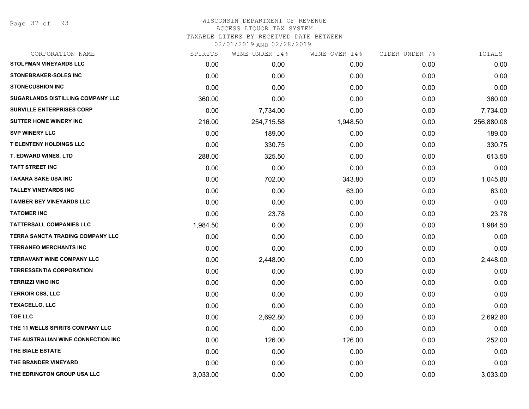Page 37 of 93

## WISCONSIN DEPARTMENT OF REVENUE ACCESS LIQUOR TAX SYSTEM TAXABLE LITERS BY RECEIVED DATE BETWEEN

| CORPORATION NAME                   | SPIRITS  | WINE UNDER 14% | WINE OVER 14% | CIDER UNDER 7% | TOTALS     |
|------------------------------------|----------|----------------|---------------|----------------|------------|
| STOLPMAN VINEYARDS LLC             | 0.00     | 0.00           | 0.00          | 0.00           | 0.00       |
| <b>STONEBRAKER-SOLES INC</b>       | 0.00     | 0.00           | 0.00          | 0.00           | 0.00       |
| <b>STONECUSHION INC</b>            | 0.00     | 0.00           | 0.00          | 0.00           | 0.00       |
| SUGARLANDS DISTILLING COMPANY LLC  | 360.00   | 0.00           | 0.00          | 0.00           | 360.00     |
| <b>SURVILLE ENTERPRISES CORP</b>   | 0.00     | 7,734.00       | 0.00          | 0.00           | 7,734.00   |
| <b>SUTTER HOME WINERY INC</b>      | 216.00   | 254,715.58     | 1,948.50      | 0.00           | 256,880.08 |
| <b>SVP WINERY LLC</b>              | 0.00     | 189.00         | 0.00          | 0.00           | 189.00     |
| <b>T ELENTENY HOLDINGS LLC</b>     | 0.00     | 330.75         | 0.00          | 0.00           | 330.75     |
| <b>T. EDWARD WINES, LTD</b>        | 288.00   | 325.50         | 0.00          | 0.00           | 613.50     |
| <b>TAFT STREET INC</b>             | 0.00     | 0.00           | 0.00          | 0.00           | 0.00       |
| TAKARA SAKE USA INC                | 0.00     | 702.00         | 343.80        | 0.00           | 1,045.80   |
| <b>TALLEY VINEYARDS INC</b>        | 0.00     | 0.00           | 63.00         | 0.00           | 63.00      |
| <b>TAMBER BEY VINEYARDS LLC</b>    | 0.00     | 0.00           | 0.00          | 0.00           | 0.00       |
| <b>TATOMER INC</b>                 | 0.00     | 23.78          | 0.00          | 0.00           | 23.78      |
| <b>TATTERSALL COMPANIES LLC</b>    | 1,984.50 | 0.00           | 0.00          | 0.00           | 1,984.50   |
| TERRA SANCTA TRADING COMPANY LLC   | 0.00     | 0.00           | 0.00          | 0.00           | 0.00       |
| <b>TERRANEO MERCHANTS INC</b>      | 0.00     | 0.00           | 0.00          | 0.00           | 0.00       |
| <b>TERRAVANT WINE COMPANY LLC</b>  | 0.00     | 2,448.00       | 0.00          | 0.00           | 2,448.00   |
| <b>TERRESSENTIA CORPORATION</b>    | 0.00     | 0.00           | 0.00          | 0.00           | 0.00       |
| <b>TERRIZZI VINO INC</b>           | 0.00     | 0.00           | 0.00          | 0.00           | 0.00       |
| <b>TERROIR CSS, LLC</b>            | 0.00     | 0.00           | 0.00          | 0.00           | 0.00       |
| <b>TEXACELLO, LLC</b>              | 0.00     | 0.00           | 0.00          | 0.00           | 0.00       |
| <b>TGE LLC</b>                     | 0.00     | 2,692.80       | 0.00          | 0.00           | 2,692.80   |
| THE 11 WELLS SPIRITS COMPANY LLC   | 0.00     | 0.00           | 0.00          | 0.00           | 0.00       |
| THE AUSTRALIAN WINE CONNECTION INC | 0.00     | 126.00         | 126.00        | 0.00           | 252.00     |
| THE BIALE ESTATE                   | 0.00     | 0.00           | 0.00          | 0.00           | 0.00       |
| THE BRANDER VINEYARD               | 0.00     | 0.00           | 0.00          | 0.00           | 0.00       |
| THE EDRINGTON GROUP USA LLC        | 3,033.00 | 0.00           | 0.00          | 0.00           | 3,033.00   |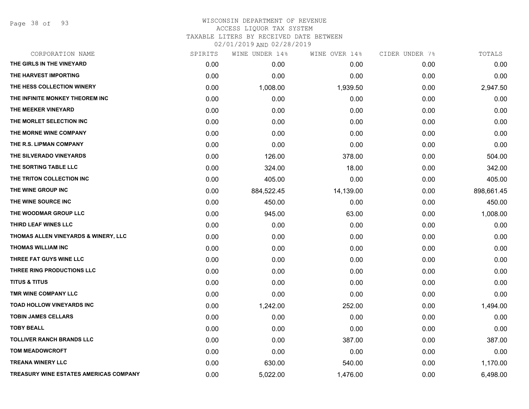Page 38 of 93

| CORPORATION NAME                       | SPIRITS | WINE UNDER 14% | WINE OVER 14% | CIDER UNDER 7% | TOTALS     |
|----------------------------------------|---------|----------------|---------------|----------------|------------|
| THE GIRLS IN THE VINEYARD              | 0.00    | 0.00           | 0.00          | 0.00           | 0.00       |
| THE HARVEST IMPORTING                  | 0.00    | 0.00           | 0.00          | 0.00           | 0.00       |
| THE HESS COLLECTION WINERY             | 0.00    | 1,008.00       | 1,939.50      | 0.00           | 2,947.50   |
| THE INFINITE MONKEY THEOREM INC        | 0.00    | 0.00           | 0.00          | 0.00           | 0.00       |
| THE MEEKER VINEYARD                    | 0.00    | 0.00           | 0.00          | 0.00           | 0.00       |
| THE MORLET SELECTION INC               | 0.00    | 0.00           | 0.00          | 0.00           | 0.00       |
| THE MORNE WINE COMPANY                 | 0.00    | 0.00           | 0.00          | 0.00           | 0.00       |
| THE R.S. LIPMAN COMPANY                | 0.00    | 0.00           | 0.00          | 0.00           | 0.00       |
| THE SILVERADO VINEYARDS                | 0.00    | 126.00         | 378.00        | 0.00           | 504.00     |
| THE SORTING TABLE LLC                  | 0.00    | 324.00         | 18.00         | 0.00           | 342.00     |
| THE TRITON COLLECTION INC              | 0.00    | 405.00         | 0.00          | 0.00           | 405.00     |
| THE WINE GROUP INC                     | 0.00    | 884,522.45     | 14,139.00     | 0.00           | 898,661.45 |
| THE WINE SOURCE INC                    | 0.00    | 450.00         | 0.00          | 0.00           | 450.00     |
| THE WOODMAR GROUP LLC                  | 0.00    | 945.00         | 63.00         | 0.00           | 1,008.00   |
| THIRD LEAF WINES LLC                   | 0.00    | 0.00           | 0.00          | 0.00           | 0.00       |
| THOMAS ALLEN VINEYARDS & WINERY, LLC   | 0.00    | 0.00           | 0.00          | 0.00           | 0.00       |
| <b>THOMAS WILLIAM INC</b>              | 0.00    | 0.00           | 0.00          | 0.00           | 0.00       |
| THREE FAT GUYS WINE LLC                | 0.00    | 0.00           | 0.00          | 0.00           | 0.00       |
| THREE RING PRODUCTIONS LLC             | 0.00    | 0.00           | 0.00          | 0.00           | 0.00       |
| <b>TITUS &amp; TITUS</b>               | 0.00    | 0.00           | 0.00          | 0.00           | 0.00       |
| TMR WINE COMPANY LLC                   | 0.00    | 0.00           | 0.00          | 0.00           | 0.00       |
| <b>TOAD HOLLOW VINEYARDS INC</b>       | 0.00    | 1,242.00       | 252.00        | 0.00           | 1,494.00   |
| <b>TOBIN JAMES CELLARS</b>             | 0.00    | 0.00           | 0.00          | 0.00           | 0.00       |
| <b>TOBY BEALL</b>                      | 0.00    | 0.00           | 0.00          | 0.00           | 0.00       |
| <b>TOLLIVER RANCH BRANDS LLC</b>       | 0.00    | 0.00           | 387.00        | 0.00           | 387.00     |
| <b>TOM MEADOWCROFT</b>                 | 0.00    | 0.00           | 0.00          | 0.00           | 0.00       |
| <b>TREANA WINERY LLC</b>               | 0.00    | 630.00         | 540.00        | 0.00           | 1,170.00   |
| TREASURY WINE ESTATES AMERICAS COMPANY | 0.00    | 5,022.00       | 1,476.00      | 0.00           | 6,498.00   |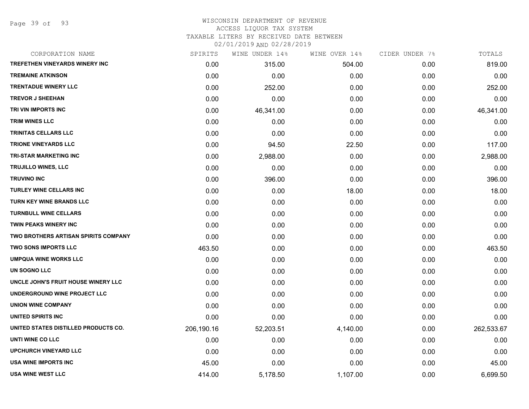Page 39 of 93

#### WISCONSIN DEPARTMENT OF REVENUE ACCESS LIQUOR TAX SYSTEM TAXABLE LITERS BY RECEIVED DATE BETWEEN

| CORPORATION NAME                     | SPIRITS    | WINE UNDER 14% | WINE OVER 14% | CIDER UNDER 7% | TOTALS     |
|--------------------------------------|------------|----------------|---------------|----------------|------------|
| TREFETHEN VINEYARDS WINERY INC       | 0.00       | 315.00         | 504.00        | 0.00           | 819.00     |
| <b>TREMAINE ATKINSON</b>             | 0.00       | 0.00           | 0.00          | 0.00           | 0.00       |
| <b>TRENTADUE WINERY LLC</b>          | 0.00       | 252.00         | 0.00          | 0.00           | 252.00     |
| <b>TREVOR J SHEEHAN</b>              | 0.00       | 0.00           | 0.00          | 0.00           | 0.00       |
| TRI VIN IMPORTS INC                  | 0.00       | 46,341.00      | 0.00          | 0.00           | 46,341.00  |
| <b>TRIM WINES LLC</b>                | 0.00       | 0.00           | 0.00          | 0.00           | 0.00       |
| TRINITAS CELLARS LLC                 | 0.00       | 0.00           | 0.00          | 0.00           | 0.00       |
| <b>TRIONE VINEYARDS LLC</b>          | 0.00       | 94.50          | 22.50         | 0.00           | 117.00     |
| <b>TRI-STAR MARKETING INC</b>        | 0.00       | 2,988.00       | 0.00          | 0.00           | 2,988.00   |
| <b>TRUJILLO WINES, LLC</b>           | 0.00       | 0.00           | 0.00          | 0.00           | 0.00       |
| <b>TRUVINO INC</b>                   | 0.00       | 396.00         | 0.00          | 0.00           | 396.00     |
| <b>TURLEY WINE CELLARS INC</b>       | 0.00       | 0.00           | 18.00         | 0.00           | 18.00      |
| <b>TURN KEY WINE BRANDS LLC</b>      | 0.00       | 0.00           | 0.00          | 0.00           | 0.00       |
| <b>TURNBULL WINE CELLARS</b>         | 0.00       | 0.00           | 0.00          | 0.00           | 0.00       |
| <b>TWIN PEAKS WINERY INC</b>         | 0.00       | 0.00           | 0.00          | 0.00           | 0.00       |
| TWO BROTHERS ARTISAN SPIRITS COMPANY | 0.00       | 0.00           | 0.00          | 0.00           | 0.00       |
| <b>TWO SONS IMPORTS LLC</b>          | 463.50     | 0.00           | 0.00          | 0.00           | 463.50     |
| <b>UMPQUA WINE WORKS LLC</b>         | 0.00       | 0.00           | 0.00          | 0.00           | 0.00       |
| UN SOGNO LLC                         | 0.00       | 0.00           | 0.00          | 0.00           | 0.00       |
| UNCLE JOHN'S FRUIT HOUSE WINERY LLC  | 0.00       | 0.00           | 0.00          | 0.00           | 0.00       |
| UNDERGROUND WINE PROJECT LLC         | 0.00       | 0.00           | 0.00          | 0.00           | 0.00       |
| <b>UNION WINE COMPANY</b>            | 0.00       | 0.00           | 0.00          | 0.00           | 0.00       |
| UNITED SPIRITS INC                   | 0.00       | 0.00           | 0.00          | 0.00           | 0.00       |
| UNITED STATES DISTILLED PRODUCTS CO. | 206,190.16 | 52,203.51      | 4,140.00      | 0.00           | 262,533.67 |
| UNTI WINE CO LLC                     | 0.00       | 0.00           | 0.00          | 0.00           | 0.00       |
| <b>UPCHURCH VINEYARD LLC</b>         | 0.00       | 0.00           | 0.00          | 0.00           | 0.00       |
| <b>USA WINE IMPORTS INC</b>          | 45.00      | 0.00           | 0.00          | 0.00           | 45.00      |
| <b>USA WINE WEST LLC</b>             | 414.00     | 5,178.50       | 1,107.00      | 0.00           | 6,699.50   |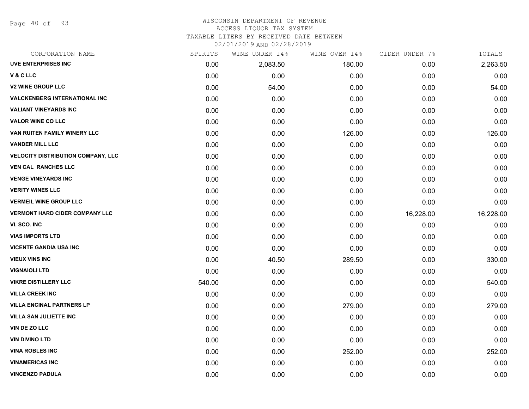Page 40 of 93

# WISCONSIN DEPARTMENT OF REVENUE

## ACCESS LIQUOR TAX SYSTEM

TAXABLE LITERS BY RECEIVED DATE BETWEEN

| CORPORATION NAME                          | SPIRITS | WINE UNDER 14% | WINE OVER 14% | CIDER UNDER 7% | TOTALS    |
|-------------------------------------------|---------|----------------|---------------|----------------|-----------|
| <b>UVE ENTERPRISES INC</b>                | 0.00    | 2,083.50       | 180.00        | 0.00           | 2,263.50  |
| V&CLLC                                    | 0.00    | 0.00           | 0.00          | 0.00           | 0.00      |
| <b>V2 WINE GROUP LLC</b>                  | 0.00    | 54.00          | 0.00          | 0.00           | 54.00     |
| <b>VALCKENBERG INTERNATIONAL INC</b>      | 0.00    | 0.00           | 0.00          | 0.00           | 0.00      |
| <b>VALIANT VINEYARDS INC</b>              | 0.00    | 0.00           | 0.00          | 0.00           | 0.00      |
| <b>VALOR WINE CO LLC</b>                  | 0.00    | 0.00           | 0.00          | 0.00           | 0.00      |
| VAN RUITEN FAMILY WINERY LLC              | 0.00    | 0.00           | 126.00        | 0.00           | 126.00    |
| <b>VANDER MILL LLC</b>                    | 0.00    | 0.00           | 0.00          | 0.00           | 0.00      |
| <b>VELOCITY DISTRIBUTION COMPANY, LLC</b> | 0.00    | 0.00           | 0.00          | 0.00           | 0.00      |
| <b>VEN CAL RANCHES LLC</b>                | 0.00    | 0.00           | 0.00          | 0.00           | 0.00      |
| <b>VENGE VINEYARDS INC</b>                | 0.00    | 0.00           | 0.00          | 0.00           | 0.00      |
| <b>VERITY WINES LLC</b>                   | 0.00    | 0.00           | 0.00          | 0.00           | 0.00      |
| <b>VERMEIL WINE GROUP LLC</b>             | 0.00    | 0.00           | 0.00          | 0.00           | 0.00      |
| <b>VERMONT HARD CIDER COMPANY LLC</b>     | 0.00    | 0.00           | 0.00          | 16,228.00      | 16,228.00 |
| VI. SCO. INC                              | 0.00    | 0.00           | 0.00          | 0.00           | 0.00      |
| <b>VIAS IMPORTS LTD</b>                   | 0.00    | 0.00           | 0.00          | 0.00           | 0.00      |
| <b>VICENTE GANDIA USA INC</b>             | 0.00    | 0.00           | 0.00          | 0.00           | 0.00      |
| <b>VIEUX VINS INC</b>                     | 0.00    | 40.50          | 289.50        | 0.00           | 330.00    |
| <b>VIGNAIOLI LTD</b>                      | 0.00    | 0.00           | 0.00          | 0.00           | 0.00      |
| <b>VIKRE DISTILLERY LLC</b>               | 540.00  | 0.00           | 0.00          | 0.00           | 540.00    |
| <b>VILLA CREEK INC</b>                    | 0.00    | 0.00           | 0.00          | 0.00           | 0.00      |
| <b>VILLA ENCINAL PARTNERS LP</b>          | 0.00    | 0.00           | 279.00        | 0.00           | 279.00    |
| <b>VILLA SAN JULIETTE INC</b>             | 0.00    | 0.00           | 0.00          | 0.00           | 0.00      |
| VIN DE ZO LLC                             | 0.00    | 0.00           | 0.00          | 0.00           | 0.00      |
| <b>VIN DIVINO LTD</b>                     | 0.00    | 0.00           | 0.00          | 0.00           | 0.00      |
| <b>VINA ROBLES INC</b>                    | 0.00    | 0.00           | 252.00        | 0.00           | 252.00    |
| <b>VINAMERICAS INC</b>                    | 0.00    | 0.00           | 0.00          | 0.00           | 0.00      |
| <b>VINCENZO PADULA</b>                    | 0.00    | 0.00           | 0.00          | 0.00           | 0.00      |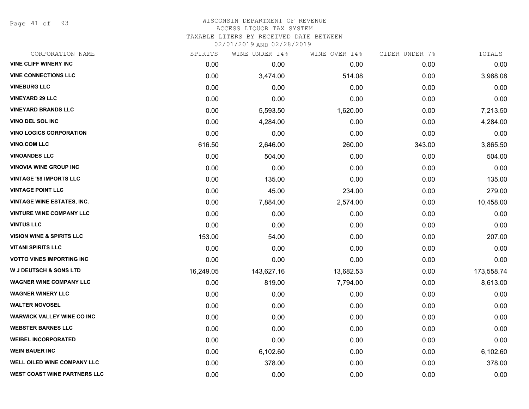Page 41 of 93

#### WISCONSIN DEPARTMENT OF REVENUE ACCESS LIQUOR TAX SYSTEM

TAXABLE LITERS BY RECEIVED DATE BETWEEN

| CORPORATION NAME                     | SPIRITS   | WINE UNDER 14% | WINE OVER 14% | CIDER UNDER 7% | TOTALS     |
|--------------------------------------|-----------|----------------|---------------|----------------|------------|
| <b>VINE CLIFF WINERY INC</b>         | 0.00      | 0.00           | 0.00          | 0.00           | 0.00       |
| <b>VINE CONNECTIONS LLC</b>          | 0.00      | 3,474.00       | 514.08        | 0.00           | 3,988.08   |
| <b>VINEBURG LLC</b>                  | 0.00      | 0.00           | 0.00          | 0.00           | 0.00       |
| <b>VINEYARD 29 LLC</b>               | 0.00      | 0.00           | 0.00          | 0.00           | 0.00       |
| <b>VINEYARD BRANDS LLC</b>           | 0.00      | 5,593.50       | 1,620.00      | 0.00           | 7,213.50   |
| VINO DEL SOL INC                     | 0.00      | 4,284.00       | 0.00          | 0.00           | 4,284.00   |
| <b>VINO LOGICS CORPORATION</b>       | 0.00      | 0.00           | 0.00          | 0.00           | 0.00       |
| <b>VINO.COM LLC</b>                  | 616.50    | 2,646.00       | 260.00        | 343.00         | 3,865.50   |
| <b>VINOANDES LLC</b>                 | 0.00      | 504.00         | 0.00          | 0.00           | 504.00     |
| <b>VINOVIA WINE GROUP INC</b>        | 0.00      | 0.00           | 0.00          | 0.00           | 0.00       |
| <b>VINTAGE '59 IMPORTS LLC</b>       | 0.00      | 135.00         | 0.00          | 0.00           | 135.00     |
| <b>VINTAGE POINT LLC</b>             | 0.00      | 45.00          | 234.00        | 0.00           | 279.00     |
| <b>VINTAGE WINE ESTATES, INC.</b>    | 0.00      | 7,884.00       | 2,574.00      | 0.00           | 10,458.00  |
| <b>VINTURE WINE COMPANY LLC</b>      | 0.00      | 0.00           | 0.00          | 0.00           | 0.00       |
| <b>VINTUS LLC</b>                    | 0.00      | 0.00           | 0.00          | 0.00           | 0.00       |
| <b>VISION WINE &amp; SPIRITS LLC</b> | 153.00    | 54.00          | 0.00          | 0.00           | 207.00     |
| <b>VITANI SPIRITS LLC</b>            | 0.00      | 0.00           | 0.00          | 0.00           | 0.00       |
| <b>VOTTO VINES IMPORTING INC</b>     | 0.00      | 0.00           | 0.00          | 0.00           | 0.00       |
| <b>W J DEUTSCH &amp; SONS LTD</b>    | 16,249.05 | 143,627.16     | 13,682.53     | 0.00           | 173,558.74 |
| <b>WAGNER WINE COMPANY LLC</b>       | 0.00      | 819.00         | 7,794.00      | 0.00           | 8,613.00   |
| <b>WAGNER WINERY LLC</b>             | 0.00      | 0.00           | 0.00          | 0.00           | 0.00       |
| <b>WALTER NOVOSEL</b>                | 0.00      | 0.00           | 0.00          | 0.00           | 0.00       |
| <b>WARWICK VALLEY WINE CO INC</b>    | 0.00      | 0.00           | 0.00          | 0.00           | 0.00       |
| <b>WEBSTER BARNES LLC</b>            | 0.00      | 0.00           | 0.00          | 0.00           | 0.00       |
| <b>WEIBEL INCORPORATED</b>           | 0.00      | 0.00           | 0.00          | 0.00           | 0.00       |
| <b>WEIN BAUER INC</b>                | 0.00      | 6,102.60       | 0.00          | 0.00           | 6,102.60   |
| WELL OILED WINE COMPANY LLC          | 0.00      | 378.00         | 0.00          | 0.00           | 378.00     |
| <b>WEST COAST WINE PARTNERS LLC</b>  | 0.00      | 0.00           | 0.00          | 0.00           | 0.00       |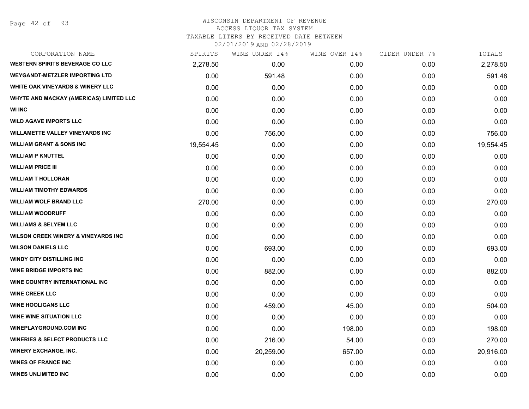# WISCONSIN DEPARTMENT OF REVENUE

ACCESS LIQUOR TAX SYSTEM

TAXABLE LITERS BY RECEIVED DATE BETWEEN

| CORPORATION NAME                               | SPIRITS   | WINE UNDER 14% | WINE OVER 14% | CIDER UNDER 7% | TOTALS    |
|------------------------------------------------|-----------|----------------|---------------|----------------|-----------|
| <b>WESTERN SPIRITS BEVERAGE CO LLC</b>         | 2,278.50  | 0.00           | 0.00          | 0.00           | 2,278.50  |
| <b>WEYGANDT-METZLER IMPORTING LTD</b>          | 0.00      | 591.48         | 0.00          | 0.00           | 591.48    |
| <b>WHITE OAK VINEYARDS &amp; WINERY LLC</b>    | 0.00      | 0.00           | 0.00          | 0.00           | 0.00      |
| WHYTE AND MACKAY (AMERICAS) LIMITED LLC        | 0.00      | 0.00           | 0.00          | 0.00           | 0.00      |
| <b>WI INC</b>                                  | 0.00      | 0.00           | 0.00          | 0.00           | 0.00      |
| <b>WILD AGAVE IMPORTS LLC</b>                  | 0.00      | 0.00           | 0.00          | 0.00           | 0.00      |
| <b>WILLAMETTE VALLEY VINEYARDS INC</b>         | 0.00      | 756.00         | 0.00          | 0.00           | 756.00    |
| <b>WILLIAM GRANT &amp; SONS INC</b>            | 19,554.45 | 0.00           | 0.00          | 0.00           | 19,554.45 |
| <b>WILLIAM P KNUTTEL</b>                       | 0.00      | 0.00           | 0.00          | 0.00           | 0.00      |
| <b>WILLIAM PRICE III</b>                       | 0.00      | 0.00           | 0.00          | 0.00           | 0.00      |
| <b>WILLIAM T HOLLORAN</b>                      | 0.00      | 0.00           | 0.00          | 0.00           | 0.00      |
| <b>WILLIAM TIMOTHY EDWARDS</b>                 | 0.00      | 0.00           | 0.00          | 0.00           | 0.00      |
| <b>WILLIAM WOLF BRAND LLC</b>                  | 270.00    | 0.00           | 0.00          | 0.00           | 270.00    |
| <b>WILLIAM WOODRUFF</b>                        | 0.00      | 0.00           | 0.00          | 0.00           | 0.00      |
| <b>WILLIAMS &amp; SELYEM LLC</b>               | 0.00      | 0.00           | 0.00          | 0.00           | 0.00      |
| <b>WILSON CREEK WINERY &amp; VINEYARDS INC</b> | 0.00      | 0.00           | 0.00          | 0.00           | 0.00      |
| <b>WILSON DANIELS LLC</b>                      | 0.00      | 693.00         | 0.00          | 0.00           | 693.00    |
| <b>WINDY CITY DISTILLING INC</b>               | 0.00      | 0.00           | 0.00          | 0.00           | 0.00      |
| <b>WINE BRIDGE IMPORTS INC</b>                 | 0.00      | 882.00         | 0.00          | 0.00           | 882.00    |
| WINE COUNTRY INTERNATIONAL INC                 | 0.00      | 0.00           | 0.00          | 0.00           | 0.00      |
| <b>WINE CREEK LLC</b>                          | 0.00      | 0.00           | 0.00          | 0.00           | 0.00      |
| <b>WINE HOOLIGANS LLC</b>                      | 0.00      | 459.00         | 45.00         | 0.00           | 504.00    |
| <b>WINE WINE SITUATION LLC</b>                 | 0.00      | 0.00           | 0.00          | 0.00           | 0.00      |
| <b>WINEPLAYGROUND.COM INC</b>                  | 0.00      | 0.00           | 198.00        | 0.00           | 198.00    |
| <b>WINERIES &amp; SELECT PRODUCTS LLC</b>      | 0.00      | 216.00         | 54.00         | 0.00           | 270.00    |
| <b>WINERY EXCHANGE, INC.</b>                   | 0.00      | 20,259.00      | 657.00        | 0.00           | 20,916.00 |
| <b>WINES OF FRANCE INC</b>                     | 0.00      | 0.00           | 0.00          | 0.00           | 0.00      |
| <b>WINES UNLIMITED INC</b>                     | 0.00      | 0.00           | 0.00          | 0.00           | 0.00      |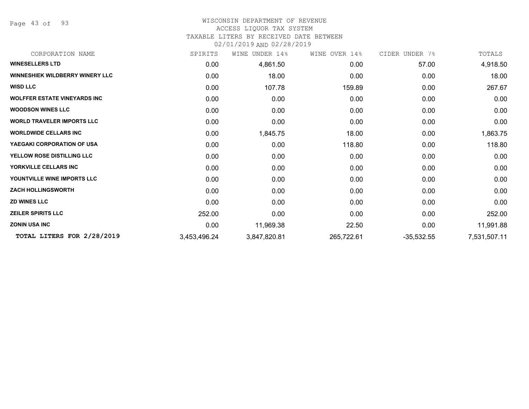Page 43 of 93

#### WISCONSIN DEPARTMENT OF REVENUE ACCESS LIQUOR TAX SYSTEM

## TAXABLE LITERS BY RECEIVED DATE BETWEEN

| CORPORATION NAME                       | SPIRITS      | UNDER 14%<br>WINE | WINE OVER 14% | CIDER UNDER 7% | TOTALS       |
|----------------------------------------|--------------|-------------------|---------------|----------------|--------------|
| <b>WINESELLERS LTD</b>                 | 0.00         | 4,861.50          | 0.00          | 57.00          | 4,918.50     |
| <b>WINNESHIEK WILDBERRY WINERY LLC</b> | 0.00         | 18.00             | 0.00          | 0.00           | 18.00        |
| <b>WISD LLC</b>                        | 0.00         | 107.78            | 159.89        | 0.00           | 267.67       |
| <b>WOLFFER ESTATE VINEYARDS INC</b>    | 0.00         | 0.00              | 0.00          | 0.00           | 0.00         |
| <b>WOODSON WINES LLC</b>               | 0.00         | 0.00              | 0.00          | 0.00           | 0.00         |
| <b>WORLD TRAVELER IMPORTS LLC</b>      | 0.00         | 0.00              | 0.00          | 0.00           | 0.00         |
| <b>WORLDWIDE CELLARS INC</b>           | 0.00         | 1,845.75          | 18.00         | 0.00           | 1,863.75     |
| YAEGAKI CORPORATION OF USA             | 0.00         | 0.00              | 118.80        | 0.00           | 118.80       |
| YELLOW ROSE DISTILLING LLC             | 0.00         | 0.00              | 0.00          | 0.00           | 0.00         |
| YORKVILLE CELLARS INC                  | 0.00         | 0.00              | 0.00          | 0.00           | 0.00         |
| YOUNTVILLE WINE IMPORTS LLC            | 0.00         | 0.00              | 0.00          | 0.00           | 0.00         |
| <b>ZACH HOLLINGSWORTH</b>              | 0.00         | 0.00              | 0.00          | 0.00           | 0.00         |
| <b>ZD WINES LLC</b>                    | 0.00         | 0.00              | 0.00          | 0.00           | 0.00         |
| <b>ZEILER SPIRITS LLC</b>              | 252.00       | 0.00              | 0.00          | 0.00           | 252.00       |
| <b>ZONIN USA INC</b>                   | 0.00         | 11,969.38         | 22.50         | 0.00           | 11,991.88    |
| TOTAL LITERS FOR 2/28/2019             | 3,453,496.24 | 3,847,820.81      | 265,722.61    | $-35,532.55$   | 7,531,507.11 |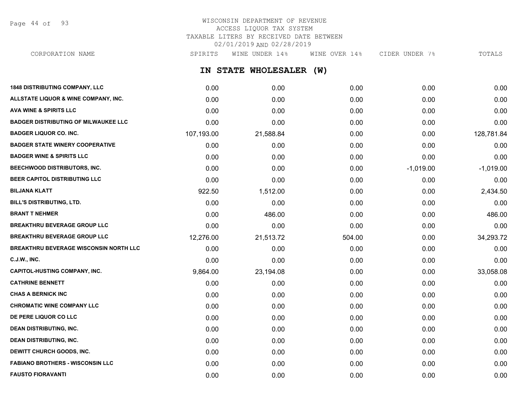Page 44 of 93

## WISCONSIN DEPARTMENT OF REVENUE ACCESS LIQUOR TAX SYSTEM TAXABLE LITERS BY RECEIVED DATE BETWEEN 02/01/2019 AND 02/28/2019

CORPORATION NAME SPIRITS WINE UNDER 14% WINE OVER 14% CIDER UNDER 7% TOTALS

**IN STATE WHOLESALER (W)**

| <b>1848 DISTRIBUTING COMPANY, LLC</b>         | 0.00       | 0.00      | 0.00   | 0.00        | 0.00        |
|-----------------------------------------------|------------|-----------|--------|-------------|-------------|
| ALLSTATE LIQUOR & WINE COMPANY, INC.          | 0.00       | 0.00      | 0.00   | 0.00        | 0.00        |
| <b>AVA WINE &amp; SPIRITS LLC</b>             | 0.00       | 0.00      | 0.00   | 0.00        | 0.00        |
| <b>BADGER DISTRIBUTING OF MILWAUKEE LLC</b>   | 0.00       | 0.00      | 0.00   | 0.00        | 0.00        |
| <b>BADGER LIQUOR CO. INC.</b>                 | 107,193.00 | 21,588.84 | 0.00   | 0.00        | 128,781.84  |
| <b>BADGER STATE WINERY COOPERATIVE</b>        | 0.00       | 0.00      | 0.00   | 0.00        | 0.00        |
| <b>BADGER WINE &amp; SPIRITS LLC</b>          | 0.00       | 0.00      | 0.00   | 0.00        | 0.00        |
| BEECHWOOD DISTRIBUTORS, INC.                  | 0.00       | 0.00      | 0.00   | $-1,019.00$ | $-1,019.00$ |
| BEER CAPITOL DISTRIBUTING LLC                 | 0.00       | 0.00      | 0.00   | 0.00        | 0.00        |
| <b>BILJANA KLATT</b>                          | 922.50     | 1,512.00  | 0.00   | 0.00        | 2,434.50    |
| BILL'S DISTRIBUTING, LTD.                     | 0.00       | 0.00      | 0.00   | 0.00        | 0.00        |
| <b>BRANT T NEHMER</b>                         | 0.00       | 486.00    | 0.00   | 0.00        | 486.00      |
| <b>BREAKTHRU BEVERAGE GROUP LLC</b>           | 0.00       | 0.00      | 0.00   | 0.00        | 0.00        |
| <b>BREAKTHRU BEVERAGE GROUP LLC</b>           | 12,276.00  | 21,513.72 | 504.00 | 0.00        | 34,293.72   |
| <b>BREAKTHRU BEVERAGE WISCONSIN NORTH LLC</b> | 0.00       | 0.00      | 0.00   | 0.00        | 0.00        |
| <b>C.J.W., INC.</b>                           | 0.00       | 0.00      | 0.00   | 0.00        | 0.00        |
| <b>CAPITOL-HUSTING COMPANY, INC.</b>          | 9,864.00   | 23,194.08 | 0.00   | 0.00        | 33,058.08   |
| <b>CATHRINE BENNETT</b>                       | 0.00       | 0.00      | 0.00   | 0.00        | 0.00        |
| <b>CHAS A BERNICK INC</b>                     | 0.00       | 0.00      | 0.00   | 0.00        | 0.00        |
| <b>CHROMATIC WINE COMPANY LLC</b>             | 0.00       | 0.00      | 0.00   | 0.00        | 0.00        |
| DE PERE LIQUOR CO LLC                         | 0.00       | 0.00      | 0.00   | 0.00        | 0.00        |
| <b>DEAN DISTRIBUTING, INC.</b>                | 0.00       | 0.00      | 0.00   | 0.00        | 0.00        |
| <b>DEAN DISTRIBUTING, INC.</b>                | 0.00       | 0.00      | 0.00   | 0.00        | 0.00        |
| DEWITT CHURCH GOODS, INC.                     | 0.00       | 0.00      | 0.00   | 0.00        | 0.00        |
| <b>FABIANO BROTHERS - WISCONSIN LLC</b>       | 0.00       | 0.00      | 0.00   | 0.00        | 0.00        |
| <b>FAUSTO FIORAVANTI</b>                      | 0.00       | 0.00      | 0.00   | 0.00        | 0.00        |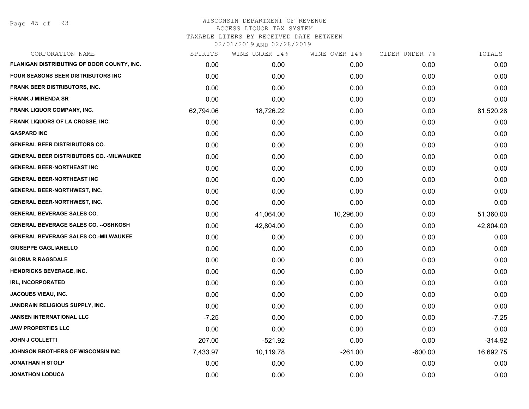Page 45 of 93

| CORPORATION NAME                                 | SPIRITS   | WINE UNDER 14% | WINE OVER 14% | CIDER UNDER 7% | TOTALS    |
|--------------------------------------------------|-----------|----------------|---------------|----------------|-----------|
| FLANIGAN DISTRIBUTING OF DOOR COUNTY, INC.       | 0.00      | 0.00           | 0.00          | 0.00           | 0.00      |
| FOUR SEASONS BEER DISTRIBUTORS INC               | 0.00      | 0.00           | 0.00          | 0.00           | 0.00      |
| FRANK BEER DISTRIBUTORS, INC.                    | 0.00      | 0.00           | 0.00          | 0.00           | 0.00      |
| <b>FRANK J MIRENDA SR</b>                        | 0.00      | 0.00           | 0.00          | 0.00           | 0.00      |
| FRANK LIQUOR COMPANY, INC.                       | 62,794.06 | 18,726.22      | 0.00          | 0.00           | 81,520.28 |
| <b>FRANK LIQUORS OF LA CROSSE, INC.</b>          | 0.00      | 0.00           | 0.00          | 0.00           | 0.00      |
| <b>GASPARD INC</b>                               | 0.00      | 0.00           | 0.00          | 0.00           | 0.00      |
| <b>GENERAL BEER DISTRIBUTORS CO.</b>             | 0.00      | 0.00           | 0.00          | 0.00           | 0.00      |
| <b>GENERAL BEER DISTRIBUTORS CO. - MILWAUKEE</b> | 0.00      | 0.00           | 0.00          | 0.00           | 0.00      |
| <b>GENERAL BEER-NORTHEAST INC</b>                | 0.00      | 0.00           | 0.00          | 0.00           | 0.00      |
| <b>GENERAL BEER-NORTHEAST INC</b>                | 0.00      | 0.00           | 0.00          | 0.00           | 0.00      |
| <b>GENERAL BEER-NORTHWEST, INC.</b>              | 0.00      | 0.00           | 0.00          | 0.00           | 0.00      |
| <b>GENERAL BEER-NORTHWEST, INC.</b>              | 0.00      | 0.00           | 0.00          | 0.00           | 0.00      |
| <b>GENERAL BEVERAGE SALES CO.</b>                | 0.00      | 41,064.00      | 10,296.00     | 0.00           | 51,360.00 |
| <b>GENERAL BEVERAGE SALES CO. -- OSHKOSH</b>     | 0.00      | 42,804.00      | 0.00          | 0.00           | 42,804.00 |
| <b>GENERAL BEVERAGE SALES CO.-MILWAUKEE</b>      | 0.00      | 0.00           | 0.00          | 0.00           | 0.00      |
| <b>GIUSEPPE GAGLIANELLO</b>                      | 0.00      | 0.00           | 0.00          | 0.00           | 0.00      |
| <b>GLORIA R RAGSDALE</b>                         | 0.00      | 0.00           | 0.00          | 0.00           | 0.00      |
| <b>HENDRICKS BEVERAGE, INC.</b>                  | 0.00      | 0.00           | 0.00          | 0.00           | 0.00      |
| <b>IRL, INCORPORATED</b>                         | 0.00      | 0.00           | 0.00          | 0.00           | 0.00      |
| <b>JACQUES VIEAU, INC.</b>                       | 0.00      | 0.00           | 0.00          | 0.00           | 0.00      |
| JANDRAIN RELIGIOUS SUPPLY, INC.                  | 0.00      | 0.00           | 0.00          | 0.00           | 0.00      |
| <b>JANSEN INTERNATIONAL LLC</b>                  | $-7.25$   | 0.00           | 0.00          | 0.00           | $-7.25$   |
| <b>JAW PROPERTIES LLC</b>                        | 0.00      | 0.00           | 0.00          | 0.00           | 0.00      |
| <b>JOHN J COLLETTI</b>                           | 207.00    | $-521.92$      | 0.00          | 0.00           | $-314.92$ |
| JOHNSON BROTHERS OF WISCONSIN INC                | 7,433.97  | 10,119.78      | $-261.00$     | $-600.00$      | 16,692.75 |
| <b>JONATHAN H STOLP</b>                          | 0.00      | 0.00           | 0.00          | 0.00           | 0.00      |
| <b>JONATHON LODUCA</b>                           | 0.00      | 0.00           | 0.00          | 0.00           | 0.00      |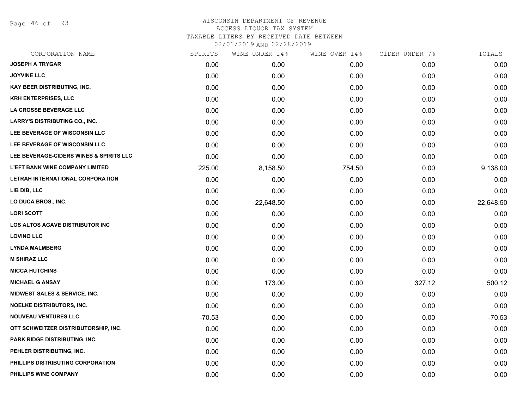Page 46 of 93

| CORPORATION NAME                        | SPIRITS  | WINE UNDER 14% | WINE OVER 14% | CIDER UNDER 7% | TOTALS    |
|-----------------------------------------|----------|----------------|---------------|----------------|-----------|
| <b>JOSEPH A TRYGAR</b>                  | 0.00     | 0.00           | 0.00          | 0.00           | 0.00      |
| <b>JOYVINE LLC</b>                      | 0.00     | 0.00           | 0.00          | 0.00           | 0.00      |
| <b>KAY BEER DISTRIBUTING, INC.</b>      | 0.00     | 0.00           | 0.00          | 0.00           | 0.00      |
| <b>KRH ENTERPRISES, LLC</b>             | 0.00     | 0.00           | 0.00          | 0.00           | 0.00      |
| LA CROSSE BEVERAGE LLC                  | 0.00     | 0.00           | 0.00          | 0.00           | 0.00      |
| <b>LARRY'S DISTRIBUTING CO., INC.</b>   | 0.00     | 0.00           | 0.00          | 0.00           | 0.00      |
| LEE BEVERAGE OF WISCONSIN LLC           | 0.00     | 0.00           | 0.00          | 0.00           | 0.00      |
| LEE BEVERAGE OF WISCONSIN LLC           | 0.00     | 0.00           | 0.00          | 0.00           | 0.00      |
| LEE BEVERAGE-CIDERS WINES & SPIRITS LLC | 0.00     | 0.00           | 0.00          | 0.00           | 0.00      |
| <b>L'EFT BANK WINE COMPANY LIMITED</b>  | 225.00   | 8,158.50       | 754.50        | 0.00           | 9,138.00  |
| LETRAH INTERNATIONAL CORPORATION        | 0.00     | 0.00           | 0.00          | 0.00           | 0.00      |
| LIB DIB, LLC                            | 0.00     | 0.00           | 0.00          | 0.00           | 0.00      |
| LO DUCA BROS., INC.                     | 0.00     | 22,648.50      | 0.00          | 0.00           | 22,648.50 |
| <b>LORI SCOTT</b>                       | 0.00     | 0.00           | 0.00          | 0.00           | 0.00      |
| <b>LOS ALTOS AGAVE DISTRIBUTOR INC</b>  | 0.00     | 0.00           | 0.00          | 0.00           | 0.00      |
| <b>LOVINO LLC</b>                       | 0.00     | 0.00           | 0.00          | 0.00           | 0.00      |
| <b>LYNDA MALMBERG</b>                   | 0.00     | 0.00           | 0.00          | 0.00           | 0.00      |
| <b>M SHIRAZ LLC</b>                     | 0.00     | 0.00           | 0.00          | 0.00           | 0.00      |
| <b>MICCA HUTCHINS</b>                   | 0.00     | 0.00           | 0.00          | 0.00           | 0.00      |
| <b>MICHAEL G ANSAY</b>                  | 0.00     | 173.00         | 0.00          | 327.12         | 500.12    |
| MIDWEST SALES & SERVICE, INC.           | 0.00     | 0.00           | 0.00          | 0.00           | 0.00      |
| NOELKE DISTRIBUTORS, INC.               | 0.00     | 0.00           | 0.00          | 0.00           | 0.00      |
| <b>NOUVEAU VENTURES LLC</b>             | $-70.53$ | 0.00           | 0.00          | 0.00           | $-70.53$  |
| OTT SCHWEITZER DISTRIBUTORSHIP, INC.    | 0.00     | 0.00           | 0.00          | 0.00           | 0.00      |
| PARK RIDGE DISTRIBUTING, INC.           | 0.00     | 0.00           | 0.00          | 0.00           | 0.00      |
| PEHLER DISTRIBUTING, INC.               | 0.00     | 0.00           | 0.00          | 0.00           | 0.00      |
| PHILLIPS DISTRIBUTING CORPORATION       | 0.00     | 0.00           | 0.00          | 0.00           | 0.00      |
| PHILLIPS WINE COMPANY                   | 0.00     | 0.00           | 0.00          | 0.00           | 0.00      |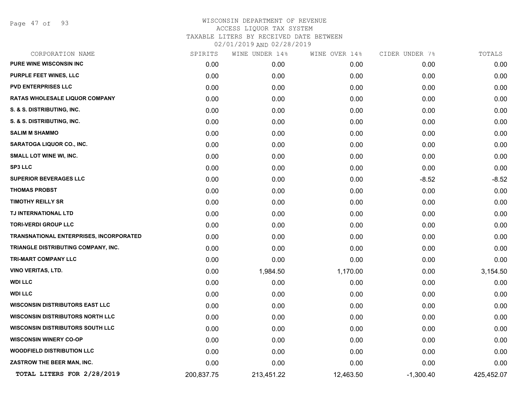Page 47 of 93

| CORPORATION NAME                        | SPIRITS    | WINE UNDER 14% | WINE OVER 14% | CIDER UNDER 7% | TOTALS     |
|-----------------------------------------|------------|----------------|---------------|----------------|------------|
| PURE WINE WISCONSIN INC                 | 0.00       | 0.00           | 0.00          | 0.00           | 0.00       |
| <b>PURPLE FEET WINES, LLC</b>           | 0.00       | 0.00           | 0.00          | 0.00           | 0.00       |
| <b>PVD ENTERPRISES LLC</b>              | 0.00       | 0.00           | 0.00          | 0.00           | 0.00       |
| <b>RATAS WHOLESALE LIQUOR COMPANY</b>   | 0.00       | 0.00           | 0.00          | 0.00           | 0.00       |
| S. & S. DISTRIBUTING, INC.              | 0.00       | 0.00           | 0.00          | 0.00           | 0.00       |
| S. & S. DISTRIBUTING, INC.              | 0.00       | 0.00           | 0.00          | 0.00           | 0.00       |
| <b>SALIM M SHAMMO</b>                   | 0.00       | 0.00           | 0.00          | 0.00           | 0.00       |
| SARATOGA LIQUOR CO., INC.               | 0.00       | 0.00           | 0.00          | 0.00           | 0.00       |
| SMALL LOT WINE WI, INC.                 | 0.00       | 0.00           | 0.00          | 0.00           | 0.00       |
| <b>SP3 LLC</b>                          | 0.00       | 0.00           | 0.00          | 0.00           | 0.00       |
| <b>SUPERIOR BEVERAGES LLC</b>           | 0.00       | 0.00           | 0.00          | $-8.52$        | $-8.52$    |
| <b>THOMAS PROBST</b>                    | 0.00       | 0.00           | 0.00          | 0.00           | 0.00       |
| <b>TIMOTHY REILLY SR</b>                | 0.00       | 0.00           | 0.00          | 0.00           | 0.00       |
| TJ INTERNATIONAL LTD                    | 0.00       | 0.00           | 0.00          | 0.00           | 0.00       |
| <b>TORI-VERDI GROUP LLC</b>             | 0.00       | 0.00           | 0.00          | 0.00           | 0.00       |
| TRANSNATIONAL ENTERPRISES, INCORPORATED | 0.00       | 0.00           | 0.00          | 0.00           | 0.00       |
| TRIANGLE DISTRIBUTING COMPANY, INC.     | 0.00       | 0.00           | 0.00          | 0.00           | 0.00       |
| TRI-MART COMPANY LLC                    | 0.00       | 0.00           | 0.00          | 0.00           | 0.00       |
| VINO VERITAS, LTD.                      | 0.00       | 1,984.50       | 1,170.00      | 0.00           | 3,154.50   |
| <b>WDI LLC</b>                          | 0.00       | 0.00           | 0.00          | 0.00           | 0.00       |
| <b>WDI LLC</b>                          | 0.00       | 0.00           | 0.00          | 0.00           | 0.00       |
| <b>WISCONSIN DISTRIBUTORS EAST LLC</b>  | 0.00       | 0.00           | 0.00          | 0.00           | 0.00       |
| <b>WISCONSIN DISTRIBUTORS NORTH LLC</b> | 0.00       | 0.00           | 0.00          | 0.00           | 0.00       |
| <b>WISCONSIN DISTRIBUTORS SOUTH LLC</b> | 0.00       | 0.00           | 0.00          | 0.00           | 0.00       |
| <b>WISCONSIN WINERY CO-OP</b>           | 0.00       | 0.00           | 0.00          | 0.00           | 0.00       |
| <b>WOODFIELD DISTRIBUTION LLC</b>       | 0.00       | 0.00           | 0.00          | 0.00           | 0.00       |
| ZASTROW THE BEER MAN, INC.              | 0.00       | 0.00           | 0.00          | 0.00           | 0.00       |
| TOTAL LITERS FOR 2/28/2019              | 200,837.75 | 213,451.22     | 12,463.50     | $-1,300.40$    | 425,452.07 |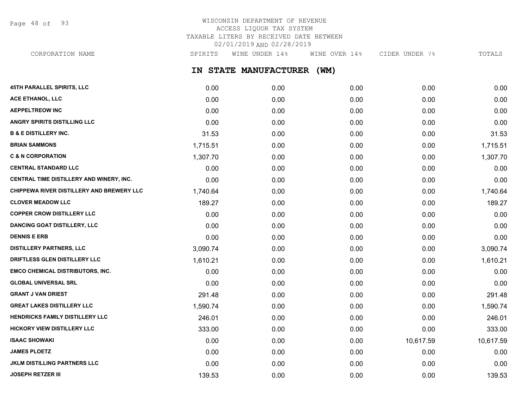Page 48 of 93

## WISCONSIN DEPARTMENT OF REVENUE ACCESS LIQUOR TAX SYSTEM TAXABLE LITERS BY RECEIVED DATE BETWEEN 02/01/2019 AND 02/28/2019

CORPORATION NAME SPIRITS WINE UNDER 14% WINE OVER 14% CIDER UNDER 7% TOTALS

**IN STATE MANUFACTURER (WM)**

| 45TH PARALLEL SPIRITS, LLC                | 0.00     | 0.00 | 0.00 | 0.00      | 0.00      |
|-------------------------------------------|----------|------|------|-----------|-----------|
| <b>ACE ETHANOL, LLC</b>                   | 0.00     | 0.00 | 0.00 | 0.00      | 0.00      |
| <b>AEPPELTREOW INC</b>                    | 0.00     | 0.00 | 0.00 | 0.00      | 0.00      |
| ANGRY SPIRITS DISTILLING LLC              | 0.00     | 0.00 | 0.00 | 0.00      | 0.00      |
| <b>B &amp; E DISTILLERY INC.</b>          | 31.53    | 0.00 | 0.00 | 0.00      | 31.53     |
| <b>BRIAN SAMMONS</b>                      | 1,715.51 | 0.00 | 0.00 | 0.00      | 1,715.51  |
| <b>C &amp; N CORPORATION</b>              | 1,307.70 | 0.00 | 0.00 | 0.00      | 1,307.70  |
| <b>CENTRAL STANDARD LLC</b>               | 0.00     | 0.00 | 0.00 | 0.00      | 0.00      |
| CENTRAL TIME DISTILLERY AND WINERY, INC.  | 0.00     | 0.00 | 0.00 | 0.00      | 0.00      |
| CHIPPEWA RIVER DISTILLERY AND BREWERY LLC | 1,740.64 | 0.00 | 0.00 | 0.00      | 1,740.64  |
| <b>CLOVER MEADOW LLC</b>                  | 189.27   | 0.00 | 0.00 | 0.00      | 189.27    |
| <b>COPPER CROW DISTILLERY LLC</b>         | 0.00     | 0.00 | 0.00 | 0.00      | 0.00      |
| <b>DANCING GOAT DISTILLERY, LLC</b>       | 0.00     | 0.00 | 0.00 | 0.00      | 0.00      |
| <b>DENNIS E ERB</b>                       | 0.00     | 0.00 | 0.00 | 0.00      | 0.00      |
| <b>DISTILLERY PARTNERS, LLC</b>           | 3,090.74 | 0.00 | 0.00 | 0.00      | 3,090.74  |
| DRIFTLESS GLEN DISTILLERY LLC             | 1,610.21 | 0.00 | 0.00 | 0.00      | 1,610.21  |
| <b>EMCO CHEMICAL DISTRIBUTORS, INC.</b>   | 0.00     | 0.00 | 0.00 | 0.00      | 0.00      |
| <b>GLOBAL UNIVERSAL SRL</b>               | 0.00     | 0.00 | 0.00 | 0.00      | 0.00      |
| <b>GRANT J VAN DRIEST</b>                 | 291.48   | 0.00 | 0.00 | 0.00      | 291.48    |
| <b>GREAT LAKES DISTILLERY LLC</b>         | 1,590.74 | 0.00 | 0.00 | 0.00      | 1,590.74  |
| HENDRICKS FAMILY DISTILLERY LLC           | 246.01   | 0.00 | 0.00 | 0.00      | 246.01    |
| <b>HICKORY VIEW DISTILLERY LLC</b>        | 333.00   | 0.00 | 0.00 | 0.00      | 333.00    |
| <b>ISAAC SHOWAKI</b>                      | 0.00     | 0.00 | 0.00 | 10,617.59 | 10,617.59 |
| <b>JAMES PLOETZ</b>                       | 0.00     | 0.00 | 0.00 | 0.00      | 0.00      |
| <b>JKLM DISTILLING PARTNERS LLC</b>       | 0.00     | 0.00 | 0.00 | 0.00      | 0.00      |
| <b>JOSEPH RETZER III</b>                  | 139.53   | 0.00 | 0.00 | 0.00      | 139.53    |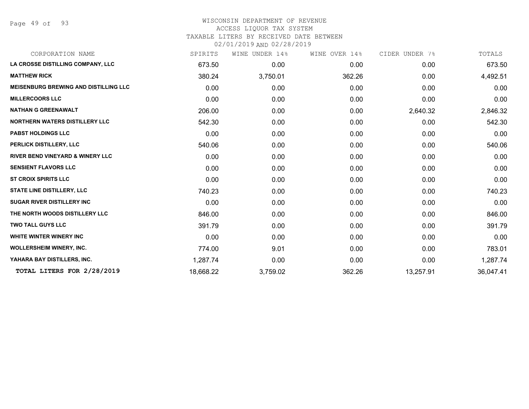Page 49 of 93

## WISCONSIN DEPARTMENT OF REVENUE ACCESS LIQUOR TAX SYSTEM TAXABLE LITERS BY RECEIVED DATE BETWEEN

| CORPORATION NAME                             | SPIRITS   | WINE UNDER 14% | WINE OVER 14% | CIDER UNDER 7% | TOTALS    |
|----------------------------------------------|-----------|----------------|---------------|----------------|-----------|
| LA CROSSE DISTILLING COMPANY, LLC            | 673.50    | 0.00           | 0.00          | 0.00           | 673.50    |
| <b>MATTHEW RICK</b>                          | 380.24    | 3,750.01       | 362.26        | 0.00           | 4,492.51  |
| <b>MEISENBURG BREWING AND DISTILLING LLC</b> | 0.00      | 0.00           | 0.00          | 0.00           | 0.00      |
| <b>MILLERCOORS LLC</b>                       | 0.00      | 0.00           | 0.00          | 0.00           | 0.00      |
| <b>NATHAN G GREENAWALT</b>                   | 206.00    | 0.00           | 0.00          | 2,640.32       | 2,846.32  |
| <b>NORTHERN WATERS DISTILLERY LLC</b>        | 542.30    | 0.00           | 0.00          | 0.00           | 542.30    |
| <b>PABST HOLDINGS LLC</b>                    | 0.00      | 0.00           | 0.00          | 0.00           | 0.00      |
| PERLICK DISTILLERY, LLC                      | 540.06    | 0.00           | 0.00          | 0.00           | 540.06    |
| <b>RIVER BEND VINEYARD &amp; WINERY LLC</b>  | 0.00      | 0.00           | 0.00          | 0.00           | 0.00      |
| <b>SENSIENT FLAVORS LLC</b>                  | 0.00      | 0.00           | 0.00          | 0.00           | 0.00      |
| <b>ST CROIX SPIRITS LLC</b>                  | 0.00      | 0.00           | 0.00          | 0.00           | 0.00      |
| <b>STATE LINE DISTILLERY, LLC</b>            | 740.23    | 0.00           | 0.00          | 0.00           | 740.23    |
| <b>SUGAR RIVER DISTILLERY INC</b>            | 0.00      | 0.00           | 0.00          | 0.00           | 0.00      |
| THE NORTH WOODS DISTILLERY LLC               | 846.00    | 0.00           | 0.00          | 0.00           | 846.00    |
| <b>TWO TALL GUYS LLC</b>                     | 391.79    | 0.00           | 0.00          | 0.00           | 391.79    |
| <b>WHITE WINTER WINERY INC</b>               | 0.00      | 0.00           | 0.00          | 0.00           | 0.00      |
| <b>WOLLERSHEIM WINERY, INC.</b>              | 774.00    | 9.01           | 0.00          | 0.00           | 783.01    |
| YAHARA BAY DISTILLERS, INC.                  | 1,287.74  | 0.00           | 0.00          | 0.00           | 1,287.74  |
| TOTAL LITERS FOR 2/28/2019                   | 18,668.22 | 3,759.02       | 362.26        | 13,257.91      | 36,047.41 |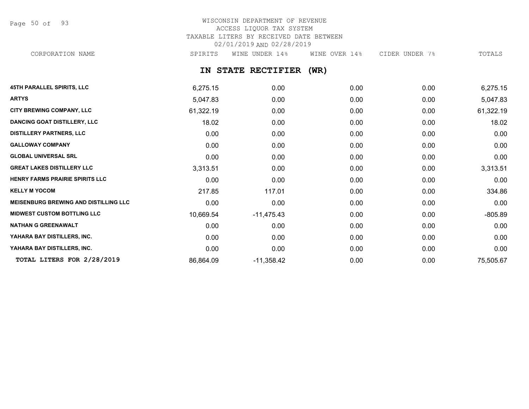Page 50 of 93

## WISCONSIN DEPARTMENT OF REVENUE ACCESS LIQUOR TAX SYSTEM TAXABLE LITERS BY RECEIVED DATE BETWEEN 02/01/2019 AND 02/28/2019 CORPORATION NAME SPIRITS WINE UNDER 14% WINE OVER 14% CIDER UNDER 7% TOTALS

**IN STATE RECTIFIER (WR)**

| <b>45TH PARALLEL SPIRITS, LLC</b>            | 6,275.15  | 0.00         | 0.00 | 0.00 | 6,275.15  |
|----------------------------------------------|-----------|--------------|------|------|-----------|
| <b>ARTYS</b>                                 | 5,047.83  | 0.00         | 0.00 | 0.00 | 5,047.83  |
| CITY BREWING COMPANY, LLC                    | 61,322.19 | 0.00         | 0.00 | 0.00 | 61,322.19 |
| <b>DANCING GOAT DISTILLERY, LLC</b>          | 18.02     | 0.00         | 0.00 | 0.00 | 18.02     |
| <b>DISTILLERY PARTNERS, LLC</b>              | 0.00      | 0.00         | 0.00 | 0.00 | 0.00      |
| <b>GALLOWAY COMPANY</b>                      | 0.00      | 0.00         | 0.00 | 0.00 | 0.00      |
| <b>GLOBAL UNIVERSAL SRL</b>                  | 0.00      | 0.00         | 0.00 | 0.00 | 0.00      |
| <b>GREAT LAKES DISTILLERY LLC</b>            | 3,313.51  | 0.00         | 0.00 | 0.00 | 3,313.51  |
| HENRY FARMS PRAIRIE SPIRITS LLC              | 0.00      | 0.00         | 0.00 | 0.00 | 0.00      |
| <b>KELLY M YOCOM</b>                         | 217.85    | 117.01       | 0.00 | 0.00 | 334.86    |
| <b>MEISENBURG BREWING AND DISTILLING LLC</b> | 0.00      | 0.00         | 0.00 | 0.00 | 0.00      |
| <b>MIDWEST CUSTOM BOTTLING LLC</b>           | 10,669.54 | $-11,475.43$ | 0.00 | 0.00 | $-805.89$ |
| <b>NATHAN G GREENAWALT</b>                   | 0.00      | 0.00         | 0.00 | 0.00 | 0.00      |
| YAHARA BAY DISTILLERS, INC.                  | 0.00      | 0.00         | 0.00 | 0.00 | 0.00      |
| YAHARA BAY DISTILLERS, INC.                  | 0.00      | 0.00         | 0.00 | 0.00 | 0.00      |
| TOTAL LITERS FOR 2/28/2019                   | 86,864.09 | $-11,358.42$ | 0.00 | 0.00 | 75,505.67 |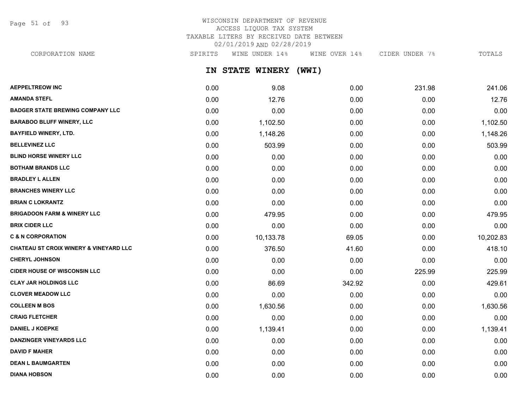Page 51 of 93

## WISCONSIN DEPARTMENT OF REVENUE ACCESS LIQUOR TAX SYSTEM TAXABLE LITERS BY RECEIVED DATE BETWEEN 02/01/2019 AND 02/28/2019

CORPORATION NAME SPIRITS WINE UNDER 14% WINE OVER 14% CIDER UNDER 7% TOTALS

**IN STATE WINERY (WWI)**

| <b>AEPPELTREOW INC</b>                            | 0.00 | 9.08      | 0.00   | 231.98 | 241.06    |
|---------------------------------------------------|------|-----------|--------|--------|-----------|
| <b>AMANDA STEFL</b>                               | 0.00 | 12.76     | 0.00   | 0.00   | 12.76     |
| <b>BADGER STATE BREWING COMPANY LLC</b>           | 0.00 | 0.00      | 0.00   | 0.00   | 0.00      |
| <b>BARABOO BLUFF WINERY, LLC</b>                  | 0.00 | 1,102.50  | 0.00   | 0.00   | 1,102.50  |
| <b>BAYFIELD WINERY, LTD.</b>                      | 0.00 | 1,148.26  | 0.00   | 0.00   | 1,148.26  |
| <b>BELLEVINEZ LLC</b>                             | 0.00 | 503.99    | 0.00   | 0.00   | 503.99    |
| <b>BLIND HORSE WINERY LLC</b>                     | 0.00 | 0.00      | 0.00   | 0.00   | 0.00      |
| <b>BOTHAM BRANDS LLC</b>                          | 0.00 | 0.00      | 0.00   | 0.00   | 0.00      |
| <b>BRADLEY L ALLEN</b>                            | 0.00 | 0.00      | 0.00   | 0.00   | 0.00      |
| <b>BRANCHES WINERY LLC</b>                        | 0.00 | 0.00      | 0.00   | 0.00   | 0.00      |
| <b>BRIAN C LOKRANTZ</b>                           | 0.00 | 0.00      | 0.00   | 0.00   | 0.00      |
| <b>BRIGADOON FARM &amp; WINERY LLC</b>            | 0.00 | 479.95    | 0.00   | 0.00   | 479.95    |
| <b>BRIX CIDER LLC</b>                             | 0.00 | 0.00      | 0.00   | 0.00   | 0.00      |
| <b>C &amp; N CORPORATION</b>                      | 0.00 | 10,133.78 | 69.05  | 0.00   | 10,202.83 |
| <b>CHATEAU ST CROIX WINERY &amp; VINEYARD LLC</b> | 0.00 | 376.50    | 41.60  | 0.00   | 418.10    |
| <b>CHERYL JOHNSON</b>                             | 0.00 | 0.00      | 0.00   | 0.00   | 0.00      |
| <b>CIDER HOUSE OF WISCONSIN LLC</b>               | 0.00 | 0.00      | 0.00   | 225.99 | 225.99    |
| <b>CLAY JAR HOLDINGS LLC</b>                      | 0.00 | 86.69     | 342.92 | 0.00   | 429.61    |
| <b>CLOVER MEADOW LLC</b>                          | 0.00 | 0.00      | 0.00   | 0.00   | 0.00      |
| <b>COLLEEN M BOS</b>                              | 0.00 | 1,630.56  | 0.00   | 0.00   | 1,630.56  |
| <b>CRAIG FLETCHER</b>                             | 0.00 | 0.00      | 0.00   | 0.00   | 0.00      |
| <b>DANIEL J KOEPKE</b>                            | 0.00 | 1,139.41  | 0.00   | 0.00   | 1,139.41  |
| <b>DANZINGER VINEYARDS LLC</b>                    | 0.00 | 0.00      | 0.00   | 0.00   | 0.00      |
| <b>DAVID F MAHER</b>                              | 0.00 | 0.00      | 0.00   | 0.00   | 0.00      |
| <b>DEAN L BAUMGARTEN</b>                          | 0.00 | 0.00      | 0.00   | 0.00   | 0.00      |
| <b>DIANA HOBSON</b>                               | 0.00 | 0.00      | 0.00   | 0.00   | 0.00      |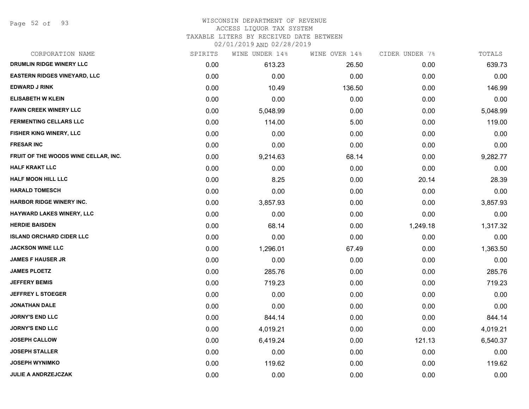Page 52 of 93

#### WISCONSIN DEPARTMENT OF REVENUE ACCESS LIQUOR TAX SYSTEM

TAXABLE LITERS BY RECEIVED DATE BETWEEN

| CORPORATION NAME                     | SPIRITS | WINE UNDER 14% | WINE OVER 14% | CIDER UNDER 7% | TOTALS   |
|--------------------------------------|---------|----------------|---------------|----------------|----------|
| DRUMLIN RIDGE WINERY LLC             | 0.00    | 613.23         | 26.50         | 0.00           | 639.73   |
| <b>EASTERN RIDGES VINEYARD, LLC</b>  | 0.00    | 0.00           | 0.00          | 0.00           | 0.00     |
| <b>EDWARD J RINK</b>                 | 0.00    | 10.49          | 136.50        | 0.00           | 146.99   |
| <b>ELISABETH W KLEIN</b>             | 0.00    | 0.00           | 0.00          | 0.00           | 0.00     |
| <b>FAWN CREEK WINERY LLC</b>         | 0.00    | 5,048.99       | 0.00          | 0.00           | 5,048.99 |
| <b>FERMENTING CELLARS LLC</b>        | 0.00    | 114.00         | 5.00          | 0.00           | 119.00   |
| FISHER KING WINERY, LLC              | 0.00    | 0.00           | 0.00          | 0.00           | 0.00     |
| <b>FRESAR INC</b>                    | 0.00    | 0.00           | 0.00          | 0.00           | 0.00     |
| FRUIT OF THE WOODS WINE CELLAR, INC. | 0.00    | 9,214.63       | 68.14         | 0.00           | 9,282.77 |
| <b>HALF KRAKT LLC</b>                | 0.00    | 0.00           | 0.00          | 0.00           | 0.00     |
| <b>HALF MOON HILL LLC</b>            | 0.00    | 8.25           | 0.00          | 20.14          | 28.39    |
| <b>HARALD TOMESCH</b>                | 0.00    | 0.00           | 0.00          | 0.00           | 0.00     |
| <b>HARBOR RIDGE WINERY INC.</b>      | 0.00    | 3,857.93       | 0.00          | 0.00           | 3,857.93 |
| <b>HAYWARD LAKES WINERY, LLC</b>     | 0.00    | 0.00           | 0.00          | 0.00           | 0.00     |
| <b>HERDIE BAISDEN</b>                | 0.00    | 68.14          | 0.00          | 1,249.18       | 1,317.32 |
| <b>ISLAND ORCHARD CIDER LLC</b>      | 0.00    | 0.00           | 0.00          | 0.00           | 0.00     |
| <b>JACKSON WINE LLC</b>              | 0.00    | 1,296.01       | 67.49         | 0.00           | 1,363.50 |
| <b>JAMES F HAUSER JR</b>             | 0.00    | 0.00           | 0.00          | 0.00           | 0.00     |
| <b>JAMES PLOETZ</b>                  | 0.00    | 285.76         | 0.00          | 0.00           | 285.76   |
| <b>JEFFERY BEMIS</b>                 | 0.00    | 719.23         | 0.00          | 0.00           | 719.23   |
| <b>JEFFREY L STOEGER</b>             | 0.00    | 0.00           | 0.00          | 0.00           | 0.00     |
| <b>JONATHAN DALE</b>                 | 0.00    | 0.00           | 0.00          | 0.00           | 0.00     |
| <b>JORNY'S END LLC</b>               | 0.00    | 844.14         | 0.00          | 0.00           | 844.14   |
| <b>JORNY'S END LLC</b>               | 0.00    | 4,019.21       | 0.00          | 0.00           | 4,019.21 |
| <b>JOSEPH CALLOW</b>                 | 0.00    | 6,419.24       | 0.00          | 121.13         | 6,540.37 |
| <b>JOSEPH STALLER</b>                | 0.00    | 0.00           | 0.00          | 0.00           | 0.00     |
| <b>JOSEPH WYNIMKO</b>                | 0.00    | 119.62         | 0.00          | 0.00           | 119.62   |
| <b>JULIE A ANDRZEJCZAK</b>           | 0.00    | 0.00           | 0.00          | 0.00           | 0.00     |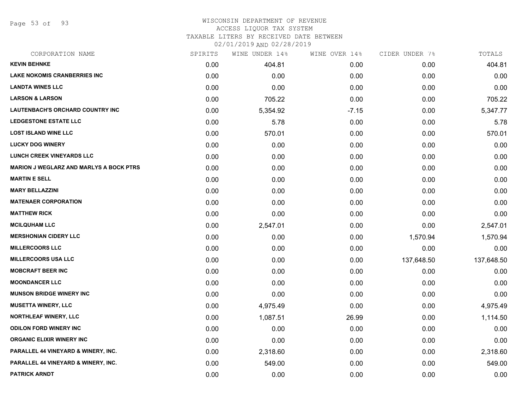Page 53 of 93

### WISCONSIN DEPARTMENT OF REVENUE ACCESS LIQUOR TAX SYSTEM

TAXABLE LITERS BY RECEIVED DATE BETWEEN

| CORPORATION NAME                               | SPIRITS | WINE UNDER 14% | WINE OVER 14% | CIDER UNDER 7% | TOTALS     |
|------------------------------------------------|---------|----------------|---------------|----------------|------------|
| <b>KEVIN BEHNKE</b>                            | 0.00    | 404.81         | 0.00          | 0.00           | 404.81     |
| <b>LAKE NOKOMIS CRANBERRIES INC</b>            | 0.00    | 0.00           | 0.00          | 0.00           | 0.00       |
| <b>LANDTA WINES LLC</b>                        | 0.00    | 0.00           | 0.00          | 0.00           | 0.00       |
| <b>LARSON &amp; LARSON</b>                     | 0.00    | 705.22         | 0.00          | 0.00           | 705.22     |
| <b>LAUTENBACH'S ORCHARD COUNTRY INC</b>        | 0.00    | 5,354.92       | $-7.15$       | 0.00           | 5,347.77   |
| <b>LEDGESTONE ESTATE LLC</b>                   | 0.00    | 5.78           | 0.00          | 0.00           | 5.78       |
| <b>LOST ISLAND WINE LLC</b>                    | 0.00    | 570.01         | 0.00          | 0.00           | 570.01     |
| <b>LUCKY DOG WINERY</b>                        | 0.00    | 0.00           | 0.00          | 0.00           | 0.00       |
| <b>LUNCH CREEK VINEYARDS LLC</b>               | 0.00    | 0.00           | 0.00          | 0.00           | 0.00       |
| <b>MARION J WEGLARZ AND MARLYS A BOCK PTRS</b> | 0.00    | 0.00           | 0.00          | 0.00           | 0.00       |
| <b>MARTIN E SELL</b>                           | 0.00    | 0.00           | 0.00          | 0.00           | 0.00       |
| <b>MARY BELLAZZINI</b>                         | 0.00    | 0.00           | 0.00          | 0.00           | 0.00       |
| <b>MATENAER CORPORATION</b>                    | 0.00    | 0.00           | 0.00          | 0.00           | 0.00       |
| <b>MATTHEW RICK</b>                            | 0.00    | 0.00           | 0.00          | 0.00           | 0.00       |
| <b>MCILQUHAM LLC</b>                           | 0.00    | 2,547.01       | 0.00          | 0.00           | 2,547.01   |
| <b>MERSHONIAN CIDERY LLC</b>                   | 0.00    | 0.00           | 0.00          | 1,570.94       | 1,570.94   |
| <b>MILLERCOORS LLC</b>                         | 0.00    | 0.00           | 0.00          | 0.00           | 0.00       |
| <b>MILLERCOORS USA LLC</b>                     | 0.00    | 0.00           | 0.00          | 137,648.50     | 137,648.50 |
| <b>MOBCRAFT BEER INC</b>                       | 0.00    | 0.00           | 0.00          | 0.00           | 0.00       |
| <b>MOONDANCER LLC</b>                          | 0.00    | 0.00           | 0.00          | 0.00           | 0.00       |
| <b>MUNSON BRIDGE WINERY INC</b>                | 0.00    | 0.00           | 0.00          | 0.00           | 0.00       |
| <b>MUSETTA WINERY, LLC</b>                     | 0.00    | 4,975.49       | 0.00          | 0.00           | 4,975.49   |
| <b>NORTHLEAF WINERY, LLC</b>                   | 0.00    | 1,087.51       | 26.99         | 0.00           | 1,114.50   |
| <b>ODILON FORD WINERY INC</b>                  | 0.00    | 0.00           | 0.00          | 0.00           | 0.00       |
| <b>ORGANIC ELIXIR WINERY INC</b>               | 0.00    | 0.00           | 0.00          | 0.00           | 0.00       |
| PARALLEL 44 VINEYARD & WINERY, INC.            | 0.00    | 2,318.60       | 0.00          | 0.00           | 2,318.60   |
| <b>PARALLEL 44 VINEYARD &amp; WINERY, INC.</b> | 0.00    | 549.00         | 0.00          | 0.00           | 549.00     |
| <b>PATRICK ARNDT</b>                           | 0.00    | 0.00           | 0.00          | 0.00           | 0.00       |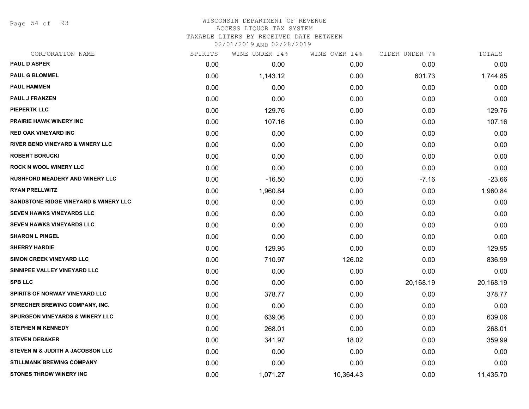Page 54 of 93

### WISCONSIN DEPARTMENT OF REVENUE ACCESS LIQUOR TAX SYSTEM TAXABLE LITERS BY RECEIVED DATE BETWEEN

| CORPORATION NAME                            | SPIRITS | WINE UNDER 14% | WINE OVER 14% | CIDER UNDER 7% | TOTALS    |
|---------------------------------------------|---------|----------------|---------------|----------------|-----------|
| <b>PAUL D ASPER</b>                         | 0.00    | 0.00           | 0.00          | 0.00           | 0.00      |
| <b>PAUL G BLOMMEL</b>                       | 0.00    | 1,143.12       | 0.00          | 601.73         | 1,744.85  |
| <b>PAUL HAMMEN</b>                          | 0.00    | 0.00           | 0.00          | 0.00           | 0.00      |
| <b>PAUL J FRANZEN</b>                       | 0.00    | 0.00           | 0.00          | 0.00           | 0.00      |
| <b>PIEPERTK LLC</b>                         | 0.00    | 129.76         | 0.00          | 0.00           | 129.76    |
| <b>PRAIRIE HAWK WINERY INC</b>              | 0.00    | 107.16         | 0.00          | 0.00           | 107.16    |
| <b>RED OAK VINEYARD INC</b>                 | 0.00    | 0.00           | 0.00          | 0.00           | 0.00      |
| <b>RIVER BEND VINEYARD &amp; WINERY LLC</b> | 0.00    | 0.00           | 0.00          | 0.00           | 0.00      |
| <b>ROBERT BORUCKI</b>                       | 0.00    | 0.00           | 0.00          | 0.00           | 0.00      |
| <b>ROCK N WOOL WINERY LLC</b>               | 0.00    | 0.00           | 0.00          | 0.00           | 0.00      |
| <b>RUSHFORD MEADERY AND WINERY LLC</b>      | 0.00    | $-16.50$       | 0.00          | $-7.16$        | $-23.66$  |
| <b>RYAN PRELLWITZ</b>                       | 0.00    | 1,960.84       | 0.00          | 0.00           | 1,960.84  |
| SANDSTONE RIDGE VINEYARD & WINERY LLC       | 0.00    | 0.00           | 0.00          | 0.00           | 0.00      |
| <b>SEVEN HAWKS VINEYARDS LLC</b>            | 0.00    | 0.00           | 0.00          | 0.00           | 0.00      |
| <b>SEVEN HAWKS VINEYARDS LLC</b>            | 0.00    | 0.00           | 0.00          | 0.00           | 0.00      |
| <b>SHARON L PINGEL</b>                      | 0.00    | 0.00           | 0.00          | 0.00           | 0.00      |
| <b>SHERRY HARDIE</b>                        | 0.00    | 129.95         | 0.00          | 0.00           | 129.95    |
| SIMON CREEK VINEYARD LLC                    | 0.00    | 710.97         | 126.02        | 0.00           | 836.99    |
| SINNIPEE VALLEY VINEYARD LLC                | 0.00    | 0.00           | 0.00          | 0.00           | 0.00      |
| <b>SPB LLC</b>                              | 0.00    | 0.00           | 0.00          | 20,168.19      | 20,168.19 |
| <b>SPIRITS OF NORWAY VINEYARD LLC</b>       | 0.00    | 378.77         | 0.00          | 0.00           | 378.77    |
| <b>SPRECHER BREWING COMPANY, INC.</b>       | 0.00    | 0.00           | 0.00          | 0.00           | 0.00      |
| <b>SPURGEON VINEYARDS &amp; WINERY LLC</b>  | 0.00    | 639.06         | 0.00          | 0.00           | 639.06    |
| <b>STEPHEN M KENNEDY</b>                    | 0.00    | 268.01         | 0.00          | 0.00           | 268.01    |
| <b>STEVEN DEBAKER</b>                       | 0.00    | 341.97         | 18.02         | 0.00           | 359.99    |
| STEVEN M & JUDITH A JACOBSON LLC            | 0.00    | 0.00           | 0.00          | 0.00           | 0.00      |
| <b>STILLMANK BREWING COMPANY</b>            | 0.00    | 0.00           | 0.00          | 0.00           | 0.00      |
| <b>STONES THROW WINERY INC</b>              | 0.00    | 1,071.27       | 10,364.43     | 0.00           | 11,435.70 |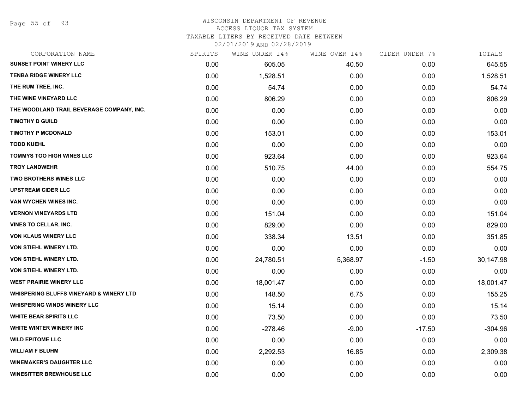### WISCONSIN DEPARTMENT OF REVENUE

#### ACCESS LIQUOR TAX SYSTEM

TAXABLE LITERS BY RECEIVED DATE BETWEEN

| CORPORATION NAME                                   | SPIRITS | WINE UNDER 14% | WINE OVER 14% | CIDER UNDER 7% | TOTALS    |
|----------------------------------------------------|---------|----------------|---------------|----------------|-----------|
| <b>SUNSET POINT WINERY LLC</b>                     | 0.00    | 605.05         | 40.50         | 0.00           | 645.55    |
| <b>TENBA RIDGE WINERY LLC</b>                      | 0.00    | 1,528.51       | 0.00          | 0.00           | 1,528.51  |
| THE RUM TREE, INC.                                 | 0.00    | 54.74          | 0.00          | 0.00           | 54.74     |
| THE WINE VINEYARD LLC                              | 0.00    | 806.29         | 0.00          | 0.00           | 806.29    |
| THE WOODLAND TRAIL BEVERAGE COMPANY, INC.          | 0.00    | 0.00           | 0.00          | 0.00           | 0.00      |
| <b>TIMOTHY D GUILD</b>                             | 0.00    | 0.00           | 0.00          | 0.00           | 0.00      |
| <b>TIMOTHY P MCDONALD</b>                          | 0.00    | 153.01         | 0.00          | 0.00           | 153.01    |
| <b>TODD KUEHL</b>                                  | 0.00    | 0.00           | 0.00          | 0.00           | 0.00      |
| <b>TOMMYS TOO HIGH WINES LLC</b>                   | 0.00    | 923.64         | 0.00          | 0.00           | 923.64    |
| <b>TROY LANDWEHR</b>                               | 0.00    | 510.75         | 44.00         | 0.00           | 554.75    |
| <b>TWO BROTHERS WINES LLC</b>                      | 0.00    | 0.00           | 0.00          | 0.00           | 0.00      |
| <b>UPSTREAM CIDER LLC</b>                          | 0.00    | 0.00           | 0.00          | 0.00           | 0.00      |
| VAN WYCHEN WINES INC.                              | 0.00    | 0.00           | 0.00          | 0.00           | 0.00      |
| <b>VERNON VINEYARDS LTD</b>                        | 0.00    | 151.04         | 0.00          | 0.00           | 151.04    |
| <b>VINES TO CELLAR, INC.</b>                       | 0.00    | 829.00         | 0.00          | 0.00           | 829.00    |
| <b>VON KLAUS WINERY LLC</b>                        | 0.00    | 338.34         | 13.51         | 0.00           | 351.85    |
| VON STIEHL WINERY LTD.                             | 0.00    | 0.00           | 0.00          | 0.00           | 0.00      |
| VON STIEHL WINERY LTD.                             | 0.00    | 24,780.51      | 5,368.97      | $-1.50$        | 30,147.98 |
| VON STIEHL WINERY LTD.                             | 0.00    | 0.00           | 0.00          | 0.00           | 0.00      |
| <b>WEST PRAIRIE WINERY LLC</b>                     | 0.00    | 18,001.47      | 0.00          | 0.00           | 18,001.47 |
| <b>WHISPERING BLUFFS VINEYARD &amp; WINERY LTD</b> | 0.00    | 148.50         | 6.75          | 0.00           | 155.25    |
| <b>WHISPERING WINDS WINERY LLC</b>                 | 0.00    | 15.14          | 0.00          | 0.00           | 15.14     |
| <b>WHITE BEAR SPIRITS LLC</b>                      | 0.00    | 73.50          | 0.00          | 0.00           | 73.50     |
| <b>WHITE WINTER WINERY INC.</b>                    | 0.00    | $-278.46$      | $-9.00$       | $-17.50$       | $-304.96$ |
| <b>WILD EPITOME LLC</b>                            | 0.00    | 0.00           | 0.00          | 0.00           | 0.00      |
| <b>WILLIAM F BLUHM</b>                             | 0.00    | 2,292.53       | 16.85         | 0.00           | 2,309.38  |
| <b>WINEMAKER'S DAUGHTER LLC</b>                    | 0.00    | 0.00           | 0.00          | 0.00           | 0.00      |
| <b>WINESITTER BREWHOUSE LLC</b>                    | 0.00    | 0.00           | 0.00          | 0.00           | 0.00      |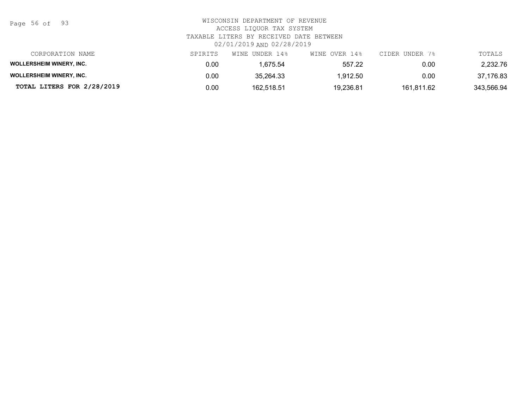Page 56 of 93

| CORPORATION NAME                | SPIRITS | WINE UNDER 14% | WINE OVER 14% | CIDER UNDER 7% | TOTALS     |
|---------------------------------|---------|----------------|---------------|----------------|------------|
| <b>WOLLERSHEIM WINERY, INC.</b> | 0.00    | .675.54        | 557.22        | 0.00           | 2.232.76   |
| <b>WOLLERSHEIM WINERY, INC.</b> | 0.00    | 35.264.33      | 1,912.50      | 0.00           | 37,176.83  |
| TOTAL LITERS FOR 2/28/2019      | 0.00    | 162.518.51     | 19.236.81     | 161.811.62     | 343,566.94 |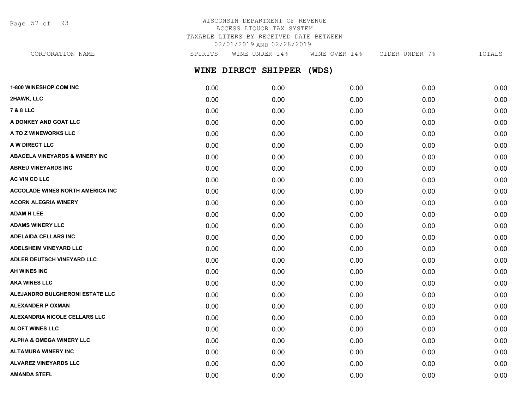Page 57 of 93

## WISCONSIN DEPARTMENT OF REVENUE ACCESS LIQUOR TAX SYSTEM TAXABLE LITERS BY RECEIVED DATE BETWEEN 02/01/2019 AND 02/28/2019

**WINE DIRECT SHIPPER (WDS) 1-800 WINESHOP.COM INC** 0.00 0.00 0.00 0.00 0.00 **2HAWK, LLC** 0.00 0.00 0.00 0.00 0.00 **7 & 8 LLC** 0.00 0.00 0.00 0.00 0.00 **A DONKEY AND GOAT LLC** 0.00 0.00 0.00 0.00 0.00 **A TO Z WINEWORKS LLC** 0.00 0.00 0.00 0.00 0.00 **A W DIRECT LLC** 0.00 0.00 0.00 0.00 0.00 **ABACELA VINEYARDS & WINERY INC** 0.00 0.00 0.00 0.00 0.00 **ABREU VINEYARDS INC** 0.00 0.00 0.00 0.00 0.00 **AC VIN CO LLC** 0.00 0.00 0.00 0.00 0.00 **ACCOLADE WINES NORTH AMERICA INC**  $0.00$   $0.00$   $0.00$   $0.00$   $0.00$   $0.00$   $0.00$   $0.00$   $0.00$   $0.00$   $0.00$   $0.00$ **ACORN ALEGRIA WINERY** 0.00 0.00 0.00 0.00 0.00 **ADAM H LEE** 0.00 0.00 0.00 0.00 0.00 **ADAMS WINERY LLC** 0.00 0.00 0.00 0.00 0.00 **ADELAIDA CELLARS INC** 0.00 0.00 0.00 0.00 0.00 **ADELSHEIM VINEYARD LLC** 0.00 0.00 0.00 0.00 0.00 **ADLER DEUTSCH VINEYARD LLC** 0.00 0.00 0.00 0.00 0.00 **AH WINES INC** 0.00 0.00 0.00 0.00 0.00 **AKA WINES LLC** 0.00 0.00 0.00 0.00 0.00 **ALEJANDRO BULGHERONI ESTATE LLC** 0.00 0.00 0.00 0.00 0.00 **ALEXANDER P OXMAN** 0.00 0.00 0.00 0.00 0.00 CORPORATION NAME SPIRITS WINE UNDER 14% WINE OVER 14% CIDER UNDER 7% TOTALS

**ALEXANDRIA NICOLE CELLARS LLC** 0.00 0.00 0.00 0.00 0.00 **ALOFT WINES LLC** 0.00 0.00 0.00 0.00 0.00 **ALPHA & OMEGA WINERY LLC** 0.00 0.00 0.00 0.00 0.00 **ALTAMURA WINERY INC** 0.00 0.00 0.00 0.00 0.00 **ALVAREZ VINEYARDS LLC** 0.00 0.00 0.00 0.00 0.00 **AMANDA STEFL** 0.00 0.00 0.00 0.00 0.00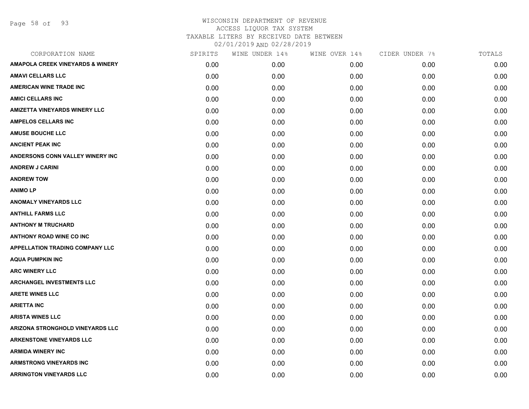Page 58 of 93

| CORPORATION NAME                            | SPIRITS | WINE UNDER 14% | WINE OVER 14% | CIDER UNDER 7% | TOTALS |
|---------------------------------------------|---------|----------------|---------------|----------------|--------|
| <b>AMAPOLA CREEK VINEYARDS &amp; WINERY</b> | 0.00    | 0.00           | 0.00          | 0.00           | 0.00   |
| <b>AMAVI CELLARS LLC</b>                    | 0.00    | 0.00           | 0.00          | 0.00           | 0.00   |
| <b>AMERICAN WINE TRADE INC</b>              | 0.00    | 0.00           | 0.00          | 0.00           | 0.00   |
| <b>AMICI CELLARS INC</b>                    | 0.00    | 0.00           | 0.00          | 0.00           | 0.00   |
| <b>AMIZETTA VINEYARDS WINERY LLC</b>        | 0.00    | 0.00           | 0.00          | 0.00           | 0.00   |
| <b>AMPELOS CELLARS INC</b>                  | 0.00    | 0.00           | 0.00          | 0.00           | 0.00   |
| <b>AMUSE BOUCHE LLC</b>                     | 0.00    | 0.00           | 0.00          | 0.00           | 0.00   |
| <b>ANCIENT PEAK INC</b>                     | 0.00    | 0.00           | 0.00          | 0.00           | 0.00   |
| ANDERSONS CONN VALLEY WINERY INC            | 0.00    | 0.00           | 0.00          | 0.00           | 0.00   |
| <b>ANDREW J CARINI</b>                      | 0.00    | 0.00           | 0.00          | 0.00           | 0.00   |
| <b>ANDREW TOW</b>                           | 0.00    | 0.00           | 0.00          | 0.00           | 0.00   |
| <b>ANIMOLP</b>                              | 0.00    | 0.00           | 0.00          | 0.00           | 0.00   |
| <b>ANOMALY VINEYARDS LLC</b>                | 0.00    | 0.00           | 0.00          | 0.00           | 0.00   |
| <b>ANTHILL FARMS LLC</b>                    | 0.00    | 0.00           | 0.00          | 0.00           | 0.00   |
| <b>ANTHONY M TRUCHARD</b>                   | 0.00    | 0.00           | 0.00          | 0.00           | 0.00   |
| <b>ANTHONY ROAD WINE CO INC</b>             | 0.00    | 0.00           | 0.00          | 0.00           | 0.00   |
| <b>APPELLATION TRADING COMPANY LLC</b>      | 0.00    | 0.00           | 0.00          | 0.00           | 0.00   |
| <b>AQUA PUMPKIN INC</b>                     | 0.00    | 0.00           | 0.00          | 0.00           | 0.00   |
| <b>ARC WINERY LLC</b>                       | 0.00    | 0.00           | 0.00          | 0.00           | 0.00   |
| <b>ARCHANGEL INVESTMENTS LLC</b>            | 0.00    | 0.00           | 0.00          | 0.00           | 0.00   |
| <b>ARETE WINES LLC</b>                      | 0.00    | 0.00           | 0.00          | 0.00           | 0.00   |
| <b>ARIETTA INC</b>                          | 0.00    | 0.00           | 0.00          | 0.00           | 0.00   |
| <b>ARISTA WINES LLC</b>                     | 0.00    | 0.00           | 0.00          | 0.00           | 0.00   |
| <b>ARIZONA STRONGHOLD VINEYARDS LLC</b>     | 0.00    | 0.00           | 0.00          | 0.00           | 0.00   |
| <b>ARKENSTONE VINEYARDS LLC</b>             | 0.00    | 0.00           | 0.00          | 0.00           | 0.00   |
| <b>ARMIDA WINERY INC</b>                    | 0.00    | 0.00           | 0.00          | 0.00           | 0.00   |
| <b>ARMSTRONG VINEYARDS INC</b>              | 0.00    | 0.00           | 0.00          | 0.00           | 0.00   |
| <b>ARRINGTON VINEYARDS LLC</b>              | 0.00    | 0.00           | 0.00          | 0.00           | 0.00   |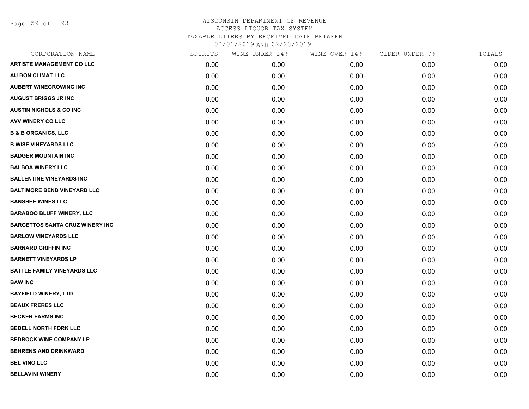Page 59 of 93

| CORPORATION NAME                       | SPIRITS | WINE UNDER 14% | WINE OVER 14% | CIDER UNDER 7% | TOTALS |
|----------------------------------------|---------|----------------|---------------|----------------|--------|
| <b>ARTISTE MANAGEMENT CO LLC</b>       | 0.00    | 0.00           | 0.00          | 0.00           | 0.00   |
| AU BON CLIMAT LLC                      | 0.00    | 0.00           | 0.00          | 0.00           | 0.00   |
| <b>AUBERT WINEGROWING INC</b>          | 0.00    | 0.00           | 0.00          | 0.00           | 0.00   |
| <b>AUGUST BRIGGS JR INC</b>            | 0.00    | 0.00           | 0.00          | 0.00           | 0.00   |
| <b>AUSTIN NICHOLS &amp; CO INC</b>     | 0.00    | 0.00           | 0.00          | 0.00           | 0.00   |
| AVV WINERY CO LLC                      | 0.00    | 0.00           | 0.00          | 0.00           | 0.00   |
| <b>B &amp; B ORGANICS, LLC</b>         | 0.00    | 0.00           | 0.00          | 0.00           | 0.00   |
| <b>B WISE VINEYARDS LLC</b>            | 0.00    | 0.00           | 0.00          | 0.00           | 0.00   |
| <b>BADGER MOUNTAIN INC</b>             | 0.00    | 0.00           | 0.00          | 0.00           | 0.00   |
| <b>BALBOA WINERY LLC</b>               | 0.00    | 0.00           | 0.00          | 0.00           | 0.00   |
| <b>BALLENTINE VINEYARDS INC</b>        | 0.00    | 0.00           | 0.00          | 0.00           | 0.00   |
| <b>BALTIMORE BEND VINEYARD LLC</b>     | 0.00    | 0.00           | 0.00          | 0.00           | 0.00   |
| <b>BANSHEE WINES LLC</b>               | 0.00    | 0.00           | 0.00          | 0.00           | 0.00   |
| <b>BARABOO BLUFF WINERY, LLC</b>       | 0.00    | 0.00           | 0.00          | 0.00           | 0.00   |
| <b>BARGETTOS SANTA CRUZ WINERY INC</b> | 0.00    | 0.00           | 0.00          | 0.00           | 0.00   |
| <b>BARLOW VINEYARDS LLC</b>            | 0.00    | 0.00           | 0.00          | 0.00           | 0.00   |
| <b>BARNARD GRIFFIN INC</b>             | 0.00    | 0.00           | 0.00          | 0.00           | 0.00   |
| <b>BARNETT VINEYARDS LP</b>            | 0.00    | 0.00           | 0.00          | 0.00           | 0.00   |
| <b>BATTLE FAMILY VINEYARDS LLC</b>     | 0.00    | 0.00           | 0.00          | 0.00           | 0.00   |
| <b>BAW INC</b>                         | 0.00    | 0.00           | 0.00          | 0.00           | 0.00   |
| <b>BAYFIELD WINERY, LTD.</b>           | 0.00    | 0.00           | 0.00          | 0.00           | 0.00   |
| <b>BEAUX FRERES LLC</b>                | 0.00    | 0.00           | 0.00          | 0.00           | 0.00   |
| <b>BECKER FARMS INC</b>                | 0.00    | 0.00           | 0.00          | 0.00           | 0.00   |
| <b>BEDELL NORTH FORK LLC</b>           | 0.00    | 0.00           | 0.00          | 0.00           | 0.00   |
| <b>BEDROCK WINE COMPANY LP</b>         | 0.00    | 0.00           | 0.00          | 0.00           | 0.00   |
| <b>BEHRENS AND DRINKWARD</b>           | 0.00    | 0.00           | 0.00          | 0.00           | 0.00   |
| <b>BEL VINO LLC</b>                    | 0.00    | 0.00           | 0.00          | 0.00           | 0.00   |
| <b>BELLAVINI WINERY</b>                | 0.00    | 0.00           | 0.00          | 0.00           | 0.00   |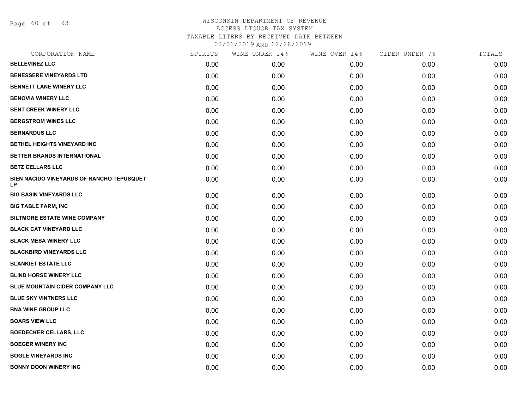Page 60 of 93

| SPIRITS |      | WINE OVER 14%  | CIDER UNDER 7% | TOTALS |
|---------|------|----------------|----------------|--------|
| 0.00    | 0.00 | 0.00           | 0.00           | 0.00   |
| 0.00    | 0.00 | 0.00           | 0.00           | 0.00   |
| 0.00    | 0.00 | 0.00           | 0.00           | 0.00   |
| 0.00    | 0.00 | 0.00           | 0.00           | 0.00   |
| 0.00    | 0.00 | 0.00           | 0.00           | 0.00   |
| 0.00    | 0.00 | 0.00           | 0.00           | 0.00   |
| 0.00    | 0.00 | 0.00           | 0.00           | 0.00   |
| 0.00    | 0.00 | 0.00           | 0.00           | 0.00   |
| 0.00    | 0.00 | 0.00           | 0.00           | 0.00   |
| 0.00    | 0.00 | 0.00           | 0.00           | 0.00   |
| 0.00    | 0.00 | 0.00           | 0.00           | 0.00   |
| 0.00    | 0.00 | 0.00           | 0.00           | 0.00   |
| 0.00    | 0.00 | 0.00           | 0.00           | 0.00   |
| 0.00    | 0.00 | 0.00           | 0.00           | 0.00   |
| 0.00    | 0.00 | 0.00           | 0.00           | 0.00   |
| 0.00    | 0.00 | 0.00           | 0.00           | 0.00   |
| 0.00    | 0.00 | 0.00           | 0.00           | 0.00   |
| 0.00    | 0.00 | 0.00           | 0.00           | 0.00   |
| 0.00    | 0.00 | 0.00           | 0.00           | 0.00   |
| 0.00    | 0.00 | 0.00           | 0.00           | 0.00   |
| 0.00    | 0.00 | 0.00           | 0.00           | 0.00   |
| 0.00    | 0.00 | 0.00           | 0.00           | 0.00   |
| 0.00    | 0.00 | 0.00           | 0.00           | 0.00   |
| 0.00    | 0.00 | 0.00           | 0.00           | 0.00   |
| 0.00    | 0.00 | 0.00           | 0.00           | 0.00   |
| 0.00    | 0.00 | 0.00           | 0.00           | 0.00   |
| 0.00    | 0.00 | 0.00           | 0.00           | 0.00   |
|         |      | WINE UNDER 14% |                |        |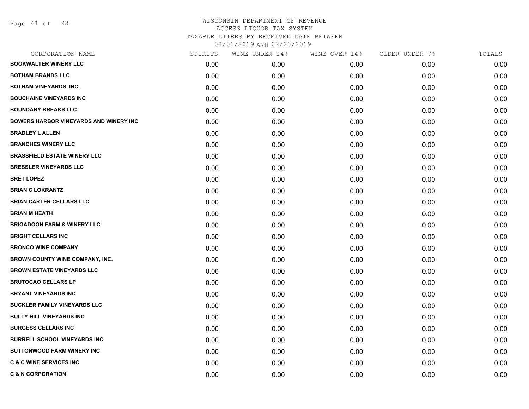Page 61 of 93

# WISCONSIN DEPARTMENT OF REVENUE ACCESS LIQUOR TAX SYSTEM TAXABLE LITERS BY RECEIVED DATE BETWEEN

| 02/01/2019 AND 02/28/2019 |  |
|---------------------------|--|
|---------------------------|--|

| CORPORATION NAME                              | SPIRITS | WINE UNDER 14% | WINE OVER 14% | CIDER UNDER 7% | TOTALS |
|-----------------------------------------------|---------|----------------|---------------|----------------|--------|
| <b>BOOKWALTER WINERY LLC</b>                  | 0.00    | 0.00           | 0.00          | 0.00           | 0.00   |
| <b>BOTHAM BRANDS LLC</b>                      | 0.00    | 0.00           | 0.00          | 0.00           | 0.00   |
| <b>BOTHAM VINEYARDS, INC.</b>                 | 0.00    | 0.00           | 0.00          | 0.00           | 0.00   |
| <b>BOUCHAINE VINEYARDS INC</b>                | 0.00    | 0.00           | 0.00          | 0.00           | 0.00   |
| <b>BOUNDARY BREAKS LLC</b>                    | 0.00    | 0.00           | 0.00          | 0.00           | 0.00   |
| <b>BOWERS HARBOR VINEYARDS AND WINERY INC</b> | 0.00    | 0.00           | 0.00          | 0.00           | 0.00   |
| <b>BRADLEY L ALLEN</b>                        | 0.00    | 0.00           | 0.00          | 0.00           | 0.00   |
| <b>BRANCHES WINERY LLC</b>                    | 0.00    | 0.00           | 0.00          | 0.00           | 0.00   |
| <b>BRASSFIELD ESTATE WINERY LLC</b>           | 0.00    | 0.00           | 0.00          | 0.00           | 0.00   |
| <b>BRESSLER VINEYARDS LLC</b>                 | 0.00    | 0.00           | 0.00          | 0.00           | 0.00   |
| <b>BRET LOPEZ</b>                             | 0.00    | 0.00           | 0.00          | 0.00           | 0.00   |
| <b>BRIAN C LOKRANTZ</b>                       | 0.00    | 0.00           | 0.00          | 0.00           | 0.00   |
| <b>BRIAN CARTER CELLARS LLC</b>               | 0.00    | 0.00           | 0.00          | 0.00           | 0.00   |
| <b>BRIAN M HEATH</b>                          | 0.00    | 0.00           | 0.00          | 0.00           | 0.00   |
| <b>BRIGADOON FARM &amp; WINERY LLC</b>        | 0.00    | 0.00           | 0.00          | 0.00           | 0.00   |
| <b>BRIGHT CELLARS INC</b>                     | 0.00    | 0.00           | 0.00          | 0.00           | 0.00   |
| <b>BRONCO WINE COMPANY</b>                    | 0.00    | 0.00           | 0.00          | 0.00           | 0.00   |
| BROWN COUNTY WINE COMPANY, INC.               | 0.00    | 0.00           | 0.00          | 0.00           | 0.00   |
| <b>BROWN ESTATE VINEYARDS LLC</b>             | 0.00    | 0.00           | 0.00          | 0.00           | 0.00   |
| <b>BRUTOCAO CELLARS LP</b>                    | 0.00    | 0.00           | 0.00          | 0.00           | 0.00   |
| <b>BRYANT VINEYARDS INC</b>                   | 0.00    | 0.00           | 0.00          | 0.00           | 0.00   |
| <b>BUCKLER FAMILY VINEYARDS LLC</b>           | 0.00    | 0.00           | 0.00          | 0.00           | 0.00   |
| <b>BULLY HILL VINEYARDS INC</b>               | 0.00    | 0.00           | 0.00          | 0.00           | 0.00   |
| <b>BURGESS CELLARS INC</b>                    | 0.00    | 0.00           | 0.00          | 0.00           | 0.00   |
| <b>BURRELL SCHOOL VINEYARDS INC</b>           | 0.00    | 0.00           | 0.00          | 0.00           | 0.00   |
| <b>BUTTONWOOD FARM WINERY INC</b>             | 0.00    | 0.00           | 0.00          | 0.00           | 0.00   |
| <b>C &amp; C WINE SERVICES INC</b>            | 0.00    | 0.00           | 0.00          | 0.00           | 0.00   |
| <b>C &amp; N CORPORATION</b>                  | 0.00    | 0.00           | 0.00          | 0.00           | 0.00   |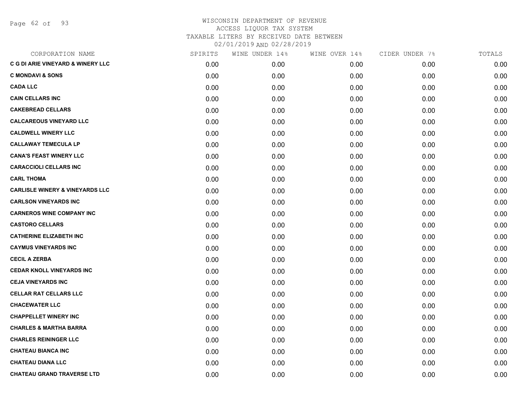Page 62 of 93

| CORPORATION NAME                             | SPIRITS | WINE UNDER 14% | WINE OVER 14% | CIDER UNDER 7% | TOTALS |
|----------------------------------------------|---------|----------------|---------------|----------------|--------|
| <b>C G DI ARIE VINEYARD &amp; WINERY LLC</b> | 0.00    | 0.00           | 0.00          | 0.00           | 0.00   |
| <b>C MONDAVI &amp; SONS</b>                  | 0.00    | 0.00           | 0.00          | 0.00           | 0.00   |
| <b>CADA LLC</b>                              | 0.00    | 0.00           | 0.00          | 0.00           | 0.00   |
| <b>CAIN CELLARS INC</b>                      | 0.00    | 0.00           | 0.00          | 0.00           | 0.00   |
| <b>CAKEBREAD CELLARS</b>                     | 0.00    | 0.00           | 0.00          | 0.00           | 0.00   |
| <b>CALCAREOUS VINEYARD LLC</b>               | 0.00    | 0.00           | 0.00          | 0.00           | 0.00   |
| <b>CALDWELL WINERY LLC</b>                   | 0.00    | 0.00           | 0.00          | 0.00           | 0.00   |
| <b>CALLAWAY TEMECULA LP</b>                  | 0.00    | 0.00           | 0.00          | 0.00           | 0.00   |
| <b>CANA'S FEAST WINERY LLC</b>               | 0.00    | 0.00           | 0.00          | 0.00           | 0.00   |
| <b>CARACCIOLI CELLARS INC</b>                | 0.00    | 0.00           | 0.00          | 0.00           | 0.00   |
| <b>CARL THOMA</b>                            | 0.00    | 0.00           | 0.00          | 0.00           | 0.00   |
| <b>CARLISLE WINERY &amp; VINEYARDS LLC</b>   | 0.00    | 0.00           | 0.00          | 0.00           | 0.00   |
| <b>CARLSON VINEYARDS INC</b>                 | 0.00    | 0.00           | 0.00          | 0.00           | 0.00   |
| <b>CARNEROS WINE COMPANY INC</b>             | 0.00    | 0.00           | 0.00          | 0.00           | 0.00   |
| <b>CASTORO CELLARS</b>                       | 0.00    | 0.00           | 0.00          | 0.00           | 0.00   |
| <b>CATHERINE ELIZABETH INC</b>               | 0.00    | 0.00           | 0.00          | 0.00           | 0.00   |
| <b>CAYMUS VINEYARDS INC</b>                  | 0.00    | 0.00           | 0.00          | 0.00           | 0.00   |
| <b>CECIL A ZERBA</b>                         | 0.00    | 0.00           | 0.00          | 0.00           | 0.00   |
| <b>CEDAR KNOLL VINEYARDS INC</b>             | 0.00    | 0.00           | 0.00          | 0.00           | 0.00   |
| <b>CEJA VINEYARDS INC</b>                    | 0.00    | 0.00           | 0.00          | 0.00           | 0.00   |
| <b>CELLAR RAT CELLARS LLC</b>                | 0.00    | 0.00           | 0.00          | 0.00           | 0.00   |
| <b>CHACEWATER LLC</b>                        | 0.00    | 0.00           | 0.00          | 0.00           | 0.00   |
| <b>CHAPPELLET WINERY INC</b>                 | 0.00    | 0.00           | 0.00          | 0.00           | 0.00   |
| <b>CHARLES &amp; MARTHA BARRA</b>            | 0.00    | 0.00           | 0.00          | 0.00           | 0.00   |
| <b>CHARLES REININGER LLC</b>                 | 0.00    | 0.00           | 0.00          | 0.00           | 0.00   |
| <b>CHATEAU BIANCA INC</b>                    | 0.00    | 0.00           | 0.00          | 0.00           | 0.00   |
| <b>CHATEAU DIANA LLC</b>                     | 0.00    | 0.00           | 0.00          | 0.00           | 0.00   |
| <b>CHATEAU GRAND TRAVERSE LTD</b>            | 0.00    | 0.00           | 0.00          | 0.00           | 0.00   |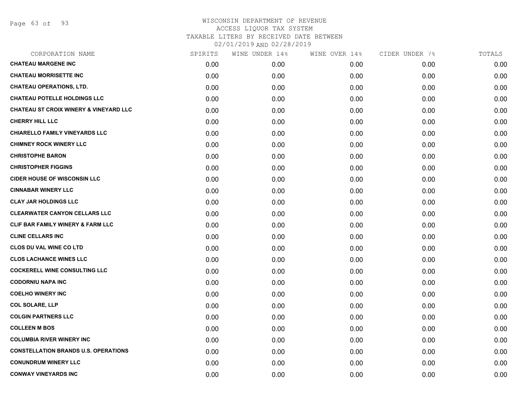Page 63 of 93

| SPIRITS | WINE UNDER 14% | WINE OVER 14% | CIDER UNDER 7% | TOTALS |
|---------|----------------|---------------|----------------|--------|
| 0.00    | 0.00           | 0.00          | 0.00           | 0.00   |
| 0.00    | 0.00           | 0.00          | 0.00           | 0.00   |
| 0.00    | 0.00           | 0.00          | 0.00           | 0.00   |
| 0.00    | 0.00           | 0.00          | 0.00           | 0.00   |
| 0.00    | 0.00           | 0.00          | 0.00           | 0.00   |
| 0.00    | 0.00           | 0.00          | 0.00           | 0.00   |
| 0.00    | 0.00           | 0.00          | 0.00           | 0.00   |
| 0.00    | 0.00           | 0.00          | 0.00           | 0.00   |
| 0.00    | 0.00           | 0.00          | 0.00           | 0.00   |
| 0.00    | 0.00           | 0.00          | 0.00           | 0.00   |
| 0.00    | 0.00           | 0.00          | 0.00           | 0.00   |
| 0.00    | 0.00           | 0.00          | 0.00           | 0.00   |
| 0.00    | 0.00           | 0.00          | 0.00           | 0.00   |
| 0.00    | 0.00           | 0.00          | 0.00           | 0.00   |
| 0.00    | 0.00           | 0.00          | 0.00           | 0.00   |
| 0.00    | 0.00           | 0.00          | 0.00           | 0.00   |
| 0.00    | 0.00           | 0.00          | 0.00           | 0.00   |
| 0.00    | 0.00           | 0.00          | 0.00           | 0.00   |
| 0.00    | 0.00           | 0.00          | 0.00           | 0.00   |
| 0.00    | 0.00           | 0.00          | 0.00           | 0.00   |
| 0.00    | 0.00           | 0.00          | 0.00           | 0.00   |
| 0.00    | 0.00           | 0.00          | 0.00           | 0.00   |
| 0.00    | 0.00           | 0.00          | 0.00           | 0.00   |
| 0.00    | 0.00           | 0.00          | 0.00           | 0.00   |
| 0.00    | 0.00           | 0.00          | 0.00           | 0.00   |
| 0.00    | 0.00           | 0.00          | 0.00           | 0.00   |
| 0.00    | 0.00           | 0.00          | 0.00           | 0.00   |
| 0.00    | 0.00           | 0.00          | 0.00           | 0.00   |
|         |                |               |                |        |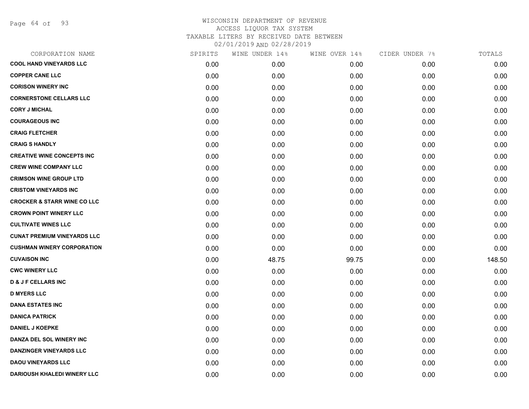Page 64 of 93

| CORPORATION NAME                       | SPIRITS | WINE UNDER 14% | WINE OVER 14% | CIDER UNDER 7% | TOTALS |
|----------------------------------------|---------|----------------|---------------|----------------|--------|
| <b>COOL HAND VINEYARDS LLC</b>         | 0.00    | 0.00           | 0.00          | 0.00           | 0.00   |
| <b>COPPER CANE LLC</b>                 | 0.00    | 0.00           | 0.00          | 0.00           | 0.00   |
| <b>CORISON WINERY INC</b>              | 0.00    | 0.00           | 0.00          | 0.00           | 0.00   |
| <b>CORNERSTONE CELLARS LLC</b>         | 0.00    | 0.00           | 0.00          | 0.00           | 0.00   |
| <b>CORY J MICHAL</b>                   | 0.00    | 0.00           | 0.00          | 0.00           | 0.00   |
| <b>COURAGEOUS INC</b>                  | 0.00    | 0.00           | 0.00          | 0.00           | 0.00   |
| <b>CRAIG FLETCHER</b>                  | 0.00    | 0.00           | 0.00          | 0.00           | 0.00   |
| <b>CRAIG S HANDLY</b>                  | 0.00    | 0.00           | 0.00          | 0.00           | 0.00   |
| <b>CREATIVE WINE CONCEPTS INC</b>      | 0.00    | 0.00           | 0.00          | 0.00           | 0.00   |
| <b>CREW WINE COMPANY LLC</b>           | 0.00    | 0.00           | 0.00          | 0.00           | 0.00   |
| <b>CRIMSON WINE GROUP LTD</b>          | 0.00    | 0.00           | 0.00          | 0.00           | 0.00   |
| <b>CRISTOM VINEYARDS INC</b>           | 0.00    | 0.00           | 0.00          | 0.00           | 0.00   |
| <b>CROCKER &amp; STARR WINE CO LLC</b> | 0.00    | 0.00           | 0.00          | 0.00           | 0.00   |
| <b>CROWN POINT WINERY LLC</b>          | 0.00    | 0.00           | 0.00          | 0.00           | 0.00   |
| <b>CULTIVATE WINES LLC</b>             | 0.00    | 0.00           | 0.00          | 0.00           | 0.00   |
| <b>CUNAT PREMIUM VINEYARDS LLC</b>     | 0.00    | 0.00           | 0.00          | 0.00           | 0.00   |
| <b>CUSHMAN WINERY CORPORATION</b>      | 0.00    | 0.00           | 0.00          | 0.00           | 0.00   |
| <b>CUVAISON INC</b>                    | 0.00    | 48.75          | 99.75         | 0.00           | 148.50 |
| <b>CWC WINERY LLC</b>                  | 0.00    | 0.00           | 0.00          | 0.00           | 0.00   |
| <b>D &amp; J F CELLARS INC</b>         | 0.00    | 0.00           | 0.00          | 0.00           | 0.00   |
| <b>D MYERS LLC</b>                     | 0.00    | 0.00           | 0.00          | 0.00           | 0.00   |
| <b>DANA ESTATES INC</b>                | 0.00    | 0.00           | 0.00          | 0.00           | 0.00   |
| <b>DANICA PATRICK</b>                  | 0.00    | 0.00           | 0.00          | 0.00           | 0.00   |
| <b>DANIEL J KOEPKE</b>                 | 0.00    | 0.00           | 0.00          | 0.00           | 0.00   |
| DANZA DEL SOL WINERY INC               | 0.00    | 0.00           | 0.00          | 0.00           | 0.00   |
| <b>DANZINGER VINEYARDS LLC</b>         | 0.00    | 0.00           | 0.00          | 0.00           | 0.00   |
| <b>DAOU VINEYARDS LLC</b>              | 0.00    | 0.00           | 0.00          | 0.00           | 0.00   |
| DARIOUSH KHALEDI WINERY LLC            | 0.00    | 0.00           | 0.00          | 0.00           | 0.00   |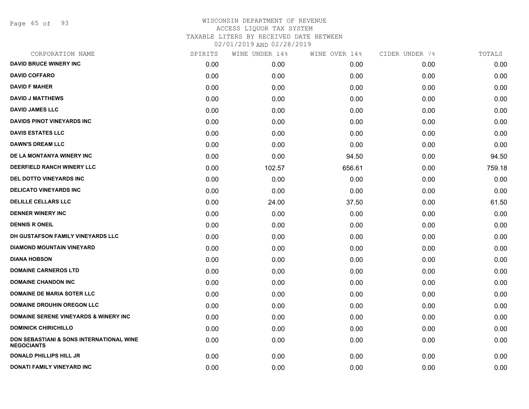Page 65 of 93

| CORPORATION NAME                                                         | SPIRITS | WINE UNDER 14% | WINE OVER 14% | CIDER UNDER 7% | TOTALS |
|--------------------------------------------------------------------------|---------|----------------|---------------|----------------|--------|
| <b>DAVID BRUCE WINERY INC</b>                                            | 0.00    | 0.00           | 0.00          | 0.00           | 0.00   |
| <b>DAVID COFFARO</b>                                                     | 0.00    | 0.00           | 0.00          | 0.00           | 0.00   |
| <b>DAVID F MAHER</b>                                                     | 0.00    | 0.00           | 0.00          | 0.00           | 0.00   |
| <b>DAVID J MATTHEWS</b>                                                  | 0.00    | 0.00           | 0.00          | 0.00           | 0.00   |
| <b>DAVID JAMES LLC</b>                                                   | 0.00    | 0.00           | 0.00          | 0.00           | 0.00   |
| <b>DAVIDS PINOT VINEYARDS INC</b>                                        | 0.00    | 0.00           | 0.00          | 0.00           | 0.00   |
| <b>DAVIS ESTATES LLC</b>                                                 | 0.00    | 0.00           | 0.00          | 0.00           | 0.00   |
| <b>DAWN'S DREAM LLC</b>                                                  | 0.00    | 0.00           | 0.00          | 0.00           | 0.00   |
| DE LA MONTANYA WINERY INC                                                | 0.00    | 0.00           | 94.50         | 0.00           | 94.50  |
| <b>DEERFIELD RANCH WINERY LLC</b>                                        | 0.00    | 102.57         | 656.61        | 0.00           | 759.18 |
| <b>DEL DOTTO VINEYARDS INC</b>                                           | 0.00    | 0.00           | 0.00          | 0.00           | 0.00   |
| <b>DELICATO VINEYARDS INC</b>                                            | 0.00    | 0.00           | 0.00          | 0.00           | 0.00   |
| <b>DELILLE CELLARS LLC</b>                                               | 0.00    | 24.00          | 37.50         | 0.00           | 61.50  |
| <b>DENNER WINERY INC</b>                                                 | 0.00    | 0.00           | 0.00          | 0.00           | 0.00   |
| <b>DENNIS R ONEIL</b>                                                    | 0.00    | 0.00           | 0.00          | 0.00           | 0.00   |
| DH GUSTAFSON FAMILY VINEYARDS LLC                                        | 0.00    | 0.00           | 0.00          | 0.00           | 0.00   |
| <b>DIAMOND MOUNTAIN VINEYARD</b>                                         | 0.00    | 0.00           | 0.00          | 0.00           | 0.00   |
| <b>DIANA HOBSON</b>                                                      | 0.00    | 0.00           | 0.00          | 0.00           | 0.00   |
| <b>DOMAINE CARNEROS LTD</b>                                              | 0.00    | 0.00           | 0.00          | 0.00           | 0.00   |
| <b>DOMAINE CHANDON INC</b>                                               | 0.00    | 0.00           | 0.00          | 0.00           | 0.00   |
| <b>DOMAINE DE MARIA SOTER LLC</b>                                        | 0.00    | 0.00           | 0.00          | 0.00           | 0.00   |
| <b>DOMAINE DROUHIN OREGON LLC</b>                                        | 0.00    | 0.00           | 0.00          | 0.00           | 0.00   |
| <b>DOMAINE SERENE VINEYARDS &amp; WINERY INC</b>                         | 0.00    | 0.00           | 0.00          | 0.00           | 0.00   |
| <b>DOMINICK CHIRICHILLO</b>                                              | 0.00    | 0.00           | 0.00          | 0.00           | 0.00   |
| <b>DON SEBASTIANI &amp; SONS INTERNATIONAL WINE</b><br><b>NEGOCIANTS</b> | 0.00    | 0.00           | 0.00          | 0.00           | 0.00   |
| <b>DONALD PHILLIPS HILL JR</b>                                           | 0.00    | 0.00           | 0.00          | 0.00           | 0.00   |
| <b>DONATI FAMILY VINEYARD INC</b>                                        | 0.00    | 0.00           | 0.00          | 0.00           | 0.00   |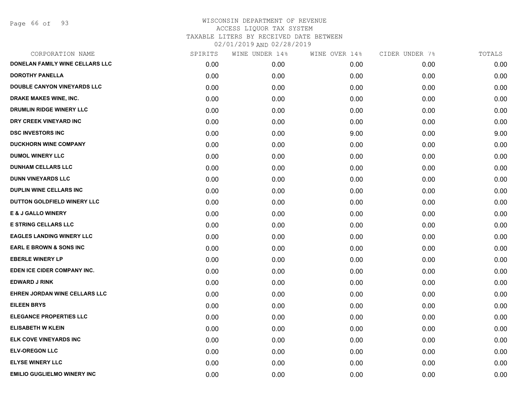Page 66 of 93

|      | WINE UNDER 14% | WINE OVER 14% | CIDER UNDER 7% | TOTALS |
|------|----------------|---------------|----------------|--------|
| 0.00 | 0.00           | 0.00          | 0.00           | 0.00   |
| 0.00 | 0.00           | 0.00          | 0.00           | 0.00   |
| 0.00 | 0.00           | 0.00          | 0.00           | 0.00   |
| 0.00 | 0.00           | 0.00          | 0.00           | 0.00   |
| 0.00 | 0.00           | 0.00          | 0.00           | 0.00   |
| 0.00 | 0.00           | 0.00          | 0.00           | 0.00   |
| 0.00 | 0.00           | 9.00          | 0.00           | 9.00   |
| 0.00 | 0.00           | 0.00          | 0.00           | 0.00   |
| 0.00 | 0.00           | 0.00          | 0.00           | 0.00   |
| 0.00 | 0.00           | 0.00          | 0.00           | 0.00   |
| 0.00 | 0.00           | 0.00          | 0.00           | 0.00   |
| 0.00 | 0.00           | 0.00          | 0.00           | 0.00   |
| 0.00 | 0.00           | 0.00          | 0.00           | 0.00   |
| 0.00 | 0.00           | 0.00          | 0.00           | 0.00   |
| 0.00 | 0.00           | 0.00          | 0.00           | 0.00   |
| 0.00 | 0.00           | 0.00          | 0.00           | 0.00   |
| 0.00 | 0.00           | 0.00          | 0.00           | 0.00   |
| 0.00 | 0.00           | 0.00          | 0.00           | 0.00   |
| 0.00 | 0.00           | 0.00          | 0.00           | 0.00   |
| 0.00 | 0.00           | 0.00          | 0.00           | 0.00   |
| 0.00 | 0.00           | 0.00          | 0.00           | 0.00   |
| 0.00 | 0.00           | 0.00          | 0.00           | 0.00   |
| 0.00 | 0.00           | 0.00          | 0.00           | 0.00   |
| 0.00 | 0.00           | 0.00          | 0.00           | 0.00   |
| 0.00 | 0.00           | 0.00          | 0.00           | 0.00   |
| 0.00 | 0.00           | 0.00          | 0.00           | 0.00   |
| 0.00 | 0.00           | 0.00          | 0.00           | 0.00   |
| 0.00 | 0.00           | 0.00          | 0.00           | 0.00   |
|      | SPIRITS        |               |                |        |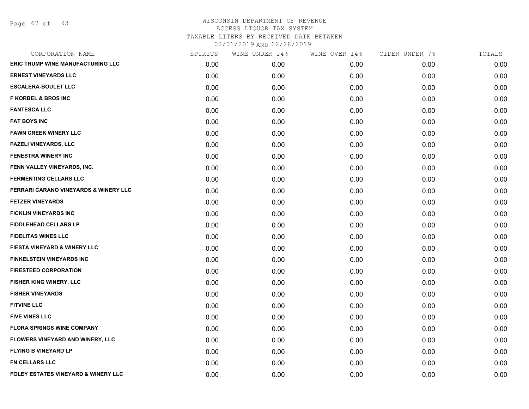Page 67 of 93

| CORPORATION NAME                         | SPIRITS | WINE UNDER 14% | WINE OVER 14% | CIDER UNDER 7% | TOTALS |
|------------------------------------------|---------|----------------|---------------|----------------|--------|
| <b>ERIC TRUMP WINE MANUFACTURING LLC</b> | 0.00    | 0.00           | 0.00          | 0.00           | 0.00   |
| <b>ERNEST VINEYARDS LLC</b>              | 0.00    | 0.00           | 0.00          | 0.00           | 0.00   |
| <b>ESCALERA-BOULET LLC</b>               | 0.00    | 0.00           | 0.00          | 0.00           | 0.00   |
| <b>F KORBEL &amp; BROS INC</b>           | 0.00    | 0.00           | 0.00          | 0.00           | 0.00   |
| <b>FANTESCA LLC</b>                      | 0.00    | 0.00           | 0.00          | 0.00           | 0.00   |
| <b>FAT BOYS INC</b>                      | 0.00    | 0.00           | 0.00          | 0.00           | 0.00   |
| <b>FAWN CREEK WINERY LLC</b>             | 0.00    | 0.00           | 0.00          | 0.00           | 0.00   |
| <b>FAZELI VINEYARDS, LLC</b>             | 0.00    | 0.00           | 0.00          | 0.00           | 0.00   |
| <b>FENESTRA WINERY INC</b>               | 0.00    | 0.00           | 0.00          | 0.00           | 0.00   |
| FENN VALLEY VINEYARDS, INC.              | 0.00    | 0.00           | 0.00          | 0.00           | 0.00   |
| <b>FERMENTING CELLARS LLC</b>            | 0.00    | 0.00           | 0.00          | 0.00           | 0.00   |
| FERRARI CARANO VINEYARDS & WINERY LLC    | 0.00    | 0.00           | 0.00          | 0.00           | 0.00   |
| <b>FETZER VINEYARDS</b>                  | 0.00    | 0.00           | 0.00          | 0.00           | 0.00   |
| <b>FICKLIN VINEYARDS INC</b>             | 0.00    | 0.00           | 0.00          | 0.00           | 0.00   |
| <b>FIDDLEHEAD CELLARS LP</b>             | 0.00    | 0.00           | 0.00          | 0.00           | 0.00   |
| <b>FIDELITAS WINES LLC</b>               | 0.00    | 0.00           | 0.00          | 0.00           | 0.00   |
| <b>FIESTA VINEYARD &amp; WINERY LLC</b>  | 0.00    | 0.00           | 0.00          | 0.00           | 0.00   |
| <b>FINKELSTEIN VINEYARDS INC</b>         | 0.00    | 0.00           | 0.00          | 0.00           | 0.00   |
| <b>FIRESTEED CORPORATION</b>             | 0.00    | 0.00           | 0.00          | 0.00           | 0.00   |
| FISHER KING WINERY, LLC                  | 0.00    | 0.00           | 0.00          | 0.00           | 0.00   |
| <b>FISHER VINEYARDS</b>                  | 0.00    | 0.00           | 0.00          | 0.00           | 0.00   |
| <b>FITVINE LLC</b>                       | 0.00    | 0.00           | 0.00          | 0.00           | 0.00   |
| <b>FIVE VINES LLC</b>                    | 0.00    | 0.00           | 0.00          | 0.00           | 0.00   |
| <b>FLORA SPRINGS WINE COMPANY</b>        | 0.00    | 0.00           | 0.00          | 0.00           | 0.00   |
| FLOWERS VINEYARD AND WINERY, LLC         | 0.00    | 0.00           | 0.00          | 0.00           | 0.00   |
| <b>FLYING B VINEYARD LP</b>              | 0.00    | 0.00           | 0.00          | 0.00           | 0.00   |
| <b>FN CELLARS LLC</b>                    | 0.00    | 0.00           | 0.00          | 0.00           | 0.00   |
| FOLEY ESTATES VINEYARD & WINERY LLC      | 0.00    | 0.00           | 0.00          | 0.00           | 0.00   |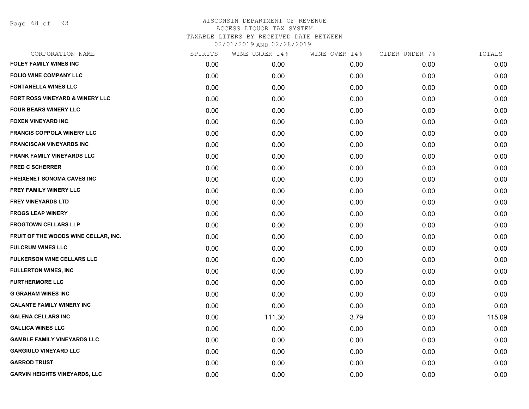Page 68 of 93

| CORPORATION NAME                     | SPIRITS | WINE UNDER 14% | WINE OVER 14% | CIDER UNDER 7% | TOTALS |
|--------------------------------------|---------|----------------|---------------|----------------|--------|
| <b>FOLEY FAMILY WINES INC</b>        | 0.00    | 0.00           | 0.00          | 0.00           | 0.00   |
| <b>FOLIO WINE COMPANY LLC</b>        | 0.00    | 0.00           | 0.00          | 0.00           | 0.00   |
| <b>FONTANELLA WINES LLC</b>          | 0.00    | 0.00           | 0.00          | 0.00           | 0.00   |
| FORT ROSS VINEYARD & WINERY LLC      | 0.00    | 0.00           | 0.00          | 0.00           | 0.00   |
| <b>FOUR BEARS WINERY LLC</b>         | 0.00    | 0.00           | 0.00          | 0.00           | 0.00   |
| <b>FOXEN VINEYARD INC</b>            | 0.00    | 0.00           | 0.00          | 0.00           | 0.00   |
| <b>FRANCIS COPPOLA WINERY LLC</b>    | 0.00    | 0.00           | 0.00          | 0.00           | 0.00   |
| <b>FRANCISCAN VINEYARDS INC</b>      | 0.00    | 0.00           | 0.00          | 0.00           | 0.00   |
| <b>FRANK FAMILY VINEYARDS LLC</b>    | 0.00    | 0.00           | 0.00          | 0.00           | 0.00   |
| <b>FRED C SCHERRER</b>               | 0.00    | 0.00           | 0.00          | 0.00           | 0.00   |
| <b>FREIXENET SONOMA CAVES INC</b>    | 0.00    | 0.00           | 0.00          | 0.00           | 0.00   |
| FREY FAMILY WINERY LLC               | 0.00    | 0.00           | 0.00          | 0.00           | 0.00   |
| FREY VINEYARDS LTD                   | 0.00    | 0.00           | 0.00          | 0.00           | 0.00   |
| <b>FROGS LEAP WINERY</b>             | 0.00    | 0.00           | 0.00          | 0.00           | 0.00   |
| <b>FROGTOWN CELLARS LLP</b>          | 0.00    | 0.00           | 0.00          | 0.00           | 0.00   |
| FRUIT OF THE WOODS WINE CELLAR, INC. | 0.00    | 0.00           | 0.00          | 0.00           | 0.00   |
| <b>FULCRUM WINES LLC</b>             | 0.00    | 0.00           | 0.00          | 0.00           | 0.00   |
| <b>FULKERSON WINE CELLARS LLC</b>    | 0.00    | 0.00           | 0.00          | 0.00           | 0.00   |
| <b>FULLERTON WINES, INC</b>          | 0.00    | 0.00           | 0.00          | 0.00           | 0.00   |
| <b>FURTHERMORE LLC</b>               | 0.00    | 0.00           | 0.00          | 0.00           | 0.00   |
| <b>G GRAHAM WINES INC</b>            | 0.00    | 0.00           | 0.00          | 0.00           | 0.00   |
| <b>GALANTE FAMILY WINERY INC</b>     | 0.00    | 0.00           | 0.00          | 0.00           | 0.00   |
| <b>GALENA CELLARS INC</b>            | 0.00    | 111.30         | 3.79          | 0.00           | 115.09 |
| <b>GALLICA WINES LLC</b>             | 0.00    | 0.00           | 0.00          | 0.00           | 0.00   |
| <b>GAMBLE FAMILY VINEYARDS LLC</b>   | 0.00    | 0.00           | 0.00          | 0.00           | 0.00   |
| <b>GARGIULO VINEYARD LLC</b>         | 0.00    | 0.00           | 0.00          | 0.00           | 0.00   |
| <b>GARROD TRUST</b>                  | 0.00    | 0.00           | 0.00          | 0.00           | 0.00   |
| <b>GARVIN HEIGHTS VINEYARDS, LLC</b> | 0.00    | 0.00           | 0.00          | 0.00           | 0.00   |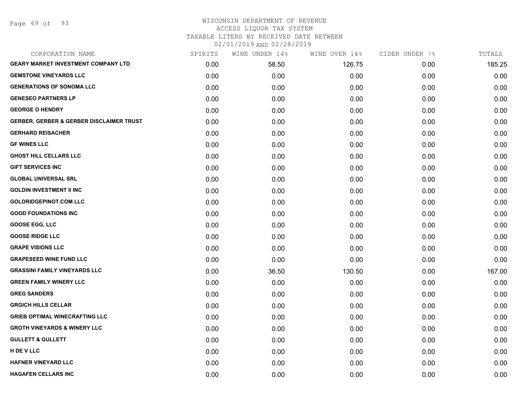Page 69 of 93

#### WISCONSIN DEPARTMENT OF REVENUE ACCESS LIQUOR TAX SYSTEM TAXABLE LITERS BY RECEIVED DATE BETWEEN

| CORPORATION NAME                                    | SPIRITS | WINE UNDER 14% | WINE OVER 14% | CIDER UNDER 7% | TOTALS |
|-----------------------------------------------------|---------|----------------|---------------|----------------|--------|
| <b>GEARY MARKET INVESTMENT COMPANY LTD</b>          | 0.00    | 58.50          | 126.75        | 0.00           | 185.25 |
| <b>GEMSTONE VINEYARDS LLC</b>                       | 0.00    | 0.00           | 0.00          | 0.00           | 0.00   |
| <b>GENERATIONS OF SONOMA LLC</b>                    | 0.00    | 0.00           | 0.00          | 0.00           | 0.00   |
| <b>GENESEO PARTNERS LP</b>                          | 0.00    | 0.00           | 0.00          | 0.00           | 0.00   |
| <b>GEORGE O HENDRY</b>                              | 0.00    | 0.00           | 0.00          | 0.00           | 0.00   |
| <b>GERBER, GERBER &amp; GERBER DISCLAIMER TRUST</b> | 0.00    | 0.00           | 0.00          | 0.00           | 0.00   |
| <b>GERHARD REISACHER</b>                            | 0.00    | 0.00           | 0.00          | 0.00           | 0.00   |
| <b>GF WINES LLC</b>                                 | 0.00    | 0.00           | 0.00          | 0.00           | 0.00   |
| <b>GHOST HILL CELLARS LLC</b>                       | 0.00    | 0.00           | 0.00          | 0.00           | 0.00   |
| <b>GIFT SERVICES INC</b>                            | 0.00    | 0.00           | 0.00          | 0.00           | 0.00   |
| <b>GLOBAL UNIVERSAL SRL</b>                         | 0.00    | 0.00           | 0.00          | 0.00           | 0.00   |
| <b>GOLDIN INVESTMENT II INC</b>                     | 0.00    | 0.00           | 0.00          | 0.00           | 0.00   |
| <b>GOLDRIDGEPINOT.COM LLC</b>                       | 0.00    | 0.00           | 0.00          | 0.00           | 0.00   |
| <b>GOOD FOUNDATIONS INC</b>                         | 0.00    | 0.00           | 0.00          | 0.00           | 0.00   |
| <b>GOOSE EGG, LLC</b>                               | 0.00    | 0.00           | 0.00          | 0.00           | 0.00   |
| <b>GOOSE RIDGE LLC</b>                              | 0.00    | 0.00           | 0.00          | 0.00           | 0.00   |
| <b>GRAPE VISIONS LLC</b>                            | 0.00    | 0.00           | 0.00          | 0.00           | 0.00   |
| <b>GRAPESEED WINE FUND LLC</b>                      | 0.00    | 0.00           | 0.00          | 0.00           | 0.00   |
| <b>GRASSINI FAMILY VINEYARDS LLC</b>                | 0.00    | 36.50          | 130.50        | 0.00           | 167.00 |
| <b>GREEN FAMILY WINERY LLC</b>                      | 0.00    | 0.00           | 0.00          | 0.00           | 0.00   |
| <b>GREG SANDERS</b>                                 | 0.00    | 0.00           | 0.00          | 0.00           | 0.00   |
| <b>GRGICH HILLS CELLAR</b>                          | 0.00    | 0.00           | 0.00          | 0.00           | 0.00   |
| <b>GRIEB OPTIMAL WINECRAFTING LLC</b>               | 0.00    | 0.00           | 0.00          | 0.00           | 0.00   |
| <b>GROTH VINEYARDS &amp; WINERY LLC</b>             | 0.00    | 0.00           | 0.00          | 0.00           | 0.00   |
| <b>GULLETT &amp; GULLETT</b>                        | 0.00    | 0.00           | 0.00          | 0.00           | 0.00   |
| H DE V LLC                                          | 0.00    | 0.00           | 0.00          | 0.00           | 0.00   |
| <b>HAFNER VINEYARD LLC</b>                          | 0.00    | 0.00           | 0.00          | 0.00           | 0.00   |
| <b>HAGAFEN CELLARS INC</b>                          | 0.00    | 0.00           | 0.00          | 0.00           | 0.00   |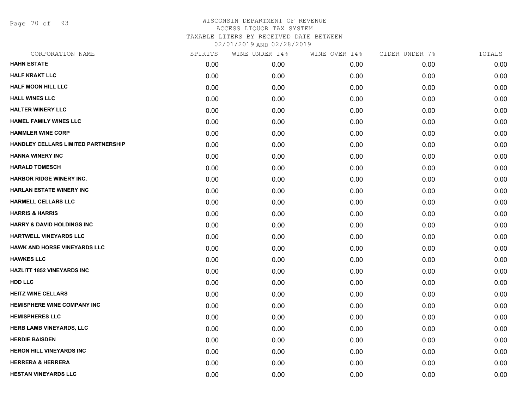Page 70 of 93

| CORPORATION NAME                           | SPIRITS | WINE UNDER 14% | WINE OVER 14% | CIDER UNDER 7% | TOTALS |
|--------------------------------------------|---------|----------------|---------------|----------------|--------|
| <b>HAHN ESTATE</b>                         | 0.00    | 0.00           | 0.00          | 0.00           | 0.00   |
| <b>HALF KRAKT LLC</b>                      | 0.00    | 0.00           | 0.00          | 0.00           | 0.00   |
| <b>HALF MOON HILL LLC</b>                  | 0.00    | 0.00           | 0.00          | 0.00           | 0.00   |
| <b>HALL WINES LLC</b>                      | 0.00    | 0.00           | 0.00          | 0.00           | 0.00   |
| <b>HALTER WINERY LLC</b>                   | 0.00    | 0.00           | 0.00          | 0.00           | 0.00   |
| <b>HAMEL FAMILY WINES LLC</b>              | 0.00    | 0.00           | 0.00          | 0.00           | 0.00   |
| <b>HAMMLER WINE CORP</b>                   | 0.00    | 0.00           | 0.00          | 0.00           | 0.00   |
| <b>HANDLEY CELLARS LIMITED PARTNERSHIP</b> | 0.00    | 0.00           | 0.00          | 0.00           | 0.00   |
| <b>HANNA WINERY INC</b>                    | 0.00    | 0.00           | 0.00          | 0.00           | 0.00   |
| <b>HARALD TOMESCH</b>                      | 0.00    | 0.00           | 0.00          | 0.00           | 0.00   |
| <b>HARBOR RIDGE WINERY INC.</b>            | 0.00    | 0.00           | 0.00          | 0.00           | 0.00   |
| <b>HARLAN ESTATE WINERY INC</b>            | 0.00    | 0.00           | 0.00          | 0.00           | 0.00   |
| <b>HARMELL CELLARS LLC</b>                 | 0.00    | 0.00           | 0.00          | 0.00           | 0.00   |
| <b>HARRIS &amp; HARRIS</b>                 | 0.00    | 0.00           | 0.00          | 0.00           | 0.00   |
| <b>HARRY &amp; DAVID HOLDINGS INC</b>      | 0.00    | 0.00           | 0.00          | 0.00           | 0.00   |
| <b>HARTWELL VINEYARDS LLC</b>              | 0.00    | 0.00           | 0.00          | 0.00           | 0.00   |
| <b>HAWK AND HORSE VINEYARDS LLC</b>        | 0.00    | 0.00           | 0.00          | 0.00           | 0.00   |
| <b>HAWKES LLC</b>                          | 0.00    | 0.00           | 0.00          | 0.00           | 0.00   |
| <b>HAZLITT 1852 VINEYARDS INC</b>          | 0.00    | 0.00           | 0.00          | 0.00           | 0.00   |
| <b>HDD LLC</b>                             | 0.00    | 0.00           | 0.00          | 0.00           | 0.00   |
| <b>HEITZ WINE CELLARS</b>                  | 0.00    | 0.00           | 0.00          | 0.00           | 0.00   |
| <b>HEMISPHERE WINE COMPANY INC</b>         | 0.00    | 0.00           | 0.00          | 0.00           | 0.00   |
| <b>HEMISPHERES LLC</b>                     | 0.00    | 0.00           | 0.00          | 0.00           | 0.00   |
| HERB LAMB VINEYARDS, LLC                   | 0.00    | 0.00           | 0.00          | 0.00           | 0.00   |
| <b>HERDIE BAISDEN</b>                      | 0.00    | 0.00           | 0.00          | 0.00           | 0.00   |
| <b>HERON HILL VINEYARDS INC</b>            | 0.00    | 0.00           | 0.00          | 0.00           | 0.00   |
| <b>HERRERA &amp; HERRERA</b>               | 0.00    | 0.00           | 0.00          | 0.00           | 0.00   |
| <b>HESTAN VINEYARDS LLC</b>                | 0.00    | 0.00           | 0.00          | 0.00           | 0.00   |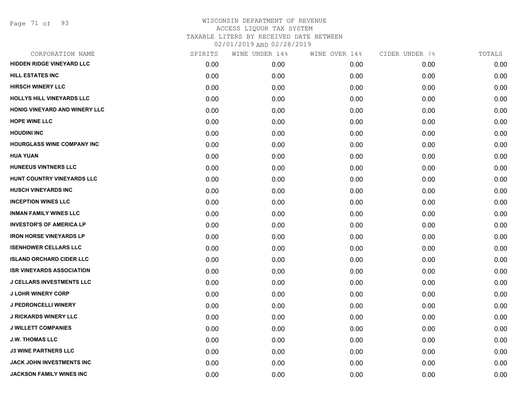| CORPORATION NAME                  | SPIRITS | WINE UNDER 14% | WINE OVER 14% | CIDER UNDER 7% | TOTALS |
|-----------------------------------|---------|----------------|---------------|----------------|--------|
| <b>HIDDEN RIDGE VINEYARD LLC</b>  | 0.00    | 0.00           | 0.00          | 0.00           | 0.00   |
| <b>HILL ESTATES INC</b>           | 0.00    | 0.00           | 0.00          | 0.00           | 0.00   |
| <b>HIRSCH WINERY LLC</b>          | 0.00    | 0.00           | 0.00          | 0.00           | 0.00   |
| HOLLYS HILL VINEYARDS LLC         | 0.00    | 0.00           | 0.00          | 0.00           | 0.00   |
| HONIG VINEYARD AND WINERY LLC     | 0.00    | 0.00           | 0.00          | 0.00           | 0.00   |
| <b>HOPE WINE LLC</b>              | 0.00    | 0.00           | 0.00          | 0.00           | 0.00   |
| <b>HOUDINI INC</b>                | 0.00    | 0.00           | 0.00          | 0.00           | 0.00   |
| <b>HOURGLASS WINE COMPANY INC</b> | 0.00    | 0.00           | 0.00          | 0.00           | 0.00   |
| <b>HUA YUAN</b>                   | 0.00    | 0.00           | 0.00          | 0.00           | 0.00   |
| <b>HUNEEUS VINTNERS LLC</b>       | 0.00    | 0.00           | 0.00          | 0.00           | 0.00   |
| HUNT COUNTRY VINEYARDS LLC        | 0.00    | 0.00           | 0.00          | 0.00           | 0.00   |
| <b>HUSCH VINEYARDS INC</b>        | 0.00    | 0.00           | 0.00          | 0.00           | 0.00   |
| <b>INCEPTION WINES LLC</b>        | 0.00    | 0.00           | 0.00          | 0.00           | 0.00   |
| <b>INMAN FAMILY WINES LLC</b>     | 0.00    | 0.00           | 0.00          | 0.00           | 0.00   |
| <b>INVESTOR'S OF AMERICA LP</b>   | 0.00    | 0.00           | 0.00          | 0.00           | 0.00   |
| <b>IRON HORSE VINEYARDS LP</b>    | 0.00    | 0.00           | 0.00          | 0.00           | 0.00   |
| <b>ISENHOWER CELLARS LLC</b>      | 0.00    | 0.00           | 0.00          | 0.00           | 0.00   |
| <b>ISLAND ORCHARD CIDER LLC</b>   | 0.00    | 0.00           | 0.00          | 0.00           | 0.00   |
| <b>ISR VINEYARDS ASSOCIATION</b>  | 0.00    | 0.00           | 0.00          | 0.00           | 0.00   |
| <b>J CELLARS INVESTMENTS LLC</b>  | 0.00    | 0.00           | 0.00          | 0.00           | 0.00   |
| <b>J LOHR WINERY CORP</b>         | 0.00    | 0.00           | 0.00          | 0.00           | 0.00   |
| J PEDRONCELLI WINERY              | 0.00    | 0.00           | 0.00          | 0.00           | 0.00   |
| <b>J RICKARDS WINERY LLC</b>      | 0.00    | 0.00           | 0.00          | 0.00           | 0.00   |
| <b>J WILLETT COMPANIES</b>        | 0.00    | 0.00           | 0.00          | 0.00           | 0.00   |
| <b>J.W. THOMAS LLC</b>            | 0.00    | 0.00           | 0.00          | 0.00           | 0.00   |
| <b>J3 WINE PARTNERS LLC</b>       | 0.00    | 0.00           | 0.00          | 0.00           | 0.00   |
| JACK JOHN INVESTMENTS INC         | 0.00    | 0.00           | 0.00          | 0.00           | 0.00   |
| JACKSON FAMILY WINES INC          | 0.00    | 0.00           | 0.00          | 0.00           | 0.00   |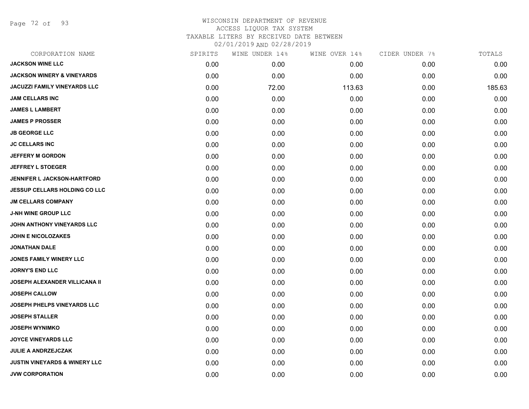Page 72 of 93

| CORPORATION NAME                         | SPIRITS | WINE UNDER 14% | WINE OVER 14% | CIDER UNDER 7% | TOTALS |
|------------------------------------------|---------|----------------|---------------|----------------|--------|
| <b>JACKSON WINE LLC</b>                  | 0.00    | 0.00           | 0.00          | 0.00           | 0.00   |
| <b>JACKSON WINERY &amp; VINEYARDS</b>    | 0.00    | 0.00           | 0.00          | 0.00           | 0.00   |
| <b>JACUZZI FAMILY VINEYARDS LLC</b>      | 0.00    | 72.00          | 113.63        | 0.00           | 185.63 |
| <b>JAM CELLARS INC</b>                   | 0.00    | 0.00           | 0.00          | 0.00           | 0.00   |
| <b>JAMES L LAMBERT</b>                   | 0.00    | 0.00           | 0.00          | 0.00           | 0.00   |
| <b>JAMES P PROSSER</b>                   | 0.00    | 0.00           | 0.00          | 0.00           | 0.00   |
| <b>JB GEORGE LLC</b>                     | 0.00    | 0.00           | 0.00          | 0.00           | 0.00   |
| <b>JC CELLARS INC</b>                    | 0.00    | 0.00           | 0.00          | 0.00           | 0.00   |
| <b>JEFFERY M GORDON</b>                  | 0.00    | 0.00           | 0.00          | 0.00           | 0.00   |
| <b>JEFFREY L STOEGER</b>                 | 0.00    | 0.00           | 0.00          | 0.00           | 0.00   |
| <b>JENNIFER L JACKSON-HARTFORD</b>       | 0.00    | 0.00           | 0.00          | 0.00           | 0.00   |
| JESSUP CELLARS HOLDING CO LLC            | 0.00    | 0.00           | 0.00          | 0.00           | 0.00   |
| <b>JM CELLARS COMPANY</b>                | 0.00    | 0.00           | 0.00          | 0.00           | 0.00   |
| <b>J-NH WINE GROUP LLC</b>               | 0.00    | 0.00           | 0.00          | 0.00           | 0.00   |
| JOHN ANTHONY VINEYARDS LLC               | 0.00    | 0.00           | 0.00          | 0.00           | 0.00   |
| <b>JOHN E NICOLOZAKES</b>                | 0.00    | 0.00           | 0.00          | 0.00           | 0.00   |
| <b>JONATHAN DALE</b>                     | 0.00    | 0.00           | 0.00          | 0.00           | 0.00   |
| <b>JONES FAMILY WINERY LLC</b>           | 0.00    | 0.00           | 0.00          | 0.00           | 0.00   |
| <b>JORNY'S END LLC</b>                   | 0.00    | 0.00           | 0.00          | 0.00           | 0.00   |
| <b>JOSEPH ALEXANDER VILLICANA II</b>     | 0.00    | 0.00           | 0.00          | 0.00           | 0.00   |
| <b>JOSEPH CALLOW</b>                     | 0.00    | 0.00           | 0.00          | 0.00           | 0.00   |
| <b>JOSEPH PHELPS VINEYARDS LLC</b>       | 0.00    | 0.00           | 0.00          | 0.00           | 0.00   |
| <b>JOSEPH STALLER</b>                    | 0.00    | 0.00           | 0.00          | 0.00           | 0.00   |
| <b>JOSEPH WYNIMKO</b>                    | 0.00    | 0.00           | 0.00          | 0.00           | 0.00   |
| <b>JOYCE VINEYARDS LLC</b>               | 0.00    | 0.00           | 0.00          | 0.00           | 0.00   |
| <b>JULIE A ANDRZEJCZAK</b>               | 0.00    | 0.00           | 0.00          | 0.00           | 0.00   |
| <b>JUSTIN VINEYARDS &amp; WINERY LLC</b> | 0.00    | 0.00           | 0.00          | 0.00           | 0.00   |
| <b>JVW CORPORATION</b>                   | 0.00    | 0.00           | 0.00          | 0.00           | 0.00   |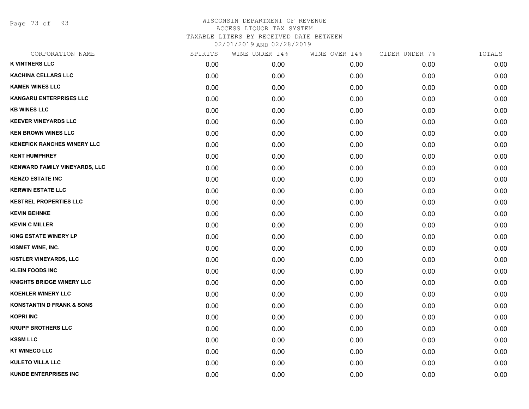Page 73 of 93

| CORPORATION NAME                     | SPIRITS | WINE UNDER 14% | WINE OVER 14% | CIDER UNDER 7% | TOTALS |
|--------------------------------------|---------|----------------|---------------|----------------|--------|
| <b>K VINTNERS LLC</b>                | 0.00    | 0.00           | 0.00          | 0.00           | 0.00   |
| <b>KACHINA CELLARS LLC</b>           | 0.00    | 0.00           | 0.00          | 0.00           | 0.00   |
| <b>KAMEN WINES LLC</b>               | 0.00    | 0.00           | 0.00          | 0.00           | 0.00   |
| <b>KANGARU ENTERPRISES LLC</b>       | 0.00    | 0.00           | 0.00          | 0.00           | 0.00   |
| <b>KB WINES LLC</b>                  | 0.00    | 0.00           | 0.00          | 0.00           | 0.00   |
| <b>KEEVER VINEYARDS LLC</b>          | 0.00    | 0.00           | 0.00          | 0.00           | 0.00   |
| <b>KEN BROWN WINES LLC</b>           | 0.00    | 0.00           | 0.00          | 0.00           | 0.00   |
| <b>KENEFICK RANCHES WINERY LLC</b>   | 0.00    | 0.00           | 0.00          | 0.00           | 0.00   |
| <b>KENT HUMPHREY</b>                 | 0.00    | 0.00           | 0.00          | 0.00           | 0.00   |
| KENWARD FAMILY VINEYARDS, LLC        | 0.00    | 0.00           | 0.00          | 0.00           | 0.00   |
| <b>KENZO ESTATE INC</b>              | 0.00    | 0.00           | 0.00          | 0.00           | 0.00   |
| <b>KERWIN ESTATE LLC</b>             | 0.00    | 0.00           | 0.00          | 0.00           | 0.00   |
| <b>KESTREL PROPERTIES LLC</b>        | 0.00    | 0.00           | 0.00          | 0.00           | 0.00   |
| <b>KEVIN BEHNKE</b>                  | 0.00    | 0.00           | 0.00          | 0.00           | 0.00   |
| <b>KEVIN C MILLER</b>                | 0.00    | 0.00           | 0.00          | 0.00           | 0.00   |
| <b>KING ESTATE WINERY LP</b>         | 0.00    | 0.00           | 0.00          | 0.00           | 0.00   |
| KISMET WINE, INC.                    | 0.00    | 0.00           | 0.00          | 0.00           | 0.00   |
| KISTLER VINEYARDS, LLC               | 0.00    | 0.00           | 0.00          | 0.00           | 0.00   |
| <b>KLEIN FOODS INC</b>               | 0.00    | 0.00           | 0.00          | 0.00           | 0.00   |
| <b>KNIGHTS BRIDGE WINERY LLC</b>     | 0.00    | 0.00           | 0.00          | 0.00           | 0.00   |
| <b>KOEHLER WINERY LLC</b>            | 0.00    | 0.00           | 0.00          | 0.00           | 0.00   |
| <b>KONSTANTIN D FRANK &amp; SONS</b> | 0.00    | 0.00           | 0.00          | 0.00           | 0.00   |
| <b>KOPRI INC</b>                     | 0.00    | 0.00           | 0.00          | 0.00           | 0.00   |
| <b>KRUPP BROTHERS LLC</b>            | 0.00    | 0.00           | 0.00          | 0.00           | 0.00   |
| <b>KSSM LLC</b>                      | 0.00    | 0.00           | 0.00          | 0.00           | 0.00   |
| <b>KT WINECO LLC</b>                 | 0.00    | 0.00           | 0.00          | 0.00           | 0.00   |
| <b>KULETO VILLA LLC</b>              | 0.00    | 0.00           | 0.00          | 0.00           | 0.00   |
| <b>KUNDE ENTERPRISES INC</b>         | 0.00    | 0.00           | 0.00          | 0.00           | 0.00   |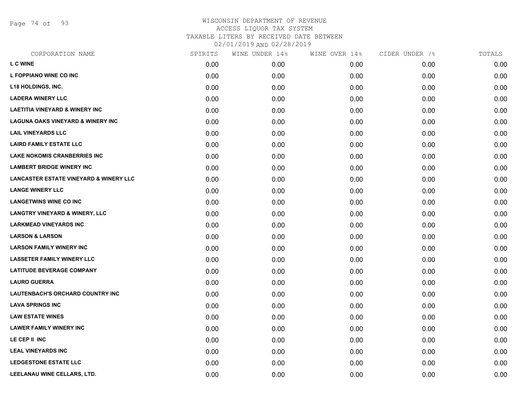Page 74 of 93

| CORPORATION NAME                                  | SPIRITS | WINE UNDER 14% | WINE OVER 14% | CIDER UNDER 7% | TOTALS |
|---------------------------------------------------|---------|----------------|---------------|----------------|--------|
| <b>L C WINE</b>                                   | 0.00    | 0.00           | 0.00          | 0.00           | 0.00   |
| L FOPPIANO WINE CO INC                            | 0.00    | 0.00           | 0.00          | 0.00           | 0.00   |
| L18 HOLDINGS, INC.                                | 0.00    | 0.00           | 0.00          | 0.00           | 0.00   |
| <b>LADERA WINERY LLC</b>                          | 0.00    | 0.00           | 0.00          | 0.00           | 0.00   |
| <b>LAETITIA VINEYARD &amp; WINERY INC</b>         | 0.00    | 0.00           | 0.00          | 0.00           | 0.00   |
| <b>LAGUNA OAKS VINEYARD &amp; WINERY INC</b>      | 0.00    | 0.00           | 0.00          | 0.00           | 0.00   |
| <b>LAIL VINEYARDS LLC</b>                         | 0.00    | 0.00           | 0.00          | 0.00           | 0.00   |
| <b>LAIRD FAMILY ESTATE LLC</b>                    | 0.00    | 0.00           | 0.00          | 0.00           | 0.00   |
| <b>LAKE NOKOMIS CRANBERRIES INC</b>               | 0.00    | 0.00           | 0.00          | 0.00           | 0.00   |
| <b>LAMBERT BRIDGE WINERY INC</b>                  | 0.00    | 0.00           | 0.00          | 0.00           | 0.00   |
| <b>LANCASTER ESTATE VINEYARD &amp; WINERY LLC</b> | 0.00    | 0.00           | 0.00          | 0.00           | 0.00   |
| <b>LANGE WINERY LLC</b>                           | 0.00    | 0.00           | 0.00          | 0.00           | 0.00   |
| <b>LANGETWINS WINE CO INC</b>                     | 0.00    | 0.00           | 0.00          | 0.00           | 0.00   |
| <b>LANGTRY VINEYARD &amp; WINERY, LLC</b>         | 0.00    | 0.00           | 0.00          | 0.00           | 0.00   |
| <b>LARKMEAD VINEYARDS INC</b>                     | 0.00    | 0.00           | 0.00          | 0.00           | 0.00   |
| <b>LARSON &amp; LARSON</b>                        | 0.00    | 0.00           | 0.00          | 0.00           | 0.00   |
| <b>LARSON FAMILY WINERY INC</b>                   | 0.00    | 0.00           | 0.00          | 0.00           | 0.00   |
| <b>LASSETER FAMILY WINERY LLC</b>                 | 0.00    | 0.00           | 0.00          | 0.00           | 0.00   |
| <b>LATITUDE BEVERAGE COMPANY</b>                  | 0.00    | 0.00           | 0.00          | 0.00           | 0.00   |
| <b>LAURO GUERRA</b>                               | 0.00    | 0.00           | 0.00          | 0.00           | 0.00   |
| <b>LAUTENBACH'S ORCHARD COUNTRY INC</b>           | 0.00    | 0.00           | 0.00          | 0.00           | 0.00   |
| <b>LAVA SPRINGS INC</b>                           | 0.00    | 0.00           | 0.00          | 0.00           | 0.00   |
| <b>LAW ESTATE WINES</b>                           | 0.00    | 0.00           | 0.00          | 0.00           | 0.00   |
| <b>LAWER FAMILY WINERY INC</b>                    | 0.00    | 0.00           | 0.00          | 0.00           | 0.00   |
| LE CEP II INC                                     | 0.00    | 0.00           | 0.00          | 0.00           | 0.00   |
| <b>LEAL VINEYARDS INC</b>                         | 0.00    | 0.00           | 0.00          | 0.00           | 0.00   |
| <b>LEDGESTONE ESTATE LLC</b>                      | 0.00    | 0.00           | 0.00          | 0.00           | 0.00   |
| LEELANAU WINE CELLARS, LTD.                       | 0.00    | 0.00           | 0.00          | 0.00           | 0.00   |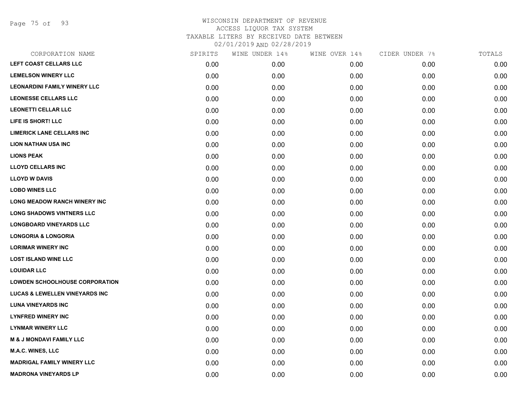Page 75 of 93

| LEFT COAST CELLARS LLC<br>0.00<br>0.00<br>0.00<br>0.00<br><b>LEMELSON WINERY LLC</b><br>0.00<br>0.00<br>0.00<br>0.00<br><b>LEONARDINI FAMILY WINERY LLC</b><br>0.00<br>0.00<br>0.00<br>0.00<br><b>LEONESSE CELLARS LLC</b><br>0.00<br>0.00<br>0.00<br>0.00<br><b>LEONETTI CELLAR LLC</b><br>0.00<br>0.00<br>0.00<br>0.00<br>LIFE IS SHORT! LLC<br>0.00<br>0.00<br>0.00<br>0.00<br><b>LIMERICK LANE CELLARS INC</b><br>0.00<br>0.00<br>0.00<br>0.00<br><b>LION NATHAN USA INC</b><br>0.00<br>0.00<br>0.00<br>0.00<br><b>LIONS PEAK</b><br>0.00<br>0.00<br>0.00<br>0.00<br><b>LLOYD CELLARS INC</b><br>0.00<br>0.00<br>0.00<br>0.00<br><b>LLOYD W DAVIS</b><br>0.00<br>0.00<br>0.00<br>0.00<br><b>LOBO WINES LLC</b><br>0.00<br>0.00<br>0.00<br>0.00<br>LONG MEADOW RANCH WINERY INC<br>0.00<br>0.00<br>0.00<br>0.00<br><b>LONG SHADOWS VINTNERS LLC</b><br>0.00<br>0.00<br>0.00<br>0.00<br><b>LONGBOARD VINEYARDS LLC</b><br>0.00<br>0.00<br>0.00<br>0.00<br><b>LONGORIA &amp; LONGORIA</b><br>0.00<br>0.00<br>0.00<br>0.00<br><b>LORIMAR WINERY INC</b><br>0.00<br>0.00<br>0.00<br>0.00<br><b>LOST ISLAND WINE LLC</b><br>0.00<br>0.00<br>0.00<br>0.00<br><b>LOUIDAR LLC</b><br>0.00<br>0.00<br>0.00<br>0.00<br><b>LOWDEN SCHOOLHOUSE CORPORATION</b><br>0.00<br>0.00<br>0.00<br>0.00<br><b>LUCAS &amp; LEWELLEN VINEYARDS INC</b><br>0.00<br>0.00<br>0.00<br>0.00<br><b>LUNA VINEYARDS INC</b><br>0.00<br>0.00<br>0.00<br>0.00<br><b>LYNFRED WINERY INC</b><br>0.00<br>0.00<br>0.00<br>0.00<br><b>LYNMAR WINERY LLC</b><br>0.00<br>0.00<br>0.00<br>0.00<br><b>M &amp; J MONDAVI FAMILY LLC</b><br>0.00<br>0.00<br>0.00<br>0.00<br><b>M.A.C. WINES, LLC</b><br>0.00<br>0.00<br>0.00<br>0.00<br><b>MADRIGAL FAMILY WINERY LLC</b><br>0.00<br>0.00<br>0.00<br>0.00<br><b>MADRONA VINEYARDS LP</b><br>0.00<br>0.00<br>0.00<br>0.00 | CORPORATION NAME | SPIRITS | WINE UNDER 14% | WINE OVER 14% | CIDER UNDER 7% | TOTALS |
|---------------------------------------------------------------------------------------------------------------------------------------------------------------------------------------------------------------------------------------------------------------------------------------------------------------------------------------------------------------------------------------------------------------------------------------------------------------------------------------------------------------------------------------------------------------------------------------------------------------------------------------------------------------------------------------------------------------------------------------------------------------------------------------------------------------------------------------------------------------------------------------------------------------------------------------------------------------------------------------------------------------------------------------------------------------------------------------------------------------------------------------------------------------------------------------------------------------------------------------------------------------------------------------------------------------------------------------------------------------------------------------------------------------------------------------------------------------------------------------------------------------------------------------------------------------------------------------------------------------------------------------------------------------------------------------------------------------------------------------------------------------------------------------------------------------------------------|------------------|---------|----------------|---------------|----------------|--------|
|                                                                                                                                                                                                                                                                                                                                                                                                                                                                                                                                                                                                                                                                                                                                                                                                                                                                                                                                                                                                                                                                                                                                                                                                                                                                                                                                                                                                                                                                                                                                                                                                                                                                                                                                                                                                                                 |                  |         |                |               |                | 0.00   |
|                                                                                                                                                                                                                                                                                                                                                                                                                                                                                                                                                                                                                                                                                                                                                                                                                                                                                                                                                                                                                                                                                                                                                                                                                                                                                                                                                                                                                                                                                                                                                                                                                                                                                                                                                                                                                                 |                  |         |                |               |                | 0.00   |
|                                                                                                                                                                                                                                                                                                                                                                                                                                                                                                                                                                                                                                                                                                                                                                                                                                                                                                                                                                                                                                                                                                                                                                                                                                                                                                                                                                                                                                                                                                                                                                                                                                                                                                                                                                                                                                 |                  |         |                |               |                | 0.00   |
|                                                                                                                                                                                                                                                                                                                                                                                                                                                                                                                                                                                                                                                                                                                                                                                                                                                                                                                                                                                                                                                                                                                                                                                                                                                                                                                                                                                                                                                                                                                                                                                                                                                                                                                                                                                                                                 |                  |         |                |               |                | 0.00   |
|                                                                                                                                                                                                                                                                                                                                                                                                                                                                                                                                                                                                                                                                                                                                                                                                                                                                                                                                                                                                                                                                                                                                                                                                                                                                                                                                                                                                                                                                                                                                                                                                                                                                                                                                                                                                                                 |                  |         |                |               |                | 0.00   |
|                                                                                                                                                                                                                                                                                                                                                                                                                                                                                                                                                                                                                                                                                                                                                                                                                                                                                                                                                                                                                                                                                                                                                                                                                                                                                                                                                                                                                                                                                                                                                                                                                                                                                                                                                                                                                                 |                  |         |                |               |                | 0.00   |
|                                                                                                                                                                                                                                                                                                                                                                                                                                                                                                                                                                                                                                                                                                                                                                                                                                                                                                                                                                                                                                                                                                                                                                                                                                                                                                                                                                                                                                                                                                                                                                                                                                                                                                                                                                                                                                 |                  |         |                |               |                | 0.00   |
|                                                                                                                                                                                                                                                                                                                                                                                                                                                                                                                                                                                                                                                                                                                                                                                                                                                                                                                                                                                                                                                                                                                                                                                                                                                                                                                                                                                                                                                                                                                                                                                                                                                                                                                                                                                                                                 |                  |         |                |               |                | 0.00   |
|                                                                                                                                                                                                                                                                                                                                                                                                                                                                                                                                                                                                                                                                                                                                                                                                                                                                                                                                                                                                                                                                                                                                                                                                                                                                                                                                                                                                                                                                                                                                                                                                                                                                                                                                                                                                                                 |                  |         |                |               |                | 0.00   |
|                                                                                                                                                                                                                                                                                                                                                                                                                                                                                                                                                                                                                                                                                                                                                                                                                                                                                                                                                                                                                                                                                                                                                                                                                                                                                                                                                                                                                                                                                                                                                                                                                                                                                                                                                                                                                                 |                  |         |                |               |                | 0.00   |
|                                                                                                                                                                                                                                                                                                                                                                                                                                                                                                                                                                                                                                                                                                                                                                                                                                                                                                                                                                                                                                                                                                                                                                                                                                                                                                                                                                                                                                                                                                                                                                                                                                                                                                                                                                                                                                 |                  |         |                |               |                | 0.00   |
|                                                                                                                                                                                                                                                                                                                                                                                                                                                                                                                                                                                                                                                                                                                                                                                                                                                                                                                                                                                                                                                                                                                                                                                                                                                                                                                                                                                                                                                                                                                                                                                                                                                                                                                                                                                                                                 |                  |         |                |               |                | 0.00   |
|                                                                                                                                                                                                                                                                                                                                                                                                                                                                                                                                                                                                                                                                                                                                                                                                                                                                                                                                                                                                                                                                                                                                                                                                                                                                                                                                                                                                                                                                                                                                                                                                                                                                                                                                                                                                                                 |                  |         |                |               |                | 0.00   |
|                                                                                                                                                                                                                                                                                                                                                                                                                                                                                                                                                                                                                                                                                                                                                                                                                                                                                                                                                                                                                                                                                                                                                                                                                                                                                                                                                                                                                                                                                                                                                                                                                                                                                                                                                                                                                                 |                  |         |                |               |                | 0.00   |
|                                                                                                                                                                                                                                                                                                                                                                                                                                                                                                                                                                                                                                                                                                                                                                                                                                                                                                                                                                                                                                                                                                                                                                                                                                                                                                                                                                                                                                                                                                                                                                                                                                                                                                                                                                                                                                 |                  |         |                |               |                | 0.00   |
|                                                                                                                                                                                                                                                                                                                                                                                                                                                                                                                                                                                                                                                                                                                                                                                                                                                                                                                                                                                                                                                                                                                                                                                                                                                                                                                                                                                                                                                                                                                                                                                                                                                                                                                                                                                                                                 |                  |         |                |               |                | 0.00   |
|                                                                                                                                                                                                                                                                                                                                                                                                                                                                                                                                                                                                                                                                                                                                                                                                                                                                                                                                                                                                                                                                                                                                                                                                                                                                                                                                                                                                                                                                                                                                                                                                                                                                                                                                                                                                                                 |                  |         |                |               |                | 0.00   |
|                                                                                                                                                                                                                                                                                                                                                                                                                                                                                                                                                                                                                                                                                                                                                                                                                                                                                                                                                                                                                                                                                                                                                                                                                                                                                                                                                                                                                                                                                                                                                                                                                                                                                                                                                                                                                                 |                  |         |                |               |                | 0.00   |
|                                                                                                                                                                                                                                                                                                                                                                                                                                                                                                                                                                                                                                                                                                                                                                                                                                                                                                                                                                                                                                                                                                                                                                                                                                                                                                                                                                                                                                                                                                                                                                                                                                                                                                                                                                                                                                 |                  |         |                |               |                | 0.00   |
|                                                                                                                                                                                                                                                                                                                                                                                                                                                                                                                                                                                                                                                                                                                                                                                                                                                                                                                                                                                                                                                                                                                                                                                                                                                                                                                                                                                                                                                                                                                                                                                                                                                                                                                                                                                                                                 |                  |         |                |               |                | 0.00   |
|                                                                                                                                                                                                                                                                                                                                                                                                                                                                                                                                                                                                                                                                                                                                                                                                                                                                                                                                                                                                                                                                                                                                                                                                                                                                                                                                                                                                                                                                                                                                                                                                                                                                                                                                                                                                                                 |                  |         |                |               |                | 0.00   |
|                                                                                                                                                                                                                                                                                                                                                                                                                                                                                                                                                                                                                                                                                                                                                                                                                                                                                                                                                                                                                                                                                                                                                                                                                                                                                                                                                                                                                                                                                                                                                                                                                                                                                                                                                                                                                                 |                  |         |                |               |                | 0.00   |
|                                                                                                                                                                                                                                                                                                                                                                                                                                                                                                                                                                                                                                                                                                                                                                                                                                                                                                                                                                                                                                                                                                                                                                                                                                                                                                                                                                                                                                                                                                                                                                                                                                                                                                                                                                                                                                 |                  |         |                |               |                | 0.00   |
|                                                                                                                                                                                                                                                                                                                                                                                                                                                                                                                                                                                                                                                                                                                                                                                                                                                                                                                                                                                                                                                                                                                                                                                                                                                                                                                                                                                                                                                                                                                                                                                                                                                                                                                                                                                                                                 |                  |         |                |               |                | 0.00   |
|                                                                                                                                                                                                                                                                                                                                                                                                                                                                                                                                                                                                                                                                                                                                                                                                                                                                                                                                                                                                                                                                                                                                                                                                                                                                                                                                                                                                                                                                                                                                                                                                                                                                                                                                                                                                                                 |                  |         |                |               |                | 0.00   |
|                                                                                                                                                                                                                                                                                                                                                                                                                                                                                                                                                                                                                                                                                                                                                                                                                                                                                                                                                                                                                                                                                                                                                                                                                                                                                                                                                                                                                                                                                                                                                                                                                                                                                                                                                                                                                                 |                  |         |                |               |                | 0.00   |
|                                                                                                                                                                                                                                                                                                                                                                                                                                                                                                                                                                                                                                                                                                                                                                                                                                                                                                                                                                                                                                                                                                                                                                                                                                                                                                                                                                                                                                                                                                                                                                                                                                                                                                                                                                                                                                 |                  |         |                |               |                | 0.00   |
|                                                                                                                                                                                                                                                                                                                                                                                                                                                                                                                                                                                                                                                                                                                                                                                                                                                                                                                                                                                                                                                                                                                                                                                                                                                                                                                                                                                                                                                                                                                                                                                                                                                                                                                                                                                                                                 |                  |         |                |               |                | 0.00   |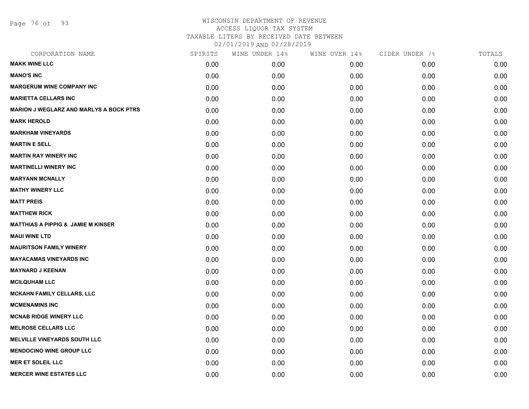Page 76 of 93

| CORPORATION NAME                               | SPIRITS | WINE UNDER 14% | WINE OVER 14% | CIDER UNDER 7% | TOTALS |
|------------------------------------------------|---------|----------------|---------------|----------------|--------|
| <b>MAKK WINE LLC</b>                           | 0.00    | 0.00           | 0.00          | 0.00           | 0.00   |
| <b>MANO'S INC</b>                              | 0.00    | 0.00           | 0.00          | 0.00           | 0.00   |
| <b>MARGERUM WINE COMPANY INC</b>               | 0.00    | 0.00           | 0.00          | 0.00           | 0.00   |
| <b>MARIETTA CELLARS INC</b>                    | 0.00    | 0.00           | 0.00          | 0.00           | 0.00   |
| <b>MARION J WEGLARZ AND MARLYS A BOCK PTRS</b> | 0.00    | 0.00           | 0.00          | 0.00           | 0.00   |
| <b>MARK HEROLD</b>                             | 0.00    | 0.00           | 0.00          | 0.00           | 0.00   |
| <b>MARKHAM VINEYARDS</b>                       | 0.00    | 0.00           | 0.00          | 0.00           | 0.00   |
| <b>MARTIN E SELL</b>                           | 0.00    | 0.00           | 0.00          | 0.00           | 0.00   |
| <b>MARTIN RAY WINERY INC</b>                   | 0.00    | 0.00           | 0.00          | 0.00           | 0.00   |
| <b>MARTINELLI WINERY INC</b>                   | 0.00    | 0.00           | 0.00          | 0.00           | 0.00   |
| <b>MARYANN MCNALLY</b>                         | 0.00    | 0.00           | 0.00          | 0.00           | 0.00   |
| <b>MATHY WINERY LLC</b>                        | 0.00    | 0.00           | 0.00          | 0.00           | 0.00   |
| <b>MATT PREIS</b>                              | 0.00    | 0.00           | 0.00          | 0.00           | 0.00   |
| <b>MATTHEW RICK</b>                            | 0.00    | 0.00           | 0.00          | 0.00           | 0.00   |
| <b>MATTHIAS A PIPPIG &amp; JAMIE M KINSER</b>  | 0.00    | 0.00           | 0.00          | 0.00           | 0.00   |
| <b>MAUI WINE LTD</b>                           | 0.00    | 0.00           | 0.00          | 0.00           | 0.00   |
| <b>MAURITSON FAMILY WINERY</b>                 | 0.00    | 0.00           | 0.00          | 0.00           | 0.00   |
| <b>MAYACAMAS VINEYARDS INC</b>                 | 0.00    | 0.00           | 0.00          | 0.00           | 0.00   |
| <b>MAYNARD J KEENAN</b>                        | 0.00    | 0.00           | 0.00          | 0.00           | 0.00   |
| <b>MCILQUHAM LLC</b>                           | 0.00    | 0.00           | 0.00          | 0.00           | 0.00   |
| <b>MCKAHN FAMILY CELLARS, LLC</b>              | 0.00    | 0.00           | 0.00          | 0.00           | 0.00   |
| <b>MCMENAMINS INC</b>                          | 0.00    | 0.00           | 0.00          | 0.00           | 0.00   |
| <b>MCNAB RIDGE WINERY LLC</b>                  | 0.00    | 0.00           | 0.00          | 0.00           | 0.00   |
| <b>MELROSE CELLARS LLC</b>                     | 0.00    | 0.00           | 0.00          | 0.00           | 0.00   |
| <b>MELVILLE VINEYARDS SOUTH LLC</b>            | 0.00    | 0.00           | 0.00          | 0.00           | 0.00   |
| <b>MENDOCINO WINE GROUP LLC</b>                | 0.00    | 0.00           | 0.00          | 0.00           | 0.00   |
| <b>MER ET SOLEIL LLC</b>                       | 0.00    | 0.00           | 0.00          | 0.00           | 0.00   |
| <b>MERCER WINE ESTATES LLC</b>                 | 0.00    | 0.00           | 0.00          | 0.00           | 0.00   |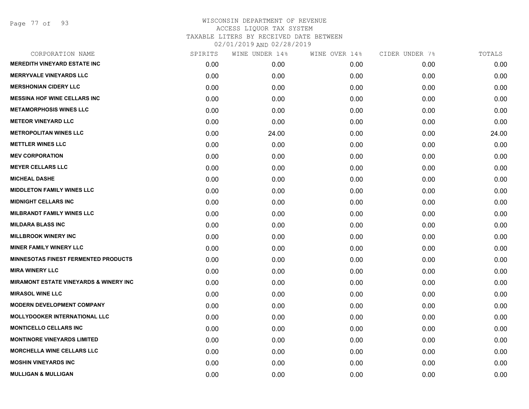Page 77 of 93

| CORPORATION NAME                                  | SPIRITS | WINE UNDER 14% | WINE OVER 14% | CIDER UNDER 7% | TOTALS |
|---------------------------------------------------|---------|----------------|---------------|----------------|--------|
| <b>MEREDITH VINEYARD ESTATE INC</b>               | 0.00    | 0.00           | 0.00          | 0.00           | 0.00   |
| <b>MERRYVALE VINEYARDS LLC</b>                    | 0.00    | 0.00           | 0.00          | 0.00           | 0.00   |
| <b>MERSHONIAN CIDERY LLC</b>                      | 0.00    | 0.00           | 0.00          | 0.00           | 0.00   |
| <b>MESSINA HOF WINE CELLARS INC</b>               | 0.00    | 0.00           | 0.00          | 0.00           | 0.00   |
| <b>METAMORPHOSIS WINES LLC</b>                    | 0.00    | 0.00           | 0.00          | 0.00           | 0.00   |
| <b>METEOR VINEYARD LLC</b>                        | 0.00    | 0.00           | 0.00          | 0.00           | 0.00   |
| <b>METROPOLITAN WINES LLC</b>                     | 0.00    | 24.00          | 0.00          | 0.00           | 24.00  |
| <b>METTLER WINES LLC</b>                          | 0.00    | 0.00           | 0.00          | 0.00           | 0.00   |
| <b>MEV CORPORATION</b>                            | 0.00    | 0.00           | 0.00          | 0.00           | 0.00   |
| <b>MEYER CELLARS LLC</b>                          | 0.00    | 0.00           | 0.00          | 0.00           | 0.00   |
| <b>MICHEAL DASHE</b>                              | 0.00    | 0.00           | 0.00          | 0.00           | 0.00   |
| <b>MIDDLETON FAMILY WINES LLC</b>                 | 0.00    | 0.00           | 0.00          | 0.00           | 0.00   |
| <b>MIDNIGHT CELLARS INC</b>                       | 0.00    | 0.00           | 0.00          | 0.00           | 0.00   |
| <b>MILBRANDT FAMILY WINES LLC</b>                 | 0.00    | 0.00           | 0.00          | 0.00           | 0.00   |
| <b>MILDARA BLASS INC</b>                          | 0.00    | 0.00           | 0.00          | 0.00           | 0.00   |
| <b>MILLBROOK WINERY INC</b>                       | 0.00    | 0.00           | 0.00          | 0.00           | 0.00   |
| <b>MINER FAMILY WINERY LLC</b>                    | 0.00    | 0.00           | 0.00          | 0.00           | 0.00   |
| <b>MINNESOTAS FINEST FERMENTED PRODUCTS</b>       | 0.00    | 0.00           | 0.00          | 0.00           | 0.00   |
| <b>MIRA WINERY LLC</b>                            | 0.00    | 0.00           | 0.00          | 0.00           | 0.00   |
| <b>MIRAMONT ESTATE VINEYARDS &amp; WINERY INC</b> | 0.00    | 0.00           | 0.00          | 0.00           | 0.00   |
| <b>MIRASOL WINE LLC</b>                           | 0.00    | 0.00           | 0.00          | 0.00           | 0.00   |
| <b>MODERN DEVELOPMENT COMPANY</b>                 | 0.00    | 0.00           | 0.00          | 0.00           | 0.00   |
| <b>MOLLYDOOKER INTERNATIONAL LLC</b>              | 0.00    | 0.00           | 0.00          | 0.00           | 0.00   |
| <b>MONTICELLO CELLARS INC</b>                     | 0.00    | 0.00           | 0.00          | 0.00           | 0.00   |
| <b>MONTINORE VINEYARDS LIMITED</b>                | 0.00    | 0.00           | 0.00          | 0.00           | 0.00   |
| <b>MORCHELLA WINE CELLARS LLC</b>                 | 0.00    | 0.00           | 0.00          | 0.00           | 0.00   |
| <b>MOSHIN VINEYARDS INC</b>                       | 0.00    | 0.00           | 0.00          | 0.00           | 0.00   |
| <b>MULLIGAN &amp; MULLIGAN</b>                    | 0.00    | 0.00           | 0.00          | 0.00           | 0.00   |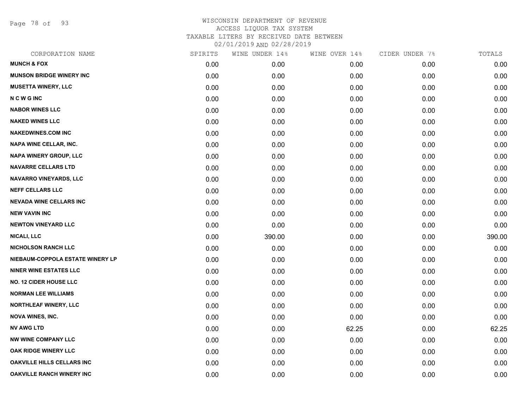Page 78 of 93

| CORPORATION NAME                  | SPIRITS | WINE UNDER 14% | WINE OVER 14% | CIDER UNDER 7% | TOTALS |
|-----------------------------------|---------|----------------|---------------|----------------|--------|
| <b>MUNCH &amp; FOX</b>            | 0.00    | 0.00           | 0.00          | 0.00           | 0.00   |
| <b>MUNSON BRIDGE WINERY INC</b>   | 0.00    | 0.00           | 0.00          | 0.00           | 0.00   |
| <b>MUSETTA WINERY, LLC</b>        | 0.00    | 0.00           | 0.00          | 0.00           | 0.00   |
| <b>NCWGINC</b>                    | 0.00    | 0.00           | 0.00          | 0.00           | 0.00   |
| <b>NABOR WINES LLC</b>            | 0.00    | 0.00           | 0.00          | 0.00           | 0.00   |
| <b>NAKED WINES LLC</b>            | 0.00    | 0.00           | 0.00          | 0.00           | 0.00   |
| <b>NAKEDWINES.COM INC</b>         | 0.00    | 0.00           | 0.00          | 0.00           | 0.00   |
| NAPA WINE CELLAR, INC.            | 0.00    | 0.00           | 0.00          | 0.00           | 0.00   |
| NAPA WINERY GROUP, LLC            | 0.00    | 0.00           | 0.00          | 0.00           | 0.00   |
| <b>NAVARRE CELLARS LTD</b>        | 0.00    | 0.00           | 0.00          | 0.00           | 0.00   |
| NAVARRO VINEYARDS, LLC            | 0.00    | 0.00           | 0.00          | 0.00           | 0.00   |
| <b>NEFF CELLARS LLC</b>           | 0.00    | 0.00           | 0.00          | 0.00           | 0.00   |
| <b>NEVADA WINE CELLARS INC</b>    | 0.00    | 0.00           | 0.00          | 0.00           | 0.00   |
| <b>NEW VAVIN INC</b>              | 0.00    | 0.00           | 0.00          | 0.00           | 0.00   |
| <b>NEWTON VINEYARD LLC</b>        | 0.00    | 0.00           | 0.00          | 0.00           | 0.00   |
| <b>NICALI, LLC</b>                | 0.00    | 390.00         | 0.00          | 0.00           | 390.00 |
| <b>NICHOLSON RANCH LLC</b>        | 0.00    | 0.00           | 0.00          | 0.00           | 0.00   |
| NIEBAUM-COPPOLA ESTATE WINERY LP  | 0.00    | 0.00           | 0.00          | 0.00           | 0.00   |
| <b>NINER WINE ESTATES LLC</b>     | 0.00    | 0.00           | 0.00          | 0.00           | 0.00   |
| <b>NO. 12 CIDER HOUSE LLC</b>     | 0.00    | 0.00           | 0.00          | 0.00           | 0.00   |
| <b>NORMAN LEE WILLIAMS</b>        | 0.00    | 0.00           | 0.00          | 0.00           | 0.00   |
| <b>NORTHLEAF WINERY, LLC</b>      | 0.00    | 0.00           | 0.00          | 0.00           | 0.00   |
| <b>NOVA WINES, INC.</b>           | 0.00    | 0.00           | 0.00          | 0.00           | 0.00   |
| <b>NV AWG LTD</b>                 | 0.00    | 0.00           | 62.25         | 0.00           | 62.25  |
| <b>NW WINE COMPANY LLC</b>        | 0.00    | 0.00           | 0.00          | 0.00           | 0.00   |
| <b>OAK RIDGE WINERY LLC</b>       | 0.00    | 0.00           | 0.00          | 0.00           | 0.00   |
| <b>OAKVILLE HILLS CELLARS INC</b> | 0.00    | 0.00           | 0.00          | 0.00           | 0.00   |
| <b>OAKVILLE RANCH WINERY INC</b>  | 0.00    | 0.00           | 0.00          | 0.00           | 0.00   |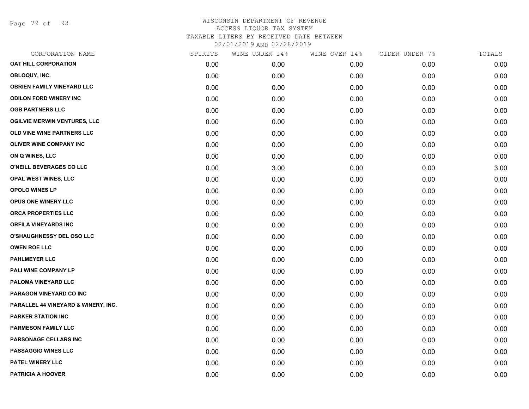Page 79 of 93

| CORPORATION NAME                    | SPIRITS | WINE UNDER 14% | WINE OVER 14% | CIDER UNDER 7% | TOTALS |
|-------------------------------------|---------|----------------|---------------|----------------|--------|
| <b>OAT HILL CORPORATION</b>         | 0.00    | 0.00           | 0.00          | 0.00           | 0.00   |
| OBLOQUY, INC.                       | 0.00    | 0.00           | 0.00          | 0.00           | 0.00   |
| <b>OBRIEN FAMILY VINEYARD LLC</b>   | 0.00    | 0.00           | 0.00          | 0.00           | 0.00   |
| <b>ODILON FORD WINERY INC</b>       | 0.00    | 0.00           | 0.00          | 0.00           | 0.00   |
| <b>OGB PARTNERS LLC</b>             | 0.00    | 0.00           | 0.00          | 0.00           | 0.00   |
| <b>OGILVIE MERWIN VENTURES, LLC</b> | 0.00    | 0.00           | 0.00          | 0.00           | 0.00   |
| OLD VINE WINE PARTNERS LLC          | 0.00    | 0.00           | 0.00          | 0.00           | 0.00   |
| <b>OLIVER WINE COMPANY INC</b>      | 0.00    | 0.00           | 0.00          | 0.00           | 0.00   |
| ON Q WINES, LLC                     | 0.00    | 0.00           | 0.00          | 0.00           | 0.00   |
| O'NEILL BEVERAGES CO LLC            | 0.00    | 3.00           | 0.00          | 0.00           | 3.00   |
| <b>OPAL WEST WINES, LLC</b>         | 0.00    | 0.00           | 0.00          | 0.00           | 0.00   |
| <b>OPOLO WINES LP</b>               | 0.00    | 0.00           | 0.00          | 0.00           | 0.00   |
| OPUS ONE WINERY LLC                 | 0.00    | 0.00           | 0.00          | 0.00           | 0.00   |
| ORCA PROPERTIES LLC                 | 0.00    | 0.00           | 0.00          | 0.00           | 0.00   |
| <b>ORFILA VINEYARDS INC</b>         | 0.00    | 0.00           | 0.00          | 0.00           | 0.00   |
| <b>O'SHAUGHNESSY DEL OSO LLC</b>    | 0.00    | 0.00           | 0.00          | 0.00           | 0.00   |
| <b>OWEN ROE LLC</b>                 | 0.00    | 0.00           | 0.00          | 0.00           | 0.00   |
| <b>PAHLMEYER LLC</b>                | 0.00    | 0.00           | 0.00          | 0.00           | 0.00   |
| PALI WINE COMPANY LP                | 0.00    | 0.00           | 0.00          | 0.00           | 0.00   |
| PALOMA VINEYARD LLC                 | 0.00    | 0.00           | 0.00          | 0.00           | 0.00   |
| PARAGON VINEYARD CO INC             | 0.00    | 0.00           | 0.00          | 0.00           | 0.00   |
| PARALLEL 44 VINEYARD & WINERY, INC. | 0.00    | 0.00           | 0.00          | 0.00           | 0.00   |
| <b>PARKER STATION INC</b>           | 0.00    | 0.00           | 0.00          | 0.00           | 0.00   |
| <b>PARMESON FAMILY LLC</b>          | 0.00    | 0.00           | 0.00          | 0.00           | 0.00   |
| PARSONAGE CELLARS INC               | 0.00    | 0.00           | 0.00          | 0.00           | 0.00   |
| <b>PASSAGGIO WINES LLC</b>          | 0.00    | 0.00           | 0.00          | 0.00           | 0.00   |
| PATEL WINERY LLC                    | 0.00    | 0.00           | 0.00          | 0.00           | 0.00   |
| <b>PATRICIA A HOOVER</b>            | 0.00    | 0.00           | 0.00          | 0.00           | 0.00   |
|                                     |         |                |               |                |        |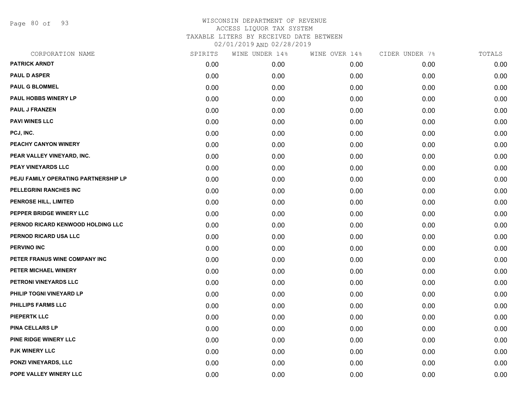Page 80 of 93

| CORPORATION NAME                     | SPIRITS | WINE UNDER 14% | WINE OVER 14% | CIDER UNDER 7% | TOTALS |
|--------------------------------------|---------|----------------|---------------|----------------|--------|
| <b>PATRICK ARNDT</b>                 | 0.00    | 0.00           | 0.00          | 0.00           | 0.00   |
| <b>PAUL D ASPER</b>                  | 0.00    | 0.00           | 0.00          | 0.00           | 0.00   |
| <b>PAUL G BLOMMEL</b>                | 0.00    | 0.00           | 0.00          | 0.00           | 0.00   |
| PAUL HOBBS WINERY LP                 | 0.00    | 0.00           | 0.00          | 0.00           | 0.00   |
| <b>PAUL J FRANZEN</b>                | 0.00    | 0.00           | 0.00          | 0.00           | 0.00   |
| <b>PAVI WINES LLC</b>                | 0.00    | 0.00           | 0.00          | 0.00           | 0.00   |
| PCJ, INC.                            | 0.00    | 0.00           | 0.00          | 0.00           | 0.00   |
| PEACHY CANYON WINERY                 | 0.00    | 0.00           | 0.00          | 0.00           | 0.00   |
| PEAR VALLEY VINEYARD, INC.           | 0.00    | 0.00           | 0.00          | 0.00           | 0.00   |
| PEAY VINEYARDS LLC                   | 0.00    | 0.00           | 0.00          | 0.00           | 0.00   |
| PEJU FAMILY OPERATING PARTNERSHIP LP | 0.00    | 0.00           | 0.00          | 0.00           | 0.00   |
| PELLEGRINI RANCHES INC               | 0.00    | 0.00           | 0.00          | 0.00           | 0.00   |
| PENROSE HILL, LIMITED                | 0.00    | 0.00           | 0.00          | 0.00           | 0.00   |
| PEPPER BRIDGE WINERY LLC             | 0.00    | 0.00           | 0.00          | 0.00           | 0.00   |
| PERNOD RICARD KENWOOD HOLDING LLC    | 0.00    | 0.00           | 0.00          | 0.00           | 0.00   |
| PERNOD RICARD USA LLC                | 0.00    | 0.00           | 0.00          | 0.00           | 0.00   |
| PERVINO INC                          | 0.00    | 0.00           | 0.00          | 0.00           | 0.00   |
| PETER FRANUS WINE COMPANY INC        | 0.00    | 0.00           | 0.00          | 0.00           | 0.00   |
| PETER MICHAEL WINERY                 | 0.00    | 0.00           | 0.00          | 0.00           | 0.00   |
| PETRONI VINEYARDS LLC                | 0.00    | 0.00           | 0.00          | 0.00           | 0.00   |
| PHILIP TOGNI VINEYARD LP             | 0.00    | 0.00           | 0.00          | 0.00           | 0.00   |
| PHILLIPS FARMS LLC                   | 0.00    | 0.00           | 0.00          | 0.00           | 0.00   |
| <b>PIEPERTK LLC</b>                  | 0.00    | 0.00           | 0.00          | 0.00           | 0.00   |
| <b>PINA CELLARS LP</b>               | 0.00    | 0.00           | 0.00          | 0.00           | 0.00   |
| PINE RIDGE WINERY LLC                | 0.00    | 0.00           | 0.00          | 0.00           | 0.00   |
| PJK WINERY LLC                       | 0.00    | 0.00           | 0.00          | 0.00           | 0.00   |
| <b>PONZI VINEYARDS, LLC</b>          | 0.00    | 0.00           | 0.00          | 0.00           | 0.00   |
| POPE VALLEY WINERY LLC               | 0.00    | 0.00           | 0.00          | 0.00           | 0.00   |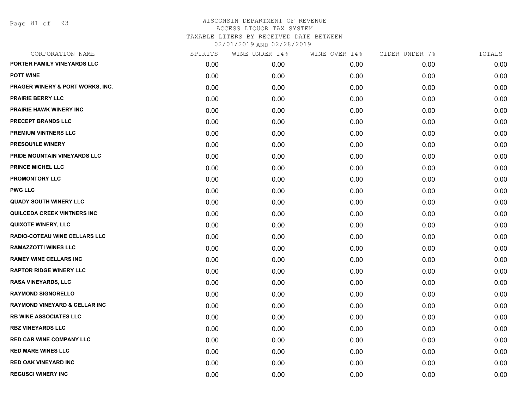| CORPORATION NAME                         | SPIRITS | WINE UNDER 14% | WINE OVER 14% | CIDER UNDER 7% | TOTALS |
|------------------------------------------|---------|----------------|---------------|----------------|--------|
| PORTER FAMILY VINEYARDS LLC              | 0.00    | 0.00           | 0.00          | 0.00           | 0.00   |
| <b>POTT WINE</b>                         | 0.00    | 0.00           | 0.00          | 0.00           | 0.00   |
| PRAGER WINERY & PORT WORKS, INC.         | 0.00    | 0.00           | 0.00          | 0.00           | 0.00   |
| <b>PRAIRIE BERRY LLC</b>                 | 0.00    | 0.00           | 0.00          | 0.00           | 0.00   |
| <b>PRAIRIE HAWK WINERY INC</b>           | 0.00    | 0.00           | 0.00          | 0.00           | 0.00   |
| PRECEPT BRANDS LLC                       | 0.00    | 0.00           | 0.00          | 0.00           | 0.00   |
| <b>PREMIUM VINTNERS LLC</b>              | 0.00    | 0.00           | 0.00          | 0.00           | 0.00   |
| <b>PRESQU'ILE WINERY</b>                 | 0.00    | 0.00           | 0.00          | 0.00           | 0.00   |
| PRIDE MOUNTAIN VINEYARDS LLC             | 0.00    | 0.00           | 0.00          | 0.00           | 0.00   |
| <b>PRINCE MICHEL LLC</b>                 | 0.00    | 0.00           | 0.00          | 0.00           | 0.00   |
| <b>PROMONTORY LLC</b>                    | 0.00    | 0.00           | 0.00          | 0.00           | 0.00   |
| <b>PWG LLC</b>                           | 0.00    | 0.00           | 0.00          | 0.00           | 0.00   |
| <b>QUADY SOUTH WINERY LLC</b>            | 0.00    | 0.00           | 0.00          | 0.00           | 0.00   |
| QUILCEDA CREEK VINTNERS INC              | 0.00    | 0.00           | 0.00          | 0.00           | 0.00   |
| <b>QUIXOTE WINERY, LLC</b>               | 0.00    | 0.00           | 0.00          | 0.00           | 0.00   |
| RADIO-COTEAU WINE CELLARS LLC            | 0.00    | 0.00           | 0.00          | 0.00           | 0.00   |
| <b>RAMAZZOTTI WINES LLC</b>              | 0.00    | 0.00           | 0.00          | 0.00           | 0.00   |
| <b>RAMEY WINE CELLARS INC</b>            | 0.00    | 0.00           | 0.00          | 0.00           | 0.00   |
| <b>RAPTOR RIDGE WINERY LLC</b>           | 0.00    | 0.00           | 0.00          | 0.00           | 0.00   |
| <b>RASA VINEYARDS, LLC</b>               | 0.00    | 0.00           | 0.00          | 0.00           | 0.00   |
| <b>RAYMOND SIGNORELLO</b>                | 0.00    | 0.00           | 0.00          | 0.00           | 0.00   |
| <b>RAYMOND VINEYARD &amp; CELLAR INC</b> | 0.00    | 0.00           | 0.00          | 0.00           | 0.00   |
| <b>RB WINE ASSOCIATES LLC</b>            | 0.00    | 0.00           | 0.00          | 0.00           | 0.00   |
| <b>RBZ VINEYARDS LLC</b>                 | 0.00    | 0.00           | 0.00          | 0.00           | 0.00   |
| <b>RED CAR WINE COMPANY LLC</b>          | 0.00    | 0.00           | 0.00          | 0.00           | 0.00   |
| <b>RED MARE WINES LLC</b>                | 0.00    | 0.00           | 0.00          | 0.00           | 0.00   |
| <b>RED OAK VINEYARD INC</b>              | 0.00    | 0.00           | 0.00          | 0.00           | 0.00   |
| <b>REGUSCI WINERY INC</b>                | 0.00    | 0.00           | 0.00          | 0.00           | 0.00   |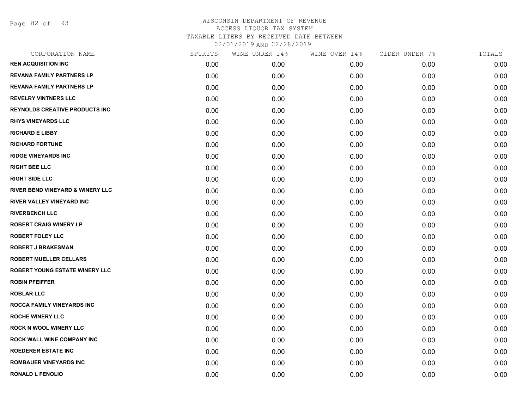Page 82 of 93

| SPIRITS | WINE UNDER 14% | WINE OVER 14% | CIDER UNDER 7% | TOTALS |
|---------|----------------|---------------|----------------|--------|
| 0.00    | 0.00           | 0.00          | 0.00           | 0.00   |
| 0.00    | 0.00           | 0.00          | 0.00           | 0.00   |
| 0.00    | 0.00           | 0.00          | 0.00           | 0.00   |
| 0.00    | 0.00           | 0.00          | 0.00           | 0.00   |
| 0.00    | 0.00           | 0.00          | 0.00           | 0.00   |
| 0.00    | 0.00           | 0.00          | 0.00           | 0.00   |
| 0.00    | 0.00           | 0.00          | 0.00           | 0.00   |
| 0.00    | 0.00           | 0.00          | 0.00           | 0.00   |
| 0.00    | 0.00           | 0.00          | 0.00           | 0.00   |
| 0.00    | 0.00           | 0.00          | 0.00           | 0.00   |
| 0.00    | 0.00           | 0.00          | 0.00           | 0.00   |
| 0.00    | 0.00           | 0.00          | 0.00           | 0.00   |
| 0.00    | 0.00           | 0.00          | 0.00           | 0.00   |
| 0.00    | 0.00           | 0.00          | 0.00           | 0.00   |
| 0.00    | 0.00           | 0.00          | 0.00           | 0.00   |
| 0.00    | 0.00           | 0.00          | 0.00           | 0.00   |
| 0.00    | 0.00           | 0.00          | 0.00           | 0.00   |
| 0.00    | 0.00           | 0.00          | 0.00           | 0.00   |
| 0.00    | 0.00           | 0.00          | 0.00           | 0.00   |
| 0.00    | 0.00           | 0.00          | 0.00           | 0.00   |
| 0.00    | 0.00           | 0.00          | 0.00           | 0.00   |
| 0.00    | 0.00           | 0.00          | 0.00           | 0.00   |
| 0.00    | 0.00           | 0.00          | 0.00           | 0.00   |
| 0.00    | 0.00           | 0.00          | 0.00           | 0.00   |
| 0.00    | 0.00           | 0.00          | 0.00           | 0.00   |
| 0.00    | 0.00           | 0.00          | 0.00           | 0.00   |
| 0.00    | 0.00           | 0.00          | 0.00           | 0.00   |
| 0.00    | 0.00           | 0.00          | 0.00           | 0.00   |
|         |                |               |                |        |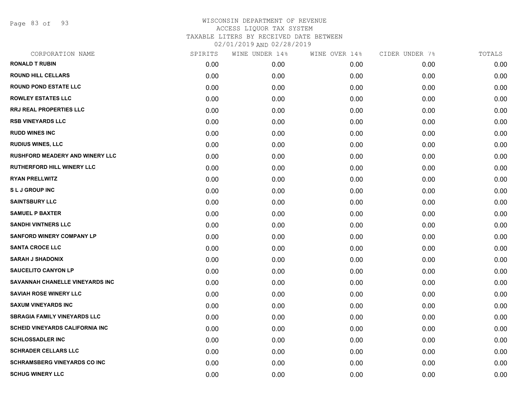Page 83 of 93

| CORPORATION NAME                        | SPIRITS | WINE UNDER 14% | WINE OVER 14% | CIDER UNDER 7% | TOTALS |
|-----------------------------------------|---------|----------------|---------------|----------------|--------|
| <b>RONALD T RUBIN</b>                   | 0.00    | 0.00           | 0.00          | 0.00           | 0.00   |
| <b>ROUND HILL CELLARS</b>               | 0.00    | 0.00           | 0.00          | 0.00           | 0.00   |
| <b>ROUND POND ESTATE LLC</b>            | 0.00    | 0.00           | 0.00          | 0.00           | 0.00   |
| <b>ROWLEY ESTATES LLC</b>               | 0.00    | 0.00           | 0.00          | 0.00           | 0.00   |
| <b>RRJ REAL PROPERTIES LLC</b>          | 0.00    | 0.00           | 0.00          | 0.00           | 0.00   |
| <b>RSB VINEYARDS LLC</b>                | 0.00    | 0.00           | 0.00          | 0.00           | 0.00   |
| <b>RUDD WINES INC</b>                   | 0.00    | 0.00           | 0.00          | 0.00           | 0.00   |
| <b>RUDIUS WINES, LLC</b>                | 0.00    | 0.00           | 0.00          | 0.00           | 0.00   |
| <b>RUSHFORD MEADERY AND WINERY LLC</b>  | 0.00    | 0.00           | 0.00          | 0.00           | 0.00   |
| <b>RUTHERFORD HILL WINERY LLC</b>       | 0.00    | 0.00           | 0.00          | 0.00           | 0.00   |
| <b>RYAN PRELLWITZ</b>                   | 0.00    | 0.00           | 0.00          | 0.00           | 0.00   |
| <b>SLJ GROUP INC</b>                    | 0.00    | 0.00           | 0.00          | 0.00           | 0.00   |
| <b>SAINTSBURY LLC</b>                   | 0.00    | 0.00           | 0.00          | 0.00           | 0.00   |
| <b>SAMUEL P BAXTER</b>                  | 0.00    | 0.00           | 0.00          | 0.00           | 0.00   |
| <b>SANDHI VINTNERS LLC</b>              | 0.00    | 0.00           | 0.00          | 0.00           | 0.00   |
| <b>SANFORD WINERY COMPANY LP</b>        | 0.00    | 0.00           | 0.00          | 0.00           | 0.00   |
| <b>SANTA CROCE LLC</b>                  | 0.00    | 0.00           | 0.00          | 0.00           | 0.00   |
| <b>SARAH J SHADONIX</b>                 | 0.00    | 0.00           | 0.00          | 0.00           | 0.00   |
| <b>SAUCELITO CANYON LP</b>              | 0.00    | 0.00           | 0.00          | 0.00           | 0.00   |
| SAVANNAH CHANELLE VINEYARDS INC         | 0.00    | 0.00           | 0.00          | 0.00           | 0.00   |
| <b>SAVIAH ROSE WINERY LLC</b>           | 0.00    | 0.00           | 0.00          | 0.00           | 0.00   |
| <b>SAXUM VINEYARDS INC</b>              | 0.00    | 0.00           | 0.00          | 0.00           | 0.00   |
| <b>SBRAGIA FAMILY VINEYARDS LLC</b>     | 0.00    | 0.00           | 0.00          | 0.00           | 0.00   |
| <b>SCHEID VINEYARDS CALIFORNIA INC.</b> | 0.00    | 0.00           | 0.00          | 0.00           | 0.00   |
| <b>SCHLOSSADLER INC</b>                 | 0.00    | 0.00           | 0.00          | 0.00           | 0.00   |
| <b>SCHRADER CELLARS LLC</b>             | 0.00    | 0.00           | 0.00          | 0.00           | 0.00   |
| <b>SCHRAMSBERG VINEYARDS CO INC</b>     | 0.00    | 0.00           | 0.00          | 0.00           | 0.00   |
| <b>SCHUG WINERY LLC</b>                 | 0.00    | 0.00           | 0.00          | 0.00           | 0.00   |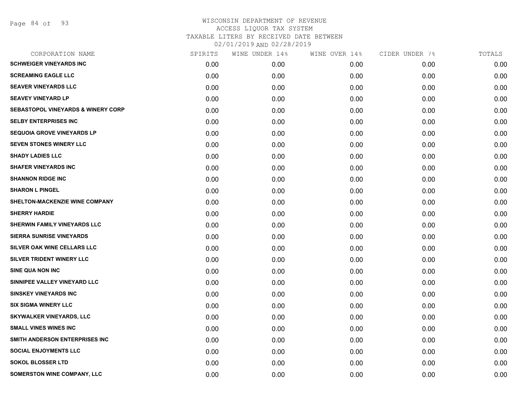# WISCONSIN DEPARTMENT OF REVENUE ACCESS LIQUOR TAX SYSTEM TAXABLE LITERS BY RECEIVED DATE BETWEEN

02/01/2019 AND 02/28/2019

| CORPORATION NAME                              | SPIRITS | WINE UNDER 14% | WINE OVER 14% | CIDER UNDER 7% | TOTALS |
|-----------------------------------------------|---------|----------------|---------------|----------------|--------|
| <b>SCHWEIGER VINEYARDS INC</b>                | 0.00    | 0.00           | 0.00          | 0.00           | 0.00   |
| <b>SCREAMING EAGLE LLC</b>                    | 0.00    | 0.00           | 0.00          | 0.00           | 0.00   |
| <b>SEAVER VINEYARDS LLC</b>                   | 0.00    | 0.00           | 0.00          | 0.00           | 0.00   |
| <b>SEAVEY VINEYARD LP</b>                     | 0.00    | 0.00           | 0.00          | 0.00           | 0.00   |
| <b>SEBASTOPOL VINEYARDS &amp; WINERY CORP</b> | 0.00    | 0.00           | 0.00          | 0.00           | 0.00   |
| <b>SELBY ENTERPRISES INC</b>                  | 0.00    | 0.00           | 0.00          | 0.00           | 0.00   |
| <b>SEQUOIA GROVE VINEYARDS LP</b>             | 0.00    | 0.00           | 0.00          | 0.00           | 0.00   |
| <b>SEVEN STONES WINERY LLC</b>                | 0.00    | 0.00           | 0.00          | 0.00           | 0.00   |
| <b>SHADY LADIES LLC</b>                       | 0.00    | 0.00           | 0.00          | 0.00           | 0.00   |
| <b>SHAFER VINEYARDS INC</b>                   | 0.00    | 0.00           | 0.00          | 0.00           | 0.00   |
| <b>SHANNON RIDGE INC</b>                      | 0.00    | 0.00           | 0.00          | 0.00           | 0.00   |
| <b>SHARON L PINGEL</b>                        | 0.00    | 0.00           | 0.00          | 0.00           | 0.00   |
| SHELTON-MACKENZIE WINE COMPANY                | 0.00    | 0.00           | 0.00          | 0.00           | 0.00   |
| <b>SHERRY HARDIE</b>                          | 0.00    | 0.00           | 0.00          | 0.00           | 0.00   |
| SHERWIN FAMILY VINEYARDS LLC                  | 0.00    | 0.00           | 0.00          | 0.00           | 0.00   |
| <b>SIERRA SUNRISE VINEYARDS</b>               | 0.00    | 0.00           | 0.00          | 0.00           | 0.00   |
| SILVER OAK WINE CELLARS LLC                   | 0.00    | 0.00           | 0.00          | 0.00           | 0.00   |
| <b>SILVER TRIDENT WINERY LLC</b>              | 0.00    | 0.00           | 0.00          | 0.00           | 0.00   |
| <b>SINE QUA NON INC</b>                       | 0.00    | 0.00           | 0.00          | 0.00           | 0.00   |
| SINNIPEE VALLEY VINEYARD LLC                  | 0.00    | 0.00           | 0.00          | 0.00           | 0.00   |
| <b>SINSKEY VINEYARDS INC</b>                  | 0.00    | 0.00           | 0.00          | 0.00           | 0.00   |
| <b>SIX SIGMA WINERY LLC</b>                   | 0.00    | 0.00           | 0.00          | 0.00           | 0.00   |
| <b>SKYWALKER VINEYARDS, LLC</b>               | 0.00    | 0.00           | 0.00          | 0.00           | 0.00   |
| <b>SMALL VINES WINES INC</b>                  | 0.00    | 0.00           | 0.00          | 0.00           | 0.00   |
| SMITH ANDERSON ENTERPRISES INC                | 0.00    | 0.00           | 0.00          | 0.00           | 0.00   |
| <b>SOCIAL ENJOYMENTS LLC</b>                  | 0.00    | 0.00           | 0.00          | 0.00           | 0.00   |
| <b>SOKOL BLOSSER LTD</b>                      | 0.00    | 0.00           | 0.00          | 0.00           | 0.00   |
| SOMERSTON WINE COMPANY, LLC                   | 0.00    | 0.00           | 0.00          | 0.00           | 0.00   |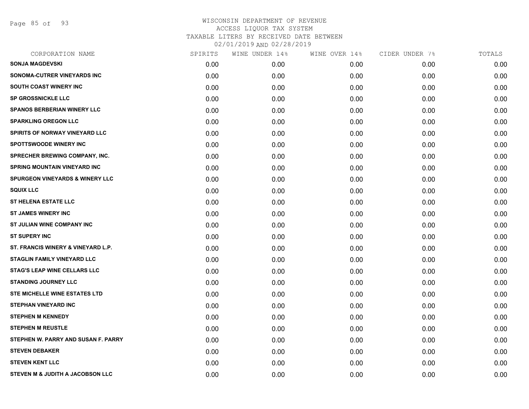Page 85 of 93

| CORPORATION NAME                           | SPIRITS | WINE UNDER 14% | WINE OVER 14% | CIDER UNDER 7% | TOTALS |
|--------------------------------------------|---------|----------------|---------------|----------------|--------|
| <b>SONJA MAGDEVSKI</b>                     | 0.00    | 0.00           | 0.00          | 0.00           | 0.00   |
| SONOMA-CUTRER VINEYARDS INC                | 0.00    | 0.00           | 0.00          | 0.00           | 0.00   |
| SOUTH COAST WINERY INC                     | 0.00    | 0.00           | 0.00          | 0.00           | 0.00   |
| <b>SP GROSSNICKLE LLC</b>                  | 0.00    | 0.00           | 0.00          | 0.00           | 0.00   |
| <b>SPANOS BERBERIAN WINERY LLC</b>         | 0.00    | 0.00           | 0.00          | 0.00           | 0.00   |
| <b>SPARKLING OREGON LLC</b>                | 0.00    | 0.00           | 0.00          | 0.00           | 0.00   |
| <b>SPIRITS OF NORWAY VINEYARD LLC</b>      | 0.00    | 0.00           | 0.00          | 0.00           | 0.00   |
| <b>SPOTTSWOODE WINERY INC</b>              | 0.00    | 0.00           | 0.00          | 0.00           | 0.00   |
| SPRECHER BREWING COMPANY, INC.             | 0.00    | 0.00           | 0.00          | 0.00           | 0.00   |
| <b>SPRING MOUNTAIN VINEYARD INC</b>        | 0.00    | 0.00           | 0.00          | 0.00           | 0.00   |
| <b>SPURGEON VINEYARDS &amp; WINERY LLC</b> | 0.00    | 0.00           | 0.00          | 0.00           | 0.00   |
| <b>SQUIX LLC</b>                           | 0.00    | 0.00           | 0.00          | 0.00           | 0.00   |
| <b>ST HELENA ESTATE LLC</b>                | 0.00    | 0.00           | 0.00          | 0.00           | 0.00   |
| <b>ST JAMES WINERY INC</b>                 | 0.00    | 0.00           | 0.00          | 0.00           | 0.00   |
| ST JULIAN WINE COMPANY INC                 | 0.00    | 0.00           | 0.00          | 0.00           | 0.00   |
| <b>ST SUPERY INC</b>                       | 0.00    | 0.00           | 0.00          | 0.00           | 0.00   |
| ST. FRANCIS WINERY & VINEYARD L.P.         | 0.00    | 0.00           | 0.00          | 0.00           | 0.00   |
| <b>STAGLIN FAMILY VINEYARD LLC</b>         | 0.00    | 0.00           | 0.00          | 0.00           | 0.00   |
| <b>STAG'S LEAP WINE CELLARS LLC</b>        | 0.00    | 0.00           | 0.00          | 0.00           | 0.00   |
| <b>STANDING JOURNEY LLC</b>                | 0.00    | 0.00           | 0.00          | 0.00           | 0.00   |
| STE MICHELLE WINE ESTATES LTD              | 0.00    | 0.00           | 0.00          | 0.00           | 0.00   |
| <b>STEPHAN VINEYARD INC</b>                | 0.00    | 0.00           | 0.00          | 0.00           | 0.00   |
| <b>STEPHEN M KENNEDY</b>                   | 0.00    | 0.00           | 0.00          | 0.00           | 0.00   |
| <b>STEPHEN M REUSTLE</b>                   | 0.00    | 0.00           | 0.00          | 0.00           | 0.00   |
| STEPHEN W. PARRY AND SUSAN F. PARRY        | 0.00    | 0.00           | 0.00          | 0.00           | 0.00   |
| <b>STEVEN DEBAKER</b>                      | 0.00    | 0.00           | 0.00          | 0.00           | 0.00   |
| <b>STEVEN KENT LLC</b>                     | 0.00    | 0.00           | 0.00          | 0.00           | 0.00   |
| STEVEN M & JUDITH A JACOBSON LLC           | 0.00    | 0.00           | 0.00          | 0.00           | 0.00   |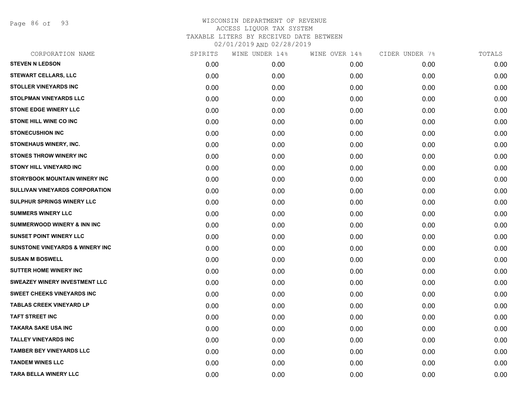Page 86 of 93

| CORPORATION NAME                           | SPIRITS | WINE UNDER 14% | WINE OVER 14% | CIDER UNDER 7% | TOTALS |
|--------------------------------------------|---------|----------------|---------------|----------------|--------|
| <b>STEVEN N LEDSON</b>                     | 0.00    | 0.00           | 0.00          | 0.00           | 0.00   |
| <b>STEWART CELLARS, LLC</b>                | 0.00    | 0.00           | 0.00          | 0.00           | 0.00   |
| <b>STOLLER VINEYARDS INC</b>               | 0.00    | 0.00           | 0.00          | 0.00           | 0.00   |
| <b>STOLPMAN VINEYARDS LLC</b>              | 0.00    | 0.00           | 0.00          | 0.00           | 0.00   |
| <b>STONE EDGE WINERY LLC</b>               | 0.00    | 0.00           | 0.00          | 0.00           | 0.00   |
| <b>STONE HILL WINE CO INC</b>              | 0.00    | 0.00           | 0.00          | 0.00           | 0.00   |
| <b>STONECUSHION INC</b>                    | 0.00    | 0.00           | 0.00          | 0.00           | 0.00   |
| STONEHAUS WINERY, INC.                     | 0.00    | 0.00           | 0.00          | 0.00           | 0.00   |
| <b>STONES THROW WINERY INC</b>             | 0.00    | 0.00           | 0.00          | 0.00           | 0.00   |
| <b>STONY HILL VINEYARD INC</b>             | 0.00    | 0.00           | 0.00          | 0.00           | 0.00   |
| <b>STORYBOOK MOUNTAIN WINERY INC</b>       | 0.00    | 0.00           | 0.00          | 0.00           | 0.00   |
| SULLIVAN VINEYARDS CORPORATION             | 0.00    | 0.00           | 0.00          | 0.00           | 0.00   |
| SULPHUR SPRINGS WINERY LLC                 | 0.00    | 0.00           | 0.00          | 0.00           | 0.00   |
| <b>SUMMERS WINERY LLC</b>                  | 0.00    | 0.00           | 0.00          | 0.00           | 0.00   |
| <b>SUMMERWOOD WINERY &amp; INN INC</b>     | 0.00    | 0.00           | 0.00          | 0.00           | 0.00   |
| <b>SUNSET POINT WINERY LLC</b>             | 0.00    | 0.00           | 0.00          | 0.00           | 0.00   |
| <b>SUNSTONE VINEYARDS &amp; WINERY INC</b> | 0.00    | 0.00           | 0.00          | 0.00           | 0.00   |
| <b>SUSAN M BOSWELL</b>                     | 0.00    | 0.00           | 0.00          | 0.00           | 0.00   |
| <b>SUTTER HOME WINERY INC</b>              | 0.00    | 0.00           | 0.00          | 0.00           | 0.00   |
| SWEAZEY WINERY INVESTMENT LLC              | 0.00    | 0.00           | 0.00          | 0.00           | 0.00   |
| <b>SWEET CHEEKS VINEYARDS INC</b>          | 0.00    | 0.00           | 0.00          | 0.00           | 0.00   |
| <b>TABLAS CREEK VINEYARD LP</b>            | 0.00    | 0.00           | 0.00          | 0.00           | 0.00   |
| <b>TAFT STREET INC</b>                     | 0.00    | 0.00           | 0.00          | 0.00           | 0.00   |
| <b>TAKARA SAKE USA INC</b>                 | 0.00    | 0.00           | 0.00          | 0.00           | 0.00   |
| <b>TALLEY VINEYARDS INC</b>                | 0.00    | 0.00           | 0.00          | 0.00           | 0.00   |
| <b>TAMBER BEY VINEYARDS LLC</b>            | 0.00    | 0.00           | 0.00          | 0.00           | 0.00   |
| <b>TANDEM WINES LLC</b>                    | 0.00    | 0.00           | 0.00          | 0.00           | 0.00   |
| <b>TARA BELLA WINERY LLC</b>               | 0.00    | 0.00           | 0.00          | 0.00           | 0.00   |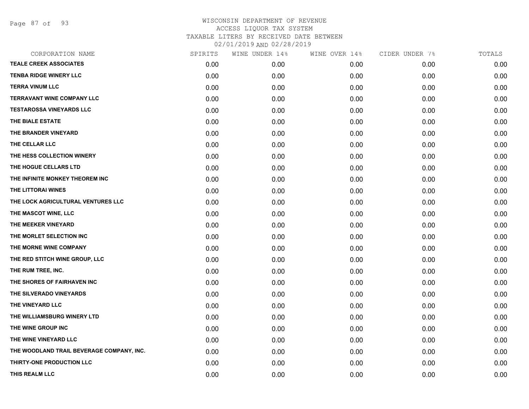Page 87 of 93

| CORPORATION NAME                          | SPIRITS | WINE UNDER 14% | WINE OVER 14% | CIDER UNDER 7% | TOTALS |
|-------------------------------------------|---------|----------------|---------------|----------------|--------|
| <b>TEALE CREEK ASSOCIATES</b>             | 0.00    | 0.00           | 0.00          | 0.00           | 0.00   |
| <b>TENBA RIDGE WINERY LLC</b>             | 0.00    | 0.00           | 0.00          | 0.00           | 0.00   |
| <b>TERRA VINUM LLC</b>                    | 0.00    | 0.00           | 0.00          | 0.00           | 0.00   |
| <b>TERRAVANT WINE COMPANY LLC</b>         | 0.00    | 0.00           | 0.00          | 0.00           | 0.00   |
| <b>TESTAROSSA VINEYARDS LLC</b>           | 0.00    | 0.00           | 0.00          | 0.00           | 0.00   |
| THE BIALE ESTATE                          | 0.00    | 0.00           | 0.00          | 0.00           | 0.00   |
| THE BRANDER VINEYARD                      | 0.00    | 0.00           | 0.00          | 0.00           | 0.00   |
| THE CELLAR LLC                            | 0.00    | 0.00           | 0.00          | 0.00           | 0.00   |
| THE HESS COLLECTION WINERY                | 0.00    | 0.00           | 0.00          | 0.00           | 0.00   |
| THE HOGUE CELLARS LTD                     | 0.00    | 0.00           | 0.00          | 0.00           | 0.00   |
| THE INFINITE MONKEY THEOREM INC           | 0.00    | 0.00           | 0.00          | 0.00           | 0.00   |
| THE LITTORAI WINES                        | 0.00    | 0.00           | 0.00          | 0.00           | 0.00   |
| THE LOCK AGRICULTURAL VENTURES LLC        | 0.00    | 0.00           | 0.00          | 0.00           | 0.00   |
| THE MASCOT WINE, LLC                      | 0.00    | 0.00           | 0.00          | 0.00           | 0.00   |
| THE MEEKER VINEYARD                       | 0.00    | 0.00           | 0.00          | 0.00           | 0.00   |
| THE MORLET SELECTION INC                  | 0.00    | 0.00           | 0.00          | 0.00           | 0.00   |
| THE MORNE WINE COMPANY                    | 0.00    | 0.00           | 0.00          | 0.00           | 0.00   |
| THE RED STITCH WINE GROUP, LLC            | 0.00    | 0.00           | 0.00          | 0.00           | 0.00   |
| THE RUM TREE, INC.                        | 0.00    | 0.00           | 0.00          | 0.00           | 0.00   |
| THE SHORES OF FAIRHAVEN INC               | 0.00    | 0.00           | 0.00          | 0.00           | 0.00   |
| THE SILVERADO VINEYARDS                   | 0.00    | 0.00           | 0.00          | 0.00           | 0.00   |
| THE VINEYARD LLC                          | 0.00    | 0.00           | 0.00          | 0.00           | 0.00   |
| THE WILLIAMSBURG WINERY LTD               | 0.00    | 0.00           | 0.00          | 0.00           | 0.00   |
| THE WINE GROUP INC                        | 0.00    | 0.00           | 0.00          | 0.00           | 0.00   |
| THE WINE VINEYARD LLC                     | 0.00    | 0.00           | 0.00          | 0.00           | 0.00   |
| THE WOODLAND TRAIL BEVERAGE COMPANY, INC. | 0.00    | 0.00           | 0.00          | 0.00           | 0.00   |
| THIRTY-ONE PRODUCTION LLC                 | 0.00    | 0.00           | 0.00          | 0.00           | 0.00   |
| THIS REALM LLC                            | 0.00    | 0.00           | 0.00          | 0.00           | 0.00   |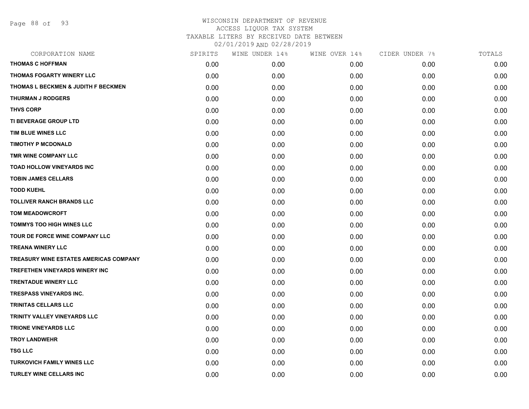Page 88 of 93

| CORPORATION NAME                               | SPIRITS | WINE UNDER 14% | WINE OVER 14% | CIDER UNDER 7% | TOTALS |
|------------------------------------------------|---------|----------------|---------------|----------------|--------|
| <b>THOMAS C HOFFMAN</b>                        | 0.00    | 0.00           | 0.00          | 0.00           | 0.00   |
| THOMAS FOGARTY WINERY LLC                      | 0.00    | 0.00           | 0.00          | 0.00           | 0.00   |
| <b>THOMAS L BECKMEN &amp; JUDITH F BECKMEN</b> | 0.00    | 0.00           | 0.00          | 0.00           | 0.00   |
| <b>THURMAN J RODGERS</b>                       | 0.00    | 0.00           | 0.00          | 0.00           | 0.00   |
| <b>THVS CORP</b>                               | 0.00    | 0.00           | 0.00          | 0.00           | 0.00   |
| <b>TI BEVERAGE GROUP LTD</b>                   | 0.00    | 0.00           | 0.00          | 0.00           | 0.00   |
| TIM BLUE WINES LLC                             | 0.00    | 0.00           | 0.00          | 0.00           | 0.00   |
| <b>TIMOTHY P MCDONALD</b>                      | 0.00    | 0.00           | 0.00          | 0.00           | 0.00   |
| TMR WINE COMPANY LLC                           | 0.00    | 0.00           | 0.00          | 0.00           | 0.00   |
| <b>TOAD HOLLOW VINEYARDS INC</b>               | 0.00    | 0.00           | 0.00          | 0.00           | 0.00   |
| <b>TOBIN JAMES CELLARS</b>                     | 0.00    | 0.00           | 0.00          | 0.00           | 0.00   |
| <b>TODD KUEHL</b>                              | 0.00    | 0.00           | 0.00          | 0.00           | 0.00   |
| <b>TOLLIVER RANCH BRANDS LLC</b>               | 0.00    | 0.00           | 0.00          | 0.00           | 0.00   |
| <b>TOM MEADOWCROFT</b>                         | 0.00    | 0.00           | 0.00          | 0.00           | 0.00   |
| <b>TOMMYS TOO HIGH WINES LLC</b>               | 0.00    | 0.00           | 0.00          | 0.00           | 0.00   |
| TOUR DE FORCE WINE COMPANY LLC                 | 0.00    | 0.00           | 0.00          | 0.00           | 0.00   |
| <b>TREANA WINERY LLC</b>                       | 0.00    | 0.00           | 0.00          | 0.00           | 0.00   |
| <b>TREASURY WINE ESTATES AMERICAS COMPANY</b>  | 0.00    | 0.00           | 0.00          | 0.00           | 0.00   |
| TREFETHEN VINEYARDS WINERY INC                 | 0.00    | 0.00           | 0.00          | 0.00           | 0.00   |
| <b>TRENTADUE WINERY LLC</b>                    | 0.00    | 0.00           | 0.00          | 0.00           | 0.00   |
| <b>TRESPASS VINEYARDS INC.</b>                 | 0.00    | 0.00           | 0.00          | 0.00           | 0.00   |
| <b>TRINITAS CELLARS LLC</b>                    | 0.00    | 0.00           | 0.00          | 0.00           | 0.00   |
| TRINITY VALLEY VINEYARDS LLC                   | 0.00    | 0.00           | 0.00          | 0.00           | 0.00   |
| <b>TRIONE VINEYARDS LLC</b>                    | 0.00    | 0.00           | 0.00          | 0.00           | 0.00   |
| <b>TROY LANDWEHR</b>                           | 0.00    | 0.00           | 0.00          | 0.00           | 0.00   |
| <b>TSG LLC</b>                                 | 0.00    | 0.00           | 0.00          | 0.00           | 0.00   |
| <b>TURKOVICH FAMILY WINES LLC</b>              | 0.00    | 0.00           | 0.00          | 0.00           | 0.00   |
| <b>TURLEY WINE CELLARS INC</b>                 | 0.00    | 0.00           | 0.00          | 0.00           | 0.00   |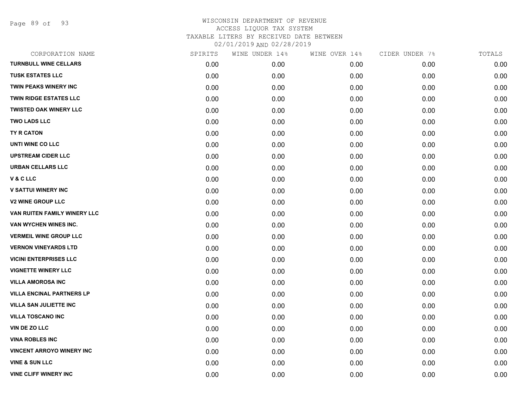Page 89 of 93

| CORPORATION NAME                 | SPIRITS | WINE UNDER 14% | WINE OVER 14% | CIDER UNDER 7% | TOTALS |
|----------------------------------|---------|----------------|---------------|----------------|--------|
| <b>TURNBULL WINE CELLARS</b>     | 0.00    | 0.00           | 0.00          | 0.00           | 0.00   |
| <b>TUSK ESTATES LLC</b>          | 0.00    | 0.00           | 0.00          | 0.00           | 0.00   |
| <b>TWIN PEAKS WINERY INC</b>     | 0.00    | 0.00           | 0.00          | 0.00           | 0.00   |
| <b>TWIN RIDGE ESTATES LLC</b>    | 0.00    | 0.00           | 0.00          | 0.00           | 0.00   |
| <b>TWISTED OAK WINERY LLC</b>    | 0.00    | 0.00           | 0.00          | 0.00           | 0.00   |
| <b>TWO LADS LLC</b>              | 0.00    | 0.00           | 0.00          | 0.00           | 0.00   |
| <b>TY R CATON</b>                | 0.00    | 0.00           | 0.00          | 0.00           | 0.00   |
| UNTI WINE CO LLC                 | 0.00    | 0.00           | 0.00          | 0.00           | 0.00   |
| <b>UPSTREAM CIDER LLC</b>        | 0.00    | 0.00           | 0.00          | 0.00           | 0.00   |
| <b>URBAN CELLARS LLC</b>         | 0.00    | 0.00           | 0.00          | 0.00           | 0.00   |
| V & C LLC                        | 0.00    | 0.00           | 0.00          | 0.00           | 0.00   |
| <b>V SATTUI WINERY INC</b>       | 0.00    | 0.00           | 0.00          | 0.00           | 0.00   |
| <b>V2 WINE GROUP LLC</b>         | 0.00    | 0.00           | 0.00          | 0.00           | 0.00   |
| VAN RUITEN FAMILY WINERY LLC     | 0.00    | 0.00           | 0.00          | 0.00           | 0.00   |
| VAN WYCHEN WINES INC.            | 0.00    | 0.00           | 0.00          | 0.00           | 0.00   |
| <b>VERMEIL WINE GROUP LLC</b>    | 0.00    | 0.00           | 0.00          | 0.00           | 0.00   |
| <b>VERNON VINEYARDS LTD</b>      | 0.00    | 0.00           | 0.00          | 0.00           | 0.00   |
| <b>VICINI ENTERPRISES LLC</b>    | 0.00    | 0.00           | 0.00          | 0.00           | 0.00   |
| <b>VIGNETTE WINERY LLC</b>       | 0.00    | 0.00           | 0.00          | 0.00           | 0.00   |
| <b>VILLA AMOROSA INC</b>         | 0.00    | 0.00           | 0.00          | 0.00           | 0.00   |
| <b>VILLA ENCINAL PARTNERS LP</b> | 0.00    | 0.00           | 0.00          | 0.00           | 0.00   |
| <b>VILLA SAN JULIETTE INC</b>    | 0.00    | 0.00           | 0.00          | 0.00           | 0.00   |
| <b>VILLA TOSCANO INC</b>         | 0.00    | 0.00           | 0.00          | 0.00           | 0.00   |
| VIN DE ZO LLC                    | 0.00    | 0.00           | 0.00          | 0.00           | 0.00   |
| <b>VINA ROBLES INC</b>           | 0.00    | 0.00           | 0.00          | 0.00           | 0.00   |
| <b>VINCENT ARROYO WINERY INC</b> | 0.00    | 0.00           | 0.00          | 0.00           | 0.00   |
| <b>VINE &amp; SUN LLC</b>        | 0.00    | 0.00           | 0.00          | 0.00           | 0.00   |
| <b>VINE CLIFF WINERY INC</b>     | 0.00    | 0.00           | 0.00          | 0.00           | 0.00   |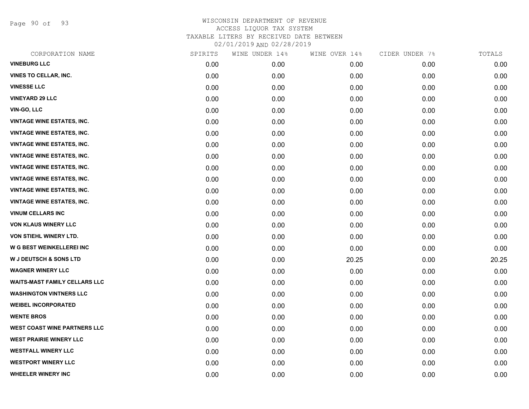Page 90 of 93

| CORPORATION NAME                     | SPIRITS | WINE UNDER 14% | WINE OVER 14% | CIDER UNDER 7% | TOTALS |
|--------------------------------------|---------|----------------|---------------|----------------|--------|
| <b>VINEBURG LLC</b>                  | 0.00    | 0.00           | 0.00          | 0.00           | 0.00   |
| <b>VINES TO CELLAR, INC.</b>         | 0.00    | 0.00           | 0.00          | 0.00           | 0.00   |
| <b>VINESSE LLC</b>                   | 0.00    | 0.00           | 0.00          | 0.00           | 0.00   |
| <b>VINEYARD 29 LLC</b>               | 0.00    | 0.00           | 0.00          | 0.00           | 0.00   |
| VIN-GO, LLC                          | 0.00    | 0.00           | 0.00          | 0.00           | 0.00   |
| <b>VINTAGE WINE ESTATES, INC.</b>    | 0.00    | 0.00           | 0.00          | 0.00           | 0.00   |
| <b>VINTAGE WINE ESTATES, INC.</b>    | 0.00    | 0.00           | 0.00          | 0.00           | 0.00   |
| <b>VINTAGE WINE ESTATES, INC.</b>    | 0.00    | 0.00           | 0.00          | 0.00           | 0.00   |
| <b>VINTAGE WINE ESTATES, INC.</b>    | 0.00    | 0.00           | 0.00          | 0.00           | 0.00   |
| <b>VINTAGE WINE ESTATES, INC.</b>    | 0.00    | 0.00           | 0.00          | 0.00           | 0.00   |
| <b>VINTAGE WINE ESTATES, INC.</b>    | 0.00    | 0.00           | 0.00          | 0.00           | 0.00   |
| <b>VINTAGE WINE ESTATES, INC.</b>    | 0.00    | 0.00           | 0.00          | 0.00           | 0.00   |
| <b>VINTAGE WINE ESTATES, INC.</b>    | 0.00    | 0.00           | 0.00          | 0.00           | 0.00   |
| <b>VINUM CELLARS INC</b>             | 0.00    | 0.00           | 0.00          | 0.00           | 0.00   |
| <b>VON KLAUS WINERY LLC</b>          | 0.00    | 0.00           | 0.00          | 0.00           | 0.00   |
| VON STIEHL WINERY LTD.               | 0.00    | 0.00           | 0.00          | 0.00           | 0.00   |
| <b>W G BEST WEINKELLEREI INC</b>     | 0.00    | 0.00           | 0.00          | 0.00           | 0.00   |
| <b>W J DEUTSCH &amp; SONS LTD</b>    | 0.00    | 0.00           | 20.25         | 0.00           | 20.25  |
| <b>WAGNER WINERY LLC</b>             | 0.00    | 0.00           | 0.00          | 0.00           | 0.00   |
| <b>WAITS-MAST FAMILY CELLARS LLC</b> | 0.00    | 0.00           | 0.00          | 0.00           | 0.00   |
| <b>WASHINGTON VINTNERS LLC</b>       | 0.00    | 0.00           | 0.00          | 0.00           | 0.00   |
| <b>WEIBEL INCORPORATED</b>           | 0.00    | 0.00           | 0.00          | 0.00           | 0.00   |
| <b>WENTE BROS</b>                    | 0.00    | 0.00           | 0.00          | 0.00           | 0.00   |
| <b>WEST COAST WINE PARTNERS LLC</b>  | 0.00    | 0.00           | 0.00          | 0.00           | 0.00   |
| <b>WEST PRAIRIE WINERY LLC</b>       | 0.00    | 0.00           | 0.00          | 0.00           | 0.00   |
| <b>WESTFALL WINERY LLC</b>           | 0.00    | 0.00           | 0.00          | 0.00           | 0.00   |
| <b>WESTPORT WINERY LLC</b>           | 0.00    | 0.00           | 0.00          | 0.00           | 0.00   |
| <b>WHEELER WINERY INC</b>            | 0.00    | 0.00           | 0.00          | 0.00           | 0.00   |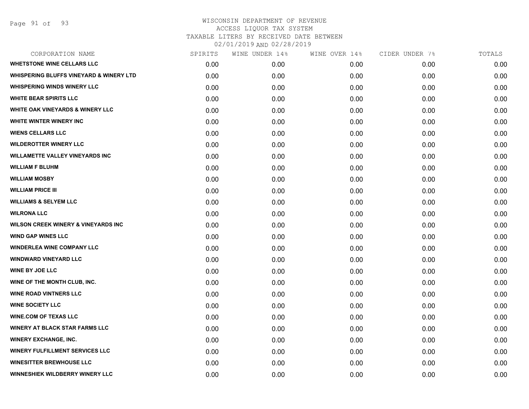| CORPORATION NAME                                   | SPIRITS | WINE UNDER 14% | WINE OVER 14% | CIDER UNDER 7% | TOTALS |
|----------------------------------------------------|---------|----------------|---------------|----------------|--------|
| <b>WHETSTONE WINE CELLARS LLC</b>                  | 0.00    | 0.00           | 0.00          | 0.00           | 0.00   |
| <b>WHISPERING BLUFFS VINEYARD &amp; WINERY LTD</b> | 0.00    | 0.00           | 0.00          | 0.00           | 0.00   |
| <b>WHISPERING WINDS WINERY LLC</b>                 | 0.00    | 0.00           | 0.00          | 0.00           | 0.00   |
| <b>WHITE BEAR SPIRITS LLC</b>                      | 0.00    | 0.00           | 0.00          | 0.00           | 0.00   |
| WHITE OAK VINEYARDS & WINERY LLC                   | 0.00    | 0.00           | 0.00          | 0.00           | 0.00   |
| WHITE WINTER WINERY INC                            | 0.00    | 0.00           | 0.00          | 0.00           | 0.00   |
| <b>WIENS CELLARS LLC</b>                           | 0.00    | 0.00           | 0.00          | 0.00           | 0.00   |
| <b>WILDEROTTER WINERY LLC</b>                      | 0.00    | 0.00           | 0.00          | 0.00           | 0.00   |
| <b>WILLAMETTE VALLEY VINEYARDS INC</b>             | 0.00    | 0.00           | 0.00          | 0.00           | 0.00   |
| <b>WILLIAM F BLUHM</b>                             | 0.00    | 0.00           | 0.00          | 0.00           | 0.00   |
| <b>WILLIAM MOSBY</b>                               | 0.00    | 0.00           | 0.00          | 0.00           | 0.00   |
| <b>WILLIAM PRICE III</b>                           | 0.00    | 0.00           | 0.00          | 0.00           | 0.00   |
| <b>WILLIAMS &amp; SELYEM LLC</b>                   | 0.00    | 0.00           | 0.00          | 0.00           | 0.00   |
| <b>WILRONA LLC</b>                                 | 0.00    | 0.00           | 0.00          | 0.00           | 0.00   |
| <b>WILSON CREEK WINERY &amp; VINEYARDS INC</b>     | 0.00    | 0.00           | 0.00          | 0.00           | 0.00   |
| <b>WIND GAP WINES LLC</b>                          | 0.00    | 0.00           | 0.00          | 0.00           | 0.00   |
| <b>WINDERLEA WINE COMPANY LLC</b>                  | 0.00    | 0.00           | 0.00          | 0.00           | 0.00   |
| <b>WINDWARD VINEYARD LLC</b>                       | 0.00    | 0.00           | 0.00          | 0.00           | 0.00   |
| <b>WINE BY JOE LLC</b>                             | 0.00    | 0.00           | 0.00          | 0.00           | 0.00   |
| WINE OF THE MONTH CLUB, INC.                       | 0.00    | 0.00           | 0.00          | 0.00           | 0.00   |
| <b>WINE ROAD VINTNERS LLC</b>                      | 0.00    | 0.00           | 0.00          | 0.00           | 0.00   |
| <b>WINE SOCIETY LLC</b>                            | 0.00    | 0.00           | 0.00          | 0.00           | 0.00   |
| <b>WINE.COM OF TEXAS LLC</b>                       | 0.00    | 0.00           | 0.00          | 0.00           | 0.00   |
| <b>WINERY AT BLACK STAR FARMS LLC</b>              | 0.00    | 0.00           | 0.00          | 0.00           | 0.00   |
| <b>WINERY EXCHANGE, INC.</b>                       | 0.00    | 0.00           | 0.00          | 0.00           | 0.00   |
| <b>WINERY FULFILLMENT SERVICES LLC</b>             | 0.00    | 0.00           | 0.00          | 0.00           | 0.00   |
| <b>WINESITTER BREWHOUSE LLC</b>                    | 0.00    | 0.00           | 0.00          | 0.00           | 0.00   |
| WINNESHIEK WILDBERRY WINERY LLC                    | 0.00    | 0.00           | 0.00          | 0.00           | 0.00   |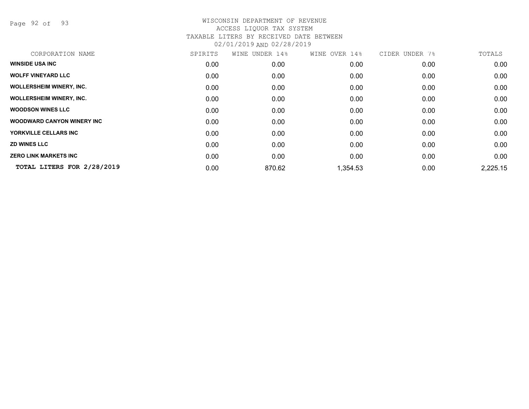Page 92 of 93

| CORPORATION NAME                   | SPIRITS | WINE UNDER 14% | WINE OVER 14% | CIDER UNDER 7% | TOTALS   |
|------------------------------------|---------|----------------|---------------|----------------|----------|
| <b>WINSIDE USA INC</b>             | 0.00    | 0.00           | 0.00          | 0.00           | 0.00     |
| <b>WOLFF VINEYARD LLC</b>          | 0.00    | 0.00           | 0.00          | 0.00           | 0.00     |
| <b>WOLLERSHEIM WINERY, INC.</b>    | 0.00    | 0.00           | 0.00          | 0.00           | 0.00     |
| <b>WOLLERSHEIM WINERY, INC.</b>    | 0.00    | 0.00           | 0.00          | 0.00           | 0.00     |
| <b>WOODSON WINES LLC</b>           | 0.00    | 0.00           | 0.00          | 0.00           | 0.00     |
| <b>WOODWARD CANYON WINERY INC.</b> | 0.00    | 0.00           | 0.00          | 0.00           | 0.00     |
| YORKVILLE CELLARS INC              | 0.00    | 0.00           | 0.00          | 0.00           | 0.00     |
| <b>ZD WINES LLC</b>                | 0.00    | 0.00           | 0.00          | 0.00           | 0.00     |
| <b>ZERO LINK MARKETS INC</b>       | 0.00    | 0.00           | 0.00          | 0.00           | 0.00     |
| TOTAL LITERS FOR 2/28/2019         | 0.00    | 870.62         | 1,354.53      | 0.00           | 2,225.15 |